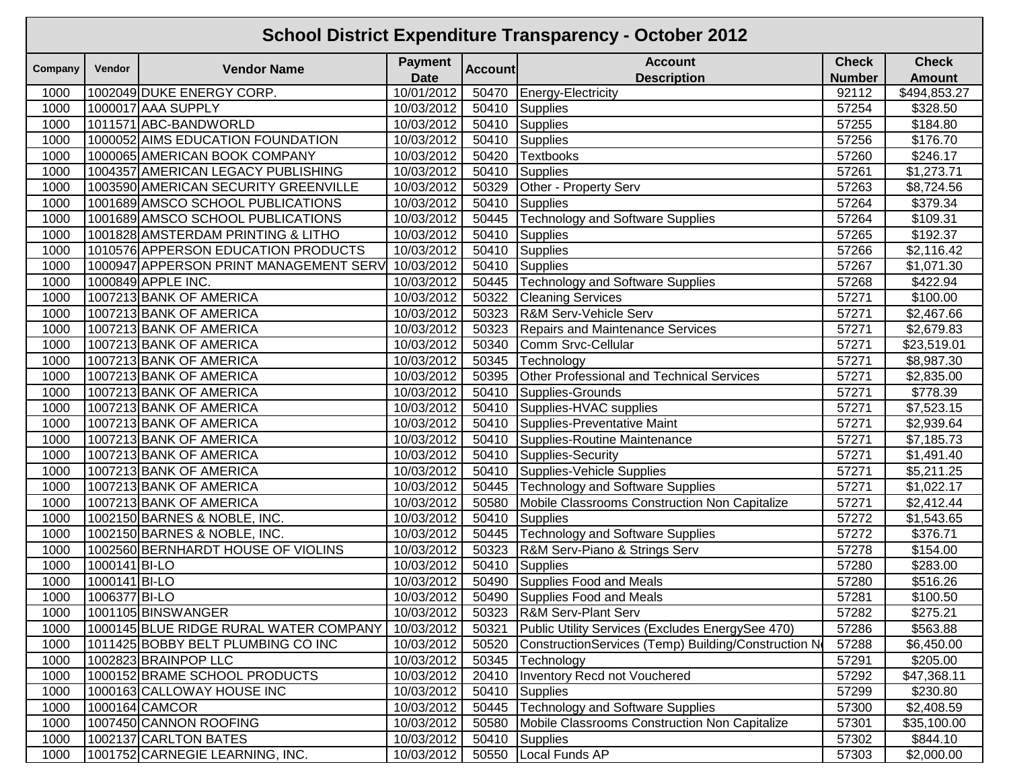|         | <b>School District Expenditure Transparency - October 2012</b> |                                        |                |                |                                                      |               |               |  |  |  |  |  |
|---------|----------------------------------------------------------------|----------------------------------------|----------------|----------------|------------------------------------------------------|---------------|---------------|--|--|--|--|--|
| Company | Vendor                                                         | <b>Vendor Name</b>                     | <b>Payment</b> | <b>Account</b> | <b>Account</b>                                       | <b>Check</b>  | <b>Check</b>  |  |  |  |  |  |
|         |                                                                |                                        | <b>Date</b>    |                | <b>Description</b>                                   | <b>Number</b> | <b>Amount</b> |  |  |  |  |  |
| 1000    |                                                                | 1002049 DUKE ENERGY CORP.              | 10/01/2012     | 50470          | Energy-Electricity                                   | 92112         | \$494,853.27  |  |  |  |  |  |
| 1000    |                                                                | 1000017 AAA SUPPLY                     | 10/03/2012     | 50410          | Supplies                                             | 57254         | \$328.50      |  |  |  |  |  |
| 1000    |                                                                | 1011571 ABC-BANDWORLD                  | 10/03/2012     | 50410          | Supplies                                             | 57255         | \$184.80      |  |  |  |  |  |
| 1000    |                                                                | 1000052 AIMS EDUCATION FOUNDATION      | 10/03/2012     | 50410          | Supplies                                             | 57256         | \$176.70      |  |  |  |  |  |
| 1000    |                                                                | 1000065 AMERICAN BOOK COMPANY          | 10/03/2012     | 50420          | <b>Textbooks</b>                                     | 57260         | \$246.17      |  |  |  |  |  |
| 1000    |                                                                | 1004357 AMERICAN LEGACY PUBLISHING     | 10/03/2012     | 50410          | Supplies                                             | 57261         | \$1,273.71    |  |  |  |  |  |
| 1000    |                                                                | 1003590 AMERICAN SECURITY GREENVILLE   | 10/03/2012     | 50329          | Other - Property Serv                                | 57263         | \$8,724.56    |  |  |  |  |  |
| 1000    |                                                                | 1001689 AMSCO SCHOOL PUBLICATIONS      | 10/03/2012     | 50410          | <b>Supplies</b>                                      | 57264         | \$379.34      |  |  |  |  |  |
| 1000    |                                                                | 1001689 AMSCO SCHOOL PUBLICATIONS      | 10/03/2012     | 50445          | <b>Technology and Software Supplies</b>              | 57264         | \$109.31      |  |  |  |  |  |
| 1000    |                                                                | 1001828 AMSTERDAM PRINTING & LITHO     | 10/03/2012     | 50410          | Supplies                                             | 57265         | \$192.37      |  |  |  |  |  |
| 1000    |                                                                | 1010576 APPERSON EDUCATION PRODUCTS    | 10/03/2012     | 50410          | <b>Supplies</b>                                      | 57266         | \$2,116.42    |  |  |  |  |  |
| 1000    |                                                                | 1000947 APPERSON PRINT MANAGEMENT SERV | 10/03/2012     | 50410          | Supplies                                             | 57267         | \$1,071.30    |  |  |  |  |  |
| 1000    |                                                                | 1000849 APPLE INC.                     | 10/03/2012     | 50445          | Technology and Software Supplies                     | 57268         | \$422.94      |  |  |  |  |  |
| 1000    |                                                                | 1007213 BANK OF AMERICA                | 10/03/2012     | 50322          | <b>Cleaning Services</b>                             | 57271         | \$100.00      |  |  |  |  |  |
| 1000    |                                                                | 1007213 BANK OF AMERICA                | 10/03/2012     | 50323          | R&M Serv-Vehicle Serv                                | 57271         | \$2,467.66    |  |  |  |  |  |
| 1000    |                                                                | 1007213 BANK OF AMERICA                | 10/03/2012     | 50323          | <b>Repairs and Maintenance Services</b>              | 57271         | \$2,679.83    |  |  |  |  |  |
| 1000    |                                                                | 1007213 BANK OF AMERICA                | 10/03/2012     | 50340          | Comm Srvc-Cellular                                   | 57271         | \$23,519.01   |  |  |  |  |  |
| 1000    |                                                                | 1007213 BANK OF AMERICA                | 10/03/2012     | 50345          | Technology                                           | 57271         | \$8,987.30    |  |  |  |  |  |
| 1000    |                                                                | 1007213 BANK OF AMERICA                | 10/03/2012     | 50395          | Other Professional and Technical Services            | 57271         | \$2,835.00    |  |  |  |  |  |
| 1000    |                                                                | 1007213 BANK OF AMERICA                | 10/03/2012     | 50410          | Supplies-Grounds                                     | 57271         | \$778.39      |  |  |  |  |  |
| 1000    |                                                                | 1007213 BANK OF AMERICA                | 10/03/2012     | 50410          | Supplies-HVAC supplies                               | 57271         | \$7,523.15    |  |  |  |  |  |
| 1000    |                                                                | 1007213 BANK OF AMERICA                | 10/03/2012     | 50410          | Supplies-Preventative Maint                          | 57271         | \$2,939.64    |  |  |  |  |  |
| 1000    |                                                                | 1007213 BANK OF AMERICA                | 10/03/2012     | 50410          | Supplies-Routine Maintenance                         | 57271         | \$7,185.73    |  |  |  |  |  |
| 1000    |                                                                | 1007213 BANK OF AMERICA                | 10/03/2012     | 50410          | Supplies-Security                                    | 57271         | \$1,491.40    |  |  |  |  |  |
| 1000    |                                                                | 1007213 BANK OF AMERICA                | 10/03/2012     | 50410          | Supplies-Vehicle Supplies                            | 57271         | \$5,211.25    |  |  |  |  |  |
| 1000    |                                                                | 1007213 BANK OF AMERICA                | 10/03/2012     | 50445          | <b>Technology and Software Supplies</b>              | 57271         | \$1,022.17    |  |  |  |  |  |
| 1000    |                                                                | 1007213 BANK OF AMERICA                | 10/03/2012     | 50580          | Mobile Classrooms Construction Non Capitalize        | 57271         | \$2,412.44    |  |  |  |  |  |
| 1000    |                                                                | 1002150 BARNES & NOBLE, INC.           | 10/03/2012     | 50410          | <b>Supplies</b>                                      | 57272         | \$1,543.65    |  |  |  |  |  |
| 1000    |                                                                | 1002150 BARNES & NOBLE, INC.           | 10/03/2012     | 50445          | Technology and Software Supplies                     | 57272         | \$376.71      |  |  |  |  |  |
| 1000    |                                                                | 1002560 BERNHARDT HOUSE OF VIOLINS     | 10/03/2012     | 50323          | R&M Serv-Piano & Strings Serv                        | 57278         | \$154.00      |  |  |  |  |  |
| 1000    | 1000141 BI-LO                                                  |                                        | 10/03/2012     | 50410          | Supplies                                             | 57280         | \$283.00      |  |  |  |  |  |
| 1000    | 1000141 BI-LO                                                  |                                        | 10/03/2012     | 50490          | Supplies Food and Meals                              | 57280         | \$516.26      |  |  |  |  |  |
| 1000    | 1006377 BI-LO                                                  |                                        | 10/03/2012     |                | 50490 Supplies Food and Meals                        | 57281         | \$100.50      |  |  |  |  |  |
| 1000    |                                                                | 1001105 BINSWANGER                     | 10/03/2012     |                | 50323 R&M Serv-Plant Serv                            | 57282         | \$275.21      |  |  |  |  |  |
| 1000    |                                                                | 1000145 BLUE RIDGE RURAL WATER COMPANY | 10/03/2012     | 50321          | Public Utility Services (Excludes EnergySee 470)     | 57286         | \$563.88      |  |  |  |  |  |
| 1000    |                                                                | 1011425 BOBBY BELT PLUMBING CO INC     | 10/03/2012     | 50520          | ConstructionServices (Temp) Building/Construction No | 57288         | \$6,450.00    |  |  |  |  |  |
| 1000    |                                                                | 1002823 BRAINPOP LLC                   | 10/03/2012     | 50345          | Technology                                           | 57291         | \$205.00      |  |  |  |  |  |
| 1000    |                                                                | 1000152 BRAME SCHOOL PRODUCTS          | 10/03/2012     | 20410          | Inventory Recd not Vouchered                         | 57292         | \$47,368.11   |  |  |  |  |  |
| 1000    |                                                                | 1000163 CALLOWAY HOUSE INC             | 10/03/2012     | 50410          | Supplies                                             | 57299         | \$230.80      |  |  |  |  |  |
| 1000    |                                                                | 1000164 CAMCOR                         | 10/03/2012     |                | 50445   Technology and Software Supplies             | 57300         | \$2,408.59    |  |  |  |  |  |
| 1000    |                                                                | 1007450 CANNON ROOFING                 | 10/03/2012     | 50580          | Mobile Classrooms Construction Non Capitalize        | 57301         | \$35,100.00   |  |  |  |  |  |
| 1000    |                                                                | 1002137 CARLTON BATES                  | 10/03/2012     | 50410          | Supplies                                             | 57302         | \$844.10      |  |  |  |  |  |
| 1000    |                                                                | 1001752 CARNEGIE LEARNING, INC.        | 10/03/2012     |                | 50550 Local Funds AP                                 | 57303         | \$2,000.00    |  |  |  |  |  |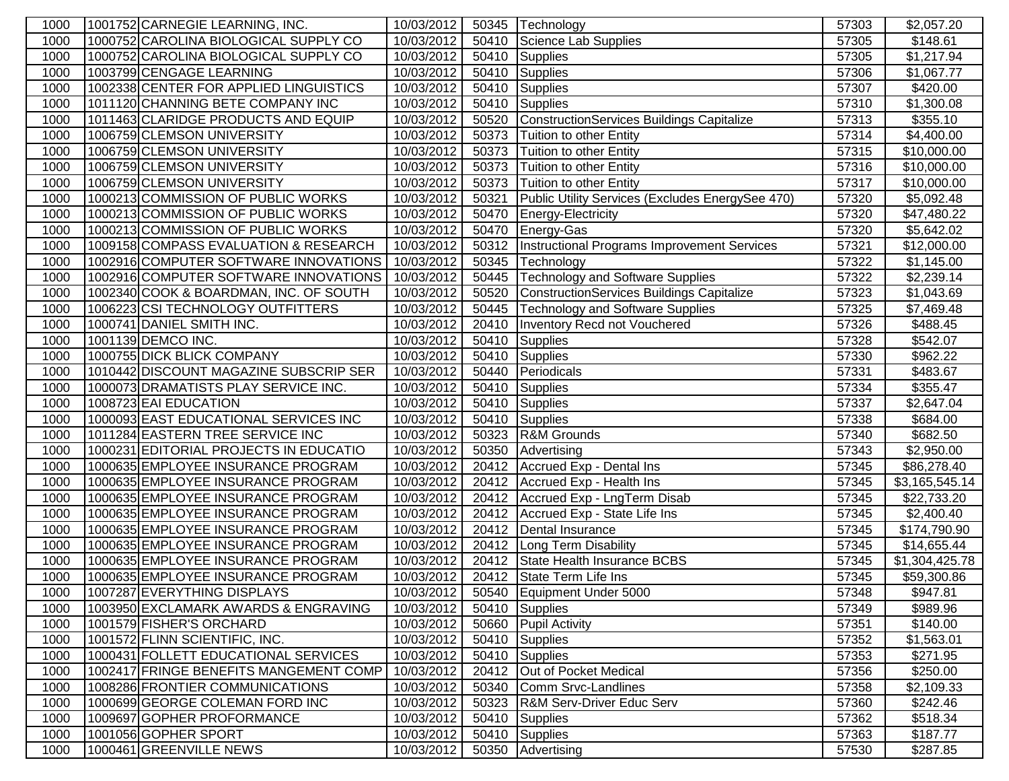| 1000         | 1001752 CARNEGIE LEARNING, INC.                                        | 10/03/2012               |       | 50345 Technology                                    | 57303          | \$2,057.20             |
|--------------|------------------------------------------------------------------------|--------------------------|-------|-----------------------------------------------------|----------------|------------------------|
| 1000         | 1000752 CAROLINA BIOLOGICAL SUPPLY CO                                  | 10/03/2012               | 50410 | Science Lab Supplies                                | 57305          | \$148.61               |
| 1000         | 1000752 CAROLINA BIOLOGICAL SUPPLY CO                                  | 10/03/2012               | 50410 | <b>Supplies</b>                                     | 57305          | \$1,217.94             |
| 1000         | 1003799 CENGAGE LEARNING                                               | 10/03/2012               | 50410 | <b>Supplies</b>                                     | 57306          | \$1,067.77             |
| 1000         | 1002338 CENTER FOR APPLIED LINGUISTICS                                 | 10/03/2012               | 50410 | <b>Supplies</b>                                     | 57307          | \$420.00               |
| 1000         | 1011120 CHANNING BETE COMPANY INC                                      | 10/03/2012               | 50410 | <b>Supplies</b>                                     | 57310          | \$1,300.08             |
| 1000         | 1011463 CLARIDGE PRODUCTS AND EQUIP                                    | 10/03/2012               | 50520 | ConstructionServices Buildings Capitalize           | 57313          | \$355.10               |
| 1000         | 1006759 CLEMSON UNIVERSITY                                             | 10/03/2012               | 50373 | Tuition to other Entity                             | 57314          | \$4,400.00             |
| 1000         | 1006759 CLEMSON UNIVERSITY                                             | 10/03/2012               | 50373 | Tuition to other Entity                             | 57315          | \$10,000.00            |
| 1000         | 1006759 CLEMSON UNIVERSITY                                             | 10/03/2012               | 50373 | Tuition to other Entity                             | 57316          | \$10,000.00            |
| 1000         | 1006759 CLEMSON UNIVERSITY                                             | 10/03/2012               | 50373 | Tuition to other Entity                             | 57317          | \$10,000.00            |
| 1000         | 1000213 COMMISSION OF PUBLIC WORKS                                     | 10/03/2012               | 50321 | Public Utility Services (Excludes EnergySee 470)    | 57320          | \$5,092.48             |
| 1000         | 1000213 COMMISSION OF PUBLIC WORKS                                     | 10/03/2012               | 50470 | Energy-Electricity                                  | 57320          | \$47,480.22            |
| 1000         | 1000213 COMMISSION OF PUBLIC WORKS                                     | 10/03/2012               | 50470 | Energy-Gas                                          | 57320          | \$5,642.02             |
| 1000         | 1009158 COMPASS EVALUATION & RESEARCH                                  | 10/03/2012               |       | 50312   Instructional Programs Improvement Services | 57321          | \$12,000.00            |
| 1000         | 1002916 COMPUTER SOFTWARE INNOVATIONS                                  | 10/03/2012               | 50345 | Technology                                          | 57322          | \$1,145.00             |
| 1000         | 1002916 COMPUTER SOFTWARE INNOVATIONS                                  | 10/03/2012               | 50445 | Technology and Software Supplies                    | 57322          | \$2,239.14             |
| 1000         | 1002340 COOK & BOARDMAN, INC. OF SOUTH                                 | 10/03/2012               | 50520 | ConstructionServices Buildings Capitalize           | 57323          | \$1,043.69             |
| 1000         | 1006223 CSI TECHNOLOGY OUTFITTERS                                      | 10/03/2012               | 50445 | <b>Technology and Software Supplies</b>             | 57325          | \$7,469.48             |
| 1000         | 1000741 DANIEL SMITH INC.                                              | 10/03/2012               | 20410 | Inventory Recd not Vouchered                        | 57326          | \$488.45               |
| 1000         | 1001139 DEMCO INC.                                                     | 10/03/2012               | 50410 | <b>Supplies</b>                                     | 57328          | \$542.07               |
| 1000         | 1000755 DICK BLICK COMPANY                                             | 10/03/2012               | 50410 | <b>Supplies</b>                                     | 57330          | \$962.22               |
| 1000         | 1010442 DISCOUNT MAGAZINE SUBSCRIP SER                                 | 10/03/2012               | 50440 | Periodicals                                         | 57331          | \$483.67               |
| 1000         | 1000073 DRAMATISTS PLAY SERVICE INC.                                   | 10/03/2012               | 50410 | Supplies                                            | 57334          | $\overline{$}355.47$   |
| 1000         | 1008723 EAI EDUCATION                                                  | 10/03/2012               | 50410 | Supplies                                            | 57337          | \$2,647.04             |
| 1000         | 1000093 EAST EDUCATIONAL SERVICES INC                                  | 10/03/2012               | 50410 | Supplies                                            | 57338          | \$684.00               |
| 1000         | 1011284 EASTERN TREE SERVICE INC                                       | 10/03/2012               | 50323 | R&M Grounds                                         | 57340          | \$682.50               |
| 1000         | 1000231 EDITORIAL PROJECTS IN EDUCATIO                                 | 10/03/2012               | 50350 | Advertising                                         | 57343          | \$2,950.00             |
| 1000         | 1000635 EMPLOYEE INSURANCE PROGRAM                                     | 10/03/2012               |       | 20412 Accrued Exp - Dental Ins                      | 57345          | \$86,278.40            |
| 1000         | 1000635 EMPLOYEE INSURANCE PROGRAM                                     | 10/03/2012               |       | 20412 Accrued Exp - Health Ins                      | 57345          | \$3,165,545.14         |
| 1000         | 1000635 EMPLOYEE INSURANCE PROGRAM                                     | 10/03/2012               | 20412 | Accrued Exp - LngTerm Disab                         | 57345          | \$22,733.20            |
| 1000         | 1000635 EMPLOYEE INSURANCE PROGRAM                                     | 10/03/2012               |       | 20412   Accrued Exp - State Life Ins                | 57345          | \$2,400.40             |
| 1000         | 1000635 EMPLOYEE INSURANCE PROGRAM                                     | 10/03/2012               |       | 20412 Dental Insurance                              | 57345          | \$174,790.90           |
| 1000         | 1000635 EMPLOYEE INSURANCE PROGRAM                                     | 10/03/2012               | 20412 | Long Term Disability                                | 57345          | \$14,655.44            |
| 1000         | 1000635 EMPLOYEE INSURANCE PROGRAM                                     | 10/03/2012               | 20412 | State Health Insurance BCBS                         | 57345          | \$1,304,425.78         |
| 1000         | 1000635 EMPLOYEE INSURANCE PROGRAM                                     | 10/03/2012               |       | 20412 State Term Life Ins                           | 57345          | \$59,300.86            |
| 1000         | 1007287 EVERYTHING DISPLAYS                                            | 10/03/2012               |       | 50540 Equipment Under 5000                          | 57348          | \$947.81               |
| 1000<br>1000 | 1003950 EXCLAMARK AWARDS & ENGRAVING<br>1001579 FISHER'S ORCHARD       | 10/03/2012               | 50410 | Supplies                                            | 57349          | \$989.96<br>\$140.00   |
|              |                                                                        | 10/03/2012               | 50660 | <b>Pupil Activity</b>                               | 57351          |                        |
| 1000<br>1000 | 1001572 FLINN SCIENTIFIC, INC.<br>1000431 FOLLETT EDUCATIONAL SERVICES | 10/03/2012<br>10/03/2012 |       | 50410 Supplies                                      | 57352          | \$1,563.01             |
| 1000         | 1002417 FRINGE BENEFITS MANGEMENT COMP                                 | 10/03/2012               | 20412 | 50410 Supplies                                      | 57353          | \$271.95               |
| 1000         | 1008286 FRONTIER COMMUNICATIONS                                        | 10/03/2012               | 50340 | Out of Pocket Medical<br>Comm Srvc-Landlines        | 57356<br>57358 | \$250.00<br>\$2,109.33 |
| 1000         | 1000699 GEORGE COLEMAN FORD INC                                        | 10/03/2012               | 50323 | <b>R&amp;M Serv-Driver Educ Serv</b>                | 57360          | \$242.46               |
| 1000         | 1009697 GOPHER PROFORMANCE                                             | 10/03/2012               | 50410 | Supplies                                            | 57362          | \$518.34               |
| 1000         | 1001056 GOPHER SPORT                                                   | 10/03/2012               | 50410 | Supplies                                            | 57363          | \$187.77               |
| 1000         | 1000461 GREENVILLE NEWS                                                | 10/03/2012               | 50350 | Advertising                                         | 57530          | \$287.85               |
|              |                                                                        |                          |       |                                                     |                |                        |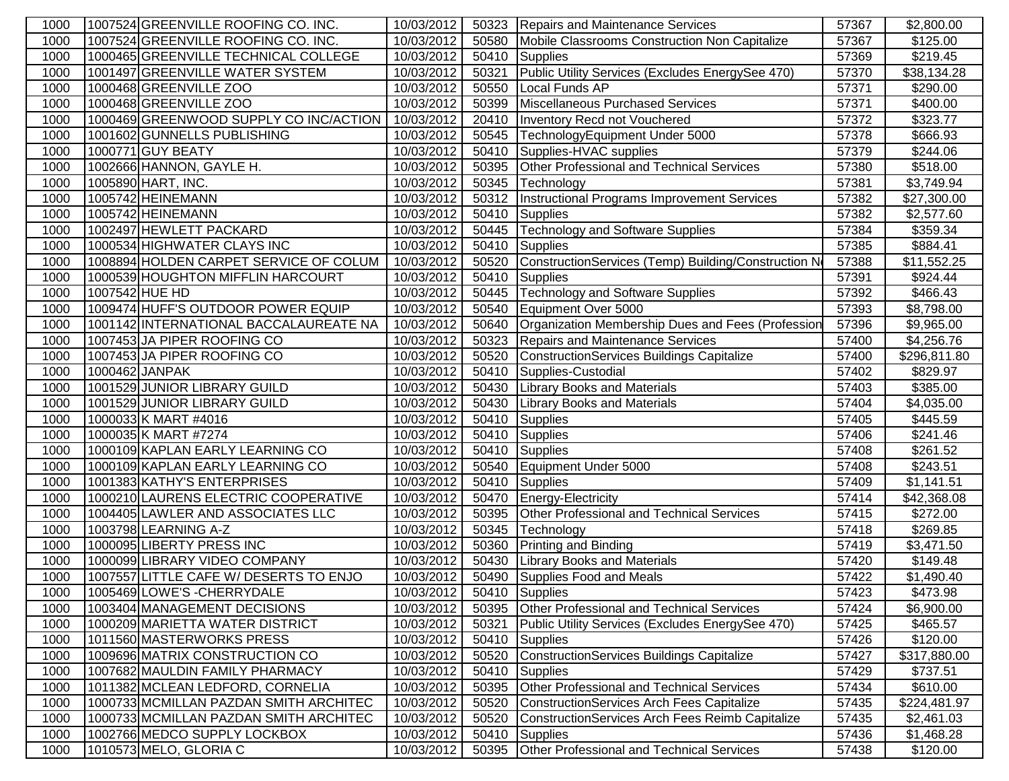| 1000 | 1007524 GREENVILLE ROOFING CO. INC.    | 10/03/2012 | 50323 | Repairs and Maintenance Services                    | 57367 | \$2,800.00   |
|------|----------------------------------------|------------|-------|-----------------------------------------------------|-------|--------------|
| 1000 | 1007524 GREENVILLE ROOFING CO. INC.    | 10/03/2012 | 50580 | Mobile Classrooms Construction Non Capitalize       | 57367 | \$125.00     |
| 1000 | 1000465 GREENVILLE TECHNICAL COLLEGE   | 10/03/2012 | 50410 | Supplies                                            | 57369 | \$219.45     |
| 1000 | 1001497 GREENVILLE WATER SYSTEM        | 10/03/2012 | 50321 | Public Utility Services (Excludes EnergySee 470)    | 57370 | \$38,134.28  |
| 1000 | 1000468 GREENVILLE ZOO                 | 10/03/2012 | 50550 | Local Funds AP                                      | 57371 | \$290.00     |
| 1000 | 1000468 GREENVILLE ZOO                 | 10/03/2012 | 50399 | Miscellaneous Purchased Services                    | 57371 | \$400.00     |
| 1000 | 1000469 GREENWOOD SUPPLY CO INC/ACTION | 10/03/2012 | 20410 | Inventory Recd not Vouchered                        | 57372 | \$323.77     |
| 1000 | 1001602 GUNNELLS PUBLISHING            | 10/03/2012 | 50545 | TechnologyEquipment Under 5000                      | 57378 | \$666.93     |
| 1000 | 1000771 GUY BEATY                      | 10/03/2012 | 50410 | Supplies-HVAC supplies                              | 57379 | \$244.06     |
| 1000 | 1002666 HANNON, GAYLE H.               | 10/03/2012 | 50395 | Other Professional and Technical Services           | 57380 | \$518.00     |
| 1000 | 1005890 HART, INC.                     | 10/03/2012 | 50345 | Technology                                          | 57381 | \$3,749.94   |
| 1000 | 1005742 HEINEMANN                      | 10/03/2012 |       | 50312   Instructional Programs Improvement Services | 57382 | \$27,300.00  |
| 1000 | 1005742 HEINEMANN                      | 10/03/2012 | 50410 | Supplies                                            | 57382 | \$2,577.60   |
| 1000 | 1002497 HEWLETT PACKARD                | 10/03/2012 | 50445 | Technology and Software Supplies                    | 57384 | \$359.34     |
| 1000 | 1000534 HIGHWATER CLAYS INC            | 10/03/2012 | 50410 | Supplies                                            | 57385 | \$884.41     |
| 1000 | 1008894 HOLDEN CARPET SERVICE OF COLUM | 10/03/2012 | 50520 | ConstructionServices (Temp) Building/Construction N | 57388 | \$11,552.25  |
| 1000 | 1000539 HOUGHTON MIFFLIN HARCOURT      | 10/03/2012 | 50410 | Supplies                                            | 57391 | \$924.44     |
| 1000 | 1007542 HUE HD                         | 10/03/2012 | 50445 | <b>Technology and Software Supplies</b>             | 57392 | \$466.43     |
| 1000 | 1009474 HUFF'S OUTDOOR POWER EQUIP     | 10/03/2012 | 50540 | Equipment Over 5000                                 | 57393 | \$8,798.00   |
| 1000 | 1001142 INTERNATIONAL BACCALAUREATE NA | 10/03/2012 | 50640 | Organization Membership Dues and Fees (Profession   | 57396 | \$9,965.00   |
| 1000 | 1007453 JA PIPER ROOFING CO            | 10/03/2012 | 50323 | <b>Repairs and Maintenance Services</b>             | 57400 | \$4,256.76   |
| 1000 | 1007453 JA PIPER ROOFING CO            | 10/03/2012 | 50520 | ConstructionServices Buildings Capitalize           | 57400 | \$296,811.80 |
| 1000 | 1000462 JANPAK                         | 10/03/2012 | 50410 | Supplies-Custodial                                  | 57402 | \$829.97     |
| 1000 | 1001529 JUNIOR LIBRARY GUILD           | 10/03/2012 | 50430 | <b>Library Books and Materials</b>                  | 57403 | \$385.00     |
| 1000 | 1001529 JUNIOR LIBRARY GUILD           | 10/03/2012 | 50430 | <b>Library Books and Materials</b>                  | 57404 | \$4,035.00   |
| 1000 | 1000033 K MART #4016                   | 10/03/2012 | 50410 | <b>Supplies</b>                                     | 57405 | \$445.59     |
| 1000 | 1000035 K MART #7274                   | 10/03/2012 | 50410 | <b>Supplies</b>                                     | 57406 | \$241.46     |
| 1000 | 1000109 KAPLAN EARLY LEARNING CO       | 10/03/2012 | 50410 | Supplies                                            | 57408 | \$261.52     |
| 1000 | 1000109 KAPLAN EARLY LEARNING CO       | 10/03/2012 | 50540 | Equipment Under 5000                                | 57408 | \$243.51     |
| 1000 | 1001383 KATHY'S ENTERPRISES            | 10/03/2012 | 50410 | Supplies                                            | 57409 | \$1,141.51   |
| 1000 | 1000210 LAURENS ELECTRIC COOPERATIVE   | 10/03/2012 | 50470 | Energy-Electricity                                  | 57414 | \$42,368.08  |
| 1000 | 1004405 LAWLER AND ASSOCIATES LLC      | 10/03/2012 | 50395 | Other Professional and Technical Services           | 57415 | \$272.00     |
| 1000 | 1003798 LEARNING A-Z                   | 10/03/2012 | 50345 | Technology                                          | 57418 | \$269.85     |
| 1000 | 1000095 LIBERTY PRESS INC              | 10/03/2012 | 50360 | <b>Printing and Binding</b>                         | 57419 | \$3,471.50   |
| 1000 | 1000099 LIBRARY VIDEO COMPANY          | 10/03/2012 | 50430 | <b>Library Books and Materials</b>                  | 57420 | \$149.48     |
| 1000 | 1007557 LITTLE CAFE W/ DESERTS TO ENJO | 10/03/2012 |       | 50490 Supplies Food and Meals                       | 57422 | \$1,490.40   |
| 1000 | 1005469 LOWE'S - CHERRYDALE            | 10/03/2012 |       | 50410 Supplies                                      | 57423 | \$473.98     |
| 1000 | 1003404 MANAGEMENT DECISIONS           | 10/03/2012 | 50395 | <b>Other Professional and Technical Services</b>    | 57424 | \$6,900.00   |
| 1000 | 1000209 MARIETTA WATER DISTRICT        | 10/03/2012 | 50321 | Public Utility Services (Excludes EnergySee 470)    | 57425 | \$465.57     |
| 1000 | 1011560 MASTERWORKS PRESS              | 10/03/2012 | 50410 | Supplies                                            | 57426 | \$120.00     |
| 1000 | 1009696 MATRIX CONSTRUCTION CO         | 10/03/2012 | 50520 | ConstructionServices Buildings Capitalize           | 57427 | \$317,880.00 |
| 1000 | 1007682 MAULDIN FAMILY PHARMACY        | 10/03/2012 | 50410 | <b>Supplies</b>                                     | 57429 | \$737.51     |
| 1000 | 1011382 MCLEAN LEDFORD, CORNELIA       | 10/03/2012 | 50395 | Other Professional and Technical Services           | 57434 | \$610.00     |
| 1000 | 1000733 MCMILLAN PAZDAN SMITH ARCHITEC | 10/03/2012 | 50520 | ConstructionServices Arch Fees Capitalize           | 57435 | \$224,481.97 |
| 1000 | 1000733 MCMILLAN PAZDAN SMITH ARCHITEC | 10/03/2012 | 50520 | ConstructionServices Arch Fees Reimb Capitalize     | 57435 | \$2,461.03   |
| 1000 | 1002766 MEDCO SUPPLY LOCKBOX           | 10/03/2012 | 50410 | <b>Supplies</b>                                     | 57436 | \$1,468.28   |
| 1000 | 1010573 MELO, GLORIA C                 | 10/03/2012 | 50395 | Other Professional and Technical Services           | 57438 | \$120.00     |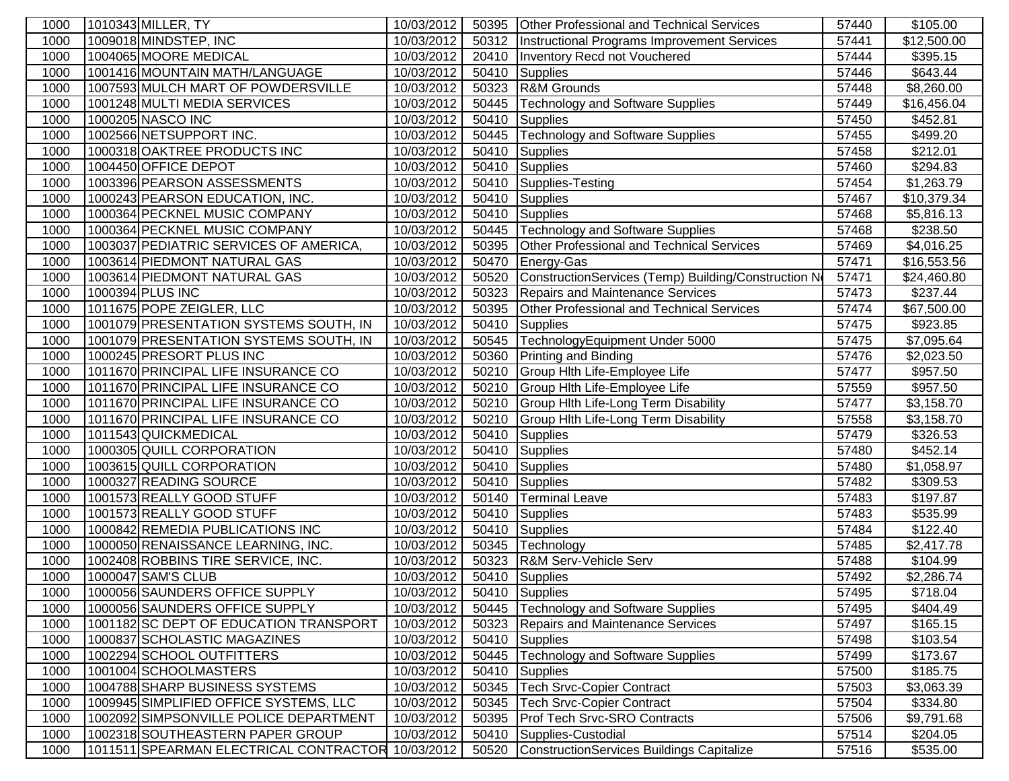| 1000 | 1010343 MILLER, TY                                | 10/03/2012 |       | 50395 Other Professional and Technical Services     | 57440 | \$105.00             |
|------|---------------------------------------------------|------------|-------|-----------------------------------------------------|-------|----------------------|
| 1000 | 1009018 MINDSTEP, INC                             | 10/03/2012 | 50312 | Instructional Programs Improvement Services         | 57441 | \$12,500.00          |
| 1000 | 1004065 MOORE MEDICAL                             | 10/03/2012 | 20410 | Inventory Recd not Vouchered                        | 57444 | \$395.15             |
| 1000 | 1001416 MOUNTAIN MATH/LANGUAGE                    | 10/03/2012 | 50410 | <b>Supplies</b>                                     | 57446 | \$643.44             |
| 1000 | 1007593 MULCH MART OF POWDERSVILLE                | 10/03/2012 | 50323 | R&M Grounds                                         | 57448 | \$8,260.00           |
| 1000 | 1001248 MULTI MEDIA SERVICES                      | 10/03/2012 | 50445 | <b>Technology and Software Supplies</b>             | 57449 | \$16,456.04          |
| 1000 | 1000205 NASCO INC                                 | 10/03/2012 | 50410 | Supplies                                            | 57450 | \$452.81             |
| 1000 | 1002566 NETSUPPORT INC.                           | 10/03/2012 | 50445 | Technology and Software Supplies                    | 57455 | \$499.20             |
| 1000 | 1000318 OAKTREE PRODUCTS INC                      | 10/03/2012 | 50410 | Supplies                                            | 57458 | \$212.01             |
| 1000 | 1004450 OFFICE DEPOT                              | 10/03/2012 | 50410 | Supplies                                            | 57460 | \$294.83             |
| 1000 | 1003396 PEARSON ASSESSMENTS                       | 10/03/2012 | 50410 | Supplies-Testing                                    | 57454 | \$1,263.79           |
| 1000 | 1000243 PEARSON EDUCATION, INC.                   | 10/03/2012 | 50410 | Supplies                                            | 57467 | \$10,379.34          |
| 1000 | 1000364 PECKNEL MUSIC COMPANY                     | 10/03/2012 | 50410 | <b>Supplies</b>                                     | 57468 | \$5,816.13           |
| 1000 | 1000364 PECKNEL MUSIC COMPANY                     | 10/03/2012 | 50445 | Technology and Software Supplies                    | 57468 | \$238.50             |
| 1000 | 1003037 PEDIATRIC SERVICES OF AMERICA,            | 10/03/2012 | 50395 | <b>Other Professional and Technical Services</b>    | 57469 | \$4,016.25           |
| 1000 | 1003614 PIEDMONT NATURAL GAS                      | 10/03/2012 | 50470 | Energy-Gas                                          | 57471 | \$16,553.56          |
| 1000 | 1003614 PIEDMONT NATURAL GAS                      | 10/03/2012 | 50520 | ConstructionServices (Temp) Building/Construction N | 57471 | \$24,460.80          |
| 1000 | 1000394 PLUS INC                                  | 10/03/2012 | 50323 | <b>Repairs and Maintenance Services</b>             | 57473 | \$237.44             |
| 1000 | 1011675 POPE ZEIGLER, LLC                         | 10/03/2012 | 50395 | <b>Other Professional and Technical Services</b>    | 57474 | \$67,500.00          |
| 1000 | 1001079 PRESENTATION SYSTEMS SOUTH, IN            | 10/03/2012 | 50410 | Supplies                                            | 57475 | \$923.85             |
| 1000 | 1001079 PRESENTATION SYSTEMS SOUTH, IN            | 10/03/2012 | 50545 | TechnologyEquipment Under 5000                      | 57475 | \$7,095.64           |
| 1000 | 1000245 PRESORT PLUS INC                          | 10/03/2012 | 50360 | <b>Printing and Binding</b>                         | 57476 | \$2,023.50           |
| 1000 | 1011670 PRINCIPAL LIFE INSURANCE CO               | 10/03/2012 | 50210 | Group Hith Life-Employee Life                       | 57477 | \$957.50             |
| 1000 | 1011670 PRINCIPAL LIFE INSURANCE CO               | 10/03/2012 | 50210 | Group Hith Life-Employee Life                       | 57559 | \$957.50             |
| 1000 | 1011670 PRINCIPAL LIFE INSURANCE CO               | 10/03/2012 | 50210 | Group Hith Life-Long Term Disability                | 57477 | \$3,158.70           |
| 1000 | 1011670 PRINCIPAL LIFE INSURANCE CO               | 10/03/2012 | 50210 | Group Hith Life-Long Term Disability                | 57558 | \$3,158.70           |
| 1000 | 1011543 QUICKMEDICAL                              | 10/03/2012 | 50410 | <b>Supplies</b>                                     | 57479 | \$326.53             |
| 1000 | 1000305 QUILL CORPORATION                         | 10/03/2012 | 50410 | Supplies                                            | 57480 | \$452.14             |
| 1000 | 1003615 QUILL CORPORATION                         | 10/03/2012 | 50410 | Supplies                                            | 57480 | \$1,058.97           |
| 1000 | 1000327 READING SOURCE                            | 10/03/2012 | 50410 | Supplies                                            | 57482 | \$309.53             |
| 1000 | 1001573 REALLY GOOD STUFF                         | 10/03/2012 | 50140 | <b>Terminal Leave</b>                               | 57483 | \$197.87             |
| 1000 | 1001573 REALLY GOOD STUFF                         | 10/03/2012 | 50410 | Supplies                                            | 57483 | \$535.99             |
| 1000 | 1000842 REMEDIA PUBLICATIONS INC                  | 10/03/2012 |       | 50410 Supplies                                      | 57484 | \$122.40             |
| 1000 | 1000050 RENAISSANCE LEARNING, INC.                | 10/03/2012 | 50345 | Technology                                          | 57485 | \$2,417.78           |
| 1000 | 1002408 ROBBINS TIRE SERVICE, INC.                | 10/03/2012 | 50323 | R&M Serv-Vehicle Serv                               | 57488 | \$104.99             |
| 1000 | 1000047 SAM'S CLUB                                | 10/03/2012 |       | 50410 Supplies                                      | 57492 | \$2,286.74           |
| 1000 | 1000056 SAUNDERS OFFICE SUPPLY                    | 10/03/2012 |       | 50410 Supplies                                      | 57495 | \$718.04             |
| 1000 | 1000056 SAUNDERS OFFICE SUPPLY                    | 10/03/2012 | 50445 | <b>Technology and Software Supplies</b>             | 57495 | \$404.49             |
| 1000 | 1001182 SC DEPT OF EDUCATION TRANSPORT            | 10/03/2012 | 50323 | Repairs and Maintenance Services                    | 57497 | \$165.15             |
| 1000 | 1000837 SCHOLASTIC MAGAZINES                      | 10/03/2012 | 50410 | Supplies                                            | 57498 | \$103.54             |
| 1000 | 1002294 SCHOOL OUTFITTERS                         | 10/03/2012 | 50445 | <b>Technology and Software Supplies</b>             | 57499 | \$173.67             |
| 1000 | 1001004 SCHOOLMASTERS                             | 10/03/2012 | 50410 | <b>Supplies</b>                                     | 57500 | $\overline{$}185.75$ |
| 1000 | 1004788 SHARP BUSINESS SYSTEMS                    | 10/03/2012 | 50345 | <b>Tech Srvc-Copier Contract</b>                    | 57503 | \$3,063.39           |
| 1000 | 1009945 SIMPLIFIED OFFICE SYSTEMS, LLC            | 10/03/2012 | 50345 | <b>Tech Srvc-Copier Contract</b>                    | 57504 | \$334.80             |
| 1000 | 1002092 SIMPSONVILLE POLICE DEPARTMENT            | 10/03/2012 | 50395 | Prof Tech Srvc-SRO Contracts                        | 57506 | \$9,791.68           |
| 1000 | 1002318 SOUTHEASTERN PAPER GROUP                  | 10/03/2012 | 50410 | Supplies-Custodial                                  | 57514 | \$204.05             |
| 1000 | 1011511 SPEARMAN ELECTRICAL CONTRACTOR 10/03/2012 |            | 50520 | ConstructionServices Buildings Capitalize           | 57516 | \$535.00             |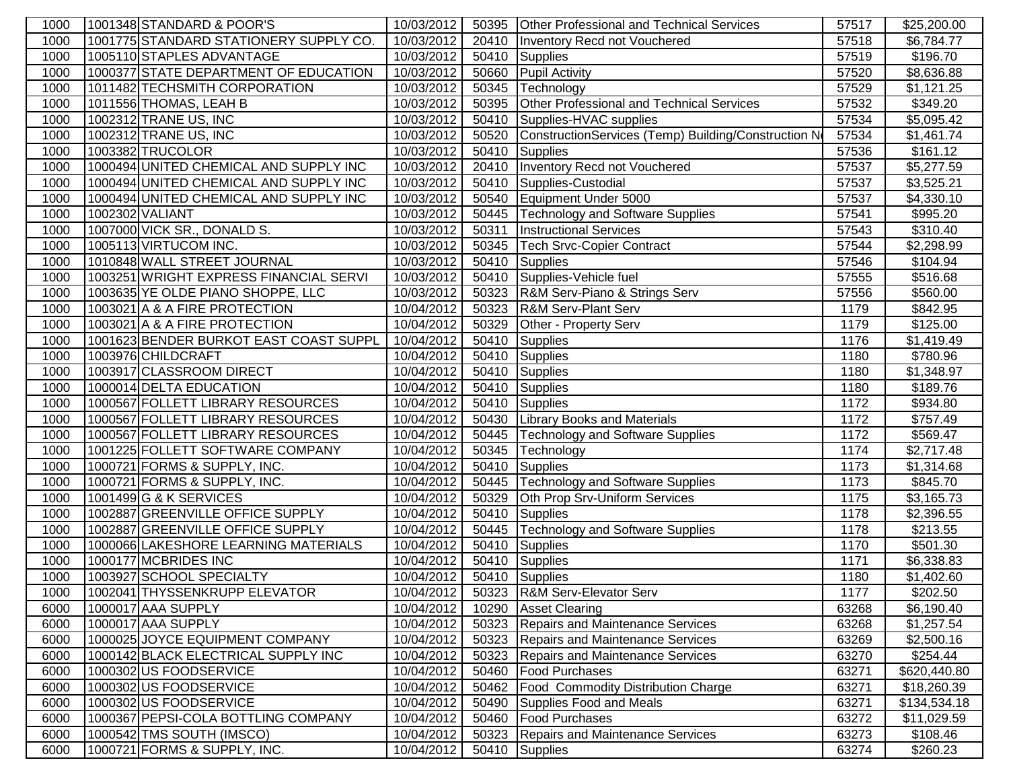| 1000 | 1001348 STANDARD & POOR'S              | 10/03/2012 |       | 50395 Other Professional and Technical Services      | 57517 | \$25,200.00  |
|------|----------------------------------------|------------|-------|------------------------------------------------------|-------|--------------|
| 1000 | 1001775 STANDARD STATIONERY SUPPLY CO. | 10/03/2012 | 20410 | Inventory Recd not Vouchered                         | 57518 | \$6,784.77   |
| 1000 | 1005110 STAPLES ADVANTAGE              | 10/03/2012 | 50410 | Supplies                                             | 57519 | \$196.70     |
| 1000 | 1000377 STATE DEPARTMENT OF EDUCATION  | 10/03/2012 | 50660 | <b>Pupil Activity</b>                                | 57520 | \$8,636.88   |
| 1000 | 1011482 TECHSMITH CORPORATION          | 10/03/2012 | 50345 | Technology                                           | 57529 | \$1,121.25   |
| 1000 | 1011556 THOMAS, LEAH B                 | 10/03/2012 | 50395 | Other Professional and Technical Services            | 57532 | \$349.20     |
| 1000 | 1002312 TRANE US, INC                  | 10/03/2012 | 50410 | Supplies-HVAC supplies                               | 57534 | \$5,095.42   |
| 1000 | 1002312 TRANE US, INC                  | 10/03/2012 | 50520 | ConstructionServices (Temp) Building/Construction No | 57534 | \$1,461.74   |
| 1000 | 1003382 TRUCOLOR                       | 10/03/2012 | 50410 | <b>Supplies</b>                                      | 57536 | \$161.12     |
| 1000 | 1000494 UNITED CHEMICAL AND SUPPLY INC | 10/03/2012 | 20410 | Inventory Recd not Vouchered                         | 57537 | \$5,277.59   |
| 1000 | 1000494 UNITED CHEMICAL AND SUPPLY INC | 10/03/2012 | 50410 | Supplies-Custodial                                   | 57537 | \$3,525.21   |
| 1000 | 1000494 UNITED CHEMICAL AND SUPPLY INC | 10/03/2012 | 50540 | Equipment Under 5000                                 | 57537 | \$4,330.10   |
| 1000 | 1002302 VALIANT                        | 10/03/2012 | 50445 | Technology and Software Supplies                     | 57541 | \$995.20     |
| 1000 | 1007000 VICK SR., DONALD S.            | 10/03/2012 | 50311 | <b>Instructional Services</b>                        | 57543 | \$310.40     |
| 1000 | 1005113 VIRTUCOM INC.                  | 10/03/2012 | 50345 | Tech Srvc-Copier Contract                            | 57544 | \$2,298.99   |
| 1000 | 1010848 WALL STREET JOURNAL            | 10/03/2012 | 50410 | Supplies                                             | 57546 | \$104.94     |
| 1000 | 1003251 WRIGHT EXPRESS FINANCIAL SERVI | 10/03/2012 |       | 50410 Supplies-Vehicle fuel                          | 57555 | \$516.68     |
| 1000 | 1003635 YE OLDE PIANO SHOPPE, LLC      | 10/03/2012 | 50323 | R&M Serv-Piano & Strings Serv                        | 57556 | \$560.00     |
| 1000 | 1003021 A & A FIRE PROTECTION          | 10/04/2012 | 50323 | <b>R&amp;M Serv-Plant Serv</b>                       | 1179  | \$842.95     |
| 1000 | 1003021 A & A FIRE PROTECTION          | 10/04/2012 | 50329 | Other - Property Serv                                | 1179  | \$125.00     |
| 1000 | 1001623 BENDER BURKOT EAST COAST SUPPL | 10/04/2012 | 50410 | <b>Supplies</b>                                      | 1176  | \$1,419.49   |
| 1000 | 1003976 CHILDCRAFT                     | 10/04/2012 | 50410 | <b>Supplies</b>                                      | 1180  | \$780.96     |
| 1000 | 1003917 CLASSROOM DIRECT               | 10/04/2012 | 50410 | <b>Supplies</b>                                      | 1180  | \$1,348.97   |
| 1000 | 1000014 DELTA EDUCATION                | 10/04/2012 | 50410 | Supplies                                             | 1180  | \$189.76     |
| 1000 | 1000567 FOLLETT LIBRARY RESOURCES      | 10/04/2012 | 50410 | Supplies                                             | 1172  | \$934.80     |
| 1000 | 1000567 FOLLETT LIBRARY RESOURCES      | 10/04/2012 | 50430 | <b>Library Books and Materials</b>                   | 1172  | \$757.49     |
| 1000 | 1000567 FOLLETT LIBRARY RESOURCES      | 10/04/2012 | 50445 | <b>Technology and Software Supplies</b>              | 1172  | \$569.47     |
| 1000 | 1001225 FOLLETT SOFTWARE COMPANY       | 10/04/2012 | 50345 | Technology                                           | 1174  | \$2,717.48   |
| 1000 | 1000721 FORMS & SUPPLY, INC.           | 10/04/2012 | 50410 | Supplies                                             | 1173  | \$1,314.68   |
| 1000 | 1000721 FORMS & SUPPLY, INC.           | 10/04/2012 | 50445 | <b>Technology and Software Supplies</b>              | 1173  | \$845.70     |
| 1000 | 1001499 G & K SERVICES                 | 10/04/2012 | 50329 | Oth Prop Srv-Uniform Services                        | 1175  | \$3,165.73   |
| 1000 | 1002887 GREENVILLE OFFICE SUPPLY       | 10/04/2012 | 50410 | Supplies                                             | 1178  | \$2,396.55   |
| 1000 | 1002887 GREENVILLE OFFICE SUPPLY       | 10/04/2012 | 50445 | <b>Technology and Software Supplies</b>              | 1178  | \$213.55     |
| 1000 | 1000066 LAKESHORE LEARNING MATERIALS   | 10/04/2012 | 50410 | Supplies                                             | 1170  | \$501.30     |
| 1000 | 1000177 MCBRIDES INC                   | 10/04/2012 |       | 50410 Supplies                                       | 1171  | \$6,338.83   |
| 1000 | 1003927 SCHOOL SPECIALTY               | 10/04/2012 |       | 50410 Supplies                                       | 1180  | \$1,402.60   |
| 1000 | 1002041 THYSSENKRUPP ELEVATOR          | 10/04/2012 |       | 50323 R&M Serv-Elevator Serv                         | 1177  | \$202.50     |
| 6000 | 1000017 AAA SUPPLY                     | 10/04/2012 | 10290 | <b>Asset Clearing</b>                                | 63268 | \$6,190.40   |
| 6000 | 1000017 AAA SUPPLY                     | 10/04/2012 |       | 50323 Repairs and Maintenance Services               | 63268 | \$1,257.54   |
| 6000 | 1000025 JOYCE EQUIPMENT COMPANY        | 10/04/2012 | 50323 | Repairs and Maintenance Services                     | 63269 | \$2,500.16   |
| 6000 | 1000142 BLACK ELECTRICAL SUPPLY INC    | 10/04/2012 | 50323 | Repairs and Maintenance Services                     | 63270 | \$254.44     |
| 6000 | 1000302 US FOODSERVICE                 | 10/04/2012 | 50460 | <b>Food Purchases</b>                                | 63271 | \$620,440.80 |
| 6000 | 1000302 US FOODSERVICE                 | 10/04/2012 | 50462 | <b>Food Commodity Distribution Charge</b>            | 63271 | \$18,260.39  |
| 6000 | 1000302 US FOODSERVICE                 | 10/04/2012 | 50490 | Supplies Food and Meals                              | 63271 | \$134,534.18 |
| 6000 | 1000367 PEPSI-COLA BOTTLING COMPANY    | 10/04/2012 | 50460 | <b>Food Purchases</b>                                | 63272 | \$11,029.59  |
| 6000 | 1000542 TMS SOUTH (IMSCO)              | 10/04/2012 | 50323 | <b>Repairs and Maintenance Services</b>              | 63273 | \$108.46     |
| 6000 | 1000721 FORMS & SUPPLY, INC.           | 10/04/2012 | 50410 | Supplies                                             | 63274 | \$260.23     |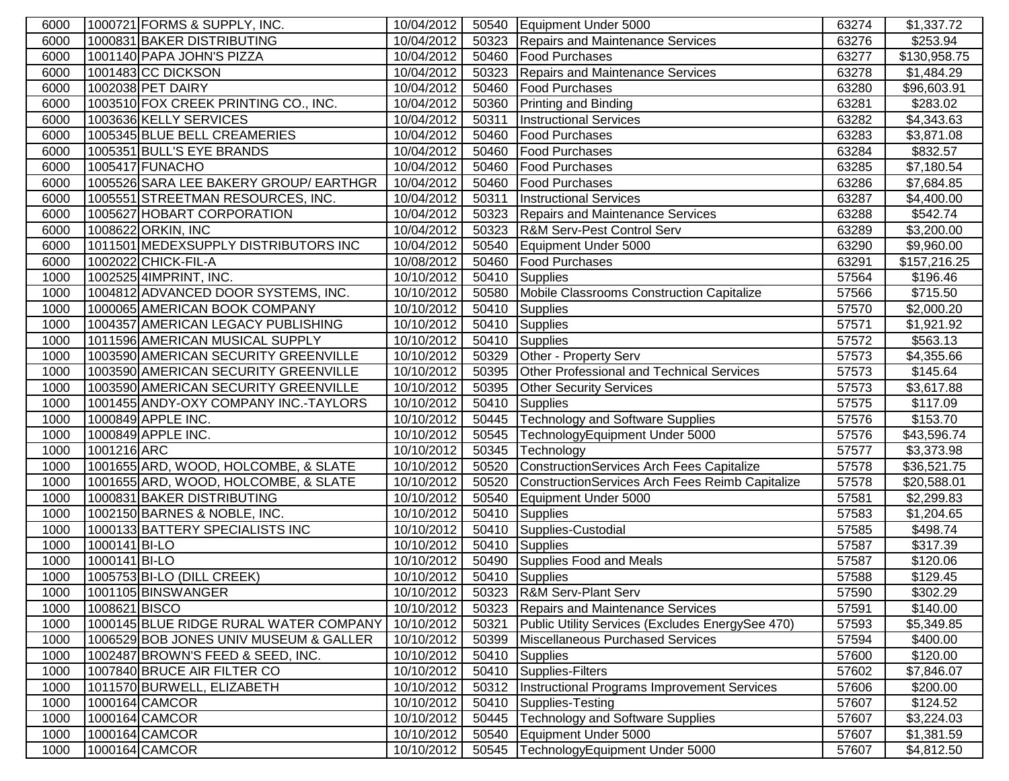| 6000 |               | 1000721 FORMS & SUPPLY, INC.           | 10/04/2012 |       | 50540 Equipment Under 5000                       | 63274 | \$1,337.72   |
|------|---------------|----------------------------------------|------------|-------|--------------------------------------------------|-------|--------------|
| 6000 |               | 1000831 BAKER DISTRIBUTING             | 10/04/2012 |       | 50323 Repairs and Maintenance Services           | 63276 | \$253.94     |
| 6000 |               | 1001140 PAPA JOHN'S PIZZA              | 10/04/2012 | 50460 | <b>Food Purchases</b>                            | 63277 | \$130,958.75 |
| 6000 |               | 1001483 CC DICKSON                     | 10/04/2012 | 50323 | Repairs and Maintenance Services                 | 63278 | \$1,484.29   |
| 6000 |               | 1002038 PET DAIRY                      | 10/04/2012 | 50460 | <b>Food Purchases</b>                            | 63280 | \$96,603.91  |
| 6000 |               | 1003510 FOX CREEK PRINTING CO., INC.   | 10/04/2012 | 50360 | <b>Printing and Binding</b>                      | 63281 | \$283.02     |
| 6000 |               | 1003636 KELLY SERVICES                 | 10/04/2012 | 50311 | <b>Instructional Services</b>                    | 63282 | \$4,343.63   |
| 6000 |               | 1005345 BLUE BELL CREAMERIES           | 10/04/2012 | 50460 | <b>Food Purchases</b>                            | 63283 | \$3,871.08   |
| 6000 |               | 1005351 BULL'S EYE BRANDS              | 10/04/2012 | 50460 | <b>Food Purchases</b>                            | 63284 | \$832.57     |
| 6000 |               | 1005417 FUNACHO                        | 10/04/2012 | 50460 | <b>Food Purchases</b>                            | 63285 | \$7,180.54   |
| 6000 |               | 1005526 SARA LEE BAKERY GROUP/ EARTHGR | 10/04/2012 | 50460 | <b>Food Purchases</b>                            | 63286 | \$7,684.85   |
| 6000 |               | 1005551 STREETMAN RESOURCES, INC.      | 10/04/2012 | 50311 | <b>Instructional Services</b>                    | 63287 | \$4,400.00   |
| 6000 |               | 1005627 HOBART CORPORATION             | 10/04/2012 | 50323 | Repairs and Maintenance Services                 | 63288 | \$542.74     |
| 6000 |               | 1008622 ORKIN, INC                     | 10/04/2012 | 50323 | <b>R&amp;M Serv-Pest Control Serv</b>            | 63289 | \$3,200.00   |
| 6000 |               | 1011501 MEDEXSUPPLY DISTRIBUTORS INC   | 10/04/2012 | 50540 | Equipment Under 5000                             | 63290 | \$9,960.00   |
| 6000 |               | 1002022 CHICK-FIL-A                    | 10/08/2012 | 50460 | <b>Food Purchases</b>                            | 63291 | \$157,216.25 |
| 1000 |               | 1002525 4IMPRINT, INC.                 | 10/10/2012 | 50410 | Supplies                                         | 57564 | \$196.46     |
| 1000 |               | 1004812 ADVANCED DOOR SYSTEMS, INC.    | 10/10/2012 | 50580 | Mobile Classrooms Construction Capitalize        | 57566 | \$715.50     |
| 1000 |               | 1000065 AMERICAN BOOK COMPANY          | 10/10/2012 | 50410 | <b>Supplies</b>                                  | 57570 | \$2,000.20   |
| 1000 |               | 1004357 AMERICAN LEGACY PUBLISHING     | 10/10/2012 | 50410 | <b>Supplies</b>                                  | 57571 | \$1,921.92   |
| 1000 |               | 1011596 AMERICAN MUSICAL SUPPLY        | 10/10/2012 | 50410 | <b>Supplies</b>                                  | 57572 | \$563.13     |
| 1000 |               | 1003590 AMERICAN SECURITY GREENVILLE   | 10/10/2012 | 50329 | Other - Property Serv                            | 57573 | \$4,355.66   |
| 1000 |               | 1003590 AMERICAN SECURITY GREENVILLE   | 10/10/2012 | 50395 | Other Professional and Technical Services        | 57573 | \$145.64     |
| 1000 |               | 1003590 AMERICAN SECURITY GREENVILLE   | 10/10/2012 | 50395 | <b>Other Security Services</b>                   | 57573 | \$3,617.88   |
| 1000 |               | 1001455 ANDY-OXY COMPANY INC.-TAYLORS  | 10/10/2012 | 50410 | <b>Supplies</b>                                  | 57575 | \$117.09     |
| 1000 |               | 1000849 APPLE INC.                     | 10/10/2012 | 50445 | Technology and Software Supplies                 | 57576 | \$153.70     |
| 1000 |               | 1000849 APPLE INC.                     | 10/10/2012 | 50545 | TechnologyEquipment Under 5000                   | 57576 | \$43,596.74  |
| 1000 | 1001216 ARC   |                                        | 10/10/2012 | 50345 | Technology                                       | 57577 | \$3,373.98   |
| 1000 |               | 1001655 ARD, WOOD, HOLCOMBE, & SLATE   | 10/10/2012 | 50520 | ConstructionServices Arch Fees Capitalize        | 57578 | \$36,521.75  |
| 1000 |               | 1001655 ARD, WOOD, HOLCOMBE, & SLATE   | 10/10/2012 | 50520 | ConstructionServices Arch Fees Reimb Capitalize  | 57578 | \$20,588.01  |
| 1000 |               | 1000831 BAKER DISTRIBUTING             | 10/10/2012 | 50540 | Equipment Under 5000                             | 57581 | \$2,299.83   |
| 1000 |               | 1002150 BARNES & NOBLE, INC.           | 10/10/2012 | 50410 | Supplies                                         | 57583 | \$1,204.65   |
| 1000 |               | 1000133 BATTERY SPECIALISTS INC        | 10/10/2012 | 50410 | Supplies-Custodial                               | 57585 | \$498.74     |
| 1000 | 1000141 BI-LO |                                        | 10/10/2012 | 50410 | Supplies                                         | 57587 | \$317.39     |
| 1000 | 1000141 BI-LO |                                        | 10/10/2012 | 50490 | Supplies Food and Meals                          | 57587 | \$120.06     |
| 1000 |               | 1005753 BI-LO (DILL CREEK)             | 10/10/2012 |       | 50410 Supplies                                   | 57588 | \$129.45     |
| 1000 |               | 1001105 BINSWANGER                     | 10/10/2012 |       | 50323 R&M Serv-Plant Serv                        | 57590 | \$302.29     |
| 1000 | 1008621 BISCO |                                        | 10/10/2012 |       | 50323 Repairs and Maintenance Services           | 57591 | \$140.00     |
| 1000 |               | 1000145 BLUE RIDGE RURAL WATER COMPANY | 10/10/2012 | 50321 | Public Utility Services (Excludes EnergySee 470) | 57593 | \$5,349.85   |
| 1000 |               | 1006529 BOB JONES UNIV MUSEUM & GALLER | 10/10/2012 | 50399 | Miscellaneous Purchased Services                 | 57594 | \$400.00     |
| 1000 |               | 1002487 BROWN'S FEED & SEED, INC.      | 10/10/2012 | 50410 | Supplies                                         | 57600 | \$120.00     |
| 1000 |               | 1007840 BRUCE AIR FILTER CO            | 10/10/2012 | 50410 | Supplies-Filters                                 | 57602 | \$7,846.07   |
| 1000 |               | 1011570 BURWELL, ELIZABETH             | 10/10/2012 | 50312 | Instructional Programs Improvement Services      | 57606 | \$200.00     |
| 1000 |               | 1000164 CAMCOR                         | 10/10/2012 | 50410 | Supplies-Testing                                 | 57607 | \$124.52     |
| 1000 |               | 1000164 CAMCOR                         | 10/10/2012 | 50445 | <b>Technology and Software Supplies</b>          | 57607 | \$3,224.03   |
| 1000 |               | 1000164 CAMCOR                         | 10/10/2012 | 50540 | Equipment Under 5000                             | 57607 | \$1,381.59   |
| 1000 |               | 1000164 CAMCOR                         | 10/10/2012 | 50545 | TechnologyEquipment Under 5000                   | 57607 | \$4,812.50   |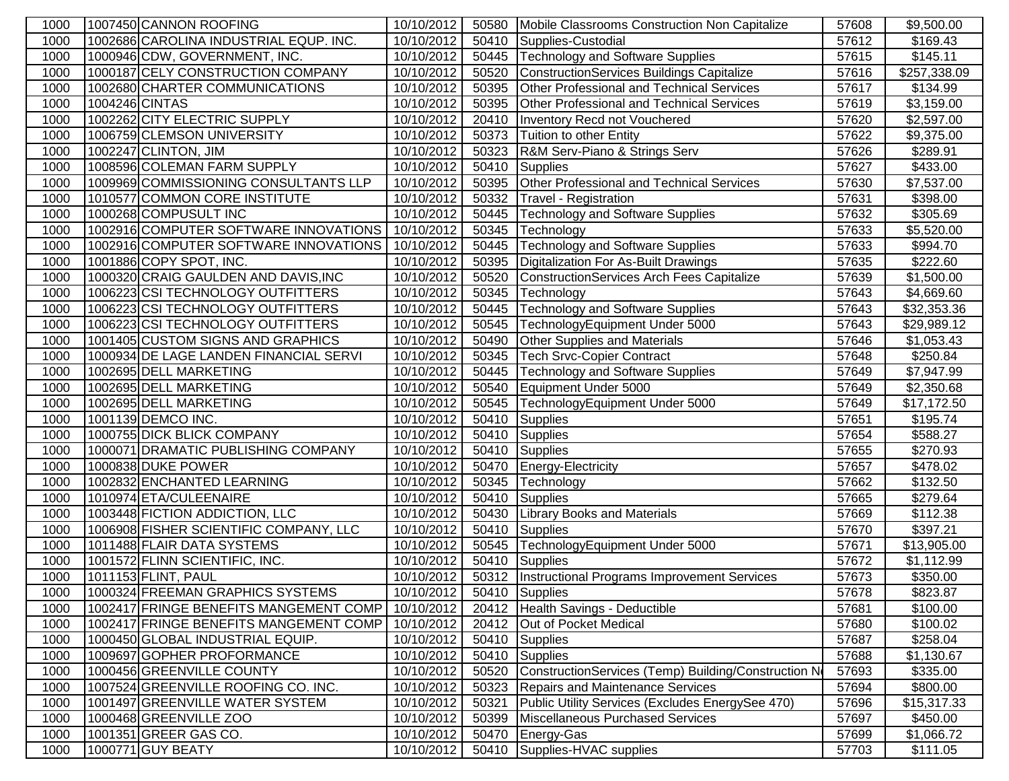| 1000 |                | 1007450 CANNON ROOFING                 | 10/10/2012 | 50580 | Mobile Classrooms Construction Non Capitalize       | 57608 | \$9,500.00   |
|------|----------------|----------------------------------------|------------|-------|-----------------------------------------------------|-------|--------------|
| 1000 |                | 1002686 CAROLINA INDUSTRIAL EQUP. INC. | 10/10/2012 | 50410 | Supplies-Custodial                                  | 57612 | \$169.43     |
| 1000 |                | 1000946 CDW, GOVERNMENT, INC.          | 10/10/2012 | 50445 | Technology and Software Supplies                    | 57615 | \$145.11     |
| 1000 |                | 1000187 CELY CONSTRUCTION COMPANY      | 10/10/2012 | 50520 | ConstructionServices Buildings Capitalize           | 57616 | \$257,338.09 |
| 1000 |                | 1002680 CHARTER COMMUNICATIONS         | 10/10/2012 | 50395 | Other Professional and Technical Services           | 57617 | \$134.99     |
| 1000 | 1004246 CINTAS |                                        | 10/10/2012 | 50395 | <b>Other Professional and Technical Services</b>    | 57619 | \$3,159.00   |
| 1000 |                | 1002262 CITY ELECTRIC SUPPLY           | 10/10/2012 | 20410 | Inventory Recd not Vouchered                        | 57620 | \$2,597.00   |
| 1000 |                | 1006759 CLEMSON UNIVERSITY             | 10/10/2012 | 50373 | Tuition to other Entity                             | 57622 | \$9,375.00   |
| 1000 |                | 1002247 CLINTON, JIM                   | 10/10/2012 | 50323 | R&M Serv-Piano & Strings Serv                       | 57626 | \$289.91     |
| 1000 |                | 1008596 COLEMAN FARM SUPPLY            | 10/10/2012 | 50410 | Supplies                                            | 57627 | \$433.00     |
| 1000 |                | 1009969 COMMISSIONING CONSULTANTS LLP  | 10/10/2012 | 50395 | Other Professional and Technical Services           | 57630 | \$7,537.00   |
| 1000 |                | 1010577 COMMON CORE INSTITUTE          | 10/10/2012 | 50332 | Travel - Registration                               | 57631 | \$398.00     |
| 1000 |                | 1000268 COMPUSULT INC                  | 10/10/2012 | 50445 | Technology and Software Supplies                    | 57632 | \$305.69     |
| 1000 |                | 1002916 COMPUTER SOFTWARE INNOVATIONS  | 10/10/2012 | 50345 | Technology                                          | 57633 | \$5,520.00   |
| 1000 |                | 1002916 COMPUTER SOFTWARE INNOVATIONS  | 10/10/2012 | 50445 | Technology and Software Supplies                    | 57633 | \$994.70     |
| 1000 |                | 1001886 COPY SPOT, INC.                | 10/10/2012 | 50395 | Digitalization For As-Built Drawings                | 57635 | \$222.60     |
| 1000 |                | 1000320 CRAIG GAULDEN AND DAVIS, INC   | 10/10/2012 | 50520 | ConstructionServices Arch Fees Capitalize           | 57639 | \$1,500.00   |
| 1000 |                | 1006223 CSI TECHNOLOGY OUTFITTERS      | 10/10/2012 | 50345 | Technology                                          | 57643 | \$4,669.60   |
| 1000 |                | 1006223 CSI TECHNOLOGY OUTFITTERS      | 10/10/2012 | 50445 | <b>Technology and Software Supplies</b>             | 57643 | \$32,353.36  |
| 1000 |                | 1006223 CSI TECHNOLOGY OUTFITTERS      | 10/10/2012 | 50545 | TechnologyEquipment Under 5000                      | 57643 | \$29,989.12  |
| 1000 |                | 1001405 CUSTOM SIGNS AND GRAPHICS      | 10/10/2012 | 50490 | Other Supplies and Materials                        | 57646 | \$1,053.43   |
| 1000 |                | 1000934 DE LAGE LANDEN FINANCIAL SERVI | 10/10/2012 | 50345 | <b>Tech Srvc-Copier Contract</b>                    | 57648 | \$250.84     |
| 1000 |                | 1002695 DELL MARKETING                 | 10/10/2012 | 50445 | <b>Technology and Software Supplies</b>             | 57649 | \$7,947.99   |
| 1000 |                | 1002695 DELL MARKETING                 | 10/10/2012 | 50540 | Equipment Under 5000                                | 57649 | \$2,350.68   |
| 1000 |                | 1002695 DELL MARKETING                 | 10/10/2012 | 50545 | TechnologyEquipment Under 5000                      | 57649 | \$17,172.50  |
| 1000 |                | 1001139 DEMCO INC.                     | 10/10/2012 | 50410 | Supplies                                            | 57651 | \$195.74     |
| 1000 |                | 1000755 DICK BLICK COMPANY             | 10/10/2012 | 50410 | Supplies                                            | 57654 | \$588.27     |
| 1000 |                | 1000071 DRAMATIC PUBLISHING COMPANY    | 10/10/2012 | 50410 | Supplies                                            | 57655 | \$270.93     |
| 1000 |                | 1000838 DUKE POWER                     | 10/10/2012 | 50470 | Energy-Electricity                                  | 57657 | \$478.02     |
| 1000 |                | 1002832 ENCHANTED LEARNING             | 10/10/2012 | 50345 | Technology                                          | 57662 | \$132.50     |
| 1000 |                | 1010974 ETA/CULEENAIRE                 | 10/10/2012 | 50410 | Supplies                                            | 57665 | \$279.64     |
| 1000 |                | 1003448 FICTION ADDICTION, LLC         | 10/10/2012 | 50430 | <b>Library Books and Materials</b>                  | 57669 | \$112.38     |
| 1000 |                | 1006908 FISHER SCIENTIFIC COMPANY, LLC | 10/10/2012 |       | 50410 Supplies                                      | 57670 | \$397.21     |
| 1000 |                | 1011488 FLAIR DATA SYSTEMS             | 10/10/2012 | 50545 | TechnologyEquipment Under 5000                      | 57671 | \$13,905.00  |
| 1000 |                | 1001572 FLINN SCIENTIFIC, INC.         | 10/10/2012 | 50410 | Supplies                                            | 57672 | \$1,112.99   |
| 1000 |                | 1011153 FLINT, PAUL                    | 10/10/2012 |       | 50312  Instructional Programs Improvement Services  | 57673 | \$350.00     |
| 1000 |                | 1000324 FREEMAN GRAPHICS SYSTEMS       | 10/10/2012 |       | 50410 Supplies                                      | 57678 | \$823.87     |
| 1000 |                | 1002417 FRINGE BENEFITS MANGEMENT COMP | 10/10/2012 |       | 20412   Health Savings - Deductible                 | 57681 | \$100.00     |
| 1000 |                | 1002417 FRINGE BENEFITS MANGEMENT COMP | 10/10/2012 | 20412 | Out of Pocket Medical                               | 57680 | \$100.02     |
| 1000 |                | 1000450 GLOBAL INDUSTRIAL EQUIP.       | 10/10/2012 |       | 50410 Supplies                                      | 57687 | \$258.04     |
| 1000 |                | 1009697 GOPHER PROFORMANCE             | 10/10/2012 |       | 50410 Supplies                                      | 57688 | \$1,130.67   |
| 1000 |                | 1000456 GREENVILLE COUNTY              | 10/10/2012 | 50520 | ConstructionServices (Temp) Building/Construction N | 57693 | \$335.00     |
| 1000 |                | 1007524 GREENVILLE ROOFING CO. INC.    | 10/10/2012 | 50323 | Repairs and Maintenance Services                    | 57694 | \$800.00     |
| 1000 |                | 1001497 GREENVILLE WATER SYSTEM        | 10/10/2012 | 50321 | Public Utility Services (Excludes EnergySee 470)    | 57696 | \$15,317.33  |
| 1000 |                | 1000468 GREENVILLE ZOO                 | 10/10/2012 | 50399 | Miscellaneous Purchased Services                    | 57697 | \$450.00     |
| 1000 |                | 1001351 GREER GAS CO.                  | 10/10/2012 | 50470 | Energy-Gas                                          | 57699 | \$1,066.72   |
| 1000 |                | 1000771 GUY BEATY                      | 10/10/2012 | 50410 | Supplies-HVAC supplies                              | 57703 | \$111.05     |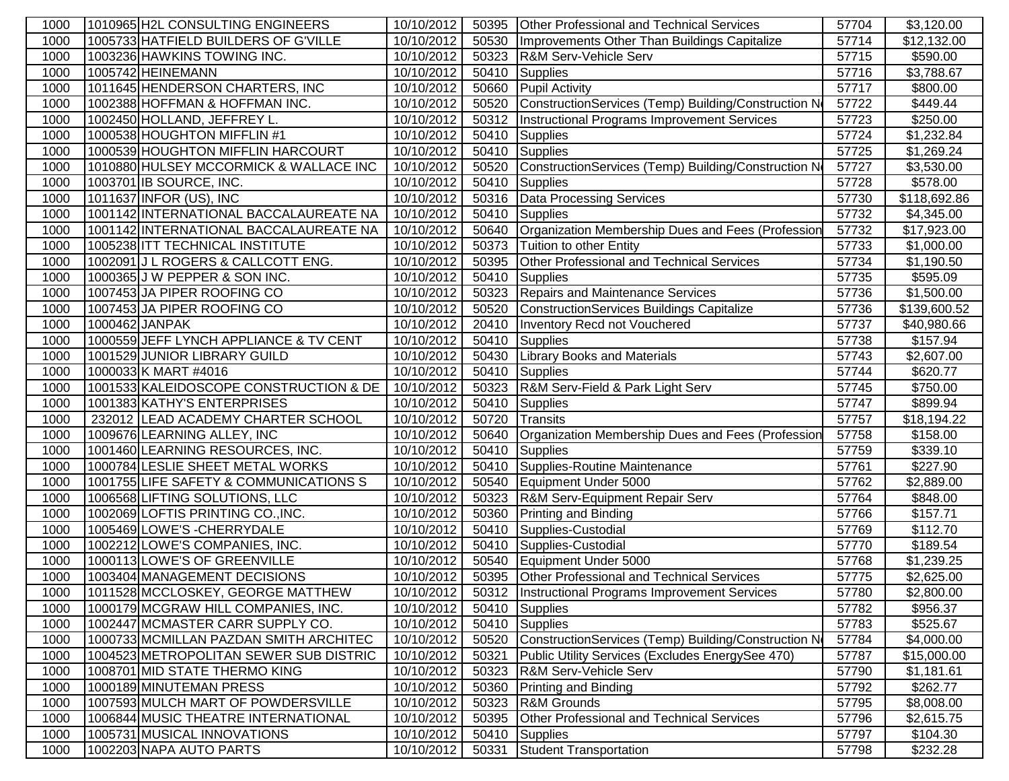| 1000         | 1010965 H2L CONSULTING ENGINEERS                                          | 10/10/2012               | 50395          | Other Professional and Technical Services             | 57704          | \$3,120.00             |
|--------------|---------------------------------------------------------------------------|--------------------------|----------------|-------------------------------------------------------|----------------|------------------------|
| 1000         | 1005733 HATFIELD BUILDERS OF G'VILLE                                      | 10/10/2012               | 50530          | Improvements Other Than Buildings Capitalize          | 57714          | \$12,132.00            |
| 1000         | 1003236 HAWKINS TOWING INC.                                               | 10/10/2012               | 50323          | R&M Serv-Vehicle Serv                                 | 57715          | \$590.00               |
| 1000         | 1005742 HEINEMANN                                                         | 10/10/2012               | 50410          | <b>Supplies</b>                                       | 57716          | \$3,788.67             |
| 1000         | 1011645 HENDERSON CHARTERS, INC                                           | 10/10/2012               | 50660          | <b>Pupil Activity</b>                                 | 57717          | \$800.00               |
| 1000         | 1002388 HOFFMAN & HOFFMAN INC.                                            | 10/10/2012               | 50520          | ConstructionServices (Temp) Building/Construction No  | 57722          | \$449.44               |
| 1000         | 1002450 HOLLAND, JEFFREY L.                                               | 10/10/2012               | 50312          | Instructional Programs Improvement Services           | 57723          | \$250.00               |
| 1000         | 1000538 HOUGHTON MIFFLIN #1                                               | 10/10/2012               | 50410          | Supplies                                              | 57724          | \$1,232.84             |
| 1000         | 1000539 HOUGHTON MIFFLIN HARCOURT                                         | 10/10/2012               | 50410          | <b>Supplies</b>                                       | 57725          | \$1,269.24             |
| 1000         | 1010880 HULSEY MCCORMICK & WALLACE INC                                    | 10/10/2012               | 50520          | ConstructionServices (Temp) Building/Construction No  | 57727          | \$3,530.00             |
| 1000         | 1003701 IB SOURCE, INC.                                                   | 10/10/2012               | 50410          | Supplies                                              | 57728          | \$578.00               |
| 1000         | 1011637 INFOR (US), INC                                                   | 10/10/2012               | 50316          | Data Processing Services                              | 57730          | \$118,692.86           |
| 1000         | 1001142 INTERNATIONAL BACCALAUREATE NA                                    | 10/10/2012               | 50410          | Supplies                                              | 57732          | \$4,345.00             |
| 1000         | 1001142 INTERNATIONAL BACCALAUREATE NA                                    | 10/10/2012               | 50640          | Organization Membership Dues and Fees (Profession     | 57732          | \$17,923.00            |
| 1000         | 1005238 ITT TECHNICAL INSTITUTE                                           | 10/10/2012               | 50373          | Tuition to other Entity                               | 57733          | \$1,000.00             |
| 1000         | 1002091 J L ROGERS & CALLCOTT ENG.                                        | 10/10/2012               | 50395          | <b>Other Professional and Technical Services</b>      | 57734          | \$1,190.50             |
| 1000         | 1000365 J W PEPPER & SON INC.                                             | 10/10/2012               | 50410          | <b>Supplies</b>                                       | 57735          | \$595.09               |
| 1000         | 1007453 JA PIPER ROOFING CO                                               | 10/10/2012               | 50323          | <b>Repairs and Maintenance Services</b>               | 57736          | \$1,500.00             |
| 1000         | 1007453 JA PIPER ROOFING CO                                               | 10/10/2012               | 50520          | ConstructionServices Buildings Capitalize             | 57736          | \$139,600.52           |
| 1000         | 1000462 JANPAK                                                            | 10/10/2012               | 20410          | Inventory Recd not Vouchered                          | 57737          | \$40,980.66            |
| 1000         | 1000559 JEFF LYNCH APPLIANCE & TV CENT                                    | 10/10/2012               | 50410          | <b>Supplies</b>                                       | 57738          | \$157.94               |
| 1000         | 1001529 JUNIOR LIBRARY GUILD                                              | 10/10/2012               | 50430          | <b>Library Books and Materials</b>                    | 57743          | \$2,607.00             |
| 1000         | 1000033 K MART #4016                                                      | 10/10/2012               | 50410          | Supplies                                              | 57744          | \$620.77               |
| 1000         | 1001533 KALEIDOSCOPE CONSTRUCTION & DE                                    | 10/10/2012               | 50323          | R&M Serv-Field & Park Light Serv                      | 57745          | \$750.00               |
| 1000         | 1001383 KATHY'S ENTERPRISES                                               | 10/10/2012               | 50410          | Supplies                                              | 57747          | \$899.94               |
| 1000         | 232012 LEAD ACADEMY CHARTER SCHOOL                                        | 10/10/2012               | 50720          | <b>Transits</b>                                       | 57757          | \$18,194.22            |
| 1000         | 1009676 LEARNING ALLEY, INC                                               | 10/10/2012               | 50640          | Organization Membership Dues and Fees (Profession     | 57758          | \$158.00               |
| 1000         | 1001460 LEARNING RESOURCES, INC.                                          | 10/10/2012               | 50410          | <b>Supplies</b>                                       | 57759          | \$339.10               |
| 1000         | 1000784 LESLIE SHEET METAL WORKS                                          | 10/10/2012               | 50410          | Supplies-Routine Maintenance                          | 57761          | \$227.90               |
| 1000         | 1001755 LIFE SAFETY & COMMUNICATIONS S                                    | 10/10/2012               | 50540          | Equipment Under 5000                                  | 57762          | \$2,889.00             |
| 1000         | 1006568 LIFTING SOLUTIONS, LLC                                            | 10/10/2012               | 50323          | R&M Serv-Equipment Repair Serv                        | 57764          | \$848.00               |
| 1000         | 1002069 LOFTIS PRINTING CO., INC.                                         | 10/10/2012               | 50360          | <b>Printing and Binding</b>                           | 57766          | \$157.71               |
| 1000         | 1005469 LOWE'S - CHERRYDALE                                               | 10/10/2012               | 50410          | Supplies-Custodial                                    | 57769          | \$112.70               |
| 1000         | 1002212 LOWE'S COMPANIES, INC.                                            | 10/10/2012               | 50410          | Supplies-Custodial                                    | 57770          | \$189.54               |
| 1000         | 1000113 LOWE'S OF GREENVILLE                                              | 10/10/2012               | 50540          | Equipment Under 5000                                  | 57768          | \$1,239.25             |
| 1000         | 1003404 MANAGEMENT DECISIONS                                              | 10/10/2012               | 50395          | Other Professional and Technical Services             | 57775          | \$2,625.00             |
| 1000         | 1011528 MCCLOSKEY, GEORGE MATTHEW                                         | 10/10/2012               |                | 50312   Instructional Programs Improvement Services   | 57780          | \$2,800.00             |
| 1000         | 1000179 MCGRAW HILL COMPANIES, INC.                                       | 10/10/2012               | 50410          | Supplies                                              | 57782          | \$956.37               |
| 1000         | 1002447 MCMASTER CARR SUPPLY CO.                                          | 10/10/2012               |                | 50410 Supplies                                        | 57783          | \$525.67               |
| 1000         | 1000733 MCMILLAN PAZDAN SMITH ARCHITEC                                    | 10/10/2012               | 50520          | ConstructionServices (Temp) Building/Construction No  | 57784          | \$4,000.00             |
| 1000         | 1004523 METROPOLITAN SEWER SUB DISTRIC                                    | 10/10/2012               | 50321          | Public Utility Services (Excludes EnergySee 470)      | 57787          | \$15,000.00            |
| 1000         | 1008701 MID STATE THERMO KING                                             | 10/10/2012               | 50323          | <b>R&amp;M Serv-Vehicle Serv</b>                      | 57790          | \$1,181.61             |
| 1000         | 1000189 MINUTEMAN PRESS                                                   | 10/10/2012<br>10/10/2012 | 50360<br>50323 | <b>Printing and Binding</b><br><b>R&amp;M Grounds</b> | 57792          | \$262.77               |
| 1000         | 1007593 MULCH MART OF POWDERSVILLE<br>1006844 MUSIC THEATRE INTERNATIONAL | 10/10/2012               |                | Other Professional and Technical Services             | 57795<br>57796 | \$8,008.00             |
| 1000<br>1000 | 1005731 MUSICAL INNOVATIONS                                               | 10/10/2012               | 50395<br>50410 |                                                       | 57797          | \$2,615.75<br>\$104.30 |
| 1000         | 1002203 NAPA AUTO PARTS                                                   | 10/10/2012               | 50331          | <b>Supplies</b><br>Student Transportation             | 57798          |                        |
|              |                                                                           |                          |                |                                                       |                | \$232.28               |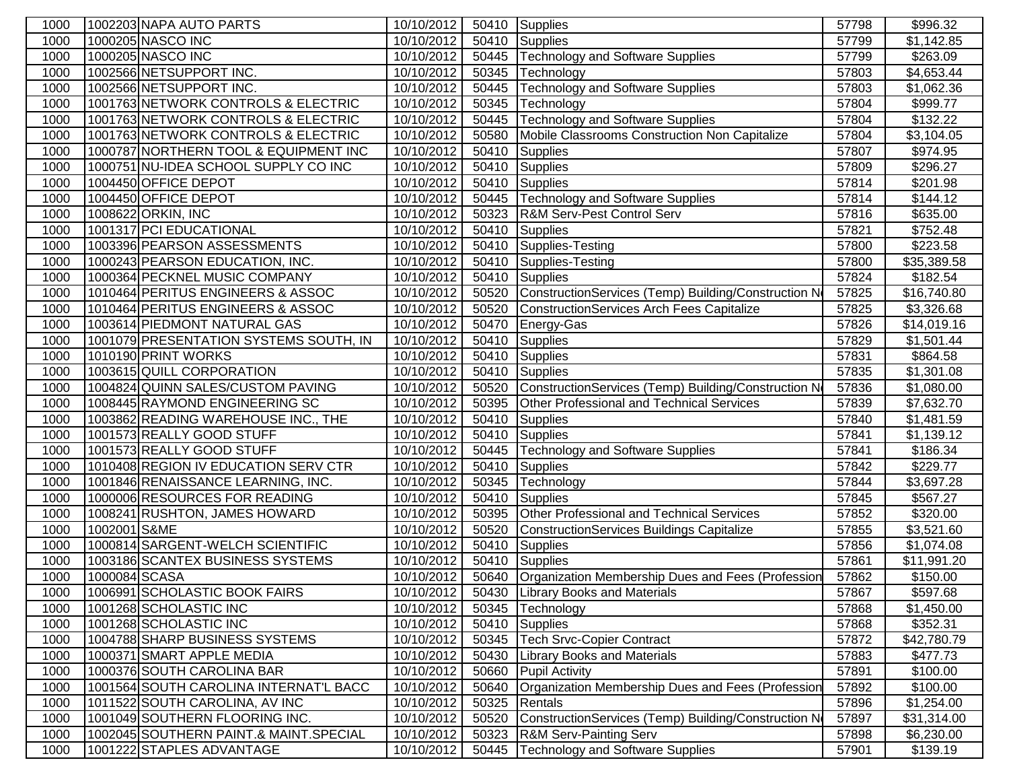| 1000 |               | 1002203 NAPA AUTO PARTS                | 10/10/2012 | 50410 | Supplies                                            | 57798 | \$996.32    |
|------|---------------|----------------------------------------|------------|-------|-----------------------------------------------------|-------|-------------|
| 1000 |               | 1000205 NASCO INC                      | 10/10/2012 | 50410 | <b>Supplies</b>                                     | 57799 | \$1,142.85  |
| 1000 |               | 1000205 NASCO INC                      | 10/10/2012 | 50445 | Technology and Software Supplies                    | 57799 | \$263.09    |
| 1000 |               | 1002566 NETSUPPORT INC.                | 10/10/2012 | 50345 | Technology                                          | 57803 | \$4,653.44  |
| 1000 |               | 1002566 NETSUPPORT INC.                | 10/10/2012 | 50445 | <b>Technology and Software Supplies</b>             | 57803 | \$1,062.36  |
| 1000 |               | 1001763 NETWORK CONTROLS & ELECTRIC    | 10/10/2012 | 50345 | Technology                                          | 57804 | \$999.77    |
| 1000 |               | 1001763 NETWORK CONTROLS & ELECTRIC    | 10/10/2012 | 50445 | <b>Technology and Software Supplies</b>             | 57804 | \$132.22    |
| 1000 |               | 1001763 NETWORK CONTROLS & ELECTRIC    | 10/10/2012 | 50580 | Mobile Classrooms Construction Non Capitalize       | 57804 | \$3,104.05  |
| 1000 |               | 1000787 NORTHERN TOOL & EQUIPMENT INC  | 10/10/2012 | 50410 | Supplies                                            | 57807 | \$974.95    |
| 1000 |               | 1000751 NU-IDEA SCHOOL SUPPLY CO INC   | 10/10/2012 | 50410 | <b>Supplies</b>                                     | 57809 | \$296.27    |
| 1000 |               | 1004450 OFFICE DEPOT                   | 10/10/2012 | 50410 | Supplies                                            | 57814 | \$201.98    |
| 1000 |               | 1004450 OFFICE DEPOT                   | 10/10/2012 | 50445 | Technology and Software Supplies                    | 57814 | \$144.12    |
| 1000 |               | 1008622 ORKIN, INC                     | 10/10/2012 | 50323 | <b>R&amp;M Serv-Pest Control Serv</b>               | 57816 | \$635.00    |
| 1000 |               | 1001317 PCI EDUCATIONAL                | 10/10/2012 | 50410 | Supplies                                            | 57821 | \$752.48    |
| 1000 |               | 1003396 PEARSON ASSESSMENTS            | 10/10/2012 | 50410 | Supplies-Testing                                    | 57800 | \$223.58    |
| 1000 |               | 1000243 PEARSON EDUCATION, INC.        | 10/10/2012 | 50410 | Supplies-Testing                                    | 57800 | \$35,389.58 |
| 1000 |               | 1000364 PECKNEL MUSIC COMPANY          | 10/10/2012 | 50410 | Supplies                                            | 57824 | \$182.54    |
| 1000 |               | 1010464 PERITUS ENGINEERS & ASSOC      | 10/10/2012 | 50520 | ConstructionServices (Temp) Building/Construction N | 57825 | \$16,740.80 |
| 1000 |               | 1010464 PERITUS ENGINEERS & ASSOC      | 10/10/2012 | 50520 | ConstructionServices Arch Fees Capitalize           | 57825 | \$3,326.68  |
| 1000 |               | 1003614 PIEDMONT NATURAL GAS           | 10/10/2012 | 50470 | Energy-Gas                                          | 57826 | \$14,019.16 |
| 1000 |               | 1001079 PRESENTATION SYSTEMS SOUTH, IN | 10/10/2012 | 50410 | <b>Supplies</b>                                     | 57829 | \$1,501.44  |
| 1000 |               | 1010190 PRINT WORKS                    | 10/10/2012 | 50410 | <b>Supplies</b>                                     | 57831 | \$864.58    |
| 1000 |               | 1003615 QUILL CORPORATION              | 10/10/2012 | 50410 | <b>Supplies</b>                                     | 57835 | \$1,301.08  |
| 1000 |               | 1004824 QUINN SALES/CUSTOM PAVING      | 10/10/2012 | 50520 | ConstructionServices (Temp) Building/Construction N | 57836 | \$1,080.00  |
| 1000 |               | 1008445 RAYMOND ENGINEERING SC         | 10/10/2012 | 50395 | Other Professional and Technical Services           | 57839 | \$7,632.70  |
| 1000 |               | 1003862 READING WAREHOUSE INC., THE    | 10/10/2012 | 50410 | <b>Supplies</b>                                     | 57840 | \$1,481.59  |
| 1000 |               | 1001573 REALLY GOOD STUFF              | 10/10/2012 | 50410 | Supplies                                            | 57841 | \$1,139.12  |
| 1000 |               | 1001573 REALLY GOOD STUFF              | 10/10/2012 | 50445 | <b>Technology and Software Supplies</b>             | 57841 | \$186.34    |
| 1000 |               | 1010408 REGION IV EDUCATION SERV CTR   | 10/10/2012 | 50410 | <b>Supplies</b>                                     | 57842 | \$229.77    |
| 1000 |               | 1001846 RENAISSANCE LEARNING, INC.     | 10/10/2012 | 50345 | Technology                                          | 57844 | \$3,697.28  |
| 1000 |               | 1000006 RESOURCES FOR READING          | 10/10/2012 | 50410 | Supplies                                            | 57845 | \$567.27    |
| 1000 |               | 1008241 RUSHTON, JAMES HOWARD          | 10/10/2012 | 50395 | Other Professional and Technical Services           | 57852 | \$320.00    |
| 1000 | 1002001 S&ME  |                                        | 10/10/2012 | 50520 | ConstructionServices Buildings Capitalize           | 57855 | \$3,521.60  |
| 1000 |               | 1000814 SARGENT-WELCH SCIENTIFIC       | 10/10/2012 | 50410 | <b>Supplies</b>                                     | 57856 | \$1,074.08  |
| 1000 |               | 1003186 SCANTEX BUSINESS SYSTEMS       | 10/10/2012 | 50410 | Supplies                                            | 57861 | \$11,991.20 |
| 1000 | 1000084 SCASA |                                        | 10/10/2012 | 50640 | Organization Membership Dues and Fees (Profession   | 57862 | \$150.00    |
| 1000 |               | 1006991 SCHOLASTIC BOOK FAIRS          | 10/10/2012 |       | 50430 Library Books and Materials                   | 57867 | \$597.68    |
| 1000 |               | 1001268 SCHOLASTIC INC                 | 10/10/2012 | 50345 | Technology                                          | 57868 | \$1,450.00  |
| 1000 |               | 1001268 SCHOLASTIC INC                 | 10/10/2012 | 50410 | Supplies                                            | 57868 | \$352.31    |
| 1000 |               | 1004788 SHARP BUSINESS SYSTEMS         | 10/10/2012 | 50345 | Tech Srvc-Copier Contract                           | 57872 | \$42,780.79 |
| 1000 |               | 1000371 SMART APPLE MEDIA              | 10/10/2012 | 50430 | <b>Library Books and Materials</b>                  | 57883 | \$477.73    |
| 1000 |               | 1000376 SOUTH CAROLINA BAR             | 10/10/2012 | 50660 | <b>Pupil Activity</b>                               | 57891 | \$100.00    |
| 1000 |               | 1001564 SOUTH CAROLINA INTERNAT'L BACC | 10/10/2012 | 50640 | Organization Membership Dues and Fees (Profession   | 57892 | \$100.00    |
| 1000 |               | 1011522 SOUTH CAROLINA, AV INC         | 10/10/2012 | 50325 | Rentals                                             | 57896 | \$1,254.00  |
| 1000 |               | 1001049 SOUTHERN FLOORING INC.         | 10/10/2012 | 50520 | ConstructionServices (Temp) Building/Construction N | 57897 | \$31,314.00 |
| 1000 |               | 1002045 SOUTHERN PAINT.& MAINT.SPECIAL | 10/10/2012 | 50323 | <b>R&amp;M Serv-Painting Serv</b>                   | 57898 | \$6,230.00  |
| 1000 |               | 1001222 STAPLES ADVANTAGE              | 10/10/2012 | 50445 | Technology and Software Supplies                    | 57901 | \$139.19    |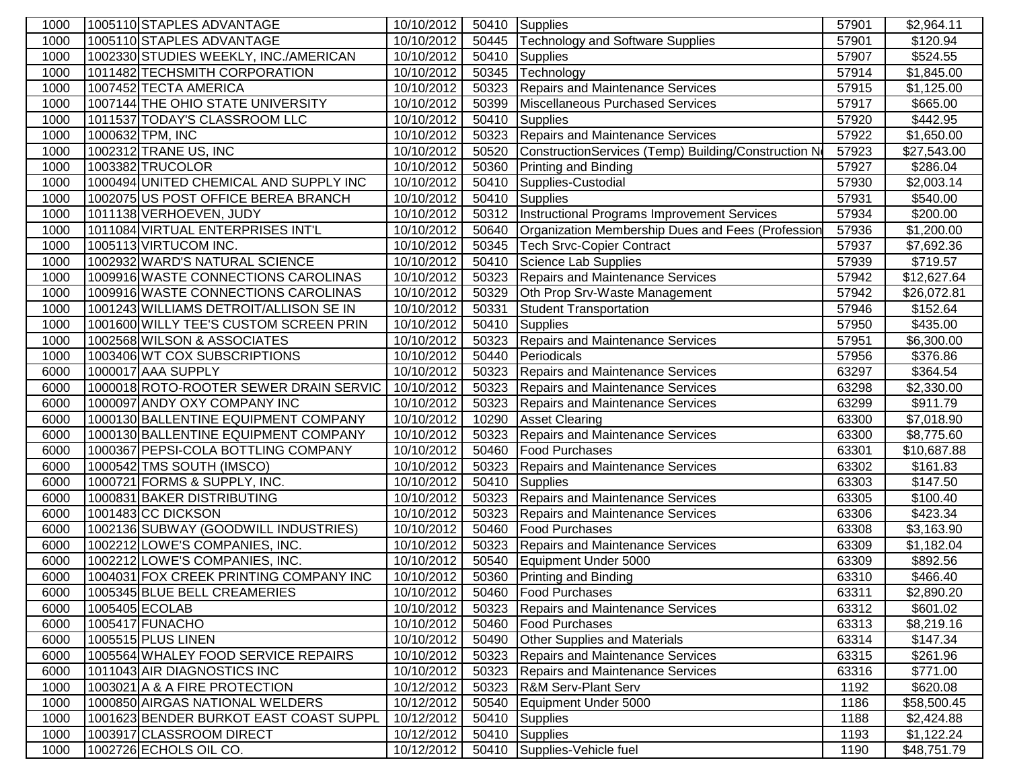| 1000 | 1005110 STAPLES ADVANTAGE              | 10/10/2012 | 50410 | Supplies                                             | 57901 | \$2,964.11             |
|------|----------------------------------------|------------|-------|------------------------------------------------------|-------|------------------------|
| 1000 | 1005110 STAPLES ADVANTAGE              | 10/10/2012 | 50445 | <b>Technology and Software Supplies</b>              | 57901 | \$120.94               |
| 1000 | 1002330 STUDIES WEEKLY, INC./AMERICAN  | 10/10/2012 | 50410 | <b>Supplies</b>                                      | 57907 | \$524.55               |
| 1000 | 1011482 TECHSMITH CORPORATION          | 10/10/2012 | 50345 | Technology                                           | 57914 | \$1,845.00             |
| 1000 | 1007452 TECTA AMERICA                  | 10/10/2012 | 50323 | Repairs and Maintenance Services                     | 57915 | \$1,125.00             |
| 1000 | 1007144 THE OHIO STATE UNIVERSITY      | 10/10/2012 | 50399 | Miscellaneous Purchased Services                     | 57917 | \$665.00               |
| 1000 | 1011537 TODAY'S CLASSROOM LLC          | 10/10/2012 | 50410 | <b>Supplies</b>                                      | 57920 | \$442.95               |
| 1000 | 1000632 TPM, INC                       | 10/10/2012 | 50323 | Repairs and Maintenance Services                     | 57922 | \$1,650.00             |
| 1000 | 1002312 TRANE US, INC                  | 10/10/2012 | 50520 | ConstructionServices (Temp) Building/Construction No | 57923 | \$27,543.00            |
| 1000 | 1003382 TRUCOLOR                       | 10/10/2012 | 50360 | <b>Printing and Binding</b>                          | 57927 | \$286.04               |
| 1000 | 1000494 UNITED CHEMICAL AND SUPPLY INC | 10/10/2012 | 50410 | Supplies-Custodial                                   | 57930 | \$2,003.14             |
| 1000 | 1002075 US POST OFFICE BEREA BRANCH    | 10/10/2012 | 50410 | Supplies                                             | 57931 | \$540.00               |
| 1000 | 1011138 VERHOEVEN, JUDY                | 10/10/2012 | 50312 | Instructional Programs Improvement Services          | 57934 | \$200.00               |
| 1000 | 1011084 VIRTUAL ENTERPRISES INT'L      | 10/10/2012 | 50640 | Organization Membership Dues and Fees (Profession    | 57936 | \$1,200.00             |
| 1000 | 1005113 VIRTUCOM INC.                  | 10/10/2012 | 50345 | <b>Tech Srvc-Copier Contract</b>                     | 57937 | \$7,692.36             |
| 1000 | 1002932 WARD'S NATURAL SCIENCE         | 10/10/2012 | 50410 | Science Lab Supplies                                 | 57939 | \$719.57               |
| 1000 | 1009916 WASTE CONNECTIONS CAROLINAS    | 10/10/2012 | 50323 | <b>Repairs and Maintenance Services</b>              | 57942 | \$12,627.64            |
| 1000 | 1009916 WASTE CONNECTIONS CAROLINAS    | 10/10/2012 | 50329 | Oth Prop Srv-Waste Management                        | 57942 | \$26,072.81            |
| 1000 | 1001243 WILLIAMS DETROIT/ALLISON SE IN | 10/10/2012 | 50331 | <b>Student Transportation</b>                        | 57946 | \$152.64               |
| 1000 | 1001600 WILLY TEE'S CUSTOM SCREEN PRIN | 10/10/2012 | 50410 | <b>Supplies</b>                                      | 57950 | \$435.00               |
| 1000 | 1002568 WILSON & ASSOCIATES            | 10/10/2012 | 50323 | Repairs and Maintenance Services                     | 57951 | $\overline{$6,300.00}$ |
| 1000 | 1003406 WT COX SUBSCRIPTIONS           | 10/10/2012 | 50440 | Periodicals                                          | 57956 | \$376.86               |
| 6000 | 1000017 AAA SUPPLY                     | 10/10/2012 | 50323 | <b>Repairs and Maintenance Services</b>              | 63297 | \$364.54               |
| 6000 | 1000018 ROTO-ROOTER SEWER DRAIN SERVIC | 10/10/2012 | 50323 | Repairs and Maintenance Services                     | 63298 | \$2,330.00             |
| 6000 | 1000097 ANDY OXY COMPANY INC           | 10/10/2012 | 50323 | Repairs and Maintenance Services                     | 63299 | \$911.79               |
| 6000 | 1000130 BALLENTINE EQUIPMENT COMPANY   | 10/10/2012 | 10290 | <b>Asset Clearing</b>                                | 63300 | \$7,018.90             |
| 6000 | 1000130 BALLENTINE EQUIPMENT COMPANY   | 10/10/2012 | 50323 | Repairs and Maintenance Services                     | 63300 | \$8,775.60             |
| 6000 | 1000367 PEPSI-COLA BOTTLING COMPANY    | 10/10/2012 | 50460 | <b>Food Purchases</b>                                | 63301 | \$10,687.88            |
| 6000 | 1000542 TMS SOUTH (IMSCO)              | 10/10/2012 | 50323 | Repairs and Maintenance Services                     | 63302 | \$161.83               |
| 6000 | 1000721 FORMS & SUPPLY, INC.           | 10/10/2012 | 50410 | Supplies                                             | 63303 | \$147.50               |
| 6000 | 1000831 BAKER DISTRIBUTING             | 10/10/2012 | 50323 | Repairs and Maintenance Services                     | 63305 | \$100.40               |
| 6000 | 1001483 CC DICKSON                     | 10/10/2012 | 50323 | Repairs and Maintenance Services                     | 63306 | \$423.34               |
| 6000 | 1002136 SUBWAY (GOODWILL INDUSTRIES)   | 10/10/2012 | 50460 | <b>Food Purchases</b>                                | 63308 | \$3,163.90             |
| 6000 | 1002212 LOWE'S COMPANIES, INC.         | 10/10/2012 | 50323 | <b>Repairs and Maintenance Services</b>              | 63309 | \$1,182.04             |
| 6000 | 1002212 LOWE'S COMPANIES, INC.         | 10/10/2012 | 50540 | Equipment Under 5000                                 | 63309 | \$892.56               |
| 6000 | 1004031 FOX CREEK PRINTING COMPANY INC | 10/10/2012 | 50360 | <b>Printing and Binding</b>                          | 63310 | \$466.40               |
| 6000 | 1005345 BLUE BELL CREAMERIES           | 10/10/2012 | 50460 | <b>Food Purchases</b>                                | 63311 | \$2,890.20             |
| 6000 | 1005405 ECOLAB                         | 10/10/2012 | 50323 | Repairs and Maintenance Services                     | 63312 | \$601.02               |
| 6000 | 1005417 FUNACHO                        | 10/10/2012 |       | 50460   Food Purchases                               | 63313 | \$8,219.16             |
| 6000 | 1005515 PLUS LINEN                     | 10/10/2012 | 50490 | <b>Other Supplies and Materials</b>                  | 63314 | \$147.34               |
| 6000 | 1005564 WHALEY FOOD SERVICE REPAIRS    | 10/10/2012 | 50323 | Repairs and Maintenance Services                     | 63315 | \$261.96               |
| 6000 | 1011043 AIR DIAGNOSTICS INC            | 10/10/2012 |       | 50323 Repairs and Maintenance Services               | 63316 | \$771.00               |
| 1000 | 1003021 A & A FIRE PROTECTION          | 10/12/2012 |       | 50323 R&M Serv-Plant Serv                            | 1192  | \$620.08               |
| 1000 | 1000850 AIRGAS NATIONAL WELDERS        | 10/12/2012 | 50540 | Equipment Under 5000                                 | 1186  | \$58,500.45            |
| 1000 | 1001623 BENDER BURKOT EAST COAST SUPPL | 10/12/2012 | 50410 | Supplies                                             | 1188  | \$2,424.88             |
| 1000 | 1003917 CLASSROOM DIRECT               | 10/12/2012 |       | 50410 Supplies                                       | 1193  | \$1,122.24             |
| 1000 | 1002726 ECHOLS OIL CO.                 | 10/12/2012 |       | 50410 Supplies-Vehicle fuel                          | 1190  | \$48,751.79            |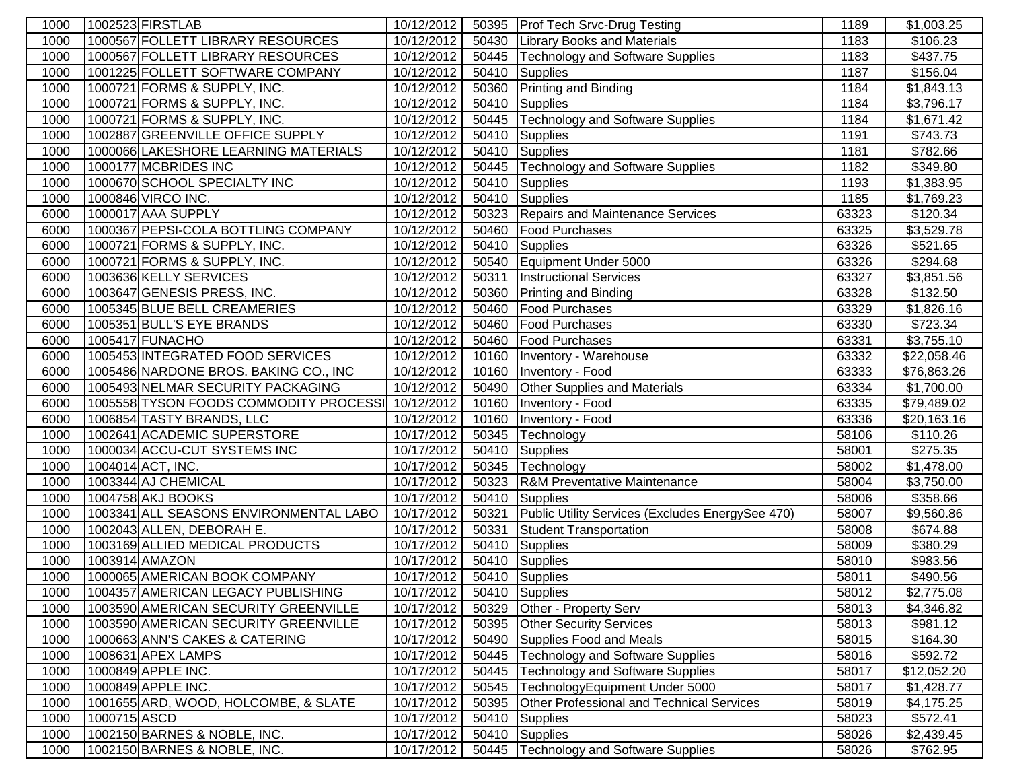| 1000 |              | 1002523 FIRSTLAB                       | 10/12/2012 |       | 50395 Prof Tech Srvc-Drug Testing                | 1189  | \$1,003.25  |
|------|--------------|----------------------------------------|------------|-------|--------------------------------------------------|-------|-------------|
| 1000 |              | 1000567 FOLLETT LIBRARY RESOURCES      | 10/12/2012 |       | 50430 Library Books and Materials                | 1183  | \$106.23    |
| 1000 |              | 1000567 FOLLETT LIBRARY RESOURCES      | 10/12/2012 | 50445 | Technology and Software Supplies                 | 1183  | \$437.75    |
| 1000 |              | 1001225 FOLLETT SOFTWARE COMPANY       | 10/12/2012 | 50410 | Supplies                                         | 1187  | \$156.04    |
| 1000 |              | 1000721 FORMS & SUPPLY, INC.           | 10/12/2012 |       | 50360 Printing and Binding                       | 1184  | \$1,843.13  |
| 1000 |              | 1000721 FORMS & SUPPLY, INC.           | 10/12/2012 | 50410 | <b>Supplies</b>                                  | 1184  | \$3,796.17  |
| 1000 |              | 1000721 FORMS & SUPPLY, INC.           | 10/12/2012 | 50445 | <b>Technology and Software Supplies</b>          | 1184  | \$1,671.42  |
| 1000 |              | 1002887 GREENVILLE OFFICE SUPPLY       | 10/12/2012 | 50410 | Supplies                                         | 1191  | \$743.73    |
| 1000 |              | 1000066 LAKESHORE LEARNING MATERIALS   | 10/12/2012 | 50410 | Supplies                                         | 1181  | \$782.66    |
| 1000 |              | 1000177 MCBRIDES INC                   | 10/12/2012 | 50445 | Technology and Software Supplies                 | 1182  | \$349.80    |
| 1000 |              | 1000670 SCHOOL SPECIALTY INC           | 10/12/2012 | 50410 | Supplies                                         | 1193  | \$1,383.95  |
| 1000 |              | 1000846 VIRCO INC.                     | 10/12/2012 | 50410 | Supplies                                         | 1185  | \$1,769.23  |
| 6000 |              | 1000017 AAA SUPPLY                     | 10/12/2012 | 50323 | Repairs and Maintenance Services                 | 63323 | \$120.34    |
| 6000 |              | 1000367 PEPSI-COLA BOTTLING COMPANY    | 10/12/2012 | 50460 | Food Purchases                                   | 63325 | \$3,529.78  |
| 6000 |              | 1000721 FORMS & SUPPLY, INC.           | 10/12/2012 | 50410 | Supplies                                         | 63326 | \$521.65    |
| 6000 |              | 1000721 FORMS & SUPPLY, INC.           | 10/12/2012 | 50540 | Equipment Under 5000                             | 63326 | \$294.68    |
| 6000 |              | 1003636 KELLY SERVICES                 | 10/12/2012 | 50311 | <b>Instructional Services</b>                    | 63327 | \$3,851.56  |
| 6000 |              | 1003647 GENESIS PRESS, INC.            | 10/12/2012 | 50360 | <b>Printing and Binding</b>                      | 63328 | \$132.50    |
| 6000 |              | 1005345 BLUE BELL CREAMERIES           | 10/12/2012 | 50460 | <b>Food Purchases</b>                            | 63329 | \$1,826.16  |
| 6000 |              | 1005351 BULL'S EYE BRANDS              | 10/12/2012 | 50460 | <b>Food Purchases</b>                            | 63330 | \$723.34    |
| 6000 |              | 1005417 FUNACHO                        | 10/12/2012 | 50460 | <b>Food Purchases</b>                            | 63331 | \$3,755.10  |
| 6000 |              | 1005453 INTEGRATED FOOD SERVICES       | 10/12/2012 | 10160 | Inventory - Warehouse                            | 63332 | \$22,058.46 |
| 6000 |              | 1005486 NARDONE BROS. BAKING CO., INC  | 10/12/2012 |       | 10160   Inventory - Food                         | 63333 | \$76,863.26 |
| 6000 |              | 1005493 NELMAR SECURITY PACKAGING      | 10/12/2012 |       | 50490 Other Supplies and Materials               | 63334 | \$1,700.00  |
| 6000 |              | 1005558 TYSON FOODS COMMODITY PROCESSI | 10/12/2012 |       | 10160 Inventory - Food                           | 63335 | \$79,489.02 |
| 6000 |              | 1006854 TASTY BRANDS, LLC              | 10/12/2012 |       | 10160   Inventory - Food                         | 63336 | \$20,163.16 |
| 1000 |              | 1002641 ACADEMIC SUPERSTORE            | 10/17/2012 | 50345 | Technology                                       | 58106 | \$110.26    |
| 1000 |              | 1000034 ACCU-CUT SYSTEMS INC           | 10/17/2012 | 50410 | Supplies                                         | 58001 | \$275.35    |
| 1000 |              | 1004014 ACT, INC.                      | 10/17/2012 |       | 50345 Technology                                 | 58002 | \$1,478.00  |
| 1000 |              | 1003344 AJ CHEMICAL                    | 10/17/2012 |       | 50323 R&M Preventative Maintenance               | 58004 | \$3,750.00  |
| 1000 |              | 1004758 AKJ BOOKS                      | 10/17/2012 | 50410 | Supplies                                         | 58006 | \$358.66    |
| 1000 |              | 1003341 ALL SEASONS ENVIRONMENTAL LABO | 10/17/2012 | 50321 | Public Utility Services (Excludes EnergySee 470) | 58007 | \$9,560.86  |
| 1000 |              | 1002043 ALLEN, DEBORAH E.              | 10/17/2012 | 50331 | <b>Student Transportation</b>                    | 58008 | \$674.88    |
| 1000 |              | 1003169 ALLIED MEDICAL PRODUCTS        | 10/17/2012 | 50410 | Supplies                                         | 58009 | \$380.29    |
| 1000 |              | 1003914 AMAZON                         | 10/17/2012 | 50410 | Supplies                                         | 58010 | \$983.56    |
| 1000 |              | 1000065 AMERICAN BOOK COMPANY          | 10/17/2012 |       | 50410 Supplies                                   | 58011 | \$490.56    |
| 1000 |              | 1004357 AMERICAN LEGACY PUBLISHING     | 10/17/2012 |       | 50410 Supplies                                   | 58012 | \$2,775.08  |
| 1000 |              | 1003590 AMERICAN SECURITY GREENVILLE   | 10/17/2012 |       | 50329 Other - Property Serv                      | 58013 | \$4,346.82  |
| 1000 |              | 1003590 AMERICAN SECURITY GREENVILLE   | 10/17/2012 |       | 50395 Other Security Services                    | 58013 | \$981.12    |
| 1000 |              | 1000663 ANN'S CAKES & CATERING         | 10/17/2012 |       | 50490 Supplies Food and Meals                    | 58015 | \$164.30    |
| 1000 |              | 1008631 APEX LAMPS                     | 10/17/2012 | 50445 | Technology and Software Supplies                 | 58016 | \$592.72    |
| 1000 |              | 1000849 APPLE INC.                     | 10/17/2012 | 50445 | <b>Technology and Software Supplies</b>          | 58017 | \$12,052.20 |
| 1000 |              | 1000849 APPLE INC.                     | 10/17/2012 | 50545 | TechnologyEquipment Under 5000                   | 58017 | \$1,428.77  |
| 1000 |              | 1001655 ARD, WOOD, HOLCOMBE, & SLATE   | 10/17/2012 | 50395 | <b>Other Professional and Technical Services</b> | 58019 | \$4,175.25  |
| 1000 | 1000715 ASCD |                                        | 10/17/2012 | 50410 | <b>Supplies</b>                                  | 58023 | \$572.41    |
| 1000 |              | 1002150 BARNES & NOBLE, INC.           | 10/17/2012 | 50410 | <b>Supplies</b>                                  | 58026 | \$2,439.45  |
| 1000 |              | 1002150 BARNES & NOBLE, INC.           | 10/17/2012 |       | 50445   Technology and Software Supplies         | 58026 | \$762.95    |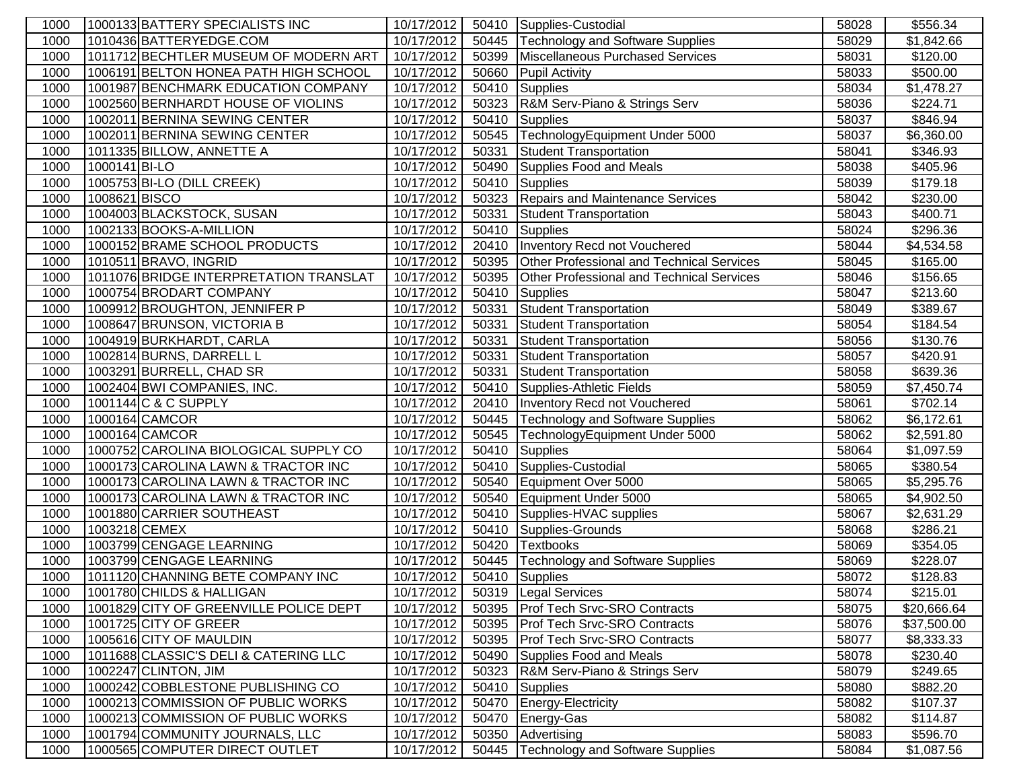| 1000         |               | 1000133 BATTERY SPECIALISTS INC                                  | 10/17/2012               |                | 50410 Supplies-Custodial                         | 58028          | \$556.34               |
|--------------|---------------|------------------------------------------------------------------|--------------------------|----------------|--------------------------------------------------|----------------|------------------------|
| 1000         |               | 1010436 BATTERYEDGE.COM                                          | 10/17/2012               | 50445          | Technology and Software Supplies                 | 58029          | \$1,842.66             |
| 1000         |               | 1011712 BECHTLER MUSEUM OF MODERN ART                            | 10/17/2012               | 50399          | Miscellaneous Purchased Services                 | 58031          | \$120.00               |
| 1000         |               | 1006191 BELTON HONEA PATH HIGH SCHOOL                            | 10/17/2012               | 50660          | <b>Pupil Activity</b>                            | 58033          | \$500.00               |
| 1000         |               | 1001987 BENCHMARK EDUCATION COMPANY                              | 10/17/2012               | 50410          | Supplies                                         | 58034          | \$1,478.27             |
| 1000         |               | 1002560 BERNHARDT HOUSE OF VIOLINS                               | 10/17/2012               | 50323          | R&M Serv-Piano & Strings Serv                    | 58036          | \$224.71               |
| 1000         |               | 1002011 BERNINA SEWING CENTER                                    | 10/17/2012               | 50410          | <b>Supplies</b>                                  | 58037          | \$846.94               |
| 1000         |               | 1002011 BERNINA SEWING CENTER                                    | 10/17/2012               | 50545          | TechnologyEquipment Under 5000                   | 58037          | \$6,360.00             |
| 1000         |               | 1011335 BILLOW, ANNETTE A                                        | 10/17/2012               | 50331          | <b>Student Transportation</b>                    | 58041          | \$346.93               |
| 1000         | 1000141 BI-LO |                                                                  | 10/17/2012               | 50490          | Supplies Food and Meals                          | 58038          | \$405.96               |
| 1000         |               | 1005753 BI-LO (DILL CREEK)                                       | 10/17/2012               | 50410          | Supplies                                         | 58039          | \$179.18               |
| 1000         | 1008621 BISCO |                                                                  | 10/17/2012               | 50323          | Repairs and Maintenance Services                 | 58042          | \$230.00               |
| 1000         |               | 1004003 BLACKSTOCK, SUSAN                                        | 10/17/2012               | 50331          | <b>Student Transportation</b>                    | 58043          | \$400.71               |
| 1000         |               | 1002133 BOOKS-A-MILLION                                          | 10/17/2012               | 50410          | Supplies                                         | 58024          | \$296.36               |
| 1000         |               | 1000152 BRAME SCHOOL PRODUCTS                                    | 10/17/2012               | 20410          | Inventory Recd not Vouchered                     | 58044          | \$4,534.58             |
| 1000         |               | 1010511 BRAVO, INGRID                                            | 10/17/2012               | 50395          | <b>Other Professional and Technical Services</b> | 58045          | \$165.00               |
| 1000         |               | 1011076 BRIDGE INTERPRETATION TRANSLAT                           | 10/17/2012               | 50395          | <b>Other Professional and Technical Services</b> | 58046          | \$156.65               |
| 1000         |               | 1000754 BRODART COMPANY                                          | 10/17/2012               | 50410          | Supplies                                         | 58047          | \$213.60               |
| 1000         |               | 1009912 BROUGHTON, JENNIFER P                                    | 10/17/2012               | 50331          | Student Transportation                           | 58049          | \$389.67               |
| 1000         |               | 1008647 BRUNSON, VICTORIA B                                      | 10/17/2012               | 50331          | <b>Student Transportation</b>                    | 58054          | \$184.54               |
| 1000         |               | 1004919 BURKHARDT, CARLA                                         | 10/17/2012               | 50331          | <b>Student Transportation</b>                    | 58056          | \$130.76               |
| 1000         |               | 1002814 BURNS, DARRELL L                                         | 10/17/2012               | 50331          | <b>Student Transportation</b>                    | 58057          | \$420.91               |
| 1000         |               | 1003291 BURRELL, CHAD SR                                         | 10/17/2012               | 50331          | <b>Student Transportation</b>                    | 58058          | \$639.36               |
| 1000         |               | 1002404 BWI COMPANIES, INC.                                      | 10/17/2012               | 50410          | Supplies-Athletic Fields                         | 58059          | \$7,450.74             |
| 1000         |               | 1001144 C & C SUPPLY                                             | 10/17/2012               | 20410          | Inventory Recd not Vouchered                     | 58061          | \$702.14               |
| 1000         |               | 1000164 CAMCOR                                                   | 10/17/2012               | 50445          | Technology and Software Supplies                 | 58062          | $\overline{$6,172.61}$ |
| 1000         |               | 1000164 CAMCOR                                                   | 10/17/2012               | 50545          | TechnologyEquipment Under 5000                   | 58062          | \$2,591.80             |
| 1000         |               | 1000752 CAROLINA BIOLOGICAL SUPPLY CO                            | 10/17/2012               | 50410          | <b>Supplies</b>                                  | 58064          | \$1,097.59             |
| 1000         |               | 1000173 CAROLINA LAWN & TRACTOR INC                              | 10/17/2012               | 50410          | Supplies-Custodial                               | 58065          | \$380.54               |
| 1000         |               | 1000173 CAROLINA LAWN & TRACTOR INC                              | 10/17/2012               | 50540          | Equipment Over 5000                              | 58065<br>58065 | \$5,295.76             |
| 1000<br>1000 |               | 1000173 CAROLINA LAWN & TRACTOR INC<br>1001880 CARRIER SOUTHEAST | 10/17/2012<br>10/17/2012 | 50540<br>50410 | Equipment Under 5000                             | 58067          | \$4,902.50             |
| 1000         | 1003218 CEMEX |                                                                  | 10/17/2012               | 50410          | Supplies-HVAC supplies<br>Supplies-Grounds       | 58068          | \$2,631.29<br>\$286.21 |
| 1000         |               | 1003799 CENGAGE LEARNING                                         | 10/17/2012               | 50420          | <b>Textbooks</b>                                 | 58069          | \$354.05               |
| 1000         |               | 1003799 CENGAGE LEARNING                                         | 10/17/2012               | 50445          | <b>Technology and Software Supplies</b>          | 58069          | \$228.07               |
| 1000         |               | 1011120 CHANNING BETE COMPANY INC                                | 10/17/2012               |                | 50410 Supplies                                   | 58072          | \$128.83               |
| 1000         |               | 1001780 CHILDS & HALLIGAN                                        | 10/17/2012               |                | 50319 Legal Services                             | 58074          | \$215.01               |
| 1000         |               | 1001829 CITY OF GREENVILLE POLICE DEPT                           | 10/17/2012               |                | 50395   Prof Tech Srvc-SRO Contracts             | 58075          | \$20,666.64            |
| 1000         |               | 1001725 CITY OF GREER                                            | 10/17/2012               | 50395          | <b>Prof Tech Srvc-SRO Contracts</b>              | 58076          | \$37,500.00            |
| 1000         |               | 1005616 CITY OF MAULDIN                                          | 10/17/2012               | 50395          | <b>Prof Tech Srvc-SRO Contracts</b>              | 58077          | \$8,333.33             |
| 1000         |               | 1011688 CLASSIC'S DELI & CATERING LLC                            | 10/17/2012               |                | 50490 Supplies Food and Meals                    | 58078          | \$230.40               |
| 1000         |               | 1002247 CLINTON, JIM                                             | 10/17/2012               | 50323          | R&M Serv-Piano & Strings Serv                    | 58079          | \$249.65               |
| 1000         |               | 1000242 COBBLESTONE PUBLISHING CO                                | 10/17/2012               | 50410          | Supplies                                         | 58080          | \$882.20               |
| 1000         |               | 1000213 COMMISSION OF PUBLIC WORKS                               | 10/17/2012               | 50470          | Energy-Electricity                               | 58082          | \$107.37               |
| 1000         |               | 1000213 COMMISSION OF PUBLIC WORKS                               | 10/17/2012               | 50470          | Energy-Gas                                       | 58082          | \$114.87               |
| 1000         |               | 1001794 COMMUNITY JOURNALS, LLC                                  | 10/17/2012               | 50350          | Advertising                                      | 58083          | \$596.70               |
| 1000         |               | 1000565 COMPUTER DIRECT OUTLET                                   | 10/17/2012               | 50445          | Technology and Software Supplies                 | 58084          | \$1,087.56             |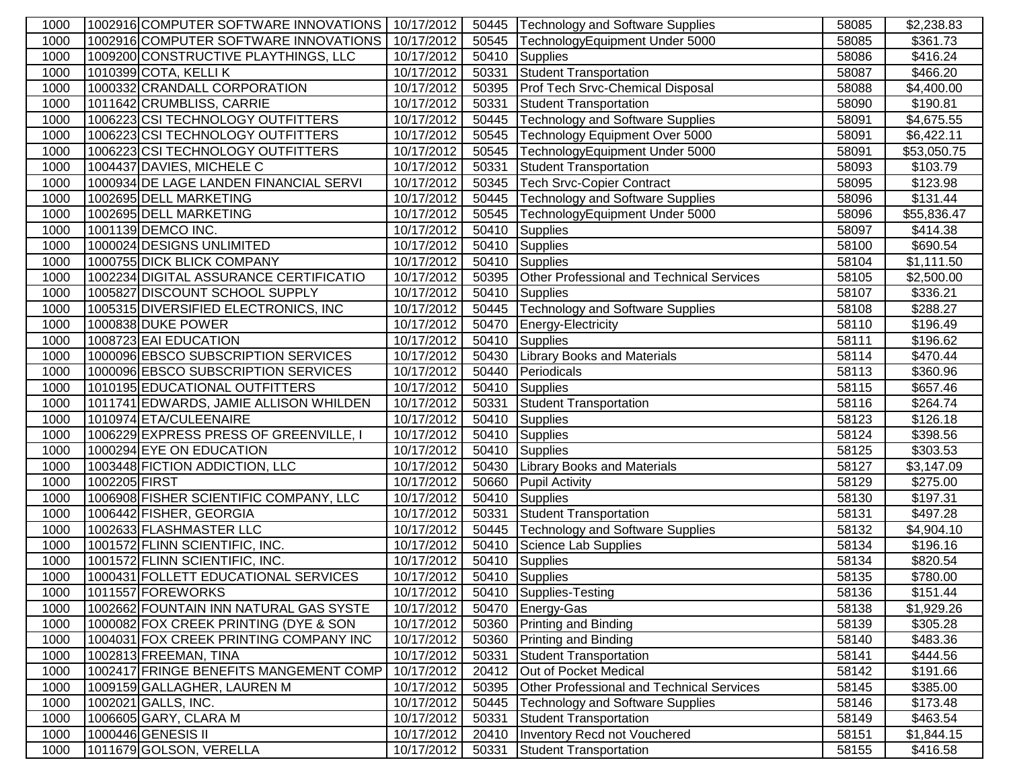| 1000         |               | 1002916 COMPUTER SOFTWARE INNOVATIONS              | 10/17/2012               | 50445 | Technology and Software Supplies                                         | 58085          | \$2,238.83             |
|--------------|---------------|----------------------------------------------------|--------------------------|-------|--------------------------------------------------------------------------|----------------|------------------------|
| 1000         |               | 1002916 COMPUTER SOFTWARE INNOVATIONS              | 10/17/2012               | 50545 | TechnologyEquipment Under 5000                                           | 58085          | \$361.73               |
| 1000         |               | 1009200 CONSTRUCTIVE PLAYTHINGS, LLC               | 10/17/2012               | 50410 | Supplies                                                                 | 58086          | \$416.24               |
| 1000         |               | 1010399 COTA, KELLI K                              | 10/17/2012               | 50331 | Student Transportation                                                   | 58087          | \$466.20               |
| 1000         |               | 1000332 CRANDALL CORPORATION                       | 10/17/2012               | 50395 | Prof Tech Srvc-Chemical Disposal                                         | 58088          | \$4,400.00             |
| 1000         |               | 1011642 CRUMBLISS, CARRIE                          | 10/17/2012               | 50331 | Student Transportation                                                   | 58090          | \$190.81               |
| 1000         |               | 1006223 CSI TECHNOLOGY OUTFITTERS                  | 10/17/2012               | 50445 | Technology and Software Supplies                                         | 58091          | \$4,675.55             |
| 1000         |               | 1006223 CSI TECHNOLOGY OUTFITTERS                  | 10/17/2012               | 50545 | Technology Equipment Over 5000                                           | 58091          | \$6,422.11             |
| 1000         |               | 1006223 CSI TECHNOLOGY OUTFITTERS                  | 10/17/2012               | 50545 | TechnologyEquipment Under 5000                                           | 58091          | \$53,050.75            |
| 1000         |               | 1004437 DAVIES, MICHELE C                          | 10/17/2012               | 50331 | <b>Student Transportation</b>                                            | 58093          | \$103.79               |
| 1000         |               | 1000934 DE LAGE LANDEN FINANCIAL SERVI             | 10/17/2012               | 50345 | Tech Srvc-Copier Contract                                                | 58095          | \$123.98               |
| 1000         |               | 1002695 DELL MARKETING                             | 10/17/2012               | 50445 | Technology and Software Supplies                                         | 58096          | \$131.44               |
| 1000         |               | 1002695 DELL MARKETING                             | 10/17/2012               | 50545 | TechnologyEquipment Under 5000                                           | 58096          | \$55,836.47            |
| 1000         |               | 1001139 DEMCO INC.                                 | 10/17/2012               | 50410 | Supplies                                                                 | 58097          | \$414.38               |
| 1000         |               | 1000024 DESIGNS UNLIMITED                          | 10/17/2012               | 50410 | Supplies                                                                 | 58100          | \$690.54               |
| 1000         |               | 1000755 DICK BLICK COMPANY                         | 10/17/2012               | 50410 | Supplies                                                                 | 58104          | \$1,111.50             |
| 1000         |               | 1002234 DIGITAL ASSURANCE CERTIFICATIO             | 10/17/2012               | 50395 | Other Professional and Technical Services                                | 58105          | \$2,500.00             |
| 1000         |               | 1005827 DISCOUNT SCHOOL SUPPLY                     | 10/17/2012               | 50410 | Supplies                                                                 | 58107          | \$336.21               |
| 1000         |               | 1005315 DIVERSIFIED ELECTRONICS, INC               | 10/17/2012               | 50445 | Technology and Software Supplies                                         | 58108          | \$288.27               |
| 1000         |               | 1000838 DUKE POWER                                 | 10/17/2012               | 50470 | Energy-Electricity                                                       | 58110          | \$196.49               |
| 1000         |               | 1008723 EAI EDUCATION                              | 10/17/2012               | 50410 | <b>Supplies</b>                                                          | 58111          | \$196.62               |
| 1000         |               | 1000096 EBSCO SUBSCRIPTION SERVICES                | 10/17/2012               | 50430 | <b>Library Books and Materials</b>                                       | 58114          | \$470.44               |
| 1000         |               | 1000096 EBSCO SUBSCRIPTION SERVICES                | 10/17/2012               | 50440 | Periodicals                                                              | 58113          | \$360.96               |
| 1000         |               | 1010195 EDUCATIONAL OUTFITTERS                     | 10/17/2012               | 50410 | <b>Supplies</b>                                                          | 58115          | \$657.46               |
| 1000         |               | 1011741 EDWARDS, JAMIE ALLISON WHILDEN             | 10/17/2012               | 50331 | Student Transportation                                                   | 58116          | \$264.74               |
| 1000         |               | 1010974 ETA/CULEENAIRE                             | 10/17/2012               | 50410 | Supplies                                                                 | 58123          | \$126.18               |
| 1000         |               | 1006229 EXPRESS PRESS OF GREENVILLE, I             | 10/17/2012               | 50410 | Supplies                                                                 | 58124          | \$398.56               |
| 1000         |               | 1000294 EYE ON EDUCATION                           | 10/17/2012               | 50410 | Supplies                                                                 | 58125          | \$303.53               |
| 1000         |               | 1003448 FICTION ADDICTION, LLC                     | 10/17/2012               | 50430 | <b>Library Books and Materials</b>                                       | 58127          | \$3,147.09             |
| 1000         | 1002205 FIRST |                                                    | 10/17/2012               | 50660 | <b>Pupil Activity</b>                                                    | 58129          | \$275.00               |
| 1000         |               | 1006908 FISHER SCIENTIFIC COMPANY, LLC             | 10/17/2012               | 50410 | <b>T</b> Supplies                                                        | 58130          | \$197.31               |
| 1000         |               | 1006442 FISHER, GEORGIA                            | 10/17/2012               | 50331 | Student Transportation                                                   | 58131          | \$497.28               |
| 1000         |               | 1002633 FLASHMASTER LLC                            | 10/17/2012               | 50445 | Technology and Software Supplies                                         | 58132          | \$4,904.10             |
| 1000         |               | 1001572 FLINN SCIENTIFIC, INC.                     | 10/17/2012               | 50410 | Science Lab Supplies                                                     | 58134          | \$196.16               |
| 1000         |               | 1001572 FLINN SCIENTIFIC, INC.                     | 10/17/2012               | 50410 | Supplies                                                                 | 58134          | \$820.54               |
| 1000         |               | 1000431 FOLLETT EDUCATIONAL SERVICES               | 10/17/2012               |       | 50410 Supplies                                                           | 58135          | \$780.00               |
| 1000         |               | 1011557 FOREWORKS                                  | 10/17/2012               |       | 50410   Supplies-Testing                                                 | 58136          | \$151.44               |
| 1000         |               | 1002662 FOUNTAIN INN NATURAL GAS SYSTE             | 10/17/2012               |       | 50470 Energy-Gas                                                         | 58138          | \$1,929.26             |
| 1000         |               | 1000082 FOX CREEK PRINTING (DYE & SON              | 10/17/2012               |       | 50360 Printing and Binding                                               | 58139          | \$305.28               |
| 1000         |               | 1004031 FOX CREEK PRINTING COMPANY INC             | 10/17/2012               | 50360 | <b>Printing and Binding</b>                                              | 58140          | \$483.36               |
| 1000         |               | 1002813 FREEMAN, TINA                              | 10/17/2012               | 50331 | Student Transportation                                                   | 58141          | \$444.56               |
| 1000         |               | 1002417 FRINGE BENEFITS MANGEMENT COMP             | 10/17/2012               | 20412 | Out of Pocket Medical                                                    | 58142          | \$191.66               |
| 1000         |               | 1009159 GALLAGHER, LAUREN M<br>1002021 GALLS, INC. | 10/17/2012               | 50395 | <b>Other Professional and Technical Services</b>                         | 58145          | \$385.00               |
| 1000         |               | 1006605 GARY, CLARA M                              | 10/17/2012               | 50445 | <b>Technology and Software Supplies</b><br><b>Student Transportation</b> | 58146<br>58149 | \$173.48<br>\$463.54   |
| 1000<br>1000 |               | 1000446 GENESIS II                                 | 10/17/2012<br>10/17/2012 | 50331 |                                                                          |                |                        |
|              |               | 1011679 GOLSON, VERELLA                            | 10/17/2012               | 20410 | Inventory Recd not Vouchered                                             | 58151          | \$1,844.15<br>\$416.58 |
| 1000         |               |                                                    |                          | 50331 | Student Transportation                                                   | 58155          |                        |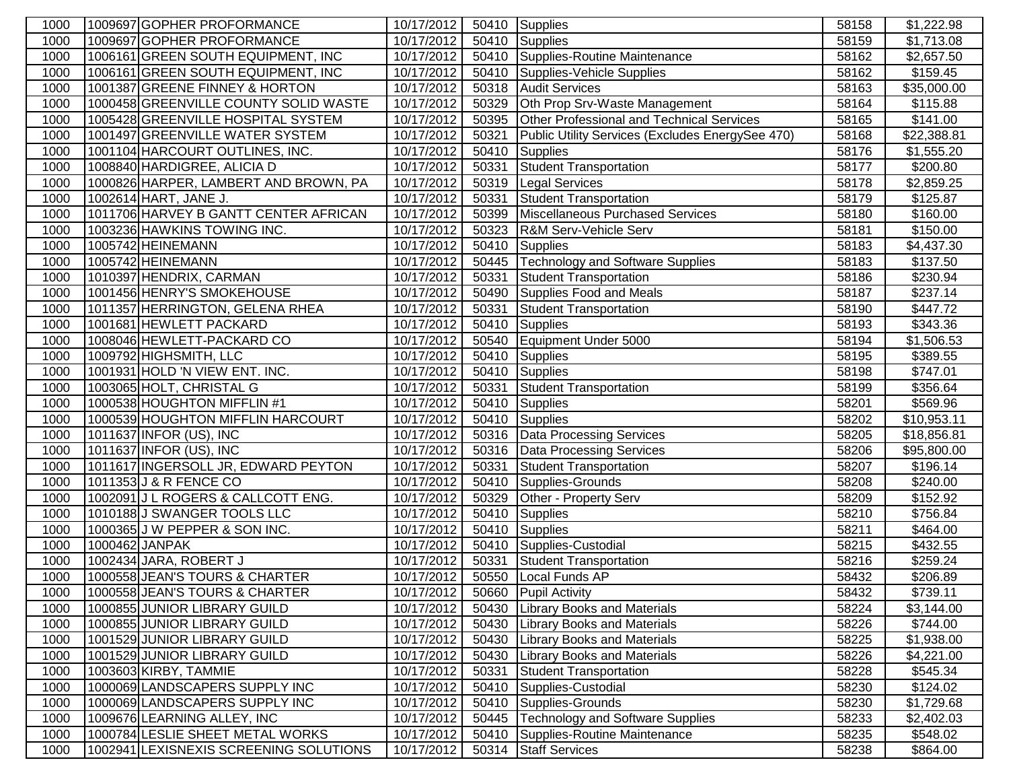| 1000         | 1009697 GOPHER PROFORMANCE                                       | 10/17/2012               |                | 50410 Supplies                                              | 58158          | \$1,222.98               |
|--------------|------------------------------------------------------------------|--------------------------|----------------|-------------------------------------------------------------|----------------|--------------------------|
| 1000         | 1009697 GOPHER PROFORMANCE                                       | 10/17/2012               | 50410          | Supplies                                                    | 58159          | $\overline{$}1,713.08$   |
| 1000         | 1006161 GREEN SOUTH EQUIPMENT, INC                               | 10/17/2012               | 50410          | Supplies-Routine Maintenance                                | 58162          | \$2,657.50               |
| 1000         | 1006161 GREEN SOUTH EQUIPMENT, INC                               | 10/17/2012               | 50410          | Supplies-Vehicle Supplies                                   | 58162          | \$159.45                 |
| 1000         | 1001387 GREENE FINNEY & HORTON                                   | 10/17/2012               | 50318          | <b>Audit Services</b>                                       | 58163          | \$35,000.00              |
| 1000         | 1000458 GREENVILLE COUNTY SOLID WASTE                            | 10/17/2012               | 50329          | Oth Prop Srv-Waste Management                               | 58164          | \$115.88                 |
| 1000         | 1005428 GREENVILLE HOSPITAL SYSTEM                               | 10/17/2012               | 50395          | Other Professional and Technical Services                   | 58165          | \$141.00                 |
| 1000         | 1001497 GREENVILLE WATER SYSTEM                                  | 10/17/2012               | 50321          | Public Utility Services (Excludes EnergySee 470)            | 58168          | \$22,388.81              |
| 1000         | 1001104 HARCOURT OUTLINES, INC.                                  | 10/17/2012               | 50410          | Supplies                                                    | 58176          | \$1,555.20               |
| 1000         | 1008840 HARDIGREE, ALICIA D                                      | 10/17/2012               | 50331          | <b>Student Transportation</b>                               | 58177          | \$200.80                 |
| 1000         | 1000826 HARPER, LAMBERT AND BROWN, PA                            | 10/17/2012               | 50319          | <b>Legal Services</b>                                       | 58178          | \$2,859.25               |
| 1000         | 1002614 HART, JANE J.                                            | 10/17/2012               | 50331          | Student Transportation                                      | 58179          | \$125.87                 |
| 1000         | 1011706 HARVEY B GANTT CENTER AFRICAN                            | 10/17/2012               | 50399          | Miscellaneous Purchased Services                            | 58180          | \$160.00                 |
| 1000         | 1003236 HAWKINS TOWING INC.                                      | 10/17/2012               | 50323          | R&M Serv-Vehicle Serv                                       | 58181          | \$150.00                 |
| 1000         | 1005742 HEINEMANN                                                | 10/17/2012               | 50410          | Supplies                                                    | 58183          | \$4,437.30               |
| 1000         | 1005742 HEINEMANN                                                | 10/17/2012               | 50445          | Technology and Software Supplies                            | 58183          | \$137.50                 |
| 1000         | 1010397 HENDRIX, CARMAN                                          | 10/17/2012               | 50331          | <b>Student Transportation</b>                               | 58186          | \$230.94                 |
| 1000         | 1001456 HENRY'S SMOKEHOUSE                                       | 10/17/2012               | 50490          | Supplies Food and Meals                                     | 58187          | \$237.14                 |
| 1000         | 1011357 HERRINGTON, GELENA RHEA                                  | 10/17/2012               | 50331          | Student Transportation                                      | 58190          | \$447.72                 |
| 1000         | 1001681 HEWLETT PACKARD                                          | 10/17/2012               | 50410          | Supplies                                                    | 58193          | \$343.36                 |
| 1000         | 1008046 HEWLETT-PACKARD CO                                       | 10/17/2012               | 50540          | Equipment Under 5000                                        | 58194          | \$1,506.53               |
| 1000         | 1009792 HIGHSMITH, LLC                                           | 10/17/2012               | 50410          | <b>Supplies</b>                                             | 58195          | \$389.55                 |
| 1000         | 1001931 HOLD 'N VIEW ENT. INC.                                   | 10/17/2012               | 50410          | Supplies                                                    | 58198          | \$747.01                 |
| 1000         | 1003065 HOLT, CHRISTAL G                                         | 10/17/2012               | 50331          | <b>Student Transportation</b>                               | 58199          | \$356.64                 |
| 1000         | 1000538 HOUGHTON MIFFLIN #1                                      | 10/17/2012               | 50410          | Supplies                                                    | 58201          | \$569.96                 |
| 1000         | 1000539 HOUGHTON MIFFLIN HARCOURT                                | 10/17/2012               | 50410          | Supplies                                                    | 58202          | \$10,953.11              |
| 1000         | 1011637 INFOR (US), INC                                          | 10/17/2012               |                | 50316   Data Processing Services                            | 58205          | \$18,856.81              |
| 1000         | 1011637 INFOR (US), INC                                          | 10/17/2012               |                | 50316   Data Processing Services                            | 58206          | \$95,800.00              |
| 1000         | 1011617 INGERSOLL JR, EDWARD PEYTON                              | 10/17/2012               | 50331          | <b>Student Transportation</b>                               | 58207          | \$196.14                 |
| 1000         | 1011353 J & R FENCE CO                                           | 10/17/2012               | 50410          | Supplies-Grounds                                            | 58208          | \$240.00                 |
| 1000         | 1002091 J L ROGERS & CALLCOTT ENG.                               | 10/17/2012               | 50329          | Other - Property Serv                                       | 58209          | \$152.92                 |
| 1000         | 1010188 J SWANGER TOOLS LLC                                      | 10/17/2012               | 50410          | Supplies                                                    | 58210          | \$756.84                 |
| 1000         | 1000365 J W PEPPER & SON INC.                                    | 10/17/2012               |                | 50410 Supplies                                              | 58211          | \$464.00                 |
| 1000         | 1000462 JANPAK                                                   | 10/17/2012               |                | 50410 Supplies-Custodial                                    | 58215          | \$432.55                 |
| 1000         | 1002434 JARA, ROBERT J                                           | 10/17/2012               | 50331          | Student Transportation                                      | 58216          | \$259.24                 |
| 1000         | 1000558 JEAN'S TOURS & CHARTER                                   | 10/17/2012               | 50550          | Local Funds AP                                              | 58432          | \$206.89                 |
| 1000         | 1000558 JEAN'S TOURS & CHARTER                                   | 10/17/2012               |                | 50660 Pupil Activity                                        | 58432          | \$739.11                 |
| 1000         | 1000855 JUNIOR LIBRARY GUILD                                     | 10/17/2012               | 50430          | <b>Library Books and Materials</b>                          | 58224          | \$3,144.00               |
| 1000         | 1000855 JUNIOR LIBRARY GUILD                                     | 10/17/2012               | 50430          | <b>Library Books and Materials</b>                          | 58226          | \$744.00                 |
| 1000         | 1001529 JUNIOR LIBRARY GUILD                                     | 10/17/2012               | 50430          | <b>Library Books and Materials</b>                          | 58225          | \$1,938.00               |
| 1000         | 1001529 JUNIOR LIBRARY GUILD                                     | 10/17/2012               | 50430          | <b>Library Books and Materials</b>                          | 58226          | \$4,221.00               |
| 1000         | 1003603 KIRBY, TAMMIE                                            | 10/17/2012               | 50331          | <b>Student Transportation</b>                               | 58228          | \$545.34                 |
| 1000         | 1000069 LANDSCAPERS SUPPLY INC<br>1000069 LANDSCAPERS SUPPLY INC | 10/17/2012<br>10/17/2012 | 50410<br>50410 | Supplies-Custodial                                          | 58230<br>58230 | \$124.02                 |
| 1000<br>1000 | 1009676 LEARNING ALLEY, INC                                      | 10/17/2012               | 50445          | Supplies-Grounds<br><b>Technology and Software Supplies</b> | 58233          | \$1,729.68<br>\$2,402.03 |
| 1000         | 1000784 LESLIE SHEET METAL WORKS                                 | 10/17/2012               | 50410          | Supplies-Routine Maintenance                                | 58235          | \$548.02                 |
|              | 1002941 LEXISNEXIS SCREENING SOLUTIONS                           | 10/17/2012               |                | <b>Staff Services</b>                                       |                |                          |
| 1000         |                                                                  |                          | 50314          |                                                             | 58238          | \$864.00                 |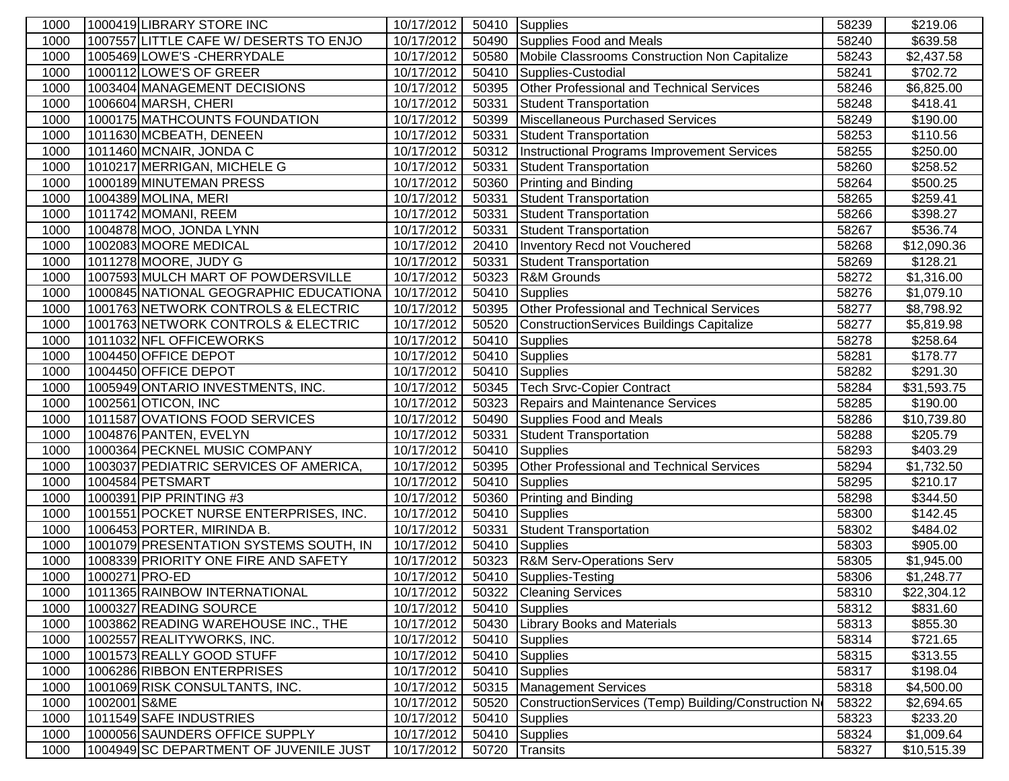| 1000 |              | 1000419 LIBRARY STORE INC              | 10/17/2012 |       | 50410 Supplies                                       | 58239 | \$219.06    |
|------|--------------|----------------------------------------|------------|-------|------------------------------------------------------|-------|-------------|
| 1000 |              | 1007557 LITTLE CAFE W/ DESERTS TO ENJO | 10/17/2012 | 50490 | Supplies Food and Meals                              | 58240 | \$639.58    |
| 1000 |              | 1005469 LOWE'S - CHERRYDALE            | 10/17/2012 | 50580 | Mobile Classrooms Construction Non Capitalize        | 58243 | \$2,437.58  |
| 1000 |              | 1000112 LOWE'S OF GREER                | 10/17/2012 | 50410 | Supplies-Custodial                                   | 58241 | \$702.72    |
| 1000 |              | 1003404 MANAGEMENT DECISIONS           | 10/17/2012 | 50395 | Other Professional and Technical Services            | 58246 | \$6,825.00  |
| 1000 |              | 1006604 MARSH, CHERI                   | 10/17/2012 | 50331 | Student Transportation                               | 58248 | \$418.41    |
| 1000 |              | 1000175 MATHCOUNTS FOUNDATION          | 10/17/2012 | 50399 | Miscellaneous Purchased Services                     | 58249 | \$190.00    |
| 1000 |              | 1011630 MCBEATH, DENEEN                | 10/17/2012 | 50331 | <b>Student Transportation</b>                        | 58253 | \$110.56    |
| 1000 |              | 1011460 MCNAIR, JONDA C                | 10/17/2012 | 50312 | Instructional Programs Improvement Services          | 58255 | \$250.00    |
| 1000 |              | 1010217 MERRIGAN, MICHELE G            | 10/17/2012 | 50331 | Student Transportation                               | 58260 | \$258.52    |
| 1000 |              | 1000189 MINUTEMAN PRESS                | 10/17/2012 | 50360 | Printing and Binding                                 | 58264 | \$500.25    |
| 1000 |              | 1004389 MOLINA, MERI                   | 10/17/2012 | 50331 | <b>Student Transportation</b>                        | 58265 | \$259.41    |
| 1000 |              | 1011742 MOMANI, REEM                   | 10/17/2012 | 50331 | Student Transportation                               | 58266 | \$398.27    |
| 1000 |              | 1004878 MOO, JONDA LYNN                | 10/17/2012 | 50331 | <b>Student Transportation</b>                        | 58267 | \$536.74    |
| 1000 |              | 1002083 MOORE MEDICAL                  | 10/17/2012 | 20410 | Inventory Recd not Vouchered                         | 58268 | \$12,090.36 |
| 1000 |              | 1011278 MOORE, JUDY G                  | 10/17/2012 | 50331 | <b>Student Transportation</b>                        | 58269 | \$128.21    |
| 1000 |              | 1007593 MULCH MART OF POWDERSVILLE     | 10/17/2012 | 50323 | R&M Grounds                                          | 58272 | \$1,316.00  |
| 1000 |              | 1000845 NATIONAL GEOGRAPHIC EDUCATIONA | 10/17/2012 | 50410 | Supplies                                             | 58276 | \$1,079.10  |
| 1000 |              | 1001763 NETWORK CONTROLS & ELECTRIC    | 10/17/2012 | 50395 | <b>Other Professional and Technical Services</b>     | 58277 | \$8,798.92  |
| 1000 |              | 1001763 NETWORK CONTROLS & ELECTRIC    | 10/17/2012 | 50520 | ConstructionServices Buildings Capitalize            | 58277 | \$5,819.98  |
| 1000 |              | 1011032 NFL OFFICEWORKS                | 10/17/2012 | 50410 | <b>Supplies</b>                                      | 58278 | \$258.64    |
| 1000 |              | 1004450 OFFICE DEPOT                   | 10/17/2012 | 50410 | <b>Supplies</b>                                      | 58281 | \$178.77    |
| 1000 |              | 1004450 OFFICE DEPOT                   | 10/17/2012 | 50410 | Supplies                                             | 58282 | \$291.30    |
| 1000 |              | 1005949 ONTARIO INVESTMENTS, INC.      | 10/17/2012 | 50345 | Tech Srvc-Copier Contract                            | 58284 | \$31,593.75 |
| 1000 |              | 1002561 OTICON, INC                    | 10/17/2012 | 50323 | Repairs and Maintenance Services                     | 58285 | \$190.00    |
| 1000 |              | 1011587 OVATIONS FOOD SERVICES         | 10/17/2012 | 50490 | Supplies Food and Meals                              | 58286 | \$10,739.80 |
| 1000 |              | 1004876 PANTEN, EVELYN                 | 10/17/2012 | 50331 | <b>Student Transportation</b>                        | 58288 | \$205.79    |
| 1000 |              | 1000364 PECKNEL MUSIC COMPANY          | 10/17/2012 | 50410 | Supplies                                             | 58293 | \$403.29    |
| 1000 |              | 1003037 PEDIATRIC SERVICES OF AMERICA, | 10/17/2012 | 50395 | Other Professional and Technical Services            | 58294 | \$1,732.50  |
| 1000 |              | 1004584 PETSMART                       | 10/17/2012 | 50410 | Supplies                                             | 58295 | \$210.17    |
| 1000 |              | 1000391 PIP PRINTING #3                | 10/17/2012 | 50360 | Printing and Binding                                 | 58298 | \$344.50    |
| 1000 |              | 1001551 POCKET NURSE ENTERPRISES, INC. | 10/17/2012 | 50410 | Supplies                                             | 58300 | \$142.45    |
| 1000 |              | 1006453 PORTER, MIRINDA B.             | 10/17/2012 | 50331 | <b>Student Transportation</b>                        | 58302 | \$484.02    |
| 1000 |              | 1001079 PRESENTATION SYSTEMS SOUTH, IN | 10/17/2012 | 50410 | Supplies                                             | 58303 | \$905.00    |
| 1000 |              | 1008339 PRIORITY ONE FIRE AND SAFETY   | 10/17/2012 | 50323 | <b>R&amp;M Serv-Operations Serv</b>                  | 58305 | \$1,945.00  |
| 1000 |              | 1000271 PRO-ED                         | 10/17/2012 |       | 50410 Supplies-Testing                               | 58306 | \$1,248.77  |
| 1000 |              | 1011365 RAINBOW INTERNATIONAL          | 10/17/2012 |       | 50322 Cleaning Services                              | 58310 | \$22,304.12 |
| 1000 |              | 1000327 READING SOURCE                 | 10/17/2012 | 50410 | Supplies                                             | 58312 | \$831.60    |
| 1000 |              | 1003862 READING WAREHOUSE INC., THE    | 10/17/2012 | 50430 | <b>Library Books and Materials</b>                   | 58313 | \$855.30    |
| 1000 |              | 1002557 REALITYWORKS, INC.             | 10/17/2012 |       | 50410 Supplies                                       | 58314 | \$721.65    |
| 1000 |              | 1001573 REALLY GOOD STUFF              | 10/17/2012 |       | 50410 Supplies                                       | 58315 | \$313.55    |
| 1000 |              | 1006286 RIBBON ENTERPRISES             | 10/17/2012 |       | 50410 Supplies                                       | 58317 | \$198.04    |
| 1000 |              | 1001069 RISK CONSULTANTS, INC.         | 10/17/2012 |       | 50315 Management Services                            | 58318 | \$4,500.00  |
| 1000 | 1002001 S&ME |                                        | 10/17/2012 | 50520 | ConstructionServices (Temp) Building/Construction No | 58322 | \$2,694.65  |
| 1000 |              | 1011549 SAFE INDUSTRIES                | 10/17/2012 | 50410 | <b>Supplies</b>                                      | 58323 | \$233.20    |
| 1000 |              | 1000056 SAUNDERS OFFICE SUPPLY         | 10/17/2012 | 50410 | Supplies                                             | 58324 | \$1,009.64  |
| 1000 |              | 1004949 SC DEPARTMENT OF JUVENILE JUST | 10/17/2012 | 50720 | Transits                                             | 58327 | \$10,515.39 |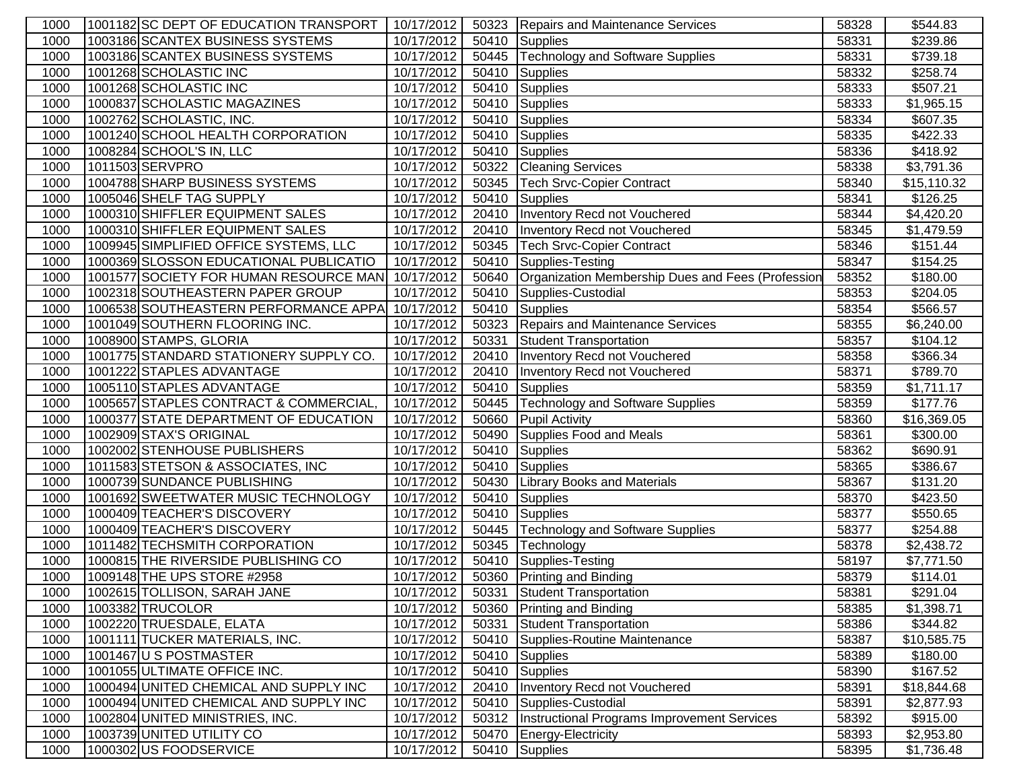| 1000 | 1001182 SC DEPT OF EDUCATION TRANSPORT | 10/17/2012           |       | 50323 Repairs and Maintenance Services            | 58328 | \$544.83                |
|------|----------------------------------------|----------------------|-------|---------------------------------------------------|-------|-------------------------|
| 1000 | 1003186 SCANTEX BUSINESS SYSTEMS       | 10/17/2012           |       | 50410 Supplies                                    | 58331 | \$239.86                |
| 1000 | 1003186 SCANTEX BUSINESS SYSTEMS       | 10/17/2012           | 50445 | Technology and Software Supplies                  | 58331 | \$739.18                |
| 1000 | 1001268 SCHOLASTIC INC                 | 10/17/2012           | 50410 | Supplies                                          | 58332 | \$258.74                |
| 1000 | 1001268 SCHOLASTIC INC                 | 10/17/2012           | 50410 | Supplies                                          | 58333 | \$507.21                |
| 1000 | 1000837 SCHOLASTIC MAGAZINES           | 10/17/2012           | 50410 | Supplies                                          | 58333 | \$1,965.15              |
| 1000 | 1002762 SCHOLASTIC, INC.               | 10/17/2012           | 50410 | Supplies                                          | 58334 | \$607.35                |
| 1000 | 1001240 SCHOOL HEALTH CORPORATION      | 10/17/2012           | 50410 | Supplies                                          | 58335 | \$422.33                |
| 1000 | 1008284 SCHOOL'S IN, LLC               | 10/17/2012           | 50410 | Supplies                                          | 58336 | \$418.92                |
| 1000 | 1011503 SERVPRO                        | 10/17/2012           | 50322 | <b>Cleaning Services</b>                          | 58338 | \$3,791.36              |
| 1000 | 1004788 SHARP BUSINESS SYSTEMS         | 10/17/2012           | 50345 | Tech Srvc-Copier Contract                         | 58340 | \$15,110.32             |
| 1000 | 1005046 SHELF TAG SUPPLY               | 10/17/2012           | 50410 | Supplies                                          | 58341 | \$126.25                |
| 1000 | 1000310 SHIFFLER EQUIPMENT SALES       | 10/17/2012           | 20410 | Inventory Recd not Vouchered                      | 58344 | \$4,420.20              |
| 1000 | 1000310 SHIFFLER EQUIPMENT SALES       | 10/17/2012           | 20410 | Inventory Recd not Vouchered                      | 58345 | \$1,479.59              |
| 1000 | 1009945 SIMPLIFIED OFFICE SYSTEMS, LLC | 10/17/2012           | 50345 | Tech Srvc-Copier Contract                         | 58346 | \$151.44                |
| 1000 | 1000369 SLOSSON EDUCATIONAL PUBLICATIO | 10/17/2012           | 50410 | Supplies-Testing                                  | 58347 | \$154.25                |
| 1000 | 1001577 SOCIETY FOR HUMAN RESOURCE MAN | 10/17/2012           | 50640 | Organization Membership Dues and Fees (Profession | 58352 | \$180.00                |
| 1000 | 1002318 SOUTHEASTERN PAPER GROUP       | 10/17/2012           | 50410 | Supplies-Custodial                                | 58353 | \$204.05                |
| 1000 | 1006538 SOUTHEASTERN PERFORMANCE APPA  | 10/17/2012           | 50410 | Supplies                                          | 58354 | \$566.57                |
| 1000 | 1001049 SOUTHERN FLOORING INC.         | 10/17/2012           | 50323 | Repairs and Maintenance Services                  | 58355 | \$6,240.00              |
| 1000 | 1008900 STAMPS, GLORIA                 | 10/17/2012           | 50331 | <b>Student Transportation</b>                     | 58357 | \$104.12                |
| 1000 | 1001775 STANDARD STATIONERY SUPPLY CO. | 10/17/2012           | 20410 | Inventory Recd not Vouchered                      | 58358 | \$366.34                |
| 1000 | 1001222 STAPLES ADVANTAGE              | 10/17/2012           | 20410 | Inventory Recd not Vouchered                      | 58371 | \$789.70                |
| 1000 | 1005110 STAPLES ADVANTAGE              | 10/17/2012           | 50410 | <b>Supplies</b>                                   | 58359 | \$1,711.17              |
| 1000 | 1005657 STAPLES CONTRACT & COMMERCIAL  | 10/17/2012           | 50445 | <b>Technology and Software Supplies</b>           | 58359 | \$177.76                |
| 1000 | 1000377 STATE DEPARTMENT OF EDUCATION  | 10/17/2012           | 50660 | <b>Pupil Activity</b>                             | 58360 | $\overline{$}16,369.05$ |
| 1000 | 1002909 STAX'S ORIGINAL                | 10/17/2012           | 50490 | Supplies Food and Meals                           | 58361 | \$300.00                |
| 1000 | 1002002 STENHOUSE PUBLISHERS           | 10/17/2012           | 50410 | Supplies                                          | 58362 | \$690.91                |
| 1000 | 1011583 STETSON & ASSOCIATES, INC      | 10/17/2012           | 50410 | Supplies                                          | 58365 | \$386.67                |
| 1000 | 1000739 SUNDANCE PUBLISHING            | 10/17/2012           | 50430 | <b>Library Books and Materials</b>                | 58367 | \$131.20                |
| 1000 | 1001692 SWEETWATER MUSIC TECHNOLOGY    | 10/17/2012           | 50410 | Supplies                                          | 58370 | \$423.50                |
| 1000 | 1000409 TEACHER'S DISCOVERY            | 10/17/2012           | 50410 | Supplies                                          | 58377 | \$550.65                |
| 1000 | 1000409 TEACHER'S DISCOVERY            | $\frac{10}{17/2012}$ | 50445 | <b>Technology and Software Supplies</b>           | 58377 | \$254.88                |
| 1000 | 1011482 TECHSMITH CORPORATION          | 10/17/2012           |       | 50345 Technology                                  | 58378 | \$2,438.72              |
| 1000 | 1000815 THE RIVERSIDE PUBLISHING CO    | 10/17/2012           |       | 50410 Supplies-Testing                            | 58197 | \$7,771.50              |
| 1000 | 1009148 THE UPS STORE #2958            | 10/17/2012           |       | 50360 Printing and Binding                        | 58379 | \$114.01                |
| 1000 | 1002615 TOLLISON, SARAH JANE           | 10/17/2012           |       | 50331 Student Transportation                      | 58381 | \$291.04                |
| 1000 | 1003382 TRUCOLOR                       | 10/17/2012           |       | 50360 Printing and Binding                        | 58385 | \$1,398.71              |
| 1000 | 1002220 TRUESDALE, ELATA               | 10/17/2012           | 50331 | Student Transportation                            | 58386 | \$344.82                |
| 1000 | 1001111 TUCKER MATERIALS, INC.         | 10/17/2012           | 50410 | Supplies-Routine Maintenance                      | 58387 | \$10,585.75             |
| 1000 | 1001467U S POSTMASTER                  | 10/17/2012           |       | 50410 Supplies                                    | 58389 | \$180.00                |
| 1000 | 1001055 ULTIMATE OFFICE INC.           | 10/17/2012           |       | 50410 Supplies                                    | 58390 | \$167.52                |
| 1000 | 1000494 UNITED CHEMICAL AND SUPPLY INC | 10/17/2012           | 20410 | Inventory Recd not Vouchered                      | 58391 | \$18,844.68             |
| 1000 | 1000494 UNITED CHEMICAL AND SUPPLY INC | 10/17/2012           | 50410 | Supplies-Custodial                                | 58391 | \$2,877.93              |
| 1000 | 1002804 UNITED MINISTRIES, INC.        | 10/17/2012           | 50312 | Instructional Programs Improvement Services       | 58392 | \$915.00                |
| 1000 | 1003739 UNITED UTILITY CO              | 10/17/2012           | 50470 | Energy-Electricity                                | 58393 | \$2,953.80              |
| 1000 | 1000302 US FOODSERVICE                 | 10/17/2012           | 50410 | Supplies                                          | 58395 | \$1,736.48              |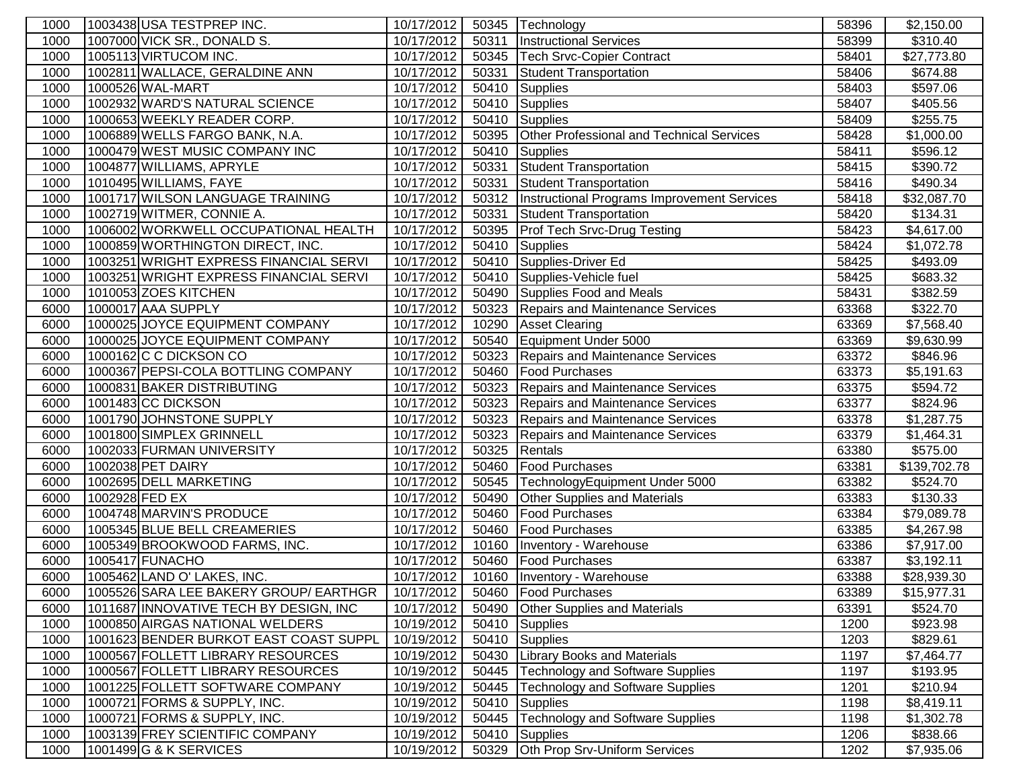| 1000         |                | 1003438 USA TESTPREP INC.              | 10/17/2012               |                | 50345 Technology                                    | 58396          | \$2,150.00               |
|--------------|----------------|----------------------------------------|--------------------------|----------------|-----------------------------------------------------|----------------|--------------------------|
| 1000         |                | 1007000 VICK SR., DONALD S.            | 10/17/2012               | 50311          | <b>Instructional Services</b>                       | 58399          | \$310.40                 |
| 1000         |                | 1005113 VIRTUCOM INC.                  | 10/17/2012               | 50345          | Tech Srvc-Copier Contract                           | 58401          | \$27,773.80              |
| 1000         |                | 1002811 WALLACE, GERALDINE ANN         | 10/17/2012               | 50331          | Student Transportation                              | 58406          | \$674.88                 |
| 1000         |                | 1000526 WAL-MART                       | 10/17/2012               | 50410          | Supplies                                            | 58403          | \$597.06                 |
| 1000         |                | 1002932 WARD'S NATURAL SCIENCE         | 10/17/2012               | 50410          | Supplies                                            | 58407          | \$405.56                 |
| 1000         |                | 1000653 WEEKLY READER CORP.            | 10/17/2012               | 50410          | Supplies                                            | 58409          | \$255.75                 |
| 1000         |                | 1006889 WELLS FARGO BANK, N.A.         | 10/17/2012               | 50395          | Other Professional and Technical Services           | 58428          | \$1,000.00               |
| 1000         |                | 1000479 WEST MUSIC COMPANY INC         | 10/17/2012               | 50410          | Supplies                                            | 58411          | \$596.12                 |
| 1000         |                | 1004877 WILLIAMS, APRYLE               | 10/17/2012               | 50331          | Student Transportation                              | 58415          | \$390.72                 |
| 1000         |                | 1010495 WILLIAMS, FAYE                 | 10/17/2012               | 50331          | Student Transportation                              | 58416          | \$490.34                 |
| 1000         |                | 1001717 WILSON LANGUAGE TRAINING       | 10/17/2012               |                | 50312   Instructional Programs Improvement Services | 58418          | \$32,087.70              |
| 1000         |                | 1002719 WITMER, CONNIE A.              | 10/17/2012               | 50331          | Student Transportation                              | 58420          | \$134.31                 |
| 1000         |                | 1006002 WORKWELL OCCUPATIONAL HEALTH   | 10/17/2012               | 50395          | <b>Prof Tech Srvc-Drug Testing</b>                  | 58423          | \$4,617.00               |
| 1000         |                | 1000859 WORTHINGTON DIRECT, INC.       | 10/17/2012               |                | 50410 Supplies                                      | 58424          | \$1,072.78               |
| 1000         |                | 1003251 WRIGHT EXPRESS FINANCIAL SERVI | 10/17/2012               | 50410          | Supplies-Driver Ed                                  | 58425          | \$493.09                 |
| 1000         |                | 1003251 WRIGHT EXPRESS FINANCIAL SERVI | 10/17/2012               | 50410          | Supplies-Vehicle fuel                               | 58425          | \$683.32                 |
| 1000         |                | 1010053 ZOES KITCHEN                   | 10/17/2012               | 50490          | Supplies Food and Meals                             | 58431          | \$382.59                 |
| 6000         |                | 1000017 AAA SUPPLY                     | 10/17/2012               | 50323          | Repairs and Maintenance Services                    | 63368          | \$322.70                 |
| 6000         |                | 1000025 JOYCE EQUIPMENT COMPANY        | 10/17/2012               | 10290          | <b>Asset Clearing</b>                               | 63369          | \$7,568.40               |
| 6000         |                | 1000025 JOYCE EQUIPMENT COMPANY        | 10/17/2012               | 50540          | Equipment Under 5000                                | 63369          | \$9,630.99               |
| 6000         |                | 1000162 C C DICKSON CO                 | 10/17/2012               | 50323          | <b>Repairs and Maintenance Services</b>             | 63372          | \$846.96                 |
| 6000         |                | 1000367 PEPSI-COLA BOTTLING COMPANY    | 10/17/2012               | 50460          | <b>Food Purchases</b>                               | 63373          | \$5,191.63               |
| 6000         |                | 1000831 BAKER DISTRIBUTING             | 10/17/2012               | 50323          | Repairs and Maintenance Services                    | 63375          | \$594.72                 |
| 6000         |                | 1001483 CC DICKSON                     | 10/17/2012               | 50323          | <b>Repairs and Maintenance Services</b>             | 63377          | \$824.96                 |
| 6000         |                | 1001790 JOHNSTONE SUPPLY               | 10/17/2012               | 50323          | Repairs and Maintenance Services                    | 63378          | \$1,287.75               |
| 6000         |                | 1001800 SIMPLEX GRINNELL               | 10/17/2012               | 50323          | Repairs and Maintenance Services                    | 63379          | \$1,464.31               |
| 6000         |                | 1002033 FURMAN UNIVERSITY              | 10/17/2012               | 50325          | Rentals                                             | 63380          | \$575.00                 |
| 6000         |                | 1002038 PET DAIRY                      | 10/17/2012               | 50460          | <b>Food Purchases</b>                               | 63381          | \$139,702.78             |
| 6000         |                | 1002695 DELL MARKETING                 | 10/17/2012               | 50545          | TechnologyEquipment Under 5000                      | 63382          | \$524.70                 |
| 6000         | 1002928 FED EX | 1004748 MARVIN'S PRODUCE               | $\sqrt{10/17/2012}$      | 50490          | <b>Other Supplies and Materials</b>                 | 63383          | \$130.33                 |
| 6000<br>6000 |                | 1005345 BLUE BELL CREAMERIES           | 10/17/2012<br>10/17/2012 | 50460<br>50460 | <b>Food Purchases</b><br><b>Food Purchases</b>      | 63384<br>63385 | \$79,089.78              |
| 6000         |                | 1005349 BROOKWOOD FARMS, INC.          | 10/17/2012               | 10160          | Inventory - Warehouse                               | 63386          | \$4,267.98<br>\$7,917.00 |
| 6000         |                | 1005417 FUNACHO                        | 10/17/2012               | 50460          | <b>Food Purchases</b>                               | 63387          | \$3,192.11               |
| 6000         |                | 1005462 LAND O' LAKES, INC.            | 10/17/2012               | 10160          | Inventory - Warehouse                               | 63388          | \$28,939.30              |
| 6000         |                | 1005526 SARA LEE BAKERY GROUP/ EARTHGR | 10/17/2012               | 50460          | <b>Food Purchases</b>                               | 63389          | \$15,977.31              |
| 6000         |                | 1011687 INNOVATIVE TECH BY DESIGN, INC | 10/17/2012               | 50490          | <b>Other Supplies and Materials</b>                 | 63391          | \$524.70                 |
| 1000         |                | 1000850 AIRGAS NATIONAL WELDERS        | 10/19/2012               | 50410          | Supplies                                            | 1200           | \$923.98                 |
| 1000         |                | 1001623 BENDER BURKOT EAST COAST SUPPL | 10/19/2012               | 50410          | Supplies                                            | 1203           | \$829.61                 |
| 1000         |                | 1000567 FOLLETT LIBRARY RESOURCES      | 10/19/2012               | 50430          | <b>Library Books and Materials</b>                  | 1197           | \$7,464.77               |
| 1000         |                | 1000567 FOLLETT LIBRARY RESOURCES      | 10/19/2012               | 50445          | <b>Technology and Software Supplies</b>             | 1197           | \$193.95                 |
| 1000         |                | 1001225 FOLLETT SOFTWARE COMPANY       | 10/19/2012               | 50445          | <b>Technology and Software Supplies</b>             | 1201           | \$210.94                 |
| 1000         |                | 1000721 FORMS & SUPPLY, INC.           | 10/19/2012               | 50410          | <b>Supplies</b>                                     | 1198           | \$8,419.11               |
| 1000         |                | 1000721 FORMS & SUPPLY, INC.           | 10/19/2012               | 50445          | <b>Technology and Software Supplies</b>             | 1198           | \$1,302.78               |
| 1000         |                | 1003139 FREY SCIENTIFIC COMPANY        | 10/19/2012               | 50410          | Supplies                                            | 1206           | \$838.66                 |
| 1000         |                | 1001499 G & K SERVICES                 | 10/19/2012               | 50329          | Oth Prop Srv-Uniform Services                       | 1202           | \$7,935.06               |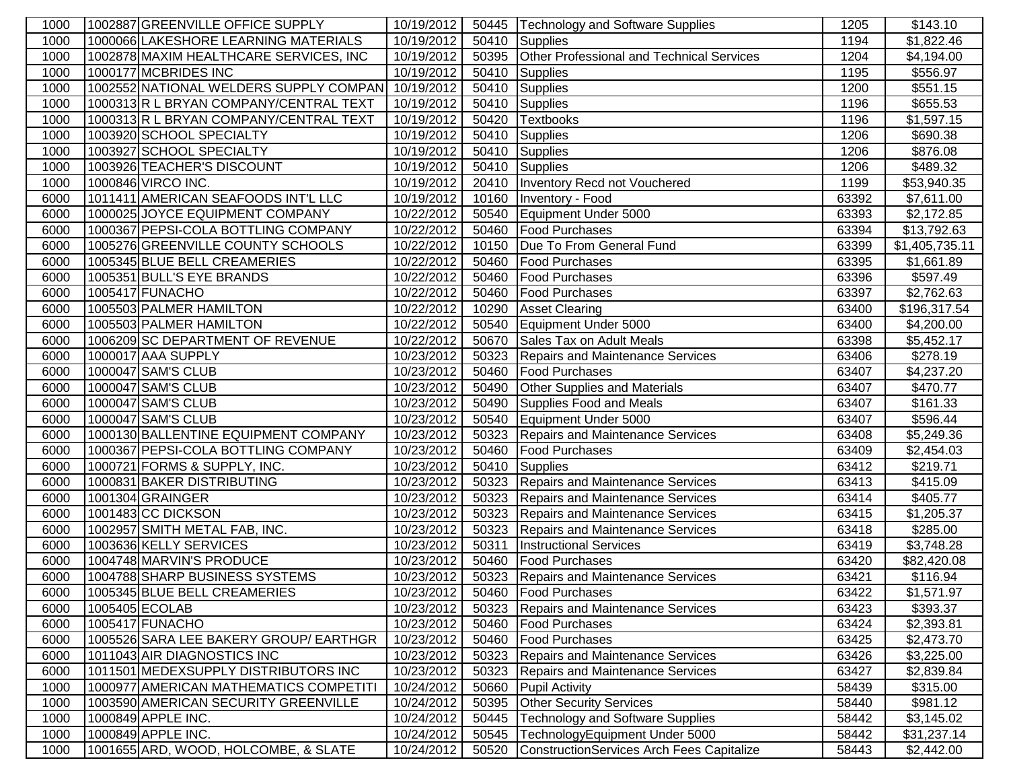| 1000 | 1002887 GREENVILLE OFFICE SUPPLY                  | 10/19/2012 |       | 50445   Technology and Software Supplies  | 1205  | \$143.10                |
|------|---------------------------------------------------|------------|-------|-------------------------------------------|-------|-------------------------|
| 1000 | 1000066 LAKESHORE LEARNING MATERIALS              | 10/19/2012 | 50410 | Supplies                                  | 1194  | \$1,822.46              |
| 1000 | 1002878 MAXIM HEALTHCARE SERVICES, INC            | 10/19/2012 | 50395 | Other Professional and Technical Services | 1204  | \$4,194.00              |
| 1000 | 1000177 MCBRIDES INC                              | 10/19/2012 | 50410 | Supplies                                  | 1195  | \$556.97                |
| 1000 | 1002552 NATIONAL WELDERS SUPPLY COMPAN 10/19/2012 |            | 50410 | Supplies                                  | 1200  | \$551.15                |
| 1000 | 1000313R L BRYAN COMPANY/CENTRAL TEXT             | 10/19/2012 | 50410 | Supplies                                  | 1196  | \$655.53                |
| 1000 | 1000313R L BRYAN COMPANY/CENTRAL TEXT             | 10/19/2012 | 50420 | <b>Textbooks</b>                          | 1196  | \$1,597.15              |
| 1000 | 1003920 SCHOOL SPECIALTY                          | 10/19/2012 | 50410 | Supplies                                  | 1206  | \$690.38                |
| 1000 | 1003927 SCHOOL SPECIALTY                          | 10/19/2012 | 50410 | Supplies                                  | 1206  | \$876.08                |
| 1000 | 1003926 TEACHER'S DISCOUNT                        | 10/19/2012 | 50410 | Supplies                                  | 1206  | \$489.32                |
| 1000 | 1000846 VIRCO INC.                                | 10/19/2012 | 20410 | Inventory Recd not Vouchered              | 1199  | \$53,940.35             |
| 6000 | 1011411 AMERICAN SEAFOODS INT'L LLC               | 10/19/2012 | 10160 | Inventory - Food                          | 63392 | \$7,611.00              |
| 6000 | 1000025 JOYCE EQUIPMENT COMPANY                   | 10/22/2012 | 50540 | Equipment Under 5000                      | 63393 | \$2,172.85              |
| 6000 | 1000367 PEPSI-COLA BOTTLING COMPANY               | 10/22/2012 | 50460 | <b>Food Purchases</b>                     | 63394 | \$13,792.63             |
| 6000 | 1005276 GREENVILLE COUNTY SCHOOLS                 | 10/22/2012 | 10150 | Due To From General Fund                  | 63399 | \$1,405,735.11          |
| 6000 | 1005345 BLUE BELL CREAMERIES                      | 10/22/2012 | 50460 | <b>Food Purchases</b>                     | 63395 | \$1,661.89              |
| 6000 | 1005351 BULL'S EYE BRANDS                         | 10/22/2012 | 50460 | <b>Food Purchases</b>                     | 63396 | \$597.49                |
| 6000 | 1005417 FUNACHO                                   | 10/22/2012 | 50460 | <b>Food Purchases</b>                     | 63397 | \$2,762.63              |
| 6000 | 1005503 PALMER HAMILTON                           | 10/22/2012 | 10290 | <b>Asset Clearing</b>                     | 63400 | \$196,317.54            |
| 6000 | 1005503 PALMER HAMILTON                           | 10/22/2012 | 50540 | Equipment Under 5000                      | 63400 | \$4,200.00              |
| 6000 | 1006209 SC DEPARTMENT OF REVENUE                  | 10/22/2012 | 50670 | Sales Tax on Adult Meals                  | 63398 | \$5,452.17              |
| 6000 | 1000017 AAA SUPPLY                                | 10/23/2012 | 50323 | <b>Repairs and Maintenance Services</b>   | 63406 | \$278.19                |
| 6000 | 1000047 SAM'S CLUB                                | 10/23/2012 | 50460 | <b>Food Purchases</b>                     | 63407 | \$4,237.20              |
| 6000 | 1000047 SAM'S CLUB                                | 10/23/2012 | 50490 | <b>Other Supplies and Materials</b>       | 63407 | \$470.77                |
| 6000 | <b>1000047 SAM'S CLUB</b>                         | 10/23/2012 | 50490 | Supplies Food and Meals                   | 63407 | \$161.33                |
| 6000 | 1000047 SAM'S CLUB                                | 10/23/2012 | 50540 | Equipment Under 5000                      | 63407 | \$596.44                |
| 6000 | 1000130 BALLENTINE EQUIPMENT COMPANY              | 10/23/2012 | 50323 | Repairs and Maintenance Services          | 63408 | \$5,249.36              |
| 6000 | 1000367 PEPSI-COLA BOTTLING COMPANY               | 10/23/2012 | 50460 | <b>Food Purchases</b>                     | 63409 | \$2,454.03              |
| 6000 | 1000721 FORMS & SUPPLY, INC.                      | 10/23/2012 | 50410 | Supplies                                  | 63412 | \$219.71                |
| 6000 | 1000831 BAKER DISTRIBUTING                        | 10/23/2012 | 50323 | Repairs and Maintenance Services          | 63413 | \$415.09                |
| 6000 | 1001304 GRAINGER                                  | 10/23/2012 | 50323 | Repairs and Maintenance Services          | 63414 | \$405.77                |
| 6000 | 1001483 CC DICKSON                                | 10/23/2012 | 50323 | Repairs and Maintenance Services          | 63415 | $\overline{\$1,}205.37$ |
| 6000 | 1002957 SMITH METAL FAB, INC.                     | 10/23/2012 | 50323 | Repairs and Maintenance Services          | 63418 | \$285.00                |
| 6000 | 1003636 KELLY SERVICES                            | 10/23/2012 | 50311 | <b>Instructional Services</b>             | 63419 | \$3,748.28              |
| 6000 | 1004748 MARVIN'S PRODUCE                          | 10/23/2012 | 50460 | <b>Food Purchases</b>                     | 63420 | \$82,420.08             |
| 6000 | 1004788 SHARP BUSINESS SYSTEMS                    | 10/23/2012 |       | 50323 Repairs and Maintenance Services    | 63421 | \$116.94                |
| 6000 | 1005345 BLUE BELL CREAMERIES                      | 10/23/2012 |       | 50460   Food Purchases                    | 63422 | \$1,571.97              |
| 6000 | 1005405 ECOLAB                                    | 10/23/2012 | 50323 | <b>Repairs and Maintenance Services</b>   | 63423 | \$393.37                |
| 6000 | 1005417 FUNACHO                                   | 10/23/2012 | 50460 | <b>Food Purchases</b>                     | 63424 | \$2,393.81              |
| 6000 | 1005526 SARA LEE BAKERY GROUP/ EARTHGR            | 10/23/2012 | 50460 | <b>Food Purchases</b>                     | 63425 | \$2,473.70              |
| 6000 | 1011043 AIR DIAGNOSTICS INC                       | 10/23/2012 | 50323 | Repairs and Maintenance Services          | 63426 | \$3,225.00              |
| 6000 | 1011501 MEDEXSUPPLY DISTRIBUTORS INC              | 10/23/2012 | 50323 | <b>Repairs and Maintenance Services</b>   | 63427 | \$2,839.84              |
| 1000 | 1000977 AMERICAN MATHEMATICS COMPETITI            | 10/24/2012 | 50660 | <b>Pupil Activity</b>                     | 58439 | \$315.00                |
| 1000 | 1003590 AMERICAN SECURITY GREENVILLE              | 10/24/2012 | 50395 | <b>Other Security Services</b>            | 58440 | \$981.12                |
| 1000 | 1000849 APPLE INC.                                | 10/24/2012 | 50445 | <b>Technology and Software Supplies</b>   | 58442 | \$3,145.02              |
| 1000 | 1000849 APPLE INC.                                | 10/24/2012 | 50545 | TechnologyEquipment Under 5000            | 58442 | \$31,237.14             |
| 1000 | 1001655 ARD, WOOD, HOLCOMBE, & SLATE              | 10/24/2012 | 50520 | ConstructionServices Arch Fees Capitalize | 58443 | \$2,442.00              |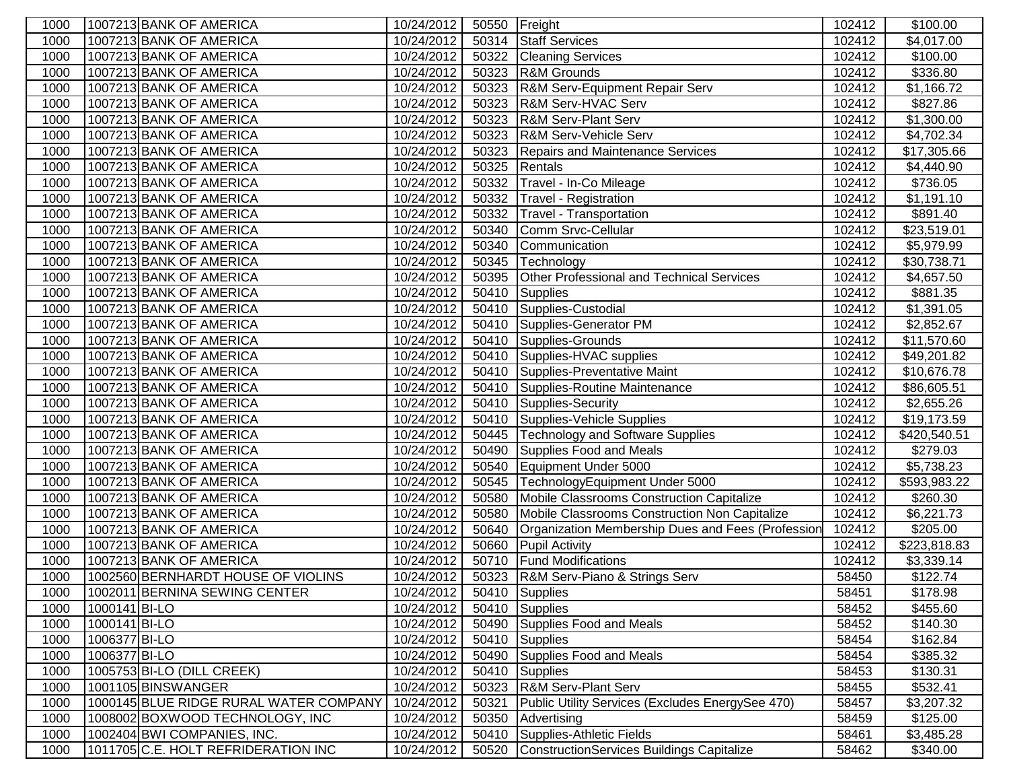| 1000 |               | 1007213 BANK OF AMERICA                | 10/24/2012 | 50550 Freight |                                                   | 102412 | \$100.00     |
|------|---------------|----------------------------------------|------------|---------------|---------------------------------------------------|--------|--------------|
| 1000 |               | 1007213 BANK OF AMERICA                | 10/24/2012 |               | 50314 Staff Services                              | 102412 | \$4,017.00   |
| 1000 |               | 1007213 BANK OF AMERICA                | 10/24/2012 | 50322         | <b>Cleaning Services</b>                          | 102412 | \$100.00     |
| 1000 |               | 1007213 BANK OF AMERICA                | 10/24/2012 | 50323         | <b>R&amp;M Grounds</b>                            | 102412 | \$336.80     |
| 1000 |               | 1007213 BANK OF AMERICA                | 10/24/2012 | 50323         | R&M Serv-Equipment Repair Serv                    | 102412 | \$1,166.72   |
| 1000 |               | 1007213 BANK OF AMERICA                | 10/24/2012 | 50323         | R&M Serv-HVAC Serv                                | 102412 | \$827.86     |
| 1000 |               | 1007213 BANK OF AMERICA                | 10/24/2012 | 50323         | R&M Serv-Plant Serv                               | 102412 | \$1,300.00   |
| 1000 |               | 1007213 BANK OF AMERICA                | 10/24/2012 | 50323         | <b>R&amp;M Serv-Vehicle Serv</b>                  | 102412 | \$4,702.34   |
| 1000 |               | 1007213 BANK OF AMERICA                | 10/24/2012 | 50323         | Repairs and Maintenance Services                  | 102412 | \$17,305.66  |
| 1000 |               | 1007213 BANK OF AMERICA                | 10/24/2012 | 50325         | Rentals                                           | 102412 | \$4,440.90   |
| 1000 |               | 1007213 BANK OF AMERICA                | 10/24/2012 | 50332         | Travel - In-Co Mileage                            | 102412 | \$736.05     |
| 1000 |               | 1007213 BANK OF AMERICA                | 10/24/2012 | 50332         | Travel - Registration                             | 102412 | \$1,191.10   |
| 1000 |               | 1007213 BANK OF AMERICA                | 10/24/2012 | 50332         | Travel - Transportation                           | 102412 | \$891.40     |
| 1000 |               | 1007213 BANK OF AMERICA                | 10/24/2012 | 50340         | Comm Srvc-Cellular                                | 102412 | \$23,519.01  |
| 1000 |               | 1007213 BANK OF AMERICA                | 10/24/2012 | 50340         | Communication                                     | 102412 | \$5,979.99   |
| 1000 |               | 1007213 BANK OF AMERICA                | 10/24/2012 | 50345         | Technology                                        | 102412 | \$30,738.71  |
| 1000 |               | 1007213 BANK OF AMERICA                | 10/24/2012 | 50395         | Other Professional and Technical Services         | 102412 | \$4,657.50   |
| 1000 |               | 1007213 BANK OF AMERICA                | 10/24/2012 | 50410         | Supplies                                          | 102412 | \$881.35     |
| 1000 |               | 1007213 BANK OF AMERICA                | 10/24/2012 | 50410         | Supplies-Custodial                                | 102412 | \$1,391.05   |
| 1000 |               | 1007213 BANK OF AMERICA                | 10/24/2012 | 50410         | Supplies-Generator PM                             | 102412 | \$2,852.67   |
| 1000 |               | 1007213 BANK OF AMERICA                | 10/24/2012 | 50410         | Supplies-Grounds                                  | 102412 | \$11,570.60  |
| 1000 |               | 1007213 BANK OF AMERICA                | 10/24/2012 | 50410         | Supplies-HVAC supplies                            | 102412 | \$49,201.82  |
| 1000 |               | 1007213 BANK OF AMERICA                | 10/24/2012 | 50410         | Supplies-Preventative Maint                       | 102412 | \$10,676.78  |
| 1000 |               | 1007213 BANK OF AMERICA                | 10/24/2012 | 50410         | Supplies-Routine Maintenance                      | 102412 | \$86,605.51  |
| 1000 |               | 1007213 BANK OF AMERICA                | 10/24/2012 |               | 50410 Supplies-Security                           | 102412 | \$2,655.26   |
| 1000 |               | 1007213 BANK OF AMERICA                | 10/24/2012 |               | 50410 Supplies-Vehicle Supplies                   | 102412 | \$19,173.59  |
| 1000 |               | 1007213 BANK OF AMERICA                | 10/24/2012 | 50445         | Technology and Software Supplies                  | 102412 | \$420,540.51 |
| 1000 |               | 1007213 BANK OF AMERICA                | 10/24/2012 | 50490         | Supplies Food and Meals                           | 102412 | \$279.03     |
| 1000 |               | 1007213 BANK OF AMERICA                | 10/24/2012 | 50540         | Equipment Under 5000                              | 102412 | \$5,738.23   |
| 1000 |               | 1007213 BANK OF AMERICA                | 10/24/2012 | 50545         | TechnologyEquipment Under 5000                    | 102412 | \$593,983.22 |
| 1000 |               | 1007213 BANK OF AMERICA                | 10/24/2012 | 50580         | Mobile Classrooms Construction Capitalize         | 102412 | \$260.30     |
| 1000 |               | 1007213 BANK OF AMERICA                | 10/24/2012 | 50580         | Mobile Classrooms Construction Non Capitalize     | 102412 | \$6,221.73   |
| 1000 |               | 1007213 BANK OF AMERICA                | 10/24/2012 | 50640         | Organization Membership Dues and Fees (Profession | 102412 | \$205.00     |
| 1000 |               | 1007213 BANK OF AMERICA                | 10/24/2012 | 50660         | <b>Pupil Activity</b>                             | 102412 | \$223,818.83 |
| 1000 |               | 1007213 BANK OF AMERICA                | 10/24/2012 | 50710         | <b>Fund Modifications</b>                         | 102412 | \$3,339.14   |
| 1000 |               | 1002560 BERNHARDT HOUSE OF VIOLINS     | 10/24/2012 |               | 50323   R&M Serv-Piano & Strings Serv             | 58450  | \$122.74     |
| 1000 |               | 1002011 BERNINA SEWING CENTER          | 10/24/2012 |               | 50410 Supplies                                    | 58451  | \$178.98     |
| 1000 | 1000141 BI-LO |                                        | 10/24/2012 | 50410         | Supplies                                          | 58452  | \$455.60     |
| 1000 | 1000141 BI-LO |                                        | 10/24/2012 | 50490         | Supplies Food and Meals                           | 58452  | \$140.30     |
| 1000 | 1006377 BI-LO |                                        | 10/24/2012 |               | 50410 Supplies                                    | 58454  | \$162.84     |
| 1000 | 1006377 BI-LO |                                        | 10/24/2012 | 50490         | Supplies Food and Meals                           | 58454  | \$385.32     |
| 1000 |               | 1005753 BI-LO (DILL CREEK)             | 10/24/2012 |               | 50410 Supplies                                    | 58453  | \$130.31     |
| 1000 |               | 1001105 BINSWANGER                     | 10/24/2012 |               | 50323   R&M Serv-Plant Serv                       | 58455  | \$532.41     |
| 1000 |               | 1000145 BLUE RIDGE RURAL WATER COMPANY | 10/24/2012 | 50321         | Public Utility Services (Excludes EnergySee 470)  | 58457  | \$3,207.32   |
| 1000 |               | 1008002 BOXWOOD TECHNOLOGY, INC        | 10/24/2012 | 50350         | Advertising                                       | 58459  | \$125.00     |
| 1000 |               | 1002404 BWI COMPANIES, INC.            | 10/24/2012 | 50410         | Supplies-Athletic Fields                          | 58461  | \$3,485.28   |
| 1000 |               | 1011705 C.E. HOLT REFRIDERATION INC    | 10/24/2012 | 50520         | ConstructionServices Buildings Capitalize         | 58462  | \$340.00     |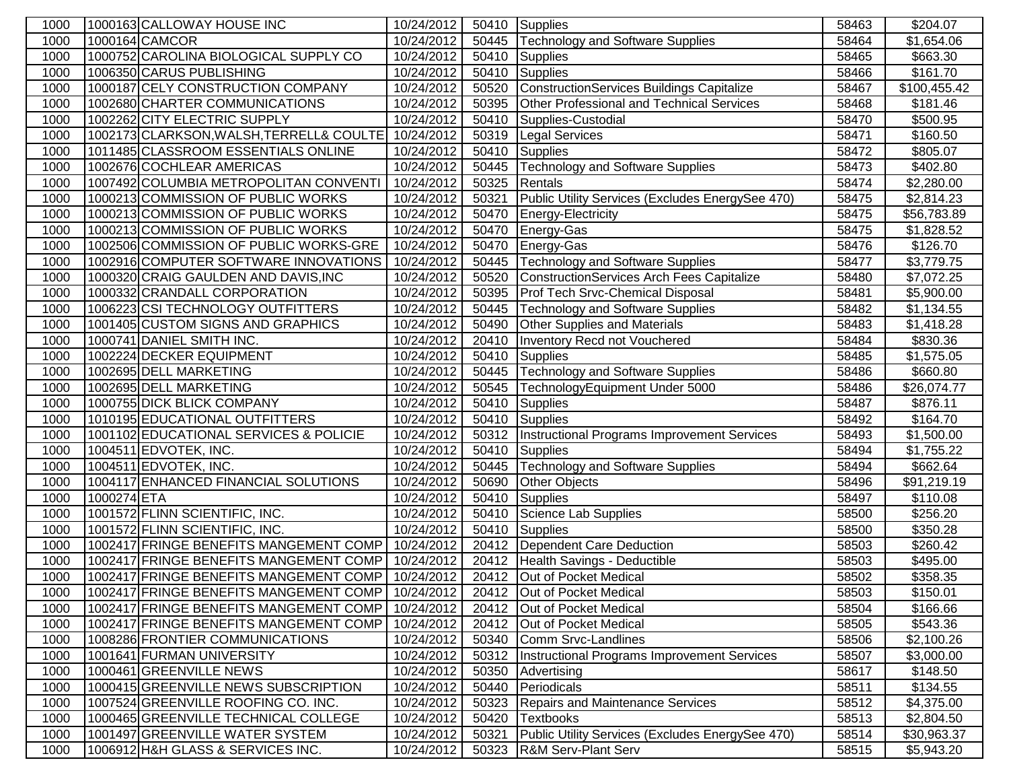| 1000         |             | 1000163 CALLOWAY HOUSE INC               | 10/24/2012               | 50410          | Supplies                                         | 58463          | \$204.07              |
|--------------|-------------|------------------------------------------|--------------------------|----------------|--------------------------------------------------|----------------|-----------------------|
| 1000         |             | 1000164 CAMCOR                           | 10/24/2012               | 50445          | <b>Technology and Software Supplies</b>          | 58464          | \$1,654.06            |
| 1000         |             | 1000752 CAROLINA BIOLOGICAL SUPPLY CO    | 10/24/2012               | 50410          | Supplies                                         | 58465          | \$663.30              |
| 1000         |             | 1006350 CARUS PUBLISHING                 | 10/24/2012               | 50410          | Supplies                                         | 58466          | \$161.70              |
| 1000         |             | 1000187 CELY CONSTRUCTION COMPANY        | 10/24/2012               | 50520          | ConstructionServices Buildings Capitalize        | 58467          | \$100,455.42          |
| 1000         |             | 1002680 CHARTER COMMUNICATIONS           | 10/24/2012               | 50395          | Other Professional and Technical Services        | 58468          | \$181.46              |
| 1000         |             | 1002262 CITY ELECTRIC SUPPLY             | 10/24/2012               | 50410          | Supplies-Custodial                               | 58470          | \$500.95              |
| 1000         |             | 1002173 CLARKSON, WALSH, TERRELL& COULTE | 10/24/2012               | 50319          | <b>Legal Services</b>                            | 58471          | \$160.50              |
| 1000         |             | 1011485 CLASSROOM ESSENTIALS ONLINE      | 10/24/2012               | 50410          | Supplies                                         | 58472          | \$805.07              |
| 1000         |             | 1002676 COCHLEAR AMERICAS                | 10/24/2012               | 50445          | <b>Technology and Software Supplies</b>          | 58473          | \$402.80              |
| 1000         |             | 1007492 COLUMBIA METROPOLITAN CONVENTI   | 10/24/2012               | 50325          | Rentals                                          | 58474          | \$2,280.00            |
| 1000         |             | 1000213 COMMISSION OF PUBLIC WORKS       | 10/24/2012               | 50321          | Public Utility Services (Excludes EnergySee 470) | 58475          | \$2,814.23            |
| 1000         |             | 1000213 COMMISSION OF PUBLIC WORKS       | 10/24/2012               | 50470          | Energy-Electricity                               | 58475          | \$56,783.89           |
| 1000         |             | 1000213 COMMISSION OF PUBLIC WORKS       | 10/24/2012               | 50470          | Energy-Gas                                       | 58475          | \$1,828.52            |
| 1000         |             | 1002506 COMMISSION OF PUBLIC WORKS-GRE   | 10/24/2012               | 50470          | Energy-Gas                                       | 58476          | \$126.70              |
| 1000         |             | 1002916 COMPUTER SOFTWARE INNOVATIONS    | 10/24/2012               | 50445          | Technology and Software Supplies                 | 58477          | \$3,779.75            |
| 1000         |             | 1000320 CRAIG GAULDEN AND DAVIS, INC     | 10/24/2012               | 50520          | <b>ConstructionServices Arch Fees Capitalize</b> | 58480          | \$7,072.25            |
| 1000         |             | 1000332 CRANDALL CORPORATION             | 10/24/2012               | 50395          | Prof Tech Srvc-Chemical Disposal                 | 58481          | \$5,900.00            |
| 1000         |             | 1006223 CSI TECHNOLOGY OUTFITTERS        | 10/24/2012               | 50445          | <b>Technology and Software Supplies</b>          | 58482          | \$1,134.55            |
| 1000         |             | 1001405 CUSTOM SIGNS AND GRAPHICS        | 10/24/2012               | 50490          | Other Supplies and Materials                     | 58483          | \$1,418.28            |
| 1000         |             | 1000741 DANIEL SMITH INC.                | 10/24/2012               | 20410          | Inventory Recd not Vouchered                     | 58484          | \$830.36              |
| 1000         |             | 1002224 DECKER EQUIPMENT                 | 10/24/2012               | 50410          | Supplies                                         | 58485          | \$1,575.05            |
| 1000         |             | 1002695 DELL MARKETING                   | 10/24/2012               | 50445          | <b>Technology and Software Supplies</b>          | 58486          | \$660.80              |
| 1000         |             | 1002695 DELL MARKETING                   | 10/24/2012               | 50545          | TechnologyEquipment Under 5000                   | 58486          | \$26,074.77           |
| 1000         |             | 1000755 DICK BLICK COMPANY               | 10/24/2012               | 50410          | Supplies                                         | 58487          | \$876.11              |
| 1000         |             | 1010195 EDUCATIONAL OUTFITTERS           | 10/24/2012               | 50410          | Supplies                                         | 58492          | \$164.70              |
| 1000         |             | 1001102 EDUCATIONAL SERVICES & POLICIE   | 10/24/2012               | 50312          | Instructional Programs Improvement Services      | 58493          | $\overline{1,500.00}$ |
| 1000         |             | 1004511 EDVOTEK, INC.                    | 10/24/2012               | 50410          | Supplies                                         | 58494          | \$1,755.22            |
| 1000         |             | 1004511 EDVOTEK, INC.                    | 10/24/2012               | 50445<br>50690 | <b>Technology and Software Supplies</b>          | 58494          | \$662.64              |
| 1000<br>1000 | 1000274 ETA | 1004117 ENHANCED FINANCIAL SOLUTIONS     | 10/24/2012<br>10/24/2012 | 50410          | Other Objects                                    | 58496<br>58497 | \$91,219.19           |
| 1000         |             | 1001572 FLINN SCIENTIFIC, INC.           | 10/24/2012               | 50410          | Supplies<br>Science Lab Supplies                 | 58500          | \$110.08<br>\$256.20  |
| 1000         |             | 1001572 FLINN SCIENTIFIC, INC.           | 10/24/2012               | 50410          | Supplies                                         | 58500          | \$350.28              |
| 1000         |             | 1002417 FRINGE BENEFITS MANGEMENT COMP   | 10/24/2012               | 20412          | Dependent Care Deduction                         | 58503          | \$260.42              |
| 1000         |             | 1002417 FRINGE BENEFITS MANGEMENT COMP   | 10/24/2012               | 20412          | Health Savings - Deductible                      | 58503          | \$495.00              |
| 1000         |             | 1002417 FRINGE BENEFITS MANGEMENT COMP   | 10/24/2012               | 20412          | Out of Pocket Medical                            | 58502          | \$358.35              |
| 1000         |             | 1002417 FRINGE BENEFITS MANGEMENT COMP   | 10/24/2012               |                | 20412 Out of Pocket Medical                      | 58503          | \$150.01              |
| 1000         |             | 1002417 FRINGE BENEFITS MANGEMENT COMP   | 10/24/2012               |                | 20412 Out of Pocket Medical                      | 58504          | \$166.66              |
| 1000         |             | 1002417 FRINGE BENEFITS MANGEMENT COMP   | 10/24/2012               |                | 20412 Out of Pocket Medical                      | 58505          | \$543.36              |
| 1000         |             | 1008286 FRONTIER COMMUNICATIONS          | 10/24/2012               | 50340          | Comm Srvc-Landlines                              | 58506          | \$2,100.26            |
| 1000         |             | 1001641 FURMAN UNIVERSITY                | 10/24/2012               | 50312          | Instructional Programs Improvement Services      | 58507          | \$3,000.00            |
| 1000         |             | 1000461 GREENVILLE NEWS                  | 10/24/2012               | 50350          | Advertising                                      | 58617          | \$148.50              |
| 1000         |             | 1000415 GREENVILLE NEWS SUBSCRIPTION     | 10/24/2012               | 50440          | Periodicals                                      | 58511          | \$134.55              |
| 1000         |             | 1007524 GREENVILLE ROOFING CO. INC.      | 10/24/2012               | 50323          | <b>Repairs and Maintenance Services</b>          | 58512          | \$4,375.00            |
| 1000         |             | 1000465 GREENVILLE TECHNICAL COLLEGE     | 10/24/2012               | 50420          | <b>Textbooks</b>                                 | 58513          | \$2,804.50            |
| 1000         |             | 1001497 GREENVILLE WATER SYSTEM          | 10/24/2012               | 50321          | Public Utility Services (Excludes EnergySee 470) | 58514          | \$30,963.37           |
| 1000         |             | 1006912 H&H GLASS & SERVICES INC.        | 10/24/2012               | 50323          | <b>R&amp;M Serv-Plant Serv</b>                   | 58515          | \$5,943.20            |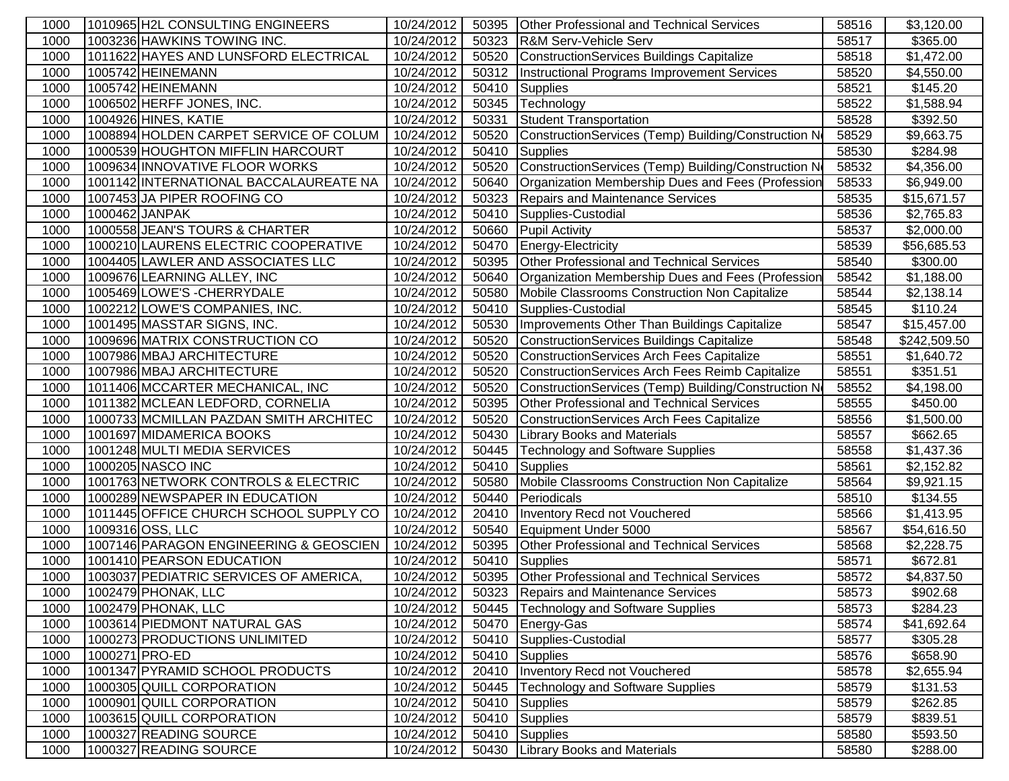| 1000 |                | 1010965 H2L CONSULTING ENGINEERS                             | 10/24/2012               | 50395          | Other Professional and Technical Services            | 58516          | \$3,120.00           |
|------|----------------|--------------------------------------------------------------|--------------------------|----------------|------------------------------------------------------|----------------|----------------------|
| 1000 |                | 1003236 HAWKINS TOWING INC.                                  | 10/24/2012               | 50323          | R&M Serv-Vehicle Serv                                | 58517          | \$365.00             |
| 1000 |                | 1011622 HAYES AND LUNSFORD ELECTRICAL                        | 10/24/2012               | 50520          | ConstructionServices Buildings Capitalize            | 58518          | \$1,472.00           |
| 1000 |                | 1005742 HEINEMANN                                            | 10/24/2012               | 50312          | Instructional Programs Improvement Services          | 58520          | \$4,550.00           |
| 1000 |                | 1005742 HEINEMANN                                            | 10/24/2012               | 50410          | <b>Supplies</b>                                      | 58521          | \$145.20             |
| 1000 |                | 1006502 HERFF JONES, INC.                                    | 10/24/2012               | 50345          | Technology                                           | 58522          | \$1,588.94           |
| 1000 |                | 1004926 HINES, KATIE                                         | 10/24/2012               | 50331          | <b>Student Transportation</b>                        | 58528          | \$392.50             |
| 1000 |                | 1008894 HOLDEN CARPET SERVICE OF COLUM                       | 10/24/2012               | 50520          | ConstructionServices (Temp) Building/Construction No | 58529          | \$9,663.75           |
| 1000 |                | 1000539 HOUGHTON MIFFLIN HARCOURT                            | 10/24/2012               | 50410          | Supplies                                             | 58530          | \$284.98             |
| 1000 |                | 1009634 INNOVATIVE FLOOR WORKS                               | 10/24/2012               | 50520          | ConstructionServices (Temp) Building/Construction No | 58532          | \$4,356.00           |
| 1000 |                | 1001142 INTERNATIONAL BACCALAUREATE NA                       | 10/24/2012               | 50640          | Organization Membership Dues and Fees (Profession    | 58533          | \$6,949.00           |
| 1000 |                | 1007453 JA PIPER ROOFING CO                                  | 10/24/2012               | 50323          | <b>Repairs and Maintenance Services</b>              | 58535          | \$15,671.57          |
| 1000 | 1000462 JANPAK |                                                              | 10/24/2012               | 50410          | Supplies-Custodial                                   | 58536          | \$2,765.83           |
| 1000 |                | 1000558 JEAN'S TOURS & CHARTER                               | 10/24/2012               | 50660          | <b>Pupil Activity</b>                                | 58537          | \$2,000.00           |
| 1000 |                | 1000210 LAURENS ELECTRIC COOPERATIVE                         | 10/24/2012               | 50470          | Energy-Electricity                                   | 58539          | \$56,685.53          |
| 1000 |                | 1004405 LAWLER AND ASSOCIATES LLC                            | 10/24/2012               | 50395          | <b>Other Professional and Technical Services</b>     | 58540          | \$300.00             |
| 1000 |                | 1009676 LEARNING ALLEY, INC                                  | 10/24/2012               | 50640          | Organization Membership Dues and Fees (Profession    | 58542          | \$1,188.00           |
| 1000 |                | 1005469 LOWE'S - CHERRYDALE                                  | 10/24/2012               | 50580          | Mobile Classrooms Construction Non Capitalize        | 58544          | \$2,138.14           |
| 1000 |                | 1002212 LOWE'S COMPANIES, INC.                               | 10/24/2012               | 50410          | Supplies-Custodial                                   | 58545          | \$110.24             |
| 1000 |                | 1001495 MASSTAR SIGNS, INC.                                  | 10/24/2012               | 50530          | Improvements Other Than Buildings Capitalize         | 58547          | \$15,457.00          |
| 1000 |                | 1009696 MATRIX CONSTRUCTION CO                               | 10/24/2012               | 50520          | ConstructionServices Buildings Capitalize            | 58548          | \$242,509.50         |
| 1000 |                | 1007986 MBAJ ARCHITECTURE                                    | 10/24/2012               | 50520          | <b>ConstructionServices Arch Fees Capitalize</b>     | 58551          | \$1,640.72           |
| 1000 |                | 1007986 MBAJ ARCHITECTURE                                    | 10/24/2012               | 50520          | ConstructionServices Arch Fees Reimb Capitalize      | 58551          | \$351.51             |
| 1000 |                | 1011406 MCCARTER MECHANICAL, INC                             | 10/24/2012               | 50520          | ConstructionServices (Temp) Building/Construction No | 58552          | \$4,198.00           |
| 1000 |                | 1011382 MCLEAN LEDFORD, CORNELIA                             | 10/24/2012               | 50395          | <b>Other Professional and Technical Services</b>     | 58555          | \$450.00             |
| 1000 |                | 1000733 MCMILLAN PAZDAN SMITH ARCHITEC                       | 10/24/2012               | 50520          | ConstructionServices Arch Fees Capitalize            | 58556          | \$1,500.00           |
| 1000 |                | 1001697 MIDAMERICA BOOKS                                     | 10/24/2012               | 50430          | <b>Library Books and Materials</b>                   | 58557          | \$662.65             |
| 1000 |                | 1001248 MULTI MEDIA SERVICES                                 | 10/24/2012               | 50445          | <b>Technology and Software Supplies</b>              | 58558          | \$1,437.36           |
| 1000 |                | 1000205 NASCO INC                                            | 10/24/2012               | 50410          | <b>Supplies</b>                                      | 58561          | \$2,152.82           |
| 1000 |                | 1001763 NETWORK CONTROLS & ELECTRIC                          | 10/24/2012               | 50580          | Mobile Classrooms Construction Non Capitalize        | 58564          | \$9,921.15           |
| 1000 |                | 1000289 NEWSPAPER IN EDUCATION                               | 10/24/2012               | 50440          | Periodicals                                          | 58510          | \$134.55             |
| 1000 |                | 1011445 OFFICE CHURCH SCHOOL SUPPLY CO                       | 10/24/2012               | 20410          | Inventory Recd not Vouchered                         | 58566          | \$1,413.95           |
| 1000 |                | 1009316 OSS, LLC                                             | 10/24/2012               | 50540          | Equipment Under 5000                                 | 58567          | \$54,616.50          |
| 1000 |                | 1007146 PARAGON ENGINEERING & GEOSCIEN                       | 10/24/2012               | 50395          | <b>Other Professional and Technical Services</b>     | 58568          | \$2,228.75           |
| 1000 |                | 1001410 PEARSON EDUCATION                                    | 10/24/2012               | 50410          | <b>Supplies</b>                                      | 58571          | \$672.81             |
| 1000 |                | 1003037 PEDIATRIC SERVICES OF AMERICA,                       | 10/24/2012               | 50395          | Other Professional and Technical Services            | 58572          | \$4,837.50           |
| 1000 |                | 1002479 PHONAK, LLC                                          | 10/24/2012               |                | 50323 Repairs and Maintenance Services               | 58573          | \$902.68             |
| 1000 |                | 1002479 PHONAK, LLC                                          | 10/24/2012               | 50445          | <b>Technology and Software Supplies</b>              | 58573          | \$284.23             |
| 1000 |                | 1003614 PIEDMONT NATURAL GAS                                 | 10/24/2012               |                | 50470 Energy-Gas                                     | 58574          | \$41,692.64          |
| 1000 |                | 1000273 PRODUCTIONS UNLIMITED                                | 10/24/2012               |                | 50410 Supplies-Custodial                             | 58577          | \$305.28             |
| 1000 |                | 1000271 PRO-ED                                               | 10/24/2012               |                | 50410 Supplies                                       | 58576          | \$658.90             |
| 1000 |                | 1001347 PYRAMID SCHOOL PRODUCTS<br>1000305 QUILL CORPORATION | 10/24/2012<br>10/24/2012 | 20410          | Inventory Recd not Vouchered                         | 58578          | \$2,655.94           |
| 1000 |                |                                                              |                          | 50445          | <b>Technology and Software Supplies</b>              | 58579          | \$131.53             |
| 1000 |                | 1000901 QUILL CORPORATION                                    | 10/24/2012<br>10/24/2012 | 50410          | <b>Supplies</b>                                      | 58579<br>58579 | \$262.85             |
| 1000 |                | 1003615 QUILL CORPORATION<br>1000327 READING SOURCE          | 10/24/2012               | 50410<br>50410 | Supplies                                             | 58580          | \$839.51<br>\$593.50 |
| 1000 |                | 1000327 READING SOURCE                                       |                          |                | <b>Supplies</b>                                      |                |                      |
| 1000 |                |                                                              | 10/24/2012               |                | 50430 Library Books and Materials                    | 58580          | \$288.00             |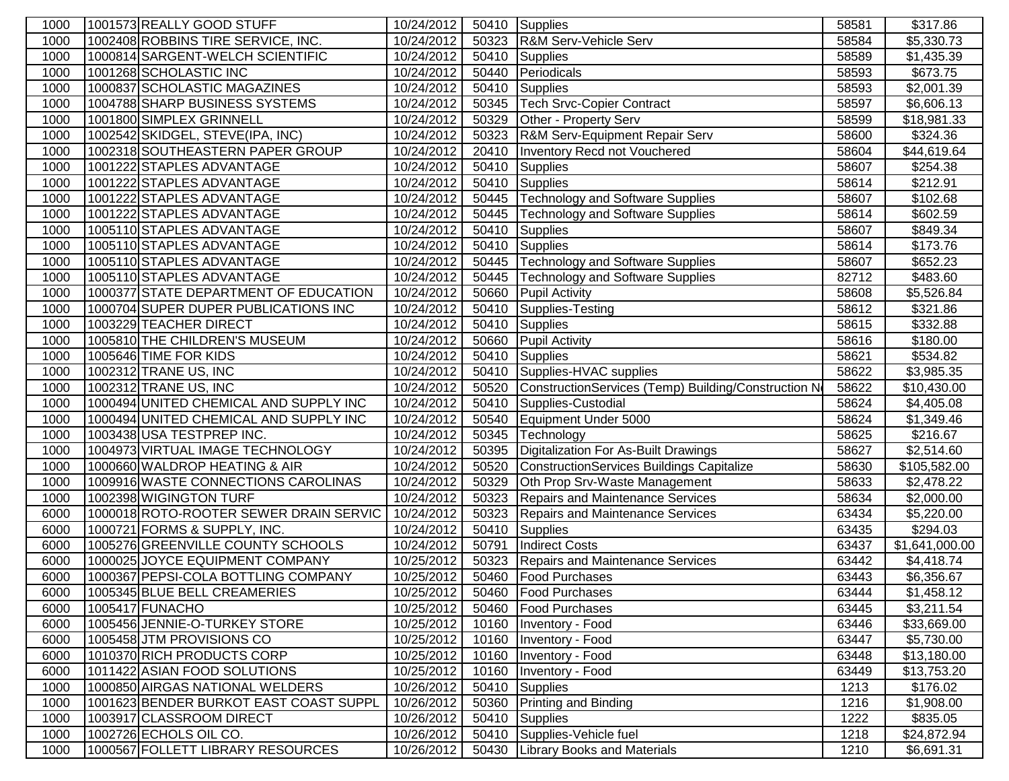| 1000         | 1001573 REALLY GOOD STUFF                                  | 10/24/2012               | 50410          | Supplies                                            | 58581          | \$317.86                   |
|--------------|------------------------------------------------------------|--------------------------|----------------|-----------------------------------------------------|----------------|----------------------------|
| 1000         | 1002408 ROBBINS TIRE SERVICE, INC.                         | 10/24/2012               | 50323          | R&M Serv-Vehicle Serv                               | 58584          | \$5,330.73                 |
| 1000         | 1000814 SARGENT-WELCH SCIENTIFIC                           | 10/24/2012               | 50410          | <b>Supplies</b>                                     | 58589          | \$1,435.39                 |
| 1000         | 1001268 SCHOLASTIC INC                                     | 10/24/2012               | 50440          | Periodicals                                         | 58593          | \$673.75                   |
| 1000         | 1000837 SCHOLASTIC MAGAZINES                               | 10/24/2012               | 50410          | <b>Supplies</b>                                     | 58593          | \$2,001.39                 |
| 1000         | 1004788 SHARP BUSINESS SYSTEMS                             | 10/24/2012               | 50345          | <b>Tech Srvc-Copier Contract</b>                    | 58597          | \$6,606.13                 |
| 1000         | 1001800 SIMPLEX GRINNELL                                   | 10/24/2012               | 50329          | Other - Property Serv                               | 58599          | \$18,981.33                |
| 1000         | 1002542 SKIDGEL, STEVE(IPA, INC)                           | 10/24/2012               | 50323          | R&M Serv-Equipment Repair Serv                      | 58600          | \$324.36                   |
| 1000         | 1002318 SOUTHEASTERN PAPER GROUP                           | 10/24/2012               | 20410          | Inventory Recd not Vouchered                        | 58604          | \$44,619.64                |
| 1000         | 1001222 STAPLES ADVANTAGE                                  | 10/24/2012               | 50410          | Supplies                                            | 58607          | \$254.38                   |
| 1000         | 1001222 STAPLES ADVANTAGE                                  | 10/24/2012               | 50410          | Supplies                                            | 58614          | \$212.91                   |
| 1000         | 1001222 STAPLES ADVANTAGE                                  | 10/24/2012               | 50445          | Technology and Software Supplies                    | 58607          | \$102.68                   |
| 1000         | 1001222 STAPLES ADVANTAGE                                  | 10/24/2012               | 50445          | Technology and Software Supplies                    | 58614          | \$602.59                   |
| 1000         | 1005110 STAPLES ADVANTAGE                                  | 10/24/2012               | 50410          | Supplies                                            | 58607          | \$849.34                   |
| 1000         | 1005110 STAPLES ADVANTAGE                                  | 10/24/2012               | 50410          | Supplies                                            | 58614          | \$173.76                   |
| 1000         | 1005110 STAPLES ADVANTAGE                                  | 10/24/2012               | 50445          | Technology and Software Supplies                    | 58607          | \$652.23                   |
| 1000         | 1005110 STAPLES ADVANTAGE                                  | 10/24/2012               | 50445          | Technology and Software Supplies                    | 82712          | \$483.60                   |
| 1000         | 1000377 STATE DEPARTMENT OF EDUCATION                      | 10/24/2012               | 50660          | <b>Pupil Activity</b>                               | 58608          | \$5,526.84                 |
| 1000         | 1000704 SUPER DUPER PUBLICATIONS INC                       | 10/24/2012               | 50410          | Supplies-Testing                                    | 58612          | \$321.86                   |
| 1000         | 1003229 TEACHER DIRECT                                     | 10/24/2012               | 50410          | <b>Supplies</b>                                     | 58615          | \$332.88                   |
| 1000         | 1005810 THE CHILDREN'S MUSEUM                              | 10/24/2012               | 50660          | <b>Pupil Activity</b>                               | 58616          | \$180.00                   |
| 1000         | 1005646 TIME FOR KIDS                                      | 10/24/2012               | 50410          | <b>Supplies</b>                                     | 58621          | \$534.82                   |
| 1000         | 1002312 TRANE US, INC                                      | 10/24/2012               | 50410          | Supplies-HVAC supplies                              | 58622          | \$3,985.35                 |
| 1000         | 1002312 TRANE US, INC                                      | 10/24/2012               | 50520          | ConstructionServices (Temp) Building/Construction N | 58622          | \$10,430.00                |
| 1000         | 1000494 UNITED CHEMICAL AND SUPPLY INC                     | 10/24/2012               | 50410          | Supplies-Custodial                                  | 58624          | \$4,405.08                 |
| 1000         | 1000494 UNITED CHEMICAL AND SUPPLY INC                     | 10/24/2012               | 50540          | Equipment Under 5000                                | 58624          | \$1,349.46                 |
| 1000         | 1003438 USA TESTPREP INC.                                  | 10/24/2012               | 50345          | Technology                                          | 58625          | \$216.67                   |
| 1000         | 1004973 VIRTUAL IMAGE TECHNOLOGY                           | 10/24/2012               | 50395          | Digitalization For As-Built Drawings                | 58627          | \$2,514.60                 |
| 1000         | 1000660 WALDROP HEATING & AIR                              | 10/24/2012               | 50520          | ConstructionServices Buildings Capitalize           | 58630          | \$105,582.00               |
| 1000         | 1009916 WASTE CONNECTIONS CAROLINAS                        | 10/24/2012               | 50329          | Oth Prop Srv-Waste Management                       | 58633          | \$2,478.22                 |
| 1000         | 1002398 WIGINGTON TURF                                     | 10/24/2012               | 50323          | Repairs and Maintenance Services                    | 58634          | \$2,000.00                 |
| 6000         | 1000018 ROTO-ROOTER SEWER DRAIN SERVIC                     | 10/24/2012               | 50323          | Repairs and Maintenance Services                    | 63434          | \$5,220.00                 |
| 6000         | 1000721 FORMS & SUPPLY, INC.                               | 10/24/2012               | 50410          | Supplies                                            | 63435          | \$294.03                   |
| 6000         | 1005276 GREENVILLE COUNTY SCHOOLS                          | 10/24/2012               | 50791          | <b>Indirect Costs</b>                               | 63437          | \$1,641,000.00             |
| 6000         | 1000025 JOYCE EQUIPMENT COMPANY                            | 10/25/2012               | 50323          | <b>Repairs and Maintenance Services</b>             | 63442          | \$4,418.74                 |
| 6000         | 1000367 PEPSI-COLA BOTTLING COMPANY                        | 10/25/2012               | 50460          | <b>Food Purchases</b>                               | 63443          | \$6,356.67                 |
| 6000         | 1005345 BLUE BELL CREAMERIES                               | 10/25/2012               |                | 50460   Food Purchases                              | 63444          | \$1,458.12                 |
| 6000<br>6000 | 1005417 FUNACHO<br>1005456 JENNIE-O-TURKEY STORE           | 10/25/2012<br>10/25/2012 | 50460          | <b>Food Purchases</b><br>Inventory - Food           | 63445<br>63446 | \$3,211.54                 |
|              |                                                            |                          | 10160          |                                                     |                | \$33,669.00                |
| 6000         | 1005458 JTM PROVISIONS CO                                  | 10/25/2012               | 10160          | Inventory - Food                                    | 63447          | \$5,730.00                 |
| 6000<br>6000 | 1010370 RICH PRODUCTS CORP<br>1011422 ASIAN FOOD SOLUTIONS | 10/25/2012<br>10/25/2012 | 10160<br>10160 | Inventory - Food                                    | 63448<br>63449 | \$13,180.00<br>\$13,753.20 |
| 1000         | 1000850 AIRGAS NATIONAL WELDERS                            | 10/26/2012               | 50410          | Inventory - Food                                    | 1213           | \$176.02                   |
| 1000         | 1001623 BENDER BURKOT EAST COAST SUPPL                     | 10/26/2012               | 50360          | Supplies<br><b>Printing and Binding</b>             | 1216           | \$1,908.00                 |
| 1000         | 1003917 CLASSROOM DIRECT                                   | 10/26/2012               | 50410          | <b>Supplies</b>                                     | 1222           | \$835.05                   |
| 1000         | 1002726 ECHOLS OIL CO.                                     | 10/26/2012               | 50410          | Supplies-Vehicle fuel                               | 1218           | \$24,872.94                |
| 1000         | 1000567 FOLLETT LIBRARY RESOURCES                          | 10/26/2012               | 50430          | <b>Library Books and Materials</b>                  | 1210           | \$6,691.31                 |
|              |                                                            |                          |                |                                                     |                |                            |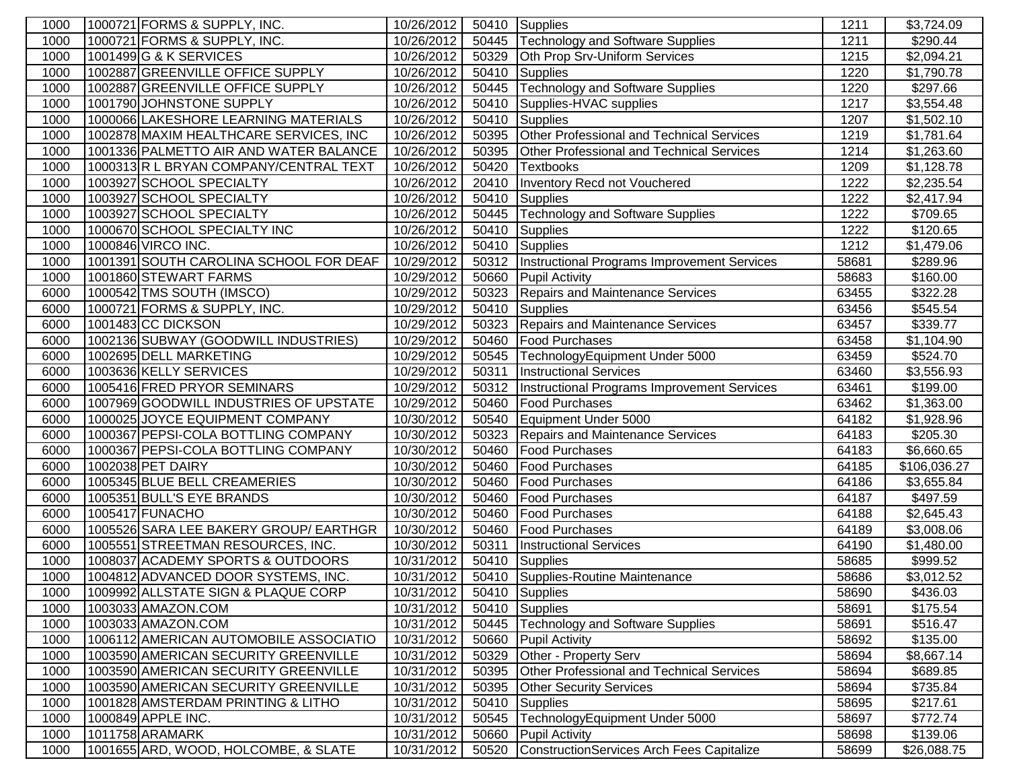| 1000         | 1000721 FORMS & SUPPLY, INC.                 | 10/26/2012               | 50410          | Supplies                                         | 1211           | \$3,724.09             |
|--------------|----------------------------------------------|--------------------------|----------------|--------------------------------------------------|----------------|------------------------|
| 1000         | 1000721 FORMS & SUPPLY, INC.                 | 10/26/2012               | 50445          | <b>Technology and Software Supplies</b>          | 1211           | \$290.44               |
| 1000         | 1001499 G & K SERVICES                       | 10/26/2012               | 50329          | Oth Prop Srv-Uniform Services                    | 1215           | \$2,094.21             |
| 1000         | 1002887 GREENVILLE OFFICE SUPPLY             | 10/26/2012               | 50410          | <b>Supplies</b>                                  | 1220           | \$1,790.78             |
| 1000         | 1002887 GREENVILLE OFFICE SUPPLY             | 10/26/2012               | 50445          | <b>Technology and Software Supplies</b>          | 1220           | \$297.66               |
| 1000         | 1001790 JOHNSTONE SUPPLY                     | 10/26/2012               | 50410          | Supplies-HVAC supplies                           | 1217           | \$3,554.48             |
| 1000         | 1000066 LAKESHORE LEARNING MATERIALS         | 10/26/2012               | 50410          | Supplies                                         | 1207           | \$1,502.10             |
| 1000         | 1002878 MAXIM HEALTHCARE SERVICES, INC       | 10/26/2012               | 50395          | Other Professional and Technical Services        | 1219           | \$1,781.64             |
| 1000         | 1001336 PALMETTO AIR AND WATER BALANCE       | 10/26/2012               | 50395          | <b>Other Professional and Technical Services</b> | 1214           | \$1,263.60             |
| 1000         | 1000313R L BRYAN COMPANY/CENTRAL TEXT        | 10/26/2012               | 50420          | <b>Textbooks</b>                                 | 1209           | \$1,128.78             |
| 1000         | 1003927 SCHOOL SPECIALTY                     | 10/26/2012               | 20410          | Inventory Recd not Vouchered                     | 1222           | \$2,235.54             |
| 1000         | 1003927 SCHOOL SPECIALTY                     | 10/26/2012               | 50410          | Supplies                                         | 1222           | \$2,417.94             |
| 1000         | 1003927 SCHOOL SPECIALTY                     | 10/26/2012               | 50445          | Technology and Software Supplies                 | 1222           | \$709.65               |
| 1000         | 1000670 SCHOOL SPECIALTY INC                 | 10/26/2012               | 50410          | Supplies                                         | 1222           | \$120.65               |
| 1000         | 1000846 VIRCO INC.                           | 10/26/2012               |                | 50410 Supplies                                   | 1212           | \$1,479.06             |
| 1000         | 1001391 SOUTH CAROLINA SCHOOL FOR DEAF       | 10/29/2012               | 50312          | Instructional Programs Improvement Services      | 58681          | \$289.96               |
| 1000         | 1001860 STEWART FARMS                        | 10/29/2012               | 50660          | <b>Pupil Activity</b>                            | 58683          | \$160.00               |
| 6000         | 1000542 TMS SOUTH (IMSCO)                    | 10/29/2012               | 50323          | <b>Repairs and Maintenance Services</b>          | 63455          | \$322.28               |
| 6000         | 1000721 FORMS & SUPPLY, INC.                 | 10/29/2012               | 50410          | <b>Supplies</b>                                  | 63456          | \$545.54               |
| 6000         | 1001483 CC DICKSON                           | 10/29/2012               | 50323          | <b>Repairs and Maintenance Services</b>          | 63457          | \$339.77               |
| 6000         | 1002136 SUBWAY (GOODWILL INDUSTRIES)         | 10/29/2012               | 50460          | <b>Food Purchases</b>                            | 63458          | \$1,104.90             |
| 6000         | 1002695 DELL MARKETING                       | 10/29/2012               | 50545          | TechnologyEquipment Under 5000                   | 63459          | \$524.70               |
| 6000         | 1003636 KELLY SERVICES                       | 10/29/2012               | 50311          | <b>Instructional Services</b>                    | 63460          | \$3,556.93             |
| 6000         | 1005416 FRED PRYOR SEMINARS                  | 10/29/2012               | 50312          | Instructional Programs Improvement Services      | 63461          | \$199.00               |
| 6000         | 1007969 GOODWILL INDUSTRIES OF UPSTATE       | 10/29/2012               | 50460          | <b>Food Purchases</b>                            | 63462          | \$1,363.00             |
| 6000         | 1000025 JOYCE EQUIPMENT COMPANY              | 10/30/2012               | 50540          | Equipment Under 5000                             | 64182          | \$1,928.96             |
| 6000         | 1000367 PEPSI-COLA BOTTLING COMPANY          | 10/30/2012               | 50323          | Repairs and Maintenance Services                 | 64183          | \$205.30               |
| 6000         | 1000367 PEPSI-COLA BOTTLING COMPANY          | 10/30/2012               | 50460          | <b>Food Purchases</b>                            | 64183          | \$6,660.65             |
| 6000         | 1002038 PET DAIRY                            | 10/30/2012               | 50460          | <b>Food Purchases</b>                            | 64185          | \$106,036.27           |
| 6000         | 1005345 BLUE BELL CREAMERIES                 | 10/30/2012               | 50460          | <b>Food Purchases</b>                            | 64186          | \$3,655.84             |
| 6000<br>6000 | 1005351 BULL'S EYE BRANDS<br>1005417 FUNACHO | 10/30/2012<br>10/30/2012 | 50460<br>50460 | <b>Food Purchases</b><br>Food Purchases          | 64187<br>64188 | \$497.59<br>\$2,645.43 |
| 6000         | 1005526 SARA LEE BAKERY GROUP/ EARTHGR       | 10/30/2012               | 50460          | <b>Food Purchases</b>                            | 64189          | \$3,008.06             |
| 6000         | 1005551 STREETMAN RESOURCES, INC.            | 10/30/2012               | 50311          | <b>Instructional Services</b>                    | 64190          | \$1,480.00             |
| 1000         | 1008037 ACADEMY SPORTS & OUTDOORS            | 10/31/2012               | 50410          | Supplies                                         | 58685          | \$999.52               |
| 1000         | 1004812 ADVANCED DOOR SYSTEMS, INC.          | 10/31/2012               | 50410          | Supplies-Routine Maintenance                     | 58686          | \$3,012.52             |
| 1000         | 1009992 ALLSTATE SIGN & PLAQUE CORP          | 10/31/2012               |                | 50410 Supplies                                   | 58690          | \$436.03               |
| 1000         | 1003033 AMAZON.COM                           | 10/31/2012               |                | 50410 Supplies                                   | 58691          | \$175.54               |
| 1000         | 1003033 AMAZON.COM                           | 10/31/2012               | 50445          | Technology and Software Supplies                 | 58691          | \$516.47               |
| 1000         | 1006112 AMERICAN AUTOMOBILE ASSOCIATIO       | 10/31/2012               | 50660          | <b>Pupil Activity</b>                            | 58692          | \$135.00               |
| 1000         | 1003590 AMERICAN SECURITY GREENVILLE         | 10/31/2012               | 50329          | Other - Property Serv                            | 58694          | \$8,667.14             |
| 1000         | 1003590 AMERICAN SECURITY GREENVILLE         | 10/31/2012               | 50395          | <b>Other Professional and Technical Services</b> | 58694          | \$689.85               |
| 1000         | 1003590 AMERICAN SECURITY GREENVILLE         | 10/31/2012               | 50395          | <b>Other Security Services</b>                   | 58694          | \$735.84               |
| 1000         | 1001828 AMSTERDAM PRINTING & LITHO           | 10/31/2012               | 50410          | <b>Supplies</b>                                  | 58695          | \$217.61               |
| 1000         | 1000849 APPLE INC.                           | 10/31/2012               | 50545          | TechnologyEquipment Under 5000                   | 58697          | \$772.74               |
| 1000         | 1011758 ARAMARK                              | 10/31/2012               | 50660          | <b>Pupil Activity</b>                            | 58698          | \$139.06               |
| 1000         | 1001655 ARD, WOOD, HOLCOMBE, & SLATE         | 10/31/2012               | 50520          | ConstructionServices Arch Fees Capitalize        | 58699          | \$26,088.75            |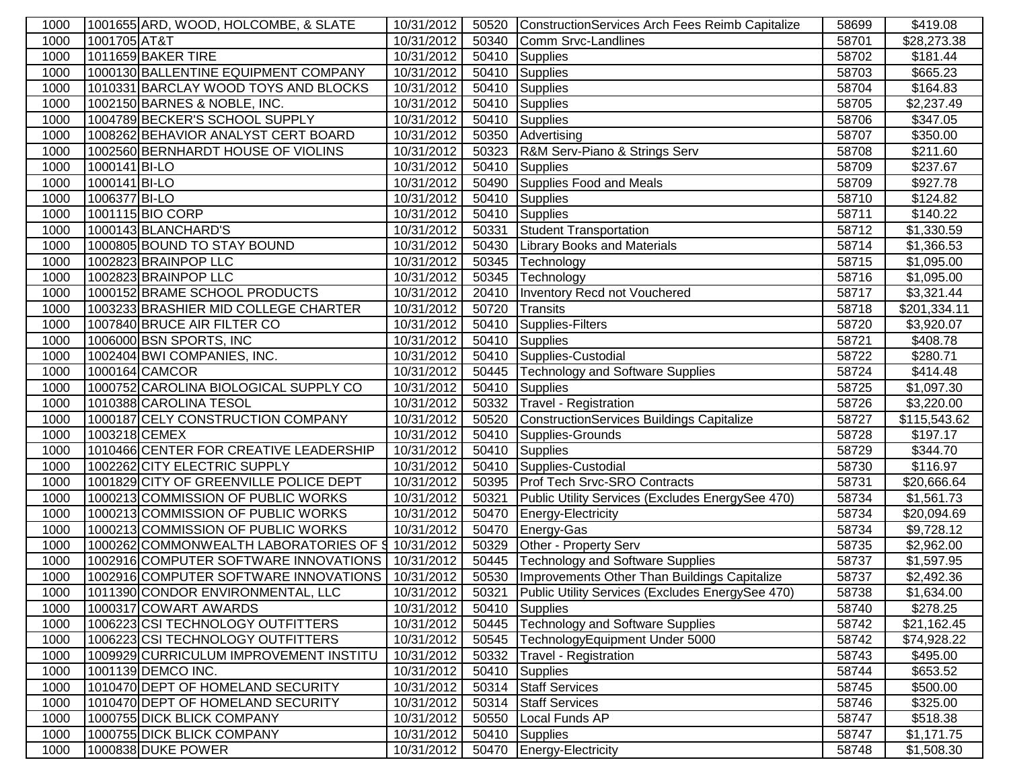| 1000 |               | 1001655 ARD, WOOD, HOLCOMBE, & SLATE              | 10/31/2012 | 50520 | ConstructionServices Arch Fees Reimb Capitalize      | 58699 | \$419.08     |
|------|---------------|---------------------------------------------------|------------|-------|------------------------------------------------------|-------|--------------|
| 1000 | 1001705 AT&T  |                                                   | 10/31/2012 | 50340 | Comm Srvc-Landlines                                  | 58701 | \$28,273.38  |
| 1000 |               | 1011659 BAKER TIRE                                | 10/31/2012 | 50410 | Supplies                                             | 58702 | \$181.44     |
| 1000 |               | 1000130 BALLENTINE EQUIPMENT COMPANY              | 10/31/2012 | 50410 | <b>Supplies</b>                                      | 58703 | \$665.23     |
| 1000 |               | 1010331 BARCLAY WOOD TOYS AND BLOCKS              | 10/31/2012 | 50410 | Supplies                                             | 58704 | \$164.83     |
| 1000 |               | 1002150 BARNES & NOBLE, INC.                      | 10/31/2012 | 50410 | Supplies                                             | 58705 | \$2,237.49   |
| 1000 |               | 1004789 BECKER'S SCHOOL SUPPLY                    | 10/31/2012 | 50410 | <b>Supplies</b>                                      | 58706 | \$347.05     |
| 1000 |               | 1008262 BEHAVIOR ANALYST CERT BOARD               | 10/31/2012 | 50350 | Advertising                                          | 58707 | \$350.00     |
| 1000 |               | 1002560 BERNHARDT HOUSE OF VIOLINS                | 10/31/2012 | 50323 | R&M Serv-Piano & Strings Serv                        | 58708 | \$211.60     |
| 1000 | 1000141 BI-LO |                                                   | 10/31/2012 | 50410 | Supplies                                             | 58709 | \$237.67     |
| 1000 | 1000141 BI-LO |                                                   | 10/31/2012 | 50490 | Supplies Food and Meals                              | 58709 | \$927.78     |
| 1000 | 1006377 BI-LO |                                                   | 10/31/2012 | 50410 | Supplies                                             | 58710 | \$124.82     |
| 1000 |               | 1001115 BIO CORP                                  | 10/31/2012 | 50410 | Supplies                                             | 58711 | \$140.22     |
| 1000 |               | 1000143 BLANCHARD'S                               | 10/31/2012 | 50331 | <b>Student Transportation</b>                        | 58712 | \$1,330.59   |
| 1000 |               | 1000805 BOUND TO STAY BOUND                       | 10/31/2012 | 50430 | <b>Library Books and Materials</b>                   | 58714 | \$1,366.53   |
| 1000 |               | 1002823 BRAINPOP LLC                              | 10/31/2012 | 50345 | Technology                                           | 58715 | \$1,095.00   |
| 1000 |               | 1002823 BRAINPOP LLC                              | 10/31/2012 | 50345 | Technology                                           | 58716 | \$1,095.00   |
| 1000 |               | 1000152 BRAME SCHOOL PRODUCTS                     | 10/31/2012 | 20410 | Inventory Recd not Vouchered                         | 58717 | \$3,321.44   |
| 1000 |               | 1003233 BRASHIER MID COLLEGE CHARTER              | 10/31/2012 | 50720 | Transits                                             | 58718 | \$201,334.11 |
| 1000 |               | 1007840 BRUCE AIR FILTER CO                       | 10/31/2012 | 50410 | Supplies-Filters                                     | 58720 | \$3,920.07   |
| 1000 |               | 1006000 BSN SPORTS, INC                           | 10/31/2012 | 50410 | <b>Supplies</b>                                      | 58721 | \$408.78     |
| 1000 |               | 1002404 BWI COMPANIES, INC.                       | 10/31/2012 | 50410 | Supplies-Custodial                                   | 58722 | \$280.71     |
| 1000 |               | 1000164 CAMCOR                                    | 10/31/2012 | 50445 | <b>Technology and Software Supplies</b>              | 58724 | \$414.48     |
| 1000 |               | 1000752 CAROLINA BIOLOGICAL SUPPLY CO             | 10/31/2012 | 50410 | Supplies                                             | 58725 | \$1,097.30   |
| 1000 |               | 1010388 CAROLINA TESOL                            | 10/31/2012 | 50332 | Travel - Registration                                | 58726 | \$3,220.00   |
| 1000 |               | 1000187 CELY CONSTRUCTION COMPANY                 | 10/31/2012 | 50520 | ConstructionServices Buildings Capitalize            | 58727 | \$115,543.62 |
| 1000 | 1003218 CEMEX |                                                   | 10/31/2012 | 50410 | Supplies-Grounds                                     | 58728 | \$197.17     |
| 1000 |               | 1010466 CENTER FOR CREATIVE LEADERSHIP            | 10/31/2012 | 50410 | Supplies                                             | 58729 | \$344.70     |
| 1000 |               | 1002262 CITY ELECTRIC SUPPLY                      | 10/31/2012 | 50410 | Supplies-Custodial                                   | 58730 | \$116.97     |
| 1000 |               | 1001829 CITY OF GREENVILLE POLICE DEPT            | 10/31/2012 |       | 50395 Prof Tech Srvc-SRO Contracts                   | 58731 | \$20,666.64  |
| 1000 |               | 1000213 COMMISSION OF PUBLIC WORKS                | 10/31/2012 | 50321 | Public Utility Services (Excludes EnergySee 470)     | 58734 | \$1,561.73   |
| 1000 |               | 1000213 COMMISSION OF PUBLIC WORKS                | 10/31/2012 | 50470 | Energy-Electricity                                   | 58734 | \$20,094.69  |
| 1000 |               | 1000213 COMMISSION OF PUBLIC WORKS                | 10/31/2012 | 50470 | Energy-Gas                                           | 58734 | \$9,728.12   |
| 1000 |               | 1000262 COMMONWEALTH LABORATORIES OF § 10/31/2012 |            | 50329 | Other - Property Serv                                | 58735 | \$2,962.00   |
| 1000 |               | 1002916 COMPUTER SOFTWARE INNOVATIONS             | 10/31/2012 | 50445 | <b>Technology and Software Supplies</b>              | 58737 | \$1,597.95   |
| 1000 |               | 1002916 COMPUTER SOFTWARE INNOVATIONS             | 10/31/2012 |       | 50530   Improvements Other Than Buildings Capitalize | 58737 | \$2,492.36   |
| 1000 |               | 1011390 CONDOR ENVIRONMENTAL, LLC                 | 10/31/2012 | 50321 | Public Utility Services (Excludes EnergySee 470)     | 58738 | \$1,634.00   |
| 1000 |               | 1000317 COWART AWARDS                             | 10/31/2012 | 50410 | Supplies                                             | 58740 | \$278.25     |
| 1000 |               | 1006223 CSI TECHNOLOGY OUTFITTERS                 | 10/31/2012 | 50445 | <b>Technology and Software Supplies</b>              | 58742 | \$21,162.45  |
| 1000 |               | 1006223 CSI TECHNOLOGY OUTFITTERS                 | 10/31/2012 | 50545 | TechnologyEquipment Under 5000                       | 58742 | \$74,928.22  |
| 1000 |               | 1009929 CURRICULUM IMPROVEMENT INSTITU            | 10/31/2012 | 50332 | Travel - Registration                                | 58743 | \$495.00     |
| 1000 |               | 1001139 DEMCO INC.                                | 10/31/2012 | 50410 | Supplies                                             | 58744 | \$653.52     |
| 1000 |               | 1010470 DEPT OF HOMELAND SECURITY                 | 10/31/2012 | 50314 | <b>Staff Services</b>                                | 58745 | \$500.00     |
| 1000 |               | 1010470 DEPT OF HOMELAND SECURITY                 | 10/31/2012 | 50314 | <b>Staff Services</b>                                | 58746 | \$325.00     |
| 1000 |               | 1000755 DICK BLICK COMPANY                        | 10/31/2012 | 50550 | Local Funds AP                                       | 58747 | \$518.38     |
| 1000 |               | 1000755 DICK BLICK COMPANY                        | 10/31/2012 | 50410 | Supplies                                             | 58747 | \$1,171.75   |
| 1000 |               | 1000838 DUKE POWER                                | 10/31/2012 | 50470 | Energy-Electricity                                   | 58748 | \$1,508.30   |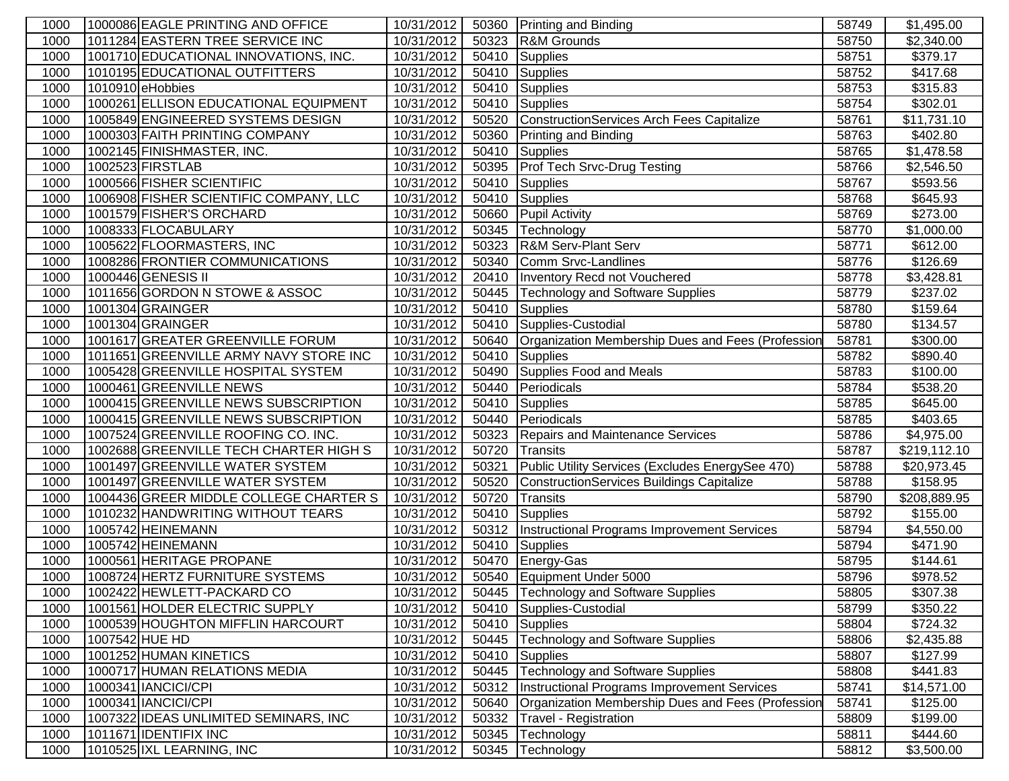| 1000 | 1000086 EAGLE PRINTING AND OFFICE      | 10/31/2012 |       | 50360 Printing and Binding                         | 58749 | \$1,495.00              |
|------|----------------------------------------|------------|-------|----------------------------------------------------|-------|-------------------------|
| 1000 | 1011284 EASTERN TREE SERVICE INC       | 10/31/2012 | 50323 | R&M Grounds                                        | 58750 | \$2,340.00              |
| 1000 | 1001710 EDUCATIONAL INNOVATIONS, INC.  | 10/31/2012 | 50410 | Supplies                                           | 58751 | \$379.17                |
| 1000 | 1010195 EDUCATIONAL OUTFITTERS         | 10/31/2012 | 50410 | Supplies                                           | 58752 | \$417.68                |
| 1000 | 1010910 eHobbies                       | 10/31/2012 | 50410 | Supplies                                           | 58753 | \$315.83                |
| 1000 | 1000261 ELLISON EDUCATIONAL EQUIPMENT  | 10/31/2012 | 50410 | Supplies                                           | 58754 | \$302.01                |
| 1000 | 1005849 ENGINEERED SYSTEMS DESIGN      | 10/31/2012 | 50520 | ConstructionServices Arch Fees Capitalize          | 58761 | \$11,731.10             |
| 1000 | 1000303 FAITH PRINTING COMPANY         | 10/31/2012 | 50360 | Printing and Binding                               | 58763 | \$402.80                |
| 1000 | 1002145 FINISHMASTER, INC.             | 10/31/2012 | 50410 | Supplies                                           | 58765 | \$1,478.58              |
| 1000 | 1002523 FIRSTLAB                       | 10/31/2012 | 50395 | <b>Prof Tech Srvc-Drug Testing</b>                 | 58766 | \$2,546.50              |
| 1000 | 1000566 FISHER SCIENTIFIC              | 10/31/2012 | 50410 | Supplies                                           | 58767 | \$593.56                |
| 1000 | 1006908 FISHER SCIENTIFIC COMPANY, LLC | 10/31/2012 | 50410 | Supplies                                           | 58768 | \$645.93                |
| 1000 | 1001579 FISHER'S ORCHARD               | 10/31/2012 | 50660 | <b>Pupil Activity</b>                              | 58769 | \$273.00                |
| 1000 | 1008333 FLOCABULARY                    | 10/31/2012 | 50345 | Technology                                         | 58770 | \$1,000.00              |
| 1000 | 1005622 FLOORMASTERS, INC              | 10/31/2012 | 50323 | <b>R&amp;M Serv-Plant Serv</b>                     | 58771 | \$612.00                |
| 1000 | 1008286 FRONTIER COMMUNICATIONS        | 10/31/2012 | 50340 | Comm Srvc-Landlines                                | 58776 | \$126.69                |
| 1000 | 1000446 GENESIS II                     | 10/31/2012 | 20410 | Inventory Recd not Vouchered                       | 58778 | \$3,428.81              |
| 1000 | 1011656 GORDON N STOWE & ASSOC         | 10/31/2012 | 50445 | <b>Technology and Software Supplies</b>            | 58779 | \$237.02                |
| 1000 | 1001304 GRAINGER                       | 10/31/2012 | 50410 | Supplies                                           | 58780 | \$159.64                |
| 1000 | 1001304 GRAINGER                       | 10/31/2012 | 50410 | Supplies-Custodial                                 | 58780 | \$134.57                |
| 1000 | 1001617 GREATER GREENVILLE FORUM       | 10/31/2012 | 50640 | Organization Membership Dues and Fees (Profession  | 58781 | \$300.00                |
| 1000 | 1011651 GREENVILLE ARMY NAVY STORE INC | 10/31/2012 | 50410 | Supplies                                           | 58782 | \$890.40                |
| 1000 | 1005428 GREENVILLE HOSPITAL SYSTEM     | 10/31/2012 | 50490 | Supplies Food and Meals                            | 58783 | \$100.00                |
| 1000 | 1000461 GREENVILLE NEWS                | 10/31/2012 | 50440 | Periodicals                                        | 58784 | \$538.20                |
| 1000 | 1000415 GREENVILLE NEWS SUBSCRIPTION   | 10/31/2012 | 50410 | Supplies                                           | 58785 | \$645.00                |
| 1000 | 1000415 GREENVILLE NEWS SUBSCRIPTION   | 10/31/2012 | 50440 | Periodicals                                        | 58785 | \$403.65                |
| 1000 | 1007524 GREENVILLE ROOFING CO. INC.    | 10/31/2012 | 50323 | Repairs and Maintenance Services                   | 58786 | \$4,975.00              |
| 1000 | 1002688 GREENVILLE TECH CHARTER HIGH S | 10/31/2012 | 50720 | Transits                                           | 58787 | \$219,112.10            |
| 1000 | 1001497 GREENVILLE WATER SYSTEM        | 10/31/2012 | 50321 | Public Utility Services (Excludes EnergySee 470)   | 58788 | $\overline{$}20,973.45$ |
| 1000 | 1001497 GREENVILLE WATER SYSTEM        | 10/31/2012 | 50520 | <b>ConstructionServices Buildings Capitalize</b>   | 58788 | \$158.95                |
| 1000 | 1004436 GREER MIDDLE COLLEGE CHARTER S | 10/31/2012 | 50720 | Transits                                           | 58790 | \$208,889.95            |
| 1000 | 1010232 HANDWRITING WITHOUT TEARS      | 10/31/2012 | 50410 | Supplies                                           | 58792 | \$155.00                |
| 1000 | 1005742 HEINEMANN                      | 10/31/2012 | 50312 | <b>Instructional Programs Improvement Services</b> | 58794 | \$4,550.00              |
| 1000 | 1005742 HEINEMANN                      | 10/31/2012 |       | 50410 Supplies                                     | 58794 | \$471.90                |
| 1000 | 1000561 HERITAGE PROPANE               | 10/31/2012 | 50470 | Energy-Gas                                         | 58795 | \$144.61                |
| 1000 | 1008724 HERTZ FURNITURE SYSTEMS        | 10/31/2012 |       | 50540 Equipment Under 5000                         | 58796 | \$978.52                |
| 1000 | 1002422 HEWLETT-PACKARD CO             | 10/31/2012 |       | 50445 Technology and Software Supplies             | 58805 | \$307.38                |
| 1000 | 1001561 HOLDER ELECTRIC SUPPLY         | 10/31/2012 | 50410 | Supplies-Custodial                                 | 58799 | \$350.22                |
| 1000 | 1000539 HOUGHTON MIFFLIN HARCOURT      | 10/31/2012 | 50410 | Supplies                                           | 58804 | \$724.32                |
| 1000 | 1007542 HUE HD                         | 10/31/2012 | 50445 | <b>Technology and Software Supplies</b>            | 58806 | \$2,435.88              |
| 1000 | 1001252 HUMAN KINETICS                 | 10/31/2012 | 50410 | Supplies                                           | 58807 | \$127.99                |
| 1000 | 1000717 HUMAN RELATIONS MEDIA          | 10/31/2012 | 50445 | <b>Technology and Software Supplies</b>            | 58808 | \$441.83                |
| 1000 | 1000341   IANCICI/CPI                  | 10/31/2012 | 50312 | Instructional Programs Improvement Services        | 58741 | \$14,571.00             |
| 1000 | 1000341 IANCICI/CPI                    | 10/31/2012 | 50640 | Organization Membership Dues and Fees (Profession  | 58741 | \$125.00                |
| 1000 | 1007322 IDEAS UNLIMITED SEMINARS, INC  | 10/31/2012 | 50332 | Travel - Registration                              | 58809 | \$199.00                |
| 1000 | 1011671 IDENTIFIX INC                  | 10/31/2012 | 50345 | Technology                                         | 58811 | \$444.60                |
| 1000 | 1010525 IXL LEARNING, INC              | 10/31/2012 | 50345 | Technology                                         | 58812 | \$3,500.00              |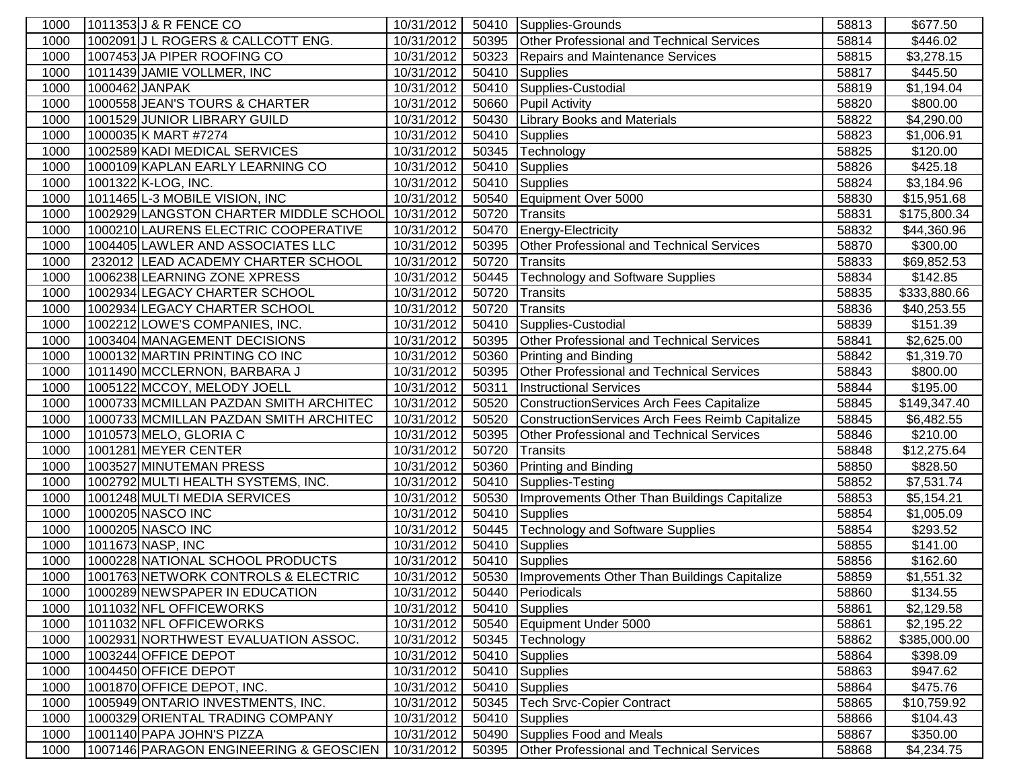| 1000 | 1011353 J & R FENCE CO                 | 10/31/2012 | 50410 | Supplies-Grounds                                 | 58813 | \$677.50     |
|------|----------------------------------------|------------|-------|--------------------------------------------------|-------|--------------|
| 1000 | 1002091 J L ROGERS & CALLCOTT ENG.     | 10/31/2012 | 50395 | Other Professional and Technical Services        | 58814 | \$446.02     |
| 1000 | 1007453 JA PIPER ROOFING CO            | 10/31/2012 | 50323 | Repairs and Maintenance Services                 | 58815 | \$3,278.15   |
| 1000 | 1011439 JAMIE VOLLMER, INC             | 10/31/2012 | 50410 | <b>Supplies</b>                                  | 58817 | \$445.50     |
| 1000 | 1000462 JANPAK                         | 10/31/2012 | 50410 | Supplies-Custodial                               | 58819 | \$1,194.04   |
| 1000 | 1000558 JEAN'S TOURS & CHARTER         | 10/31/2012 | 50660 | <b>Pupil Activity</b>                            | 58820 | \$800.00     |
| 1000 | 1001529 JUNIOR LIBRARY GUILD           | 10/31/2012 | 50430 | Library Books and Materials                      | 58822 | \$4,290.00   |
| 1000 | 1000035 K MART #7274                   | 10/31/2012 | 50410 | <b>Supplies</b>                                  | 58823 | \$1,006.91   |
| 1000 | 1002589 KADI MEDICAL SERVICES          | 10/31/2012 | 50345 | Technology                                       | 58825 | \$120.00     |
| 1000 | 1000109 KAPLAN EARLY LEARNING CO       | 10/31/2012 | 50410 | Supplies                                         | 58826 | \$425.18     |
| 1000 | 1001322 K-LOG, INC.                    | 10/31/2012 | 50410 | Supplies                                         | 58824 | \$3,184.96   |
| 1000 | 1011465 L-3 MOBILE VISION, INC         | 10/31/2012 | 50540 | Equipment Over 5000                              | 58830 | \$15,951.68  |
| 1000 | 1002929 LANGSTON CHARTER MIDDLE SCHOOL | 10/31/2012 | 50720 | Transits                                         | 58831 | \$175,800.34 |
| 1000 | 1000210 LAURENS ELECTRIC COOPERATIVE   | 10/31/2012 | 50470 | Energy-Electricity                               | 58832 | \$44,360.96  |
| 1000 | 1004405 LAWLER AND ASSOCIATES LLC      | 10/31/2012 | 50395 | Other Professional and Technical Services        | 58870 | \$300.00     |
| 1000 | 232012 LEAD ACADEMY CHARTER SCHOOL     | 10/31/2012 | 50720 | Transits                                         | 58833 | \$69,852.53  |
| 1000 | 1006238 LEARNING ZONE XPRESS           | 10/31/2012 | 50445 | <b>Technology and Software Supplies</b>          | 58834 | \$142.85     |
| 1000 | 1002934 LEGACY CHARTER SCHOOL          | 10/31/2012 | 50720 | Transits                                         | 58835 | \$333,880.66 |
| 1000 | 1002934 LEGACY CHARTER SCHOOL          | 10/31/2012 | 50720 | Transits                                         | 58836 | \$40,253.55  |
| 1000 | 1002212 LOWE'S COMPANIES, INC.         | 10/31/2012 | 50410 | Supplies-Custodial                               | 58839 | \$151.39     |
| 1000 | 1003404 MANAGEMENT DECISIONS           | 10/31/2012 | 50395 | Other Professional and Technical Services        | 58841 | \$2,625.00   |
| 1000 | 1000132 MARTIN PRINTING CO INC         | 10/31/2012 | 50360 | Printing and Binding                             | 58842 | \$1,319.70   |
| 1000 | 1011490 MCCLERNON, BARBARA J           | 10/31/2012 | 50395 | Other Professional and Technical Services        | 58843 | \$800.00     |
| 1000 | 1005122 MCCOY, MELODY JOELL            | 10/31/2012 | 50311 | <b>Instructional Services</b>                    | 58844 | \$195.00     |
| 1000 | 1000733 MCMILLAN PAZDAN SMITH ARCHITEC | 10/31/2012 | 50520 | ConstructionServices Arch Fees Capitalize        | 58845 | \$149,347.40 |
| 1000 | 1000733 MCMILLAN PAZDAN SMITH ARCHITEC | 10/31/2012 | 50520 | ConstructionServices Arch Fees Reimb Capitalize  | 58845 | \$6,482.55   |
| 1000 | 1010573 MELO, GLORIA C                 | 10/31/2012 | 50395 | Other Professional and Technical Services        | 58846 | \$210.00     |
| 1000 | 1001281 MEYER CENTER                   | 10/31/2012 | 50720 | Transits                                         | 58848 | \$12,275.64  |
| 1000 | 1003527 MINUTEMAN PRESS                | 10/31/2012 | 50360 | Printing and Binding                             | 58850 | \$828.50     |
| 1000 | 1002792 MULTI HEALTH SYSTEMS, INC.     | 10/31/2012 | 50410 | Supplies-Testing                                 | 58852 | \$7,531.74   |
| 1000 | 1001248 MULTI MEDIA SERVICES           | 10/31/2012 | 50530 | Improvements Other Than Buildings Capitalize     | 58853 | \$5,154.21   |
| 1000 | 1000205 NASCO INC                      | 10/31/2012 | 50410 | Supplies                                         | 58854 | \$1,005.09   |
| 1000 | 1000205 NASCO INC                      | 10/31/2012 | 50445 | <b>Technology and Software Supplies</b>          | 58854 | \$293.52     |
| 1000 | 1011673 NASP, INC                      | 10/31/2012 | 50410 | Supplies                                         | 58855 | \$141.00     |
| 1000 | 1000228 NATIONAL SCHOOL PRODUCTS       | 10/31/2012 | 50410 | Supplies                                         | 58856 | \$162.60     |
| 1000 | 1001763 NETWORK CONTROLS & ELECTRIC    | 10/31/2012 | 50530 | Improvements Other Than Buildings Capitalize     | 58859 | \$1,551.32   |
| 1000 | 1000289 NEWSPAPER IN EDUCATION         | 10/31/2012 |       | 50440 Periodicals                                | 58860 | \$134.55     |
| 1000 | 1011032 NFL OFFICEWORKS                | 10/31/2012 | 50410 | Supplies                                         | 58861 | \$2,129.58   |
| 1000 | 1011032 NFL OFFICEWORKS                | 10/31/2012 | 50540 | Equipment Under 5000                             | 58861 | \$2,195.22   |
| 1000 | 1002931 NORTHWEST EVALUATION ASSOC.    | 10/31/2012 | 50345 | Technology                                       | 58862 | \$385,000.00 |
| 1000 | 1003244 OFFICE DEPOT                   | 10/31/2012 | 50410 | <b>Supplies</b>                                  | 58864 | \$398.09     |
| 1000 | 1004450 OFFICE DEPOT                   | 10/31/2012 | 50410 | <b>Supplies</b>                                  | 58863 | \$947.62     |
| 1000 | 1001870 OFFICE DEPOT, INC.             | 10/31/2012 | 50410 | Supplies                                         | 58864 | \$475.76     |
| 1000 | 1005949 ONTARIO INVESTMENTS, INC.      | 10/31/2012 | 50345 | <b>Tech Srvc-Copier Contract</b>                 | 58865 | \$10,759.92  |
| 1000 | 1000329 ORIENTAL TRADING COMPANY       | 10/31/2012 | 50410 | <b>Supplies</b>                                  | 58866 | \$104.43     |
| 1000 | 1001140 PAPA JOHN'S PIZZA              | 10/31/2012 | 50490 | Supplies Food and Meals                          | 58867 | \$350.00     |
| 1000 | 1007146 PARAGON ENGINEERING & GEOSCIEN | 10/31/2012 | 50395 | <b>Other Professional and Technical Services</b> | 58868 | \$4,234.75   |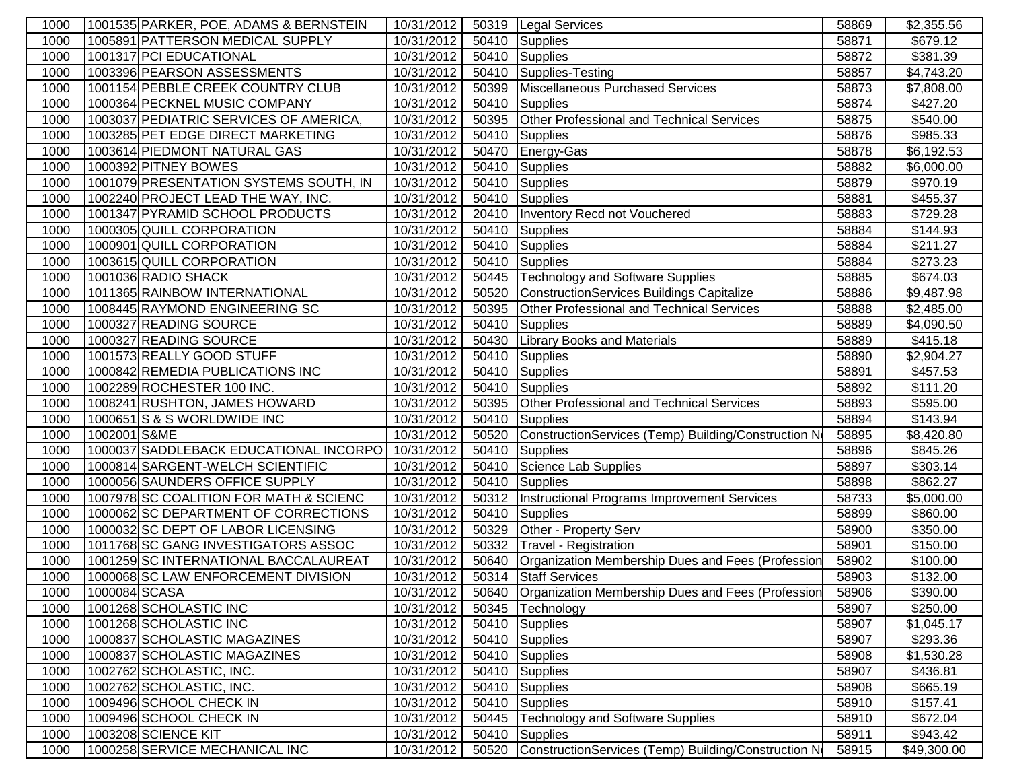| 1000         |               | 1001535 PARKER, POE, ADAMS & BERNSTEIN                                       | 10/31/2012               |                | 50319   Legal Services                                                     | 58869          | \$2,355.56           |
|--------------|---------------|------------------------------------------------------------------------------|--------------------------|----------------|----------------------------------------------------------------------------|----------------|----------------------|
| 1000         |               | 1005891 PATTERSON MEDICAL SUPPLY                                             | 10/31/2012               | 50410          | <b>Supplies</b>                                                            | 58871          | \$679.12             |
| 1000         |               | 1001317 PCI EDUCATIONAL                                                      | 10/31/2012               | 50410          | Supplies                                                                   | 58872          | \$381.39             |
| 1000         |               | 1003396 PEARSON ASSESSMENTS                                                  | 10/31/2012               | 50410          | Supplies-Testing                                                           | 58857          | \$4,743.20           |
| 1000         |               | 1001154 PEBBLE CREEK COUNTRY CLUB                                            | 10/31/2012               | 50399          | Miscellaneous Purchased Services                                           | 58873          | \$7,808.00           |
| 1000         |               | 1000364 PECKNEL MUSIC COMPANY                                                | 10/31/2012               | 50410          | Supplies                                                                   | 58874          | \$427.20             |
| 1000         |               | 1003037 PEDIATRIC SERVICES OF AMERICA,                                       | 10/31/2012               | 50395          | Other Professional and Technical Services                                  | 58875          | \$540.00             |
| 1000         |               | 1003285 PET EDGE DIRECT MARKETING                                            | 10/31/2012               | 50410          | Supplies                                                                   | 58876          | \$985.33             |
| 1000         |               | 1003614 PIEDMONT NATURAL GAS                                                 | 10/31/2012               | 50470          | Energy-Gas                                                                 | 58878          | \$6,192.53           |
| 1000         |               | 1000392 PITNEY BOWES                                                         | 10/31/2012               | 50410          | <b>Supplies</b>                                                            | 58882          | \$6,000.00           |
| 1000         |               | 1001079 PRESENTATION SYSTEMS SOUTH, IN                                       | 10/31/2012               | 50410          | Supplies                                                                   | 58879          | \$970.19             |
| 1000         |               | 1002240 PROJECT LEAD THE WAY, INC.                                           | 10/31/2012               | 50410          | Supplies                                                                   | 58881          | \$455.37             |
| 1000         |               | 1001347 PYRAMID SCHOOL PRODUCTS                                              | 10/31/2012               | 20410          | <b>Inventory Recd not Vouchered</b>                                        | 58883          | \$729.28             |
| 1000         |               | 1000305 QUILL CORPORATION                                                    | 10/31/2012               | 50410          | Supplies                                                                   | 58884          | \$144.93             |
| 1000         |               | 1000901 QUILL CORPORATION                                                    | 10/31/2012               | 50410          | Supplies                                                                   | 58884          | \$211.27             |
| 1000         |               | 1003615 QUILL CORPORATION                                                    | 10/31/2012               | 50410          | Supplies                                                                   | 58884          | \$273.23             |
| 1000         |               | 1001036 RADIO SHACK                                                          | 10/31/2012               | 50445          | <b>Technology and Software Supplies</b>                                    | 58885          | \$674.03             |
| 1000         |               | 1011365 RAINBOW INTERNATIONAL                                                | 10/31/2012               | 50520          | ConstructionServices Buildings Capitalize                                  | 58886          | \$9,487.98           |
| 1000         |               | 1008445 RAYMOND ENGINEERING SC                                               | 10/31/2012               | 50395          | <b>Other Professional and Technical Services</b>                           | 58888          | \$2,485.00           |
| 1000         |               | 1000327 READING SOURCE                                                       | 10/31/2012               | 50410          | <b>Supplies</b>                                                            | 58889          | \$4,090.50           |
| 1000         |               | 1000327 READING SOURCE                                                       | 10/31/2012               | 50430          | <b>Library Books and Materials</b>                                         | 58889          | \$415.18             |
| 1000         |               | 1001573 REALLY GOOD STUFF                                                    | 10/31/2012               | 50410          | <b>Supplies</b>                                                            | 58890          | \$2,904.27           |
| 1000         |               | 1000842 REMEDIA PUBLICATIONS INC                                             | 10/31/2012               | 50410          | Supplies                                                                   | 58891          | \$457.53             |
| 1000         |               | 1002289 ROCHESTER 100 INC.                                                   | 10/31/2012               | 50410          | Supplies                                                                   | 58892          | \$111.20             |
| 1000         |               | 1008241 RUSHTON, JAMES HOWARD                                                | 10/31/2012               | 50395          | Other Professional and Technical Services                                  | 58893          | \$595.00             |
| 1000         |               | 1000651 S & S WORLDWIDE INC                                                  | 10/31/2012               | 50410          | <b>Supplies</b>                                                            | 58894          | \$143.94             |
| 1000         | 1002001 S&ME  |                                                                              | 10/31/2012               | 50520          | ConstructionServices (Temp) Building/Construction N                        | 58895          | \$8,420.80           |
| 1000         |               | 1000037 SADDLEBACK EDUCATIONAL INCORPO                                       | 10/31/2012               | 50410          | <b>Supplies</b>                                                            | 58896          | \$845.26             |
| 1000         |               | 1000814 SARGENT-WELCH SCIENTIFIC                                             | 10/31/2012               | 50410          | Science Lab Supplies                                                       | 58897          | \$303.14             |
| 1000         |               | 1000056 SAUNDERS OFFICE SUPPLY                                               | 10/31/2012               | 50410          | <b>Supplies</b>                                                            | 58898          | \$862.27             |
| 1000         |               | 1007978 SC COALITION FOR MATH & SCIENC                                       | 10/31/2012               | 50312          | Instructional Programs Improvement Services                                | 58733          | \$5,000.00           |
| 1000         |               | 1000062 SC DEPARTMENT OF CORRECTIONS                                         | 10/31/2012               | 50410          | Supplies                                                                   | 58899          | \$860.00             |
| 1000         |               | 1000032 SC DEPT OF LABOR LICENSING                                           | 10/31/2012               | 50329          | Other - Property Serv                                                      | 58900          | \$350.00             |
| 1000         |               | 1011768 SC GANG INVESTIGATORS ASSOC<br>1001259 SC INTERNATIONAL BACCALAUREAT | 10/31/2012               | 50332          | <b>Travel - Registration</b>                                               | 58901          | \$150.00             |
| 1000<br>1000 |               | 1000068 SC LAW ENFORCEMENT DIVISION                                          | 10/31/2012<br>10/31/2012 | 50640<br>50314 | Organization Membership Dues and Fees (Profession<br><b>Staff Services</b> | 58902<br>58903 | \$100.00<br>\$132.00 |
|              | 1000084 SCASA |                                                                              |                          |                | 50640   Organization Membership Dues and Fees (Profession                  |                |                      |
| 1000<br>1000 |               | 1001268 SCHOLASTIC INC                                                       | 10/31/2012<br>10/31/2012 | 50345          | Technology                                                                 | 58906<br>58907 | \$390.00<br>\$250.00 |
| 1000         |               | 1001268 SCHOLASTIC INC                                                       | 10/31/2012               | 50410          | Supplies                                                                   | 58907          | \$1,045.17           |
| 1000         |               | 1000837 SCHOLASTIC MAGAZINES                                                 | 10/31/2012               |                | 50410 Supplies                                                             | 58907          | \$293.36             |
| 1000         |               | 1000837 SCHOLASTIC MAGAZINES                                                 | 10/31/2012               | 50410          | Supplies                                                                   | 58908          | \$1,530.28           |
| 1000         |               | 1002762 SCHOLASTIC, INC.                                                     | 10/31/2012               | 50410          | Supplies                                                                   | 58907          | \$436.81             |
| 1000         |               | 1002762 SCHOLASTIC, INC.                                                     | 10/31/2012               | 50410          | Supplies                                                                   | 58908          | \$665.19             |
| 1000         |               | 1009496 SCHOOL CHECK IN                                                      | 10/31/2012               | 50410          | <b>Supplies</b>                                                            | 58910          | \$157.41             |
| 1000         |               | 1009496 SCHOOL CHECK IN                                                      | 10/31/2012               | 50445          | <b>Technology and Software Supplies</b>                                    | 58910          | \$672.04             |
| 1000         |               | 1003208 SCIENCE KIT                                                          | 10/31/2012               | 50410          | Supplies                                                                   | 58911          | \$943.42             |
| 1000         |               | 1000258 SERVICE MECHANICAL INC                                               | 10/31/2012               | 50520          | ConstructionServices (Temp) Building/Construction N                        | 58915          | \$49,300.00          |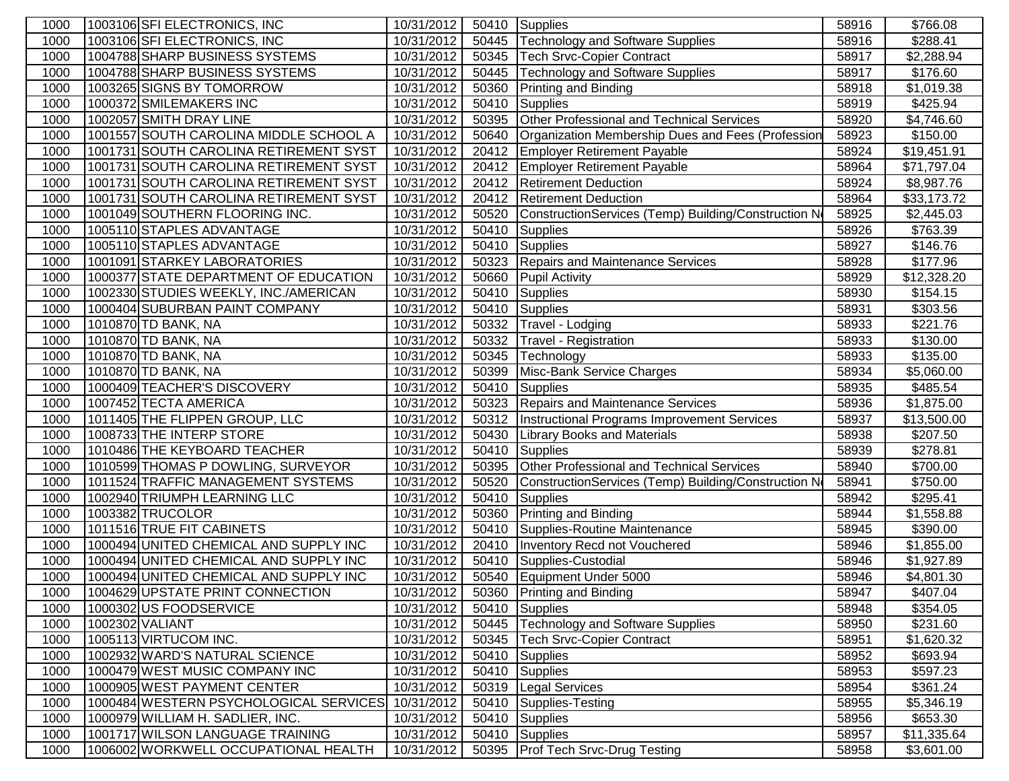| 1000 | 1003106 SFI ELECTRONICS, INC           | 10/31/2012 |       | 50410 Supplies                                       | 58916 | \$766.08    |
|------|----------------------------------------|------------|-------|------------------------------------------------------|-------|-------------|
| 1000 | 1003106 SFI ELECTRONICS, INC           | 10/31/2012 | 50445 | Technology and Software Supplies                     | 58916 | \$288.41    |
| 1000 | 1004788 SHARP BUSINESS SYSTEMS         | 10/31/2012 | 50345 | Tech Srvc-Copier Contract                            | 58917 | \$2,288.94  |
| 1000 | 1004788 SHARP BUSINESS SYSTEMS         | 10/31/2012 | 50445 | <b>Technology and Software Supplies</b>              | 58917 | \$176.60    |
| 1000 | 1003265 SIGNS BY TOMORROW              | 10/31/2012 | 50360 | <b>Printing and Binding</b>                          | 58918 | \$1,019.38  |
| 1000 | 1000372 SMILEMAKERS INC                | 10/31/2012 | 50410 | <b>Supplies</b>                                      | 58919 | \$425.94    |
| 1000 | 1002057 SMITH DRAY LINE                | 10/31/2012 | 50395 | Other Professional and Technical Services            | 58920 | \$4,746.60  |
| 1000 | 1001557 SOUTH CAROLINA MIDDLE SCHOOL A | 10/31/2012 | 50640 | Organization Membership Dues and Fees (Profession    | 58923 | \$150.00    |
| 1000 | 1001731 SOUTH CAROLINA RETIREMENT SYST | 10/31/2012 | 20412 | <b>Employer Retirement Payable</b>                   | 58924 | \$19,451.91 |
| 1000 | 1001731 SOUTH CAROLINA RETIREMENT SYST | 10/31/2012 | 20412 | <b>Employer Retirement Payable</b>                   | 58964 | \$71,797.04 |
| 1000 | 1001731 SOUTH CAROLINA RETIREMENT SYST | 10/31/2012 | 20412 | <b>Retirement Deduction</b>                          | 58924 | \$8,987.76  |
| 1000 | 1001731 SOUTH CAROLINA RETIREMENT SYST | 10/31/2012 | 20412 | <b>Retirement Deduction</b>                          | 58964 | \$33,173.72 |
| 1000 | 1001049 SOUTHERN FLOORING INC.         | 10/31/2012 | 50520 | ConstructionServices (Temp) Building/Construction No | 58925 | \$2,445.03  |
| 1000 | 1005110 STAPLES ADVANTAGE              | 10/31/2012 | 50410 | <b>Supplies</b>                                      | 58926 | \$763.39    |
| 1000 | 1005110 STAPLES ADVANTAGE              | 10/31/2012 | 50410 | Supplies                                             | 58927 | \$146.76    |
| 1000 | 1001091 STARKEY LABORATORIES           | 10/31/2012 | 50323 | Repairs and Maintenance Services                     | 58928 | \$177.96    |
| 1000 | 1000377 STATE DEPARTMENT OF EDUCATION  | 10/31/2012 | 50660 | <b>Pupil Activity</b>                                | 58929 | \$12,328.20 |
| 1000 | 1002330 STUDIES WEEKLY, INC./AMERICAN  | 10/31/2012 | 50410 | Supplies                                             | 58930 | \$154.15    |
| 1000 | 1000404 SUBURBAN PAINT COMPANY         | 10/31/2012 | 50410 | Supplies                                             | 58931 | \$303.56    |
| 1000 | 1010870 TD BANK, NA                    | 10/31/2012 | 50332 | Travel - Lodging                                     | 58933 | \$221.76    |
| 1000 | 1010870 TD BANK, NA                    | 10/31/2012 | 50332 | <b>Travel - Registration</b>                         | 58933 | \$130.00    |
| 1000 | 1010870 TD BANK, NA                    | 10/31/2012 | 50345 | Technology                                           | 58933 | \$135.00    |
| 1000 | 1010870 TD BANK, NA                    | 10/31/2012 | 50399 | Misc-Bank Service Charges                            | 58934 | \$5,060.00  |
| 1000 | 1000409 TEACHER'S DISCOVERY            | 10/31/2012 | 50410 | Supplies                                             | 58935 | \$485.54    |
| 1000 | 1007452 TECTA AMERICA                  | 10/31/2012 |       | 50323 Repairs and Maintenance Services               | 58936 | \$1,875.00  |
| 1000 | 1011405 THE FLIPPEN GROUP, LLC         | 10/31/2012 | 50312 | Instructional Programs Improvement Services          | 58937 | \$13,500.00 |
| 1000 | 1008733 THE INTERP STORE               | 10/31/2012 | 50430 | <b>Library Books and Materials</b>                   | 58938 | \$207.50    |
| 1000 | 1010486 THE KEYBOARD TEACHER           | 10/31/2012 | 50410 | <b>Supplies</b>                                      | 58939 | \$278.81    |
| 1000 | 1010599 THOMAS P DOWLING, SURVEYOR     | 10/31/2012 | 50395 | Other Professional and Technical Services            | 58940 | \$700.00    |
| 1000 | 1011524 TRAFFIC MANAGEMENT SYSTEMS     | 10/31/2012 | 50520 | ConstructionServices (Temp) Building/Construction N  | 58941 | \$750.00    |
| 1000 | 1002940 TRIUMPH LEARNING LLC           | 10/31/2012 | 50410 | <b>Supplies</b>                                      | 58942 | \$295.41    |
| 1000 | 1003382 TRUCOLOR                       | 10/31/2012 | 50360 | <b>Printing and Binding</b>                          | 58944 | \$1,558.88  |
| 1000 | 1011516 TRUE FIT CABINETS              | 10/31/2012 | 50410 | Supplies-Routine Maintenance                         | 58945 | \$390.00    |
| 1000 | 1000494 UNITED CHEMICAL AND SUPPLY INC | 10/31/2012 | 20410 | Inventory Recd not Vouchered                         | 58946 | \$1,855.00  |
| 1000 | 1000494 UNITED CHEMICAL AND SUPPLY INC | 10/31/2012 | 50410 | Supplies-Custodial                                   | 58946 | \$1,927.89  |
| 1000 | 1000494 UNITED CHEMICAL AND SUPPLY INC | 10/31/2012 | 50540 | Equipment Under 5000                                 | 58946 | \$4,801.30  |
| 1000 | 1004629 UPSTATE PRINT CONNECTION       | 10/31/2012 |       | 50360 Printing and Binding                           | 58947 | \$407.04    |
| 1000 | 1000302 US FOODSERVICE                 | 10/31/2012 | 50410 | Supplies                                             | 58948 | \$354.05    |
| 1000 | 1002302 VALIANT                        | 10/31/2012 | 50445 | Technology and Software Supplies                     | 58950 | \$231.60    |
| 1000 | 1005113 VIRTUCOM INC.                  | 10/31/2012 | 50345 | <b>Tech Srvc-Copier Contract</b>                     | 58951 | \$1,620.32  |
| 1000 | 1002932 WARD'S NATURAL SCIENCE         | 10/31/2012 | 50410 | Supplies                                             | 58952 | \$693.94    |
| 1000 | 1000479 WEST MUSIC COMPANY INC         | 10/31/2012 | 50410 | Supplies                                             | 58953 | \$597.23    |
| 1000 | 1000905 WEST PAYMENT CENTER            | 10/31/2012 | 50319 | <b>Legal Services</b>                                | 58954 | \$361.24    |
| 1000 | 1000484 WESTERN PSYCHOLOGICAL SERVICES | 10/31/2012 | 50410 | Supplies-Testing                                     | 58955 | \$5,346.19  |
| 1000 | 1000979 WILLIAM H. SADLIER, INC.       | 10/31/2012 | 50410 | <b>Supplies</b>                                      | 58956 | \$653.30    |
| 1000 | 1001717 WILSON LANGUAGE TRAINING       | 10/31/2012 | 50410 | Supplies                                             | 58957 | \$11,335.64 |
| 1000 | 1006002 WORKWELL OCCUPATIONAL HEALTH   | 10/31/2012 | 50395 | <b>Prof Tech Srvc-Drug Testing</b>                   | 58958 | \$3,601.00  |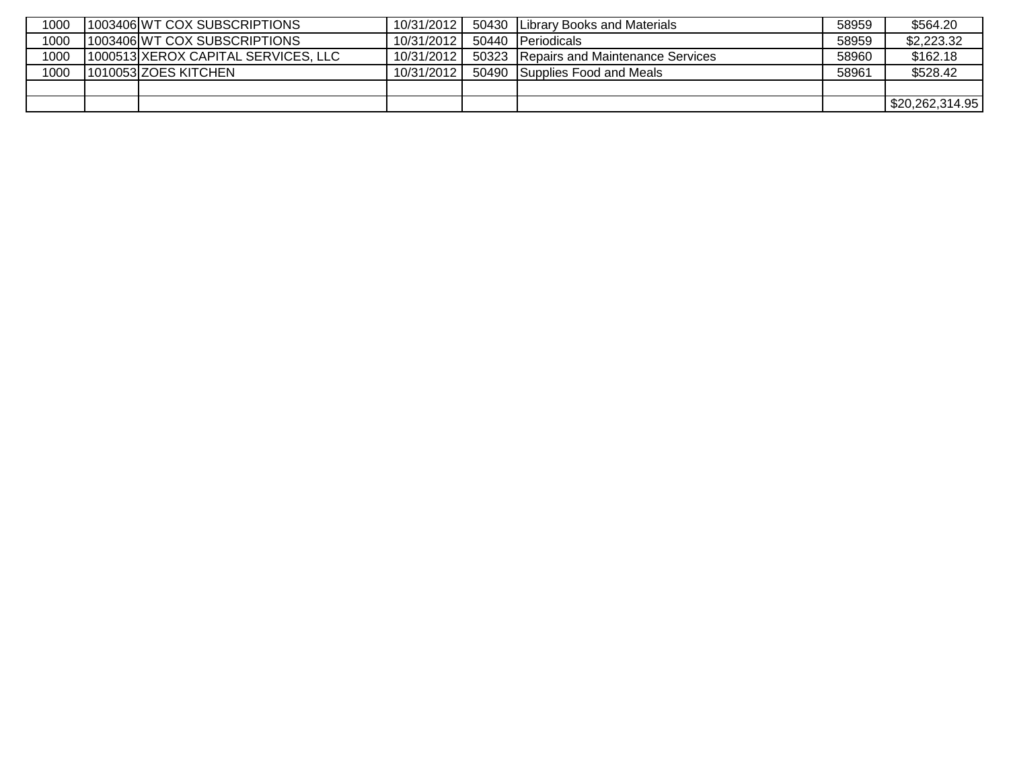| 1000 | 1003406 WT COX SUBSCRIPTIONS        | 10/31/2012 | 50430 | <b>ILibrary Books and Materials</b>    | 58959 | \$564.20        |
|------|-------------------------------------|------------|-------|----------------------------------------|-------|-----------------|
| 1000 | 1003406 WT COX SUBSCRIPTIONS        | 10/31/2012 | 50440 | <b>IPeriodicals</b>                    | 58959 | \$2,223.32      |
| 1000 | 1000513 XEROX CAPITAL SERVICES, LLC | 10/31/2012 |       | 50323 Repairs and Maintenance Services | 58960 | \$162.18        |
| 1000 | 1010053 ZOES KITCHEN                | 10/31/2012 |       | 50490 Supplies Food and Meals          | 58961 | \$528.42        |
|      |                                     |            |       |                                        |       |                 |
|      |                                     |            |       |                                        |       | \$20,262,314.95 |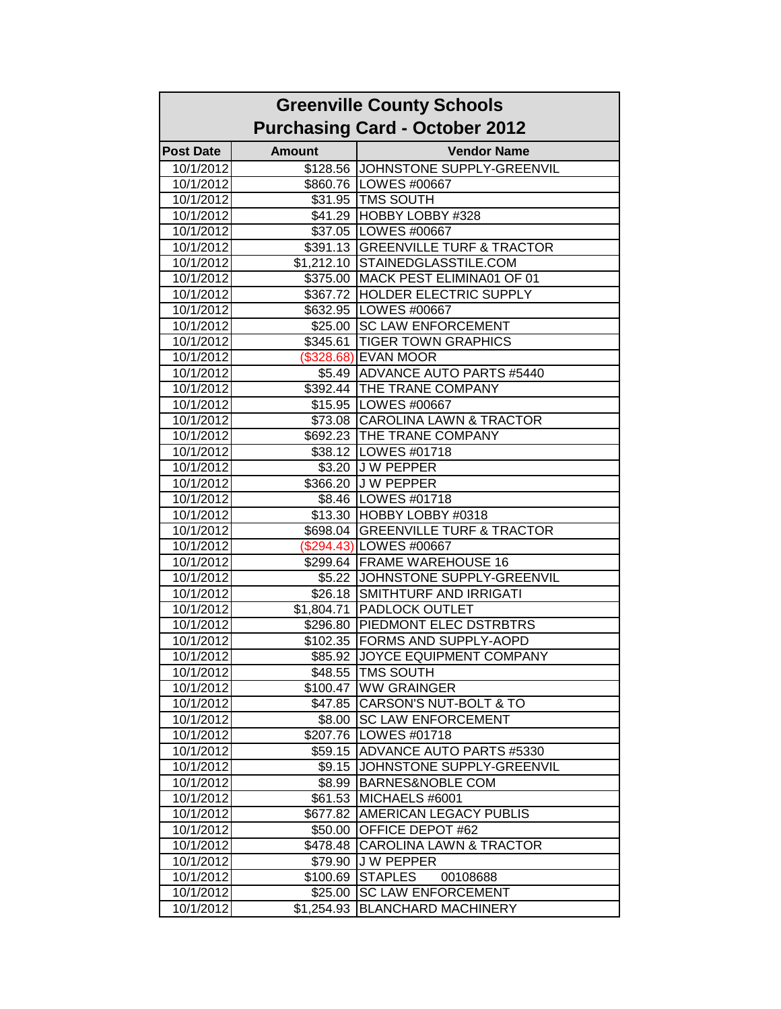|                  |               | <b>Purchasing Card - October 2012</b> |
|------------------|---------------|---------------------------------------|
| <b>Post Date</b> | <b>Amount</b> | <b>Vendor Name</b>                    |
| 10/1/2012        |               | \$128.56 JJOHNSTONE SUPPLY-GREENVIL   |
| 10/1/2012        |               | \$860.76   LOWES #00667               |
| 10/1/2012        |               | \$31.95 TMS SOUTH                     |
| 10/1/2012        |               | \$41.29 HOBBY LOBBY #328              |
| 10/1/2012        |               | \$37.05 LOWES #00667                  |
| 10/1/2012        |               | \$391.13 GREENVILLE TURF & TRACTOR    |
| 10/1/2012        |               | \$1,212.10 STAINEDGLASSTILE.COM       |
| 10/1/2012        |               | \$375.00 MACK PEST ELIMINA01 OF 01    |
| 10/1/2012        |               | \$367.72 HOLDER ELECTRIC SUPPLY       |
| 10/1/2012        |               | \$632.95 LOWES #00667                 |
| 10/1/2012        |               | \$25.00 SC LAW ENFORCEMENT            |
| 10/1/2012        |               | \$345.61 TIGER TOWN GRAPHICS          |
| 10/1/2012        |               | (\$328.68) EVAN MOOR                  |
| 10/1/2012        |               | \$5.49 ADVANCE AUTO PARTS #5440       |
| 10/1/2012        |               | \$392.44 THE TRANE COMPANY            |
| 10/1/2012        |               | \$15.95   LOWES #00667                |
| 10/1/2012        |               | \$73.08 CAROLINA LAWN & TRACTOR       |
| 10/1/2012        |               | \$692.23 THE TRANE COMPANY            |
| 10/1/2012        |               | \$38.12   LOWES #01718                |
| 10/1/2012        |               | \$3.20 J W PEPPER                     |
| 10/1/2012        |               | \$366.20 J W PEPPER                   |
| 10/1/2012        |               | \$8.46   LOWES #01718                 |
| 10/1/2012        |               | \$13.30 HOBBY LOBBY #0318             |
| 10/1/2012        |               | \$698.04 GREENVILLE TURF & TRACTOR    |
| 10/1/2012        |               | (\$294.43) LOWES #00667               |
| 10/1/2012        |               | \$299.64 FRAME WAREHOUSE 16           |
| 10/1/2012        |               | \$5.22 JOHNSTONE SUPPLY-GREENVIL      |
| 10/1/2012        |               | \$26.18 SMITHTURF AND IRRIGATI        |
| 10/1/2012        |               | \$1,804.71 PADLOCK OUTLET             |
| 10/1/2012        |               | \$296.80 PIEDMONT ELEC DSTRBTRS       |
| 10/1/2012        |               | \$102.35 FORMS AND SUPPLY-AOPD        |
| 10/1/2012        |               | \$85.92 JOYCE EQUIPMENT COMPANY       |
| 10/1/2012        |               | \$48.55 TMS SOUTH                     |
| 10/1/2012        |               | \$100.47 WW GRAINGER                  |
| 10/1/2012        |               | \$47.85   CARSON'S NUT-BOLT & TO      |
| 10/1/2012        | \$8.00        | <b>ISC LAW ENFORCEMENT</b>            |
| 10/1/2012        |               | \$207.76   LOWES #01718               |
| 10/1/2012        |               | \$59.15 ADVANCE AUTO PARTS #5330      |
| 10/1/2012        | \$9.15        | JOHNSTONE SUPPLY-GREENVIL             |
| 10/1/2012        |               | \$8.99 BARNES&NOBLE COM               |
| 10/1/2012        | \$61.53       | MICHAELS #6001                        |
| 10/1/2012        | \$677.82      | <b>AMERICAN LEGACY PUBLIS</b>         |
| 10/1/2012        | \$50.00       | <b>OFFICE DEPOT #62</b>               |
| 10/1/2012        | \$478.48      | <b>CAROLINA LAWN &amp; TRACTOR</b>    |
| 10/1/2012        | \$79.90       | <b>JW PEPPER</b>                      |
| 10/1/2012        | \$100.69      | <b>STAPLES</b><br>00108688            |
| 10/1/2012        | \$25.00       | <b>SC LAW ENFORCEMENT</b>             |
|                  |               |                                       |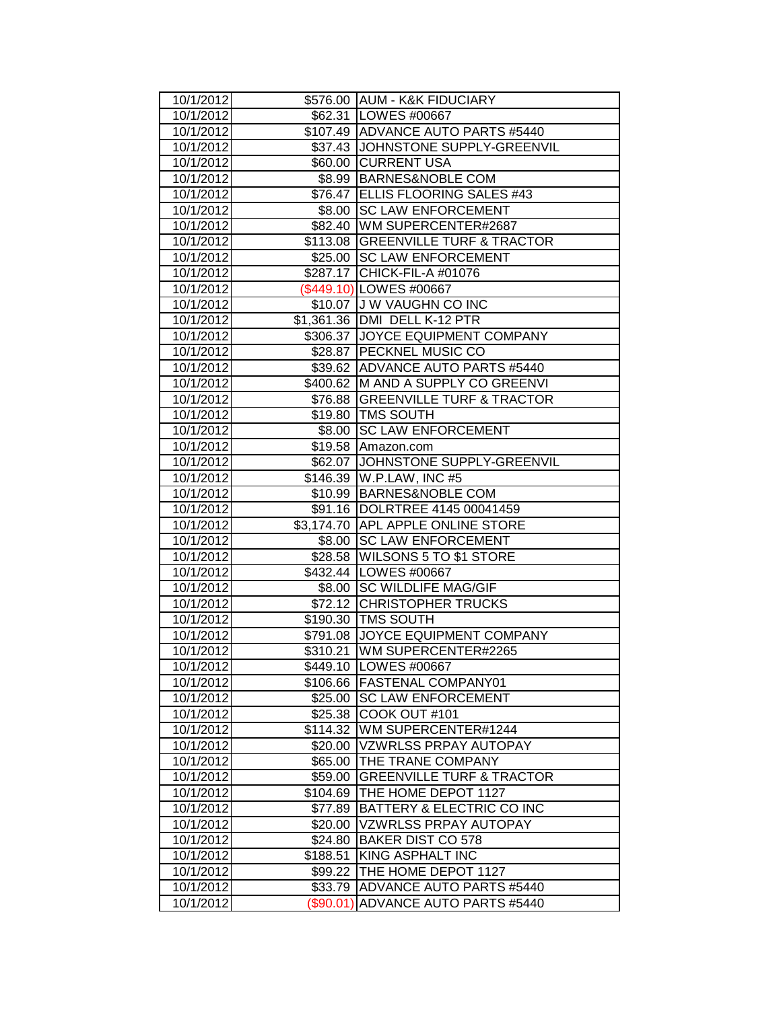| 10/1/2012              |           | \$576.00 AUM - K&K FIDUCIARY                           |
|------------------------|-----------|--------------------------------------------------------|
| 10/1/2012              |           | \$62.31   LOWES #00667                                 |
| 10/1/2012              |           | \$107.49 ADVANCE AUTO PARTS #5440                      |
| 10/1/2012              |           | \$37.43 JJOHNSTONE SUPPLY-GREENVIL                     |
| 10/1/2012              |           | \$60.00 CURRENT USA                                    |
| 10/1/2012              |           | \$8.99 BARNES&NOBLE COM                                |
| 10/1/2012              |           | \$76.47 ELLIS FLOORING SALES #43                       |
| 10/1/2012              |           | \$8.00 SC LAW ENFORCEMENT                              |
| 10/1/2012              |           | \$82.40   WM SUPERCENTER#2687                          |
| 10/1/2012              |           | \$113.08 GREENVILLE TURF & TRACTOR                     |
| 10/1/2012              |           | \$25.00 SC LAW ENFORCEMENT                             |
| 10/1/2012              |           | \$287.17 CHICK-FIL-A #01076                            |
| 10/1/2012              |           | (\$449.10) LOWES #00667                                |
| 10/1/2012              |           | \$10.07 J W VAUGHN CO INC                              |
| 10/1/2012              |           | \$1,361.36   DMI DELL K-12 PTR                         |
| 10/1/2012              |           | \$306.37 JJOYCE EQUIPMENT COMPANY                      |
| 10/1/2012              |           | \$28.87   PECKNEL MUSIC CO                             |
| 10/1/2012              |           | \$39.62 ADVANCE AUTO PARTS #5440                       |
| 10/1/2012              |           | \$400.62 M AND A SUPPLY CO GREENVI                     |
| 10/1/2012              |           | \$76.88 GREENVILLE TURF & TRACTOR                      |
| 10/1/2012              |           | \$19.80 TMS SOUTH                                      |
| 10/1/2012              |           | \$8.00 SC LAW ENFORCEMENT                              |
| 10/1/2012              |           | \$19.58 Amazon.com                                     |
| 10/1/2012              |           | \$62.07 JOHNSTONE SUPPLY-GREENVIL                      |
| 10/1/2012              |           | \$146.39   W.P.LAW, INC #5                             |
| 10/1/2012              |           | \$10.99 BARNES&NOBLE COM                               |
| 10/1/2012              |           | \$91.16  DOLRTREE 4145 00041459                        |
| 10/1/2012              |           | \$3,174.70 APL APPLE ONLINE STORE                      |
| 10/1/2012              |           | \$8.00 SC LAW ENFORCEMENT                              |
| 10/1/2012              |           | \$28.58 WILSONS 5 TO \$1 STORE                         |
| 10/1/2012              |           | \$432.44   LOWES #00667                                |
| 10/1/2012              |           | \$8.00 SC WILDLIFE MAG/GIF                             |
| 10/1/2012              |           | \$72.12 CHRISTOPHER TRUCKS                             |
| 10/1/2012              |           | \$190.30 TMS SOUTH                                     |
| 10/1/2012              |           | \$791.08 JOYCE EQUIPMENT COMPANY                       |
| 10/1/2012              |           | \$310.21 WM SUPERCENTER#2265                           |
| 10/1/2012              |           | \$449.10   LOWES #00667<br>\$106.66 FASTENAL COMPANY01 |
| 10/1/2012<br>10/1/2012 |           | \$25.00 SC LAW ENFORCEMENT                             |
| 10/1/2012              | \$25.38   | COOK OUT #101                                          |
| 10/1/2012              | \$114.32  | WM SUPERCENTER#1244                                    |
| 10/1/2012              | \$20.00   | <b>VZWRLSS PRPAY AUTOPAY</b>                           |
| 10/1/2012              | \$65.00   | THE TRANE COMPANY                                      |
| 10/1/2012              | \$59.00   | <b>GREENVILLE TURF &amp; TRACTOR</b>                   |
| 10/1/2012              | \$104.69  | THE HOME DEPOT 1127                                    |
| 10/1/2012              | \$77.89   | BATTERY & ELECTRIC CO INC                              |
| 10/1/2012              | \$20.00   | <b>VZWRLSS PRPAY AUTOPAY</b>                           |
| 10/1/2012              | \$24.80   | <b>BAKER DIST CO 578</b>                               |
| 10/1/2012              | \$188.51  | KING ASPHALT INC                                       |
| 10/1/2012              | \$99.22   | THE HOME DEPOT 1127                                    |
| 10/1/2012              | \$33.79   | ADVANCE AUTO PARTS #5440                               |
| 10/1/2012              | (\$90.01) | ADVANCE AUTO PARTS #5440                               |
|                        |           |                                                        |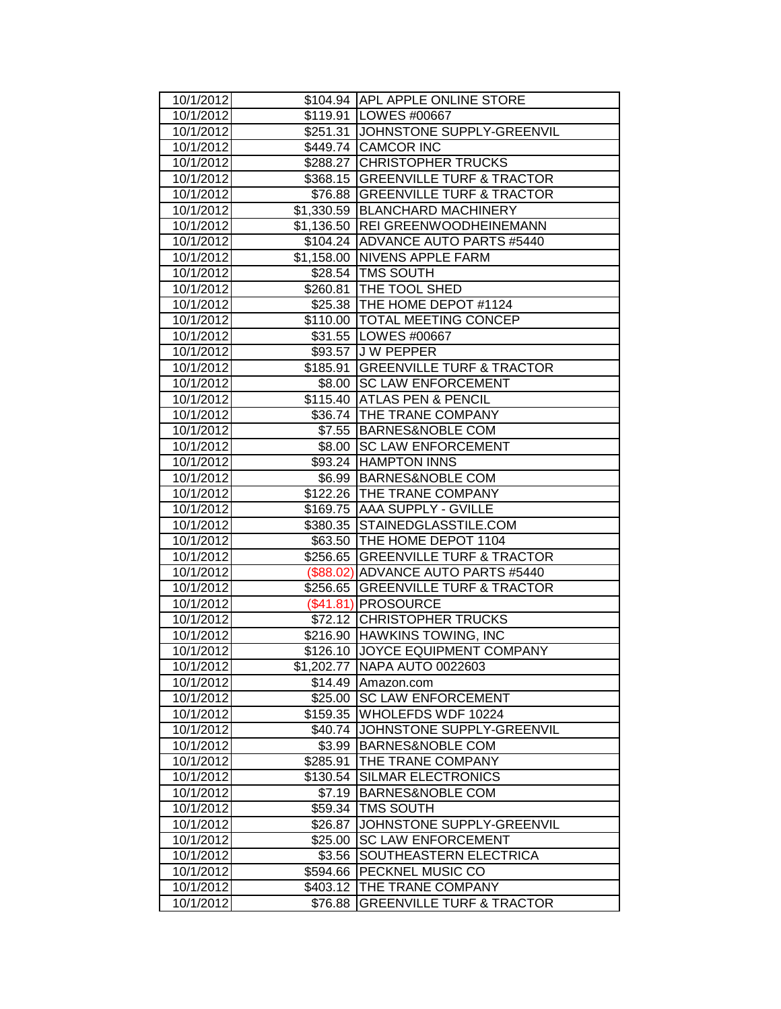| 10/1/2012              |          | \$104.94 APL APPLE ONLINE STORE                                   |
|------------------------|----------|-------------------------------------------------------------------|
| 10/1/2012              |          | \$119.91 LOWES #00667                                             |
| 10/1/2012              |          | \$251.31 JOHNSTONE SUPPLY-GREENVIL                                |
| 10/1/2012              |          | \$449.74 CAMCOR INC                                               |
| 10/1/2012              |          | \$288.27 CHRISTOPHER TRUCKS                                       |
| 10/1/2012              |          | \$368.15 GREENVILLE TURF & TRACTOR                                |
| 10/1/2012              |          | \$76.88 GREENVILLE TURF & TRACTOR                                 |
| 10/1/2012              |          | \$1,330.59 BLANCHARD MACHINERY                                    |
| 10/1/2012              |          | \$1,136.50 REI GREENWOODHEINEMANN                                 |
| 10/1/2012              |          | \$104.24 ADVANCE AUTO PARTS #5440                                 |
| 10/1/2012              |          | \$1,158.00 NIVENS APPLE FARM                                      |
| 10/1/2012              |          | \$28.54   TMS SOUTH                                               |
| 10/1/2012              |          | \$260.81   THE TOOL SHED                                          |
| 10/1/2012              |          | \$25.38 THE HOME DEPOT #1124                                      |
| 10/1/2012              |          | \$110.00 TOTAL MEETING CONCEP                                     |
| 10/1/2012              |          | \$31.55   LOWES #00667                                            |
| 10/1/2012              |          | \$93.57 J W PEPPER                                                |
| 10/1/2012              |          | \$185.91 GREENVILLE TURF & TRACTOR                                |
| 10/1/2012              |          | \$8.00 SC LAW ENFORCEMENT                                         |
| 10/1/2012              |          | \$115.40 ATLAS PEN & PENCIL                                       |
| 10/1/2012              |          | \$36.74 THE TRANE COMPANY                                         |
| 10/1/2012              |          | \$7.55 BARNES&NOBLE COM                                           |
| 10/1/2012              |          | \$8.00 SC LAW ENFORCEMENT                                         |
| 10/1/2012              |          | \$93.24 HAMPTON INNS                                              |
| 10/1/2012              |          | \$6.99 BARNES&NOBLE COM                                           |
| 10/1/2012              |          | \$122.26 THE TRANE COMPANY                                        |
| 10/1/2012              |          | \$169.75 AAA SUPPLY - GVILLE                                      |
| 10/1/2012              |          | \$380.35 STAINEDGLASSTILE.COM                                     |
| 10/1/2012<br>10/1/2012 |          | \$63.50 THE HOME DEPOT 1104<br>\$256.65 GREENVILLE TURF & TRACTOR |
| 10/1/2012              |          | (\$88.02) ADVANCE AUTO PARTS #5440                                |
| 10/1/2012              |          | \$256.65 GREENVILLE TURF & TRACTOR                                |
| 10/1/2012              |          | (\$41.81) PROSOURCE                                               |
| 10/1/2012              |          | \$72.12 CHRISTOPHER TRUCKS                                        |
| 10/1/2012              |          | \$216.90 HAWKINS TOWING, INC                                      |
| 10/1/2012              |          | \$126.10 JOYCE EQUIPMENT COMPANY                                  |
| 10/1/2012              |          | \$1,202.77   NAPA AUTO 0022603                                    |
| 10/1/2012              | \$14.49  | Amazon.com                                                        |
| 10/1/2012              |          | \$25.00 SC LAW ENFORCEMENT                                        |
| 10/1/2012              | \$159.35 | WHOLEFDS WDF 10224                                                |
| 10/1/2012              | \$40.74  | JOHNSTONE SUPPLY-GREENVIL                                         |
| 10/1/2012              | \$3.99   | <b>BARNES&amp;NOBLE COM</b>                                       |
| 10/1/2012              | \$285.91 | THE TRANE COMPANY                                                 |
| 10/1/2012              | \$130.54 | <b>SILMAR ELECTRONICS</b>                                         |
| 10/1/2012              | \$7.19   | <b>BARNES&amp;NOBLE COM</b>                                       |
| 10/1/2012              | \$59.34  | <b>TMS SOUTH</b>                                                  |
| 10/1/2012              | \$26.87  | JOHNSTONE SUPPLY-GREENVIL                                         |
| 10/1/2012              | \$25.00  | <b>SC LAW ENFORCEMENT</b>                                         |
| 10/1/2012              | \$3.56   | SOUTHEASTERN ELECTRICA                                            |
| 10/1/2012              | \$594.66 | PECKNEL MUSIC CO                                                  |
| 10/1/2012              | \$403.12 | THE TRANE COMPANY                                                 |
| 10/1/2012              | \$76.88  | <b>GREENVILLE TURF &amp; TRACTOR</b>                              |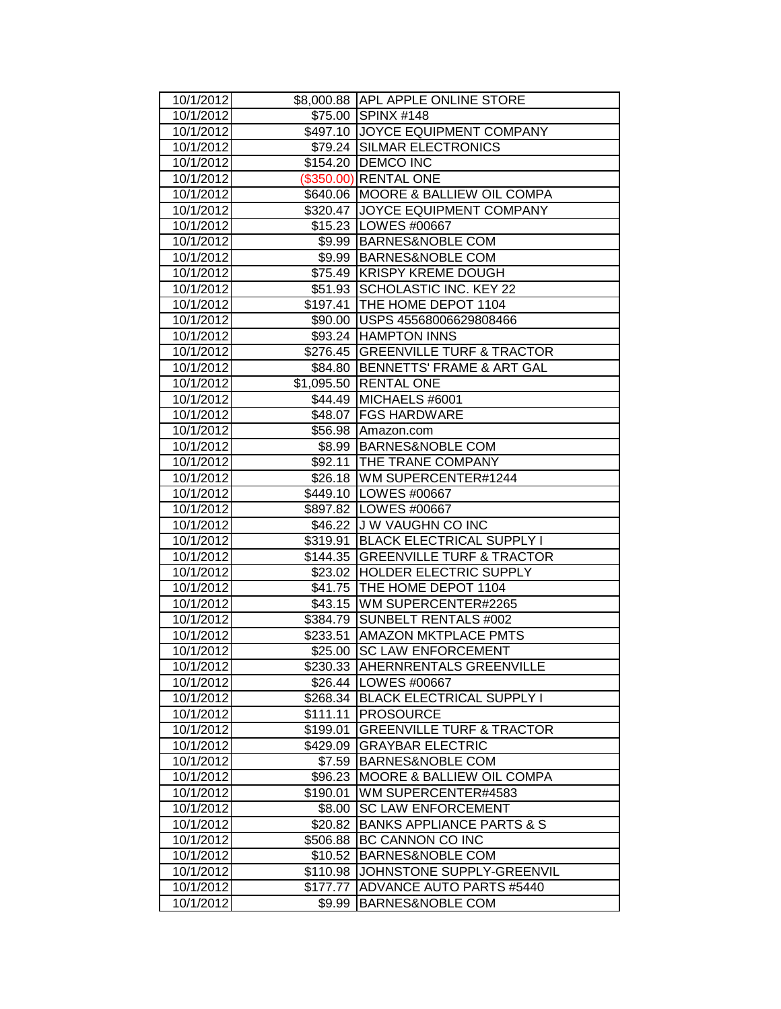| 10/1/2012              |          | \$8,000.88 APL APPLE ONLINE STORE                      |
|------------------------|----------|--------------------------------------------------------|
| 10/1/2012              |          | \$75.00 SPINX #148                                     |
| 10/1/2012              |          | \$497.10 JOYCE EQUIPMENT COMPANY                       |
| 10/1/2012              |          | \$79.24 SILMAR ELECTRONICS                             |
| 10/1/2012              |          | \$154.20 DEMCO INC                                     |
| 10/1/2012              |          | (\$350.00) RENTAL ONE                                  |
| 10/1/2012              |          | \$640.06 MOORE & BALLIEW OIL COMPA                     |
| 10/1/2012              |          | \$320.47 JOYCE EQUIPMENT COMPANY                       |
| 10/1/2012              |          | \$15.23   LOWES #00667                                 |
| 10/1/2012              |          | \$9.99 BARNES&NOBLE COM                                |
| 10/1/2012              |          | \$9.99 BARNES&NOBLE COM                                |
| 10/1/2012              |          | \$75.49 KRISPY KREME DOUGH                             |
| 10/1/2012              |          | \$51.93 SCHOLASTIC INC. KEY 22                         |
| 10/1/2012              |          | \$197.41 THE HOME DEPOT 1104                           |
| 10/1/2012              |          | \$90.00   USPS 45568006629808466                       |
| 10/1/2012              |          | \$93.24 HAMPTON INNS                                   |
| 10/1/2012              |          | \$276.45 GREENVILLE TURF & TRACTOR                     |
| 10/1/2012              |          | \$84.80 BENNETTS' FRAME & ART GAL                      |
| 10/1/2012              |          | \$1,095.50 RENTAL ONE                                  |
| 10/1/2012              |          | \$44.49 MICHAELS #6001                                 |
| 10/1/2012              |          | \$48.07   FGS HARDWARE                                 |
| 10/1/2012              |          | \$56.98 Amazon.com                                     |
| 10/1/2012              |          | \$8.99 BARNES&NOBLE COM                                |
| 10/1/2012              |          | \$92.11 THE TRANE COMPANY                              |
| 10/1/2012<br>10/1/2012 |          | \$26.18 WM SUPERCENTER#1244<br>\$449.10   LOWES #00667 |
| 10/1/2012              |          | \$897.82 LOWES #00667                                  |
| 10/1/2012              |          | \$46.22 J W VAUGHN CO INC                              |
| 10/1/2012              |          | \$319.91   BLACK ELECTRICAL SUPPLY I                   |
| 10/1/2012              |          | \$144.35 GREENVILLE TURF & TRACTOR                     |
| 10/1/2012              |          | \$23.02 HOLDER ELECTRIC SUPPLY                         |
| 10/1/2012              |          | \$41.75 THE HOME DEPOT 1104                            |
| 10/1/2012              |          | \$43.15   WM SUPERCENTER#2265                          |
| 10/1/2012              |          | \$384.79 SUNBELT RENTALS #002                          |
| 10/1/2012              |          | \$233.51 AMAZON MKTPLACE PMTS                          |
| 10/1/2012              | \$25.00  | <b>SC LAW ENFORCEMENT</b>                              |
| 10/1/2012              |          | \$230.33  AHERNRENTALS GREENVILLE                      |
| 10/1/2012              |          | \$26.44   LOWES #00667                                 |
| 10/1/2012              |          | \$268.34 BLACK ELECTRICAL SUPPLY I                     |
| 10/1/2012              | \$111.11 | <b>PROSOURCE</b>                                       |
| 10/1/2012              | \$199.01 | <b>GREENVILLE TURF &amp; TRACTOR</b>                   |
| 10/1/2012              | \$429.09 | <b>GRAYBAR ELECTRIC</b>                                |
| 10/1/2012              | \$7.59   | <b>BARNES&amp;NOBLE COM</b>                            |
| 10/1/2012              | \$96.23  | <b>MOORE &amp; BALLIEW OIL COMPA</b>                   |
| 10/1/2012              | \$190.01 | WM SUPERCENTER#4583                                    |
| 10/1/2012              | \$8.00   | <b>SC LAW ENFORCEMENT</b>                              |
| 10/1/2012              | \$20.82  | <b>BANKS APPLIANCE PARTS &amp; S</b>                   |
| 10/1/2012              | \$506.88 | <b>BC CANNON CO INC</b>                                |
| 10/1/2012              | \$10.52  | <b>BARNES&amp;NOBLE COM</b>                            |
| 10/1/2012              | \$110.98 | JOHNSTONE SUPPLY-GREENVIL                              |
| 10/1/2012              | \$177.77 | <b>ADVANCE AUTO PARTS #5440</b>                        |
| 10/1/2012              | \$9.99   |                                                        |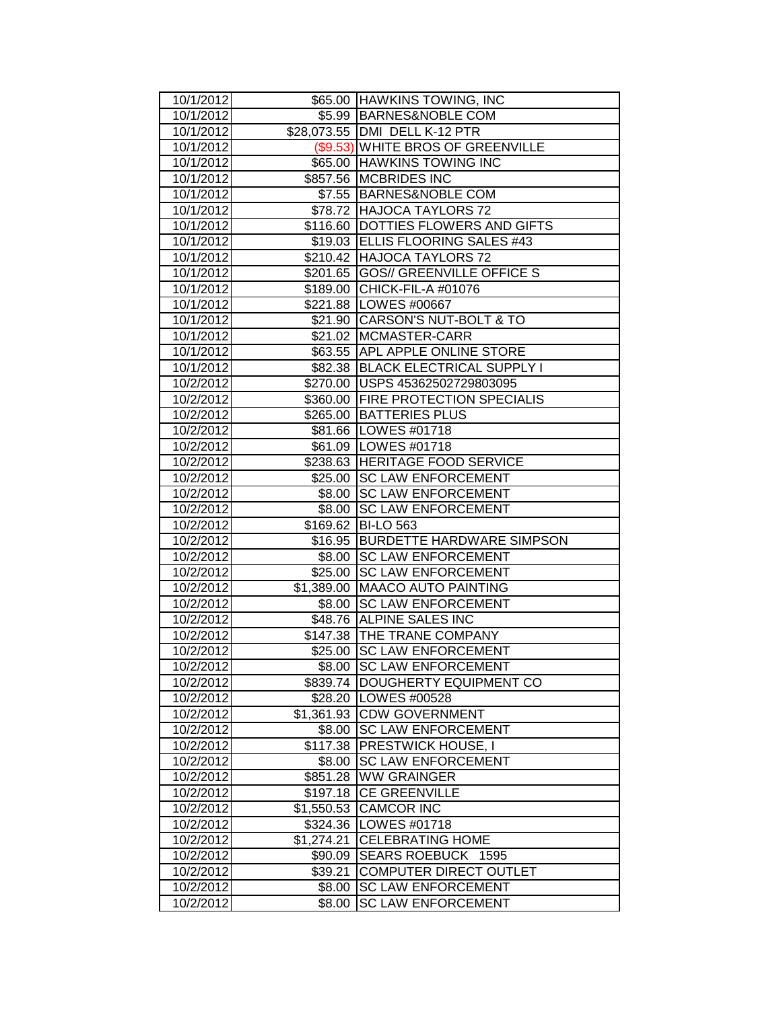| 10/1/2012              |                  | \$65.00 HAWKINS TOWING, INC                            |
|------------------------|------------------|--------------------------------------------------------|
| 10/1/2012              |                  | \$5.99 BARNES&NOBLE COM                                |
| 10/1/2012              |                  | \$28,073.55 DMI DELL K-12 PTR                          |
| 10/1/2012              |                  | (\$9.53) WHITE BROS OF GREENVILLE                      |
| 10/1/2012              |                  | \$65.00 HAWKINS TOWING INC                             |
| 10/1/2012              |                  | \$857.56 MCBRIDES INC                                  |
| 10/1/2012              |                  | \$7.55 BARNES&NOBLE COM                                |
| 10/1/2012              |                  | \$78.72 HAJOCA TAYLORS 72                              |
| 10/1/2012              |                  | \$116.60   DOTTIES FLOWERS AND GIFTS                   |
| 10/1/2012              |                  | \$19.03   ELLIS FLOORING SALES #43                     |
| 10/1/2012              |                  | \$210.42 HAJOCA TAYLORS 72                             |
| 10/1/2012              |                  | \$201.65 GOS// GREENVILLE OFFICE S                     |
| 10/1/2012              |                  | \$189.00 CHICK-FIL-A #01076                            |
| 10/1/2012              |                  | \$221.88   LOWES #00667                                |
| 10/1/2012              |                  | \$21.90 CARSON'S NUT-BOLT & TO                         |
| 10/1/2012              |                  | \$21.02 MCMASTER-CARR                                  |
| 10/1/2012              |                  | \$63.55 APL APPLE ONLINE STORE                         |
| 10/1/2012              |                  | \$82.38 BLACK ELECTRICAL SUPPLY I                      |
| 10/2/2012              |                  | \$270.00 USPS 45362502729803095                        |
| 10/2/2012              |                  | \$360.00 FIRE PROTECTION SPECIALIS                     |
| 10/2/2012              |                  | \$265.00 BATTERIES PLUS                                |
| 10/2/2012              |                  | \$81.66   LOWES #01718                                 |
| 10/2/2012              |                  | \$61.09   LOWES #01718                                 |
| 10/2/2012              |                  | \$238.63 HERITAGE FOOD SERVICE                         |
| 10/2/2012              | \$25.00          | <b>SC LAW ENFORCEMENT</b>                              |
| 10/2/2012              | \$8.00           | <b>SC LAW ENFORCEMENT</b>                              |
| 10/2/2012              | \$8.00           | <b>SC LAW ENFORCEMENT</b>                              |
|                        |                  |                                                        |
| 10/2/2012              | \$169.62         | <b>BI-LO 563</b>                                       |
| 10/2/2012              |                  | \$16.95 BURDETTE HARDWARE SIMPSON                      |
| 10/2/2012              |                  | \$8.00 SC LAW ENFORCEMENT                              |
| 10/2/2012              |                  | \$25.00 SC LAW ENFORCEMENT                             |
| 10/2/2012              |                  | \$1,389.00 MAACO AUTO PAINTING                         |
| 10/2/2012              | \$8.00           | <b>SC LAW ENFORCEMENT</b>                              |
| 10/2/2012              |                  | \$48.76 ALPINE SALES INC                               |
| 10/2/2012              |                  | \$147.38 THE TRANE COMPANY                             |
| 10/2/2012              | \$25.00          | <b>SC LAW ENFORCEMENT</b>                              |
| 10/2/2012              |                  | \$8.00 SC LAW ENFORCEMENT                              |
| 10/2/2012              | \$839.74         | DOUGHERTY EQUIPMENT CO                                 |
| 10/2/2012              |                  | \$28.20   LOWES #00528                                 |
| 10/2/2012              | \$1,361.93       | <b>CDW GOVERNMENT</b>                                  |
| 10/2/2012              | \$8.00           | <b>SC LAW ENFORCEMENT</b>                              |
| 10/2/2012              | \$117.38         | PRESTWICK HOUSE, I                                     |
| 10/2/2012              | \$8.00           | <b>SC LAW ENFORCEMENT</b>                              |
| 10/2/2012              | \$851.28         | <b>WW GRAINGER</b>                                     |
| 10/2/2012              | \$197.18         | <b>CE GREENVILLE</b>                                   |
| 10/2/2012              | \$1,550.53       | <b>CAMCOR INC</b>                                      |
| 10/2/2012              |                  | \$324.36   LOWES #01718                                |
| 10/2/2012              | \$1,274.21       | <b>CELEBRATING HOME</b>                                |
| 10/2/2012              | \$90.09          | SEARS ROEBUCK 1595                                     |
| 10/2/2012              | \$39.21          | <b>COMPUTER DIRECT OUTLET</b>                          |
| 10/2/2012<br>10/2/2012 | \$8.00<br>\$8.00 | <b>SC LAW ENFORCEMENT</b><br><b>SC LAW ENFORCEMENT</b> |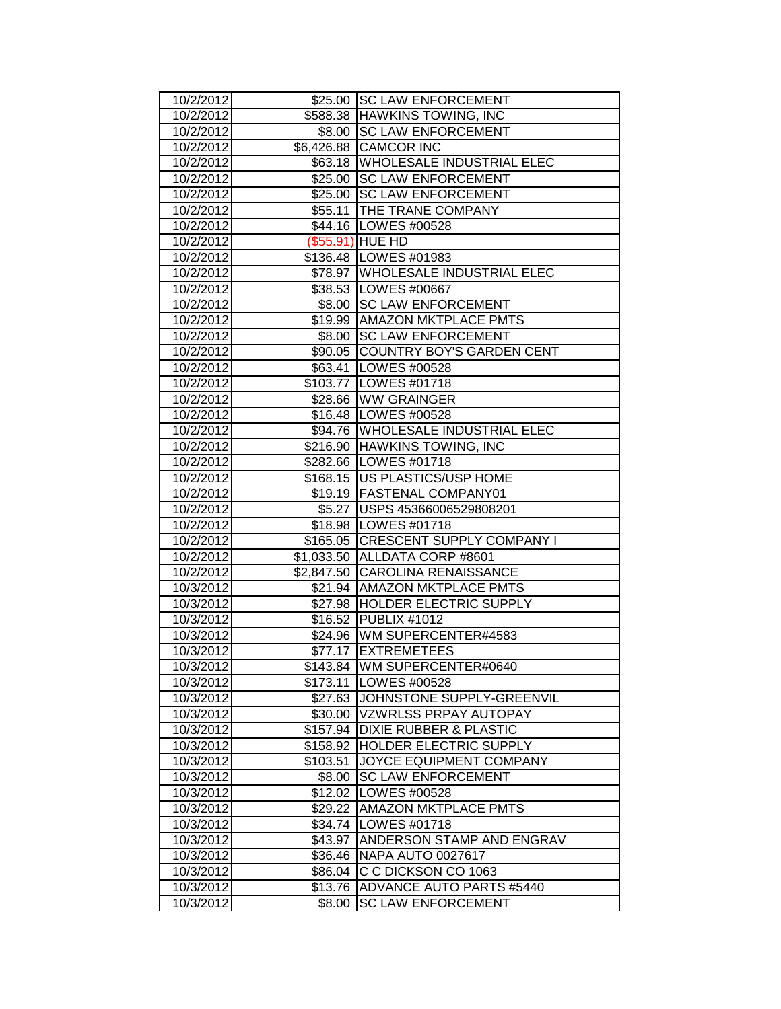| 10/2/2012              |          | \$25.00 SC LAW ENFORCEMENT                                 |
|------------------------|----------|------------------------------------------------------------|
| 10/2/2012              |          | \$588.38 HAWKINS TOWING, INC                               |
| 10/2/2012              |          | \$8.00 SC LAW ENFORCEMENT                                  |
| 10/2/2012              |          | \$6,426.88 CAMCOR INC                                      |
| 10/2/2012              |          | \$63.18   WHOLESALE INDUSTRIAL ELEC                        |
| 10/2/2012              |          | \$25.00 SC LAW ENFORCEMENT                                 |
| 10/2/2012              |          | \$25.00 SC LAW ENFORCEMENT                                 |
| 10/2/2012              |          | \$55.11 THE TRANE COMPANY                                  |
| 10/2/2012              |          | \$44.16   LOWES #00528                                     |
| 10/2/2012              |          | (\$55.91) HUE HD                                           |
| 10/2/2012              |          | \$136.48   LOWES #01983                                    |
| 10/2/2012              |          | \$78.97   WHOLESALE INDUSTRIAL ELEC                        |
| 10/2/2012              |          | \$38.53 LOWES #00667                                       |
| 10/2/2012              |          | \$8.00 SC LAW ENFORCEMENT                                  |
| 10/2/2012              |          | \$19.99   AMAZON MKTPLACE PMTS                             |
| 10/2/2012              |          | \$8.00 SC LAW ENFORCEMENT                                  |
| 10/2/2012              |          | \$90.05 COUNTRY BOY'S GARDEN CENT                          |
| 10/2/2012              |          | \$63.41   LOWES #00528                                     |
| 10/2/2012              |          | \$103.77 LOWES #01718                                      |
| 10/2/2012              |          | \$28.66 WW GRAINGER                                        |
| 10/2/2012              |          | \$16.48 LOWES #00528                                       |
| 10/2/2012              |          | \$94.76   WHOLESALE INDUSTRIAL ELEC                        |
| 10/2/2012              |          | \$216.90 HAWKINS TOWING, INC                               |
| 10/2/2012              |          | \$282.66   LOWES #01718                                    |
| 10/2/2012              |          | \$168.15   US PLASTICS/USP HOME                            |
| 10/2/2012              |          | \$19.19 FASTENAL COMPANY01                                 |
| 10/2/2012              |          | \$5.27   USPS 45366006529808201                            |
| 10/2/2012              |          | \$18.98   LOWES #01718                                     |
| 10/2/2012              |          | \$165.05 CRESCENT SUPPLY COMPANY I                         |
| 10/2/2012              |          | \$1,033.50 ALLDATA CORP #8601                              |
| 10/2/2012              |          | \$2,847.50 CAROLINA RENAISSANCE                            |
| 10/3/2012              |          | \$21.94 AMAZON MKTPLACE PMTS                               |
| 10/3/2012              |          | \$27.98 HOLDER ELECTRIC SUPPLY                             |
| 10/3/2012              |          | \$16.52 PUBLIX #1012                                       |
| 10/3/2012              |          | \$24.96   WM SUPERCENTER#4583                              |
| 10/3/2012              |          | \$77.17 EXTREMETEES                                        |
| 10/3/2012              |          | \$143.84 WM SUPERCENTER#0640                               |
| 10/3/2012              |          | \$173.11   LOWES #00528                                    |
| 10/3/2012              |          | \$27.63 JJOHNSTONE SUPPLY-GREENVIL                         |
| 10/3/2012              |          | \$30.00 VZWRLSS PRPAY AUTOPAY                              |
| 10/3/2012              | \$157.94 | <b>DIXIE RUBBER &amp; PLASTIC</b>                          |
| 10/3/2012              |          | \$158.92 HOLDER ELECTRIC SUPPLY<br>JOYCE EQUIPMENT COMPANY |
| 10/3/2012              | \$103.51 | <b>SC LAW ENFORCEMENT</b>                                  |
| 10/3/2012              | \$8.00   |                                                            |
| 10/3/2012              |          | \$12.02   LOWES #00528                                     |
| 10/3/2012<br>10/3/2012 |          | \$29.22 AMAZON MKTPLACE PMTS                               |
|                        |          | \$34.74   LOWES #01718                                     |
| 10/3/2012              | \$43.97  | ANDERSON STAMP AND ENGRAV<br>\$36.46   NAPA AUTO 0027617   |
| 10/3/2012              |          | C C DICKSON CO 1063                                        |
| 10/3/2012              | \$86.04  |                                                            |
| 10/3/2012              | \$13.76  | ADVANCE AUTO PARTS #5440<br><b>SC LAW ENFORCEMENT</b>      |
| 10/3/2012              | \$8.00   |                                                            |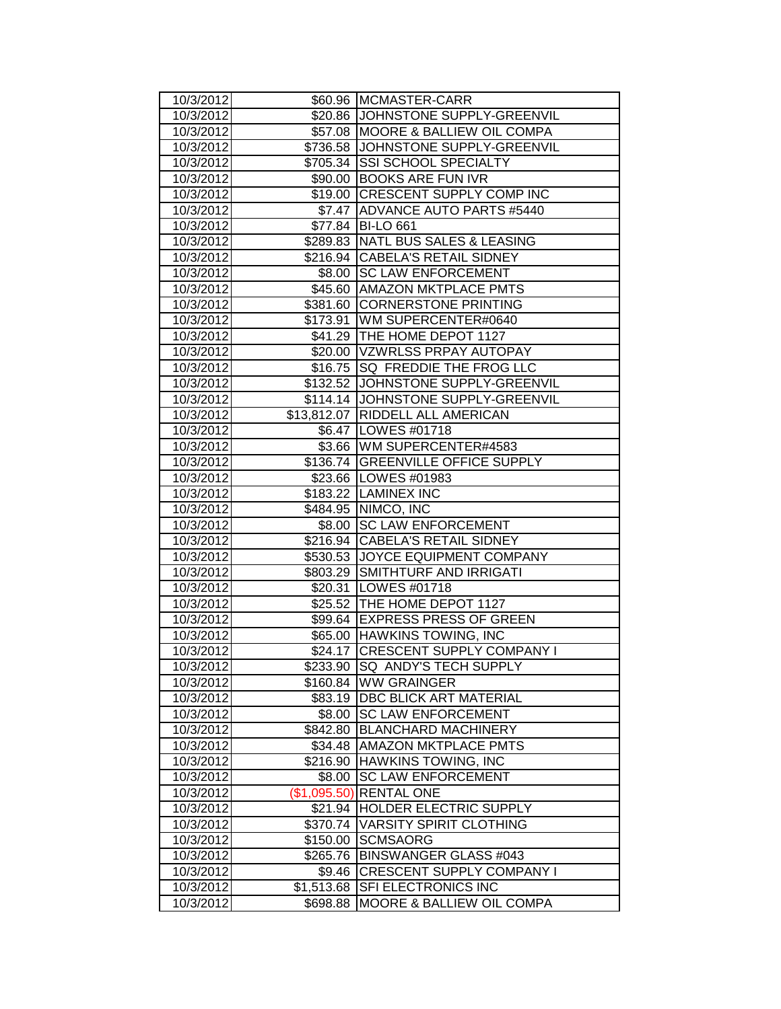| 10/3/2012 |              | \$60.96 MCMASTER-CARR                |
|-----------|--------------|--------------------------------------|
| 10/3/2012 |              | \$20.86 JJOHNSTONE SUPPLY-GREENVIL   |
| 10/3/2012 |              | \$57.08 MOORE & BALLIEW OIL COMPA    |
| 10/3/2012 |              | \$736.58 JJOHNSTONE SUPPLY-GREENVIL  |
| 10/3/2012 |              | \$705.34 SSI SCHOOL SPECIALTY        |
| 10/3/2012 |              | \$90.00 BOOKS ARE FUN IVR            |
| 10/3/2012 |              | \$19.00 CRESCENT SUPPLY COMP INC     |
| 10/3/2012 |              | \$7.47 ADVANCE AUTO PARTS #5440      |
| 10/3/2012 |              | \$77.84 BI-LO 661                    |
| 10/3/2012 |              | \$289.83 NATL BUS SALES & LEASING    |
| 10/3/2012 |              | \$216.94 CABELA'S RETAIL SIDNEY      |
| 10/3/2012 |              | \$8.00 SC LAW ENFORCEMENT            |
| 10/3/2012 |              | \$45.60 AMAZON MKTPLACE PMTS         |
| 10/3/2012 |              | \$381.60 CORNERSTONE PRINTING        |
| 10/3/2012 |              | \$173.91 WM SUPERCENTER#0640         |
| 10/3/2012 |              | \$41.29   THE HOME DEPOT 1127        |
| 10/3/2012 |              | \$20.00 VZWRLSS PRPAY AUTOPAY        |
| 10/3/2012 |              | \$16.75   SQ FREDDIE THE FROG LLC    |
| 10/3/2012 |              | \$132.52 JJOHNSTONE SUPPLY-GREENVIL  |
| 10/3/2012 |              | \$114.14 JOHNSTONE SUPPLY-GREENVIL   |
| 10/3/2012 |              | \$13,812.07   RIDDELL ALL AMERICAN   |
| 10/3/2012 |              | \$6.47   LOWES #01718                |
| 10/3/2012 |              | \$3.66 WM SUPERCENTER#4583           |
| 10/3/2012 |              | \$136.74 GREENVILLE OFFICE SUPPLY    |
| 10/3/2012 |              | \$23.66 LOWES #01983                 |
| 10/3/2012 |              | \$183.22 LAMINEX INC                 |
| 10/3/2012 |              | \$484.95 NIMCO, INC                  |
| 10/3/2012 |              | \$8.00 SC LAW ENFORCEMENT            |
| 10/3/2012 |              | \$216.94 CABELA'S RETAIL SIDNEY      |
| 10/3/2012 |              | \$530.53 JOYCE EQUIPMENT COMPANY     |
| 10/3/2012 |              | \$803.29 SMITHTURF AND IRRIGATI      |
| 10/3/2012 |              | \$20.31   LOWES #01718               |
| 10/3/2012 |              | \$25.52 THE HOME DEPOT 1127          |
| 10/3/2012 |              | \$99.64 EXPRESS PRESS OF GREEN       |
| 10/3/2012 |              | \$65.00 HAWKINS TOWING, INC          |
| 10/3/2012 | \$24.17      | <b>CRESCENT SUPPLY COMPANY I</b>     |
| 10/3/2012 |              | \$233.90 SQ ANDY'S TECH SUPPLY       |
| 10/3/2012 |              | \$160.84 WW GRAINGER                 |
| 10/3/2012 | \$83.19      | <b>DBC BLICK ART MATERIAL</b>        |
| 10/3/2012 | \$8.00       | <b>SC LAW ENFORCEMENT</b>            |
| 10/3/2012 | \$842.80     | <b>BLANCHARD MACHINERY</b>           |
| 10/3/2012 | \$34.48      | <b>AMAZON MKTPLACE PMTS</b>          |
| 10/3/2012 | \$216.90     | HAWKINS TOWING, INC                  |
| 10/3/2012 | \$8.00       | <b>SC LAW ENFORCEMENT</b>            |
| 10/3/2012 | (\$1,095.50) | <b>RENTAL ONE</b>                    |
| 10/3/2012 | \$21.94      | HOLDER ELECTRIC SUPPLY               |
| 10/3/2012 |              | \$370.74   VARSITY SPIRIT CLOTHING   |
| 10/3/2012 | \$150.00     | <b>SCMSAORG</b>                      |
| 10/3/2012 | \$265.76     | <b>BINSWANGER GLASS #043</b>         |
| 10/3/2012 | \$9.46       | <b>CRESCENT SUPPLY COMPANY I</b>     |
| 10/3/2012 | \$1,513.68   | SFI ELECTRONICS INC                  |
| 10/3/2012 | \$698.88     | <b>MOORE &amp; BALLIEW OIL COMPA</b> |
|           |              |                                      |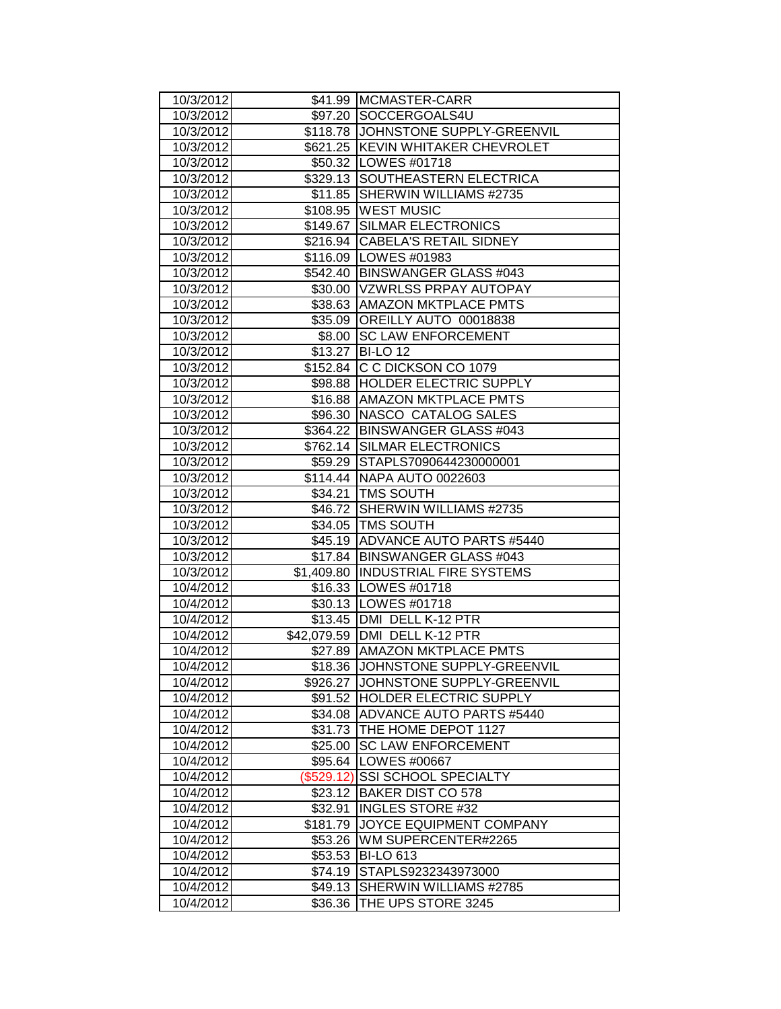| 10/3/2012              |                    | \$41.99 MCMASTER-CARR                                              |
|------------------------|--------------------|--------------------------------------------------------------------|
| 10/3/2012              |                    | \$97.20 SOCCERGOALS4U                                              |
| 10/3/2012              |                    | \$118.78 JOHNSTONE SUPPLY-GREENVIL                                 |
| 10/3/2012              |                    | \$621.25 KEVIN WHITAKER CHEVROLET                                  |
| 10/3/2012              |                    | \$50.32 LOWES #01718                                               |
| 10/3/2012              |                    | \$329.13 SOUTHEASTERN ELECTRICA                                    |
| 10/3/2012              |                    | \$11.85 SHERWIN WILLIAMS #2735                                     |
| 10/3/2012              |                    | \$108.95 WEST MUSIC                                                |
| 10/3/2012              |                    | \$149.67 SILMAR ELECTRONICS                                        |
| 10/3/2012              |                    | \$216.94 CABELA'S RETAIL SIDNEY                                    |
| 10/3/2012              |                    | \$116.09 LOWES #01983                                              |
| 10/3/2012              |                    | \$542.40 BINSWANGER GLASS #043                                     |
| 10/3/2012              |                    | \$30.00   VZWRLSS PRPAY AUTOPAY                                    |
| 10/3/2012              |                    | \$38.63 AMAZON MKTPLACE PMTS                                       |
| 10/3/2012              |                    | \$35.09 OREILLY AUTO 00018838                                      |
| 10/3/2012              |                    | \$8.00 SC LAW ENFORCEMENT                                          |
| 10/3/2012              |                    | \$13.27 BI-LO 12                                                   |
| 10/3/2012              |                    | \$152.84 C C DICKSON CO 1079                                       |
| 10/3/2012              |                    | \$98.88  HOLDER ELECTRIC SUPPLY                                    |
| 10/3/2012              |                    | \$16.88 AMAZON MKTPLACE PMTS                                       |
| 10/3/2012              |                    | \$96.30 NASCO CATALOG SALES                                        |
| 10/3/2012              |                    | \$364.22 BINSWANGER GLASS #043                                     |
| 10/3/2012              |                    | \$762.14 SILMAR ELECTRONICS                                        |
| 10/3/2012              |                    | \$59.29 STAPLS7090644230000001                                     |
| 10/3/2012              |                    | \$114.44   NAPA AUTO 0022603                                       |
| 10/3/2012              |                    | \$34.21   TMS SOUTH                                                |
| 10/3/2012              |                    | \$46.72 SHERWIN WILLIAMS #2735                                     |
| 10/3/2012              |                    | \$34.05   TMS SOUTH                                                |
| 10/3/2012              |                    | \$45.19 ADVANCE AUTO PARTS #5440                                   |
| 10/3/2012              |                    | \$17.84 BINSWANGER GLASS #043                                      |
| 10/3/2012              |                    | \$1,409.80 INDUSTRIAL FIRE SYSTEMS                                 |
| 10/4/2012              |                    | \$16.33   LOWES #01718                                             |
| 10/4/2012              |                    | \$30.13   LOWES #01718                                             |
| 10/4/2012              |                    | \$13.45   DMI DELL K-12 PTR                                        |
| 10/4/2012              |                    | \$42,079.59   DMI DELL K-12 PTR                                    |
| 10/4/2012              |                    | \$27.89 AMAZON MKTPLACE PMTS                                       |
| 10/4/2012              |                    | \$18.36 JJOHNSTONE SUPPLY-GREENVIL                                 |
| 10/4/2012              |                    | \$926.27 JJOHNSTONE SUPPLY-GREENVIL                                |
| 10/4/2012<br>10/4/2012 |                    | \$91.52 HOLDER ELECTRIC SUPPLY<br>\$34.08 ADVANCE AUTO PARTS #5440 |
| 10/4/2012              |                    | THE HOME DEPOT 1127                                                |
| 10/4/2012              | \$31.73<br>\$25.00 | <b>SC LAW ENFORCEMENT</b>                                          |
| 10/4/2012              | \$95.64            | LOWES #00667                                                       |
| 10/4/2012              | (\$529.12)         | <b>SSI SCHOOL SPECIALTY</b>                                        |
| 10/4/2012              | \$23.12            | <b>BAKER DIST CO 578</b>                                           |
| 10/4/2012              | \$32.91            | <b>INGLES STORE #32</b>                                            |
| 10/4/2012              | \$181.79           | <b>JOYCE EQUIPMENT COMPANY</b>                                     |
| 10/4/2012              | \$53.26            | WM SUPERCENTER#2265                                                |
| 10/4/2012              | \$53.53            | <b>BI-LO 613</b>                                                   |
| 10/4/2012              | \$74.19            | STAPLS9232343973000                                                |
| 10/4/2012              | \$49.13            | SHERWIN WILLIAMS #2785                                             |
| 10/4/2012              | \$36.36            | THE UPS STORE 3245                                                 |
|                        |                    |                                                                    |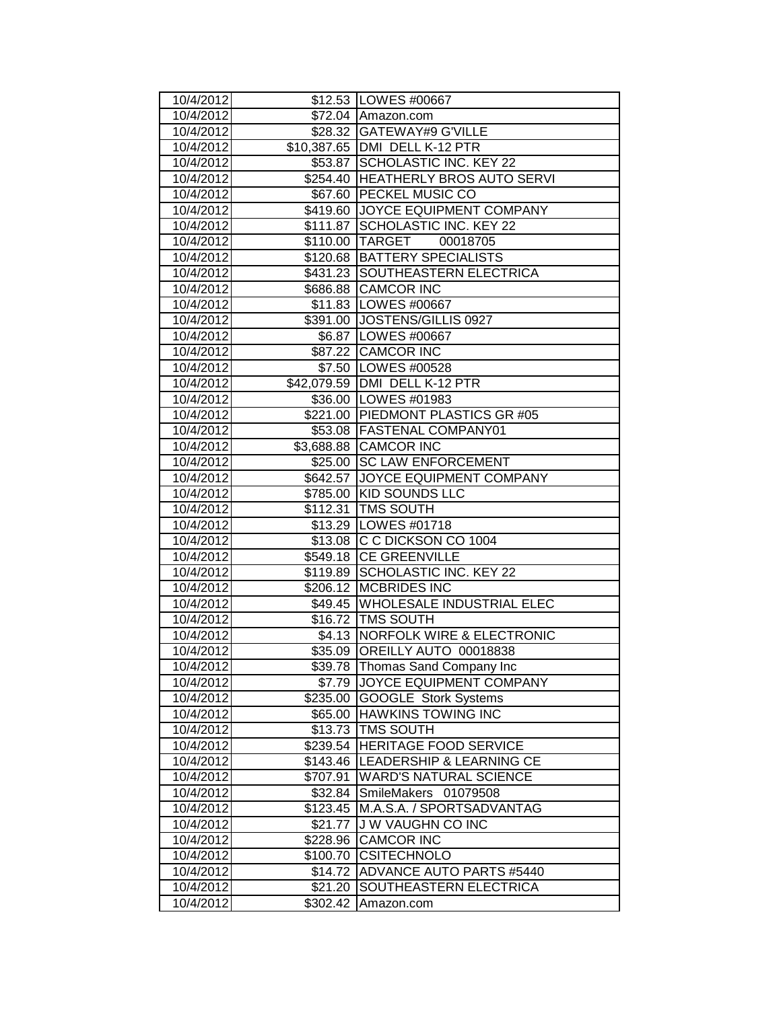| 10/4/2012              |                     | \$12.53   LOWES #00667                                |
|------------------------|---------------------|-------------------------------------------------------|
| 10/4/2012              |                     | \$72.04 Amazon.com                                    |
| 10/4/2012              |                     | \$28.32 GATEWAY#9 G'VILLE                             |
| 10/4/2012              |                     | \$10,387.65   DMI DELL K-12 PTR                       |
| 10/4/2012              |                     | \$53.87 SCHOLASTIC INC. KEY 22                        |
| 10/4/2012              |                     | \$254.40 HEATHERLY BROS AUTO SERVI                    |
| 10/4/2012              |                     | \$67.60 PECKEL MUSIC CO                               |
| 10/4/2012              |                     | \$419.60 JOYCE EQUIPMENT COMPANY                      |
| 10/4/2012              |                     | \$111.87 SCHOLASTIC INC. KEY 22                       |
| 10/4/2012              |                     | \$110.00 TARGET<br>00018705                           |
| 10/4/2012              |                     | \$120.68 BATTERY SPECIALISTS                          |
| 10/4/2012              |                     | \$431.23 SOUTHEASTERN ELECTRICA                       |
| 10/4/2012              |                     | \$686.88 CAMCOR INC                                   |
| 10/4/2012              |                     | \$11.83   LOWES #00667                                |
| 10/4/2012              |                     | \$391.00 JOSTENS/GILLIS 0927                          |
| 10/4/2012              |                     | \$6.87   LOWES #00667                                 |
| 10/4/2012              |                     | \$87.22 CAMCOR INC                                    |
| 10/4/2012              |                     | \$7.50  LOWES #00528                                  |
| 10/4/2012              |                     | \$42,079.59 DMI DELL K-12 PTR                         |
| 10/4/2012              |                     | \$36.00 LOWES #01983                                  |
| 10/4/2012              |                     | \$221.00 PIEDMONT PLASTICS GR #05                     |
| 10/4/2012              |                     | \$53.08 FASTENAL COMPANY01                            |
| 10/4/2012              |                     | \$3,688.88 CAMCOR INC                                 |
| 10/4/2012              |                     | \$25.00 SC LAW ENFORCEMENT                            |
| 10/4/2012              |                     | \$642.57 JOYCE EQUIPMENT COMPANY                      |
| 10/4/2012              |                     | \$785.00 KID SOUNDS LLC                               |
| 10/4/2012              |                     | \$112.31 TMS SOUTH                                    |
| 10/4/2012              |                     | \$13.29   LOWES #01718                                |
| 10/4/2012              |                     | \$13.08 C C DICKSON CO 1004                           |
| 10/4/2012              |                     | \$549.18 CE GREENVILLE                                |
| 10/4/2012              |                     | \$119.89 SCHOLASTIC INC. KEY 22                       |
| 10/4/2012              |                     | \$206.12 MCBRIDES INC                                 |
| 10/4/2012              |                     | \$49.45 WHOLESALE INDUSTRIAL ELEC                     |
| 10/4/2012              |                     | \$16.72   TMS SOUTH                                   |
| 10/4/2012              |                     | \$4.13 NORFOLK WIRE & ELECTRONIC                      |
| 10/4/2012              |                     | \$35.09 OREILLY AUTO 00018838                         |
| 10/4/2012              | \$39.78             | Thomas Sand Company Inc                               |
| 10/4/2012              | \$7.79              | JOYCE EQUIPMENT COMPANY                               |
| 10/4/2012              | \$235.00            | <b>GOOGLE Stork Systems</b>                           |
| 10/4/2012              | \$65.00<br>\$13.73  | <b>HAWKINS TOWING INC</b><br><b>TMS SOUTH</b>         |
| 10/4/2012              |                     |                                                       |
| 10/4/2012              | \$239.54            | HERITAGE FOOD SERVICE                                 |
| 10/4/2012              | \$143.46            | LEADERSHIP & LEARNING CE                              |
| 10/4/2012<br>10/4/2012 | \$707.91            | <b>WARD'S NATURAL SCIENCE</b><br>SmileMakers 01079508 |
|                        | \$32.84             |                                                       |
| 10/4/2012              | \$123.45            | M.A.S.A. / SPORTSADVANTAG<br><b>JW VAUGHN CO INC</b>  |
| 10/4/2012<br>10/4/2012 | \$21.77             | <b>CAMCOR INC</b>                                     |
| 10/4/2012              | \$228.96            | <b>CSITECHNOLO</b>                                    |
| 10/4/2012              | \$100.70<br>\$14.72 | ADVANCE AUTO PARTS #5440                              |
| 10/4/2012              | \$21.20             | SOUTHEASTERN ELECTRICA                                |
| 10/4/2012              | \$302.42            | Amazon.com                                            |
|                        |                     |                                                       |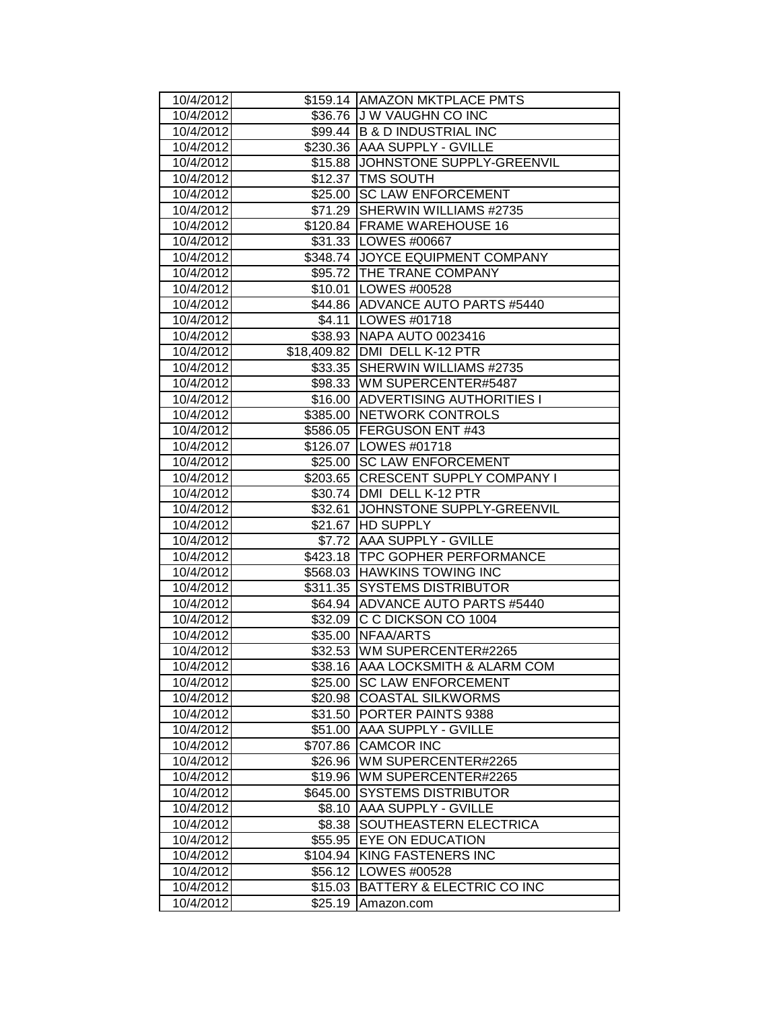| 10/4/2012              |                    | \$159.14   AMAZON MKTPLACE PMTS         |
|------------------------|--------------------|-----------------------------------------|
| 10/4/2012              |                    | \$36.76 J W VAUGHN CO INC               |
| 10/4/2012              |                    | \$99.44 B & D INDUSTRIAL INC            |
| 10/4/2012              |                    | \$230.36 AAA SUPPLY - GVILLE            |
| 10/4/2012              |                    | \$15.88 JJOHNSTONE SUPPLY-GREENVIL      |
| 10/4/2012              |                    | \$12.37 TMS SOUTH                       |
| 10/4/2012              |                    | \$25.00 SC LAW ENFORCEMENT              |
| 10/4/2012              |                    | \$71.29 SHERWIN WILLIAMS #2735          |
| 10/4/2012              |                    | \$120.84 FRAME WAREHOUSE 16             |
| 10/4/2012              |                    | \$31.33   LOWES #00667                  |
| 10/4/2012              |                    | \$348.74 JOYCE EQUIPMENT COMPANY        |
| 10/4/2012              |                    | \$95.72 THE TRANE COMPANY               |
| 10/4/2012              |                    | \$10.01   LOWES #00528                  |
| 10/4/2012              |                    | \$44.86 ADVANCE AUTO PARTS #5440        |
| 10/4/2012              |                    | \$4.11   LOWES #01718                   |
| 10/4/2012              |                    | \$38.93 NAPA AUTO 0023416               |
| 10/4/2012              |                    | \$18,409.82 DMI DELL K-12 PTR           |
| 10/4/2012              | \$33.35            | SHERWIN WILLIAMS #2735                  |
| 10/4/2012              |                    | \$98.33 WM SUPERCENTER#5487             |
| 10/4/2012              |                    | \$16.00 ADVERTISING AUTHORITIES I       |
| 10/4/2012              |                    | \$385.00 NETWORK CONTROLS               |
| 10/4/2012              |                    | \$586.05 FERGUSON ENT #43               |
| 10/4/2012              |                    | \$126.07 LOWES #01718                   |
| 10/4/2012              |                    | \$25.00 SC LAW ENFORCEMENT              |
| 10/4/2012              |                    | \$203.65 CRESCENT SUPPLY COMPANY I      |
| 10/4/2012              |                    | \$30.74 DMI DELL K-12 PTR               |
| 10/4/2012              |                    | \$32.61 JOHNSTONE SUPPLY-GREENVIL       |
| 10/4/2012              |                    | \$21.67 HD SUPPLY                       |
| 10/4/2012              |                    | \$7.72 AAA SUPPLY - GVILLE              |
| 10/4/2012              |                    | \$423.18   TPC GOPHER PERFORMANCE       |
| 10/4/2012              |                    | \$568.03 HAWKINS TOWING INC             |
| 10/4/2012              |                    | \$311.35 SYSTEMS DISTRIBUTOR            |
| 10/4/2012              |                    | \$64.94 ADVANCE AUTO PARTS #5440        |
| 10/4/2012              | \$32.09            |                                         |
|                        |                    | C C DICKSON CO 1004                     |
| 10/4/2012              |                    | \$35.00 NFAA/ARTS                       |
| 10/4/2012              |                    | \$32.53 WM SUPERCENTER#2265             |
| 10/4/2012              |                    | \$38.16   AAA LOCKSMITH & ALARM COM     |
| 10/4/2012              | \$25.00            | <b>SC LAW ENFORCEMENT</b>               |
| 10/4/2012              | \$20.98            | <b>COASTAL SILKWORMS</b>                |
| 10/4/2012              | \$31.50            | PORTER PAINTS 9388                      |
| 10/4/2012              | \$51.00            | AAA SUPPLY - GVILLE                     |
| 10/4/2012              | \$707.86           | <b>CAMCOR INC</b>                       |
| 10/4/2012              | \$26.96            | WM SUPERCENTER#2265                     |
| 10/4/2012              | \$19.96            | WM SUPERCENTER#2265                     |
| 10/4/2012              | \$645.00           | <b>SYSTEMS DISTRIBUTOR</b>              |
| 10/4/2012              | \$8.10             | AAA SUPPLY - GVILLE                     |
| 10/4/2012              | \$8.38             | SOUTHEASTERN ELECTRICA                  |
| 10/4/2012              | \$55.95            | EYE ON EDUCATION                        |
| 10/4/2012              | \$104.94           | KING FASTENERS INC                      |
| 10/4/2012              | \$56.12            | LOWES #00528                            |
| 10/4/2012<br>10/4/2012 | \$15.03<br>\$25.19 | BATTERY & ELECTRIC CO INC<br>Amazon.com |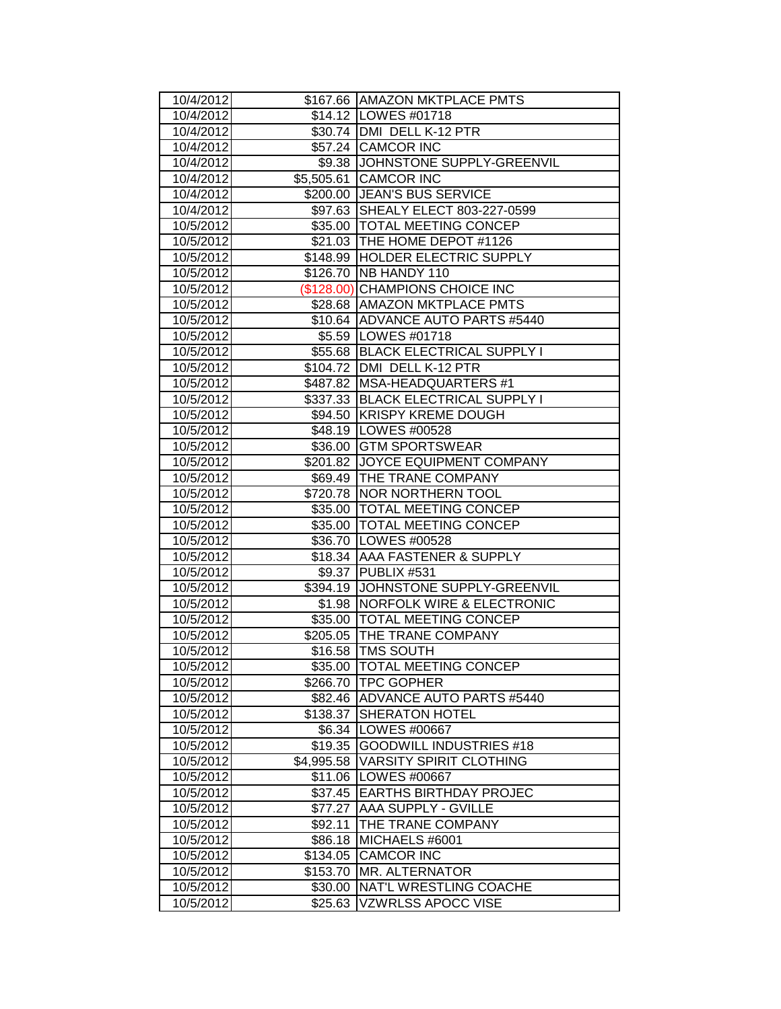| 10/4/2012              |            | \$167.66 AMAZON MKTPLACE PMTS                      |
|------------------------|------------|----------------------------------------------------|
| 10/4/2012              |            | \$14.12   LOWES #01718                             |
| 10/4/2012              |            | \$30.74 DMI DELL K-12 PTR                          |
| 10/4/2012              |            | \$57.24 CAMCOR INC                                 |
| 10/4/2012              |            | \$9.38 JOHNSTONE SUPPLY-GREENVIL                   |
| 10/4/2012              |            | \$5,505.61 CAMCOR INC                              |
| 10/4/2012              |            | \$200.00 JEAN'S BUS SERVICE                        |
| 10/4/2012              |            | \$97.63 SHEALY ELECT 803-227-0599                  |
| 10/5/2012              |            | \$35.00 TOTAL MEETING CONCEP                       |
| 10/5/2012              |            | \$21.03 THE HOME DEPOT #1126                       |
| 10/5/2012              |            | \$148.99 HOLDER ELECTRIC SUPPLY                    |
| 10/5/2012              |            | \$126.70   NB HANDY 110                            |
| 10/5/2012              |            | (\$128.00) CHAMPIONS CHOICE INC                    |
| 10/5/2012              |            | \$28.68 AMAZON MKTPLACE PMTS                       |
| 10/5/2012              |            | \$10.64 ADVANCE AUTO PARTS #5440                   |
| 10/5/2012              |            | \$5.59   LOWES #01718                              |
| 10/5/2012              |            | \$55.68 BLACK ELECTRICAL SUPPLY I                  |
| 10/5/2012              |            | \$104.72 JDMI DELL K-12 PTR                        |
| 10/5/2012              |            | \$487.82 MSA-HEADQUARTERS #1                       |
| 10/5/2012              |            | \$337.33 BLACK ELECTRICAL SUPPLY I                 |
| 10/5/2012              |            | \$94.50 KRISPY KREME DOUGH                         |
| 10/5/2012              |            | \$48.19   LOWES #00528                             |
| 10/5/2012              |            | \$36.00 GTM SPORTSWEAR                             |
| 10/5/2012              |            | \$201.82 JOYCE EQUIPMENT COMPANY                   |
| 10/5/2012              |            | \$69.49 THE TRANE COMPANY                          |
| 10/5/2012              |            | \$720.78 NOR NORTHERN TOOL                         |
| 10/5/2012              |            | \$35.00 TOTAL MEETING CONCEP                       |
| 10/5/2012              |            | \$35.00 TOTAL MEETING CONCEP                       |
| 10/5/2012              |            | \$36.70   LOWES #00528                             |
| 10/5/2012              |            | \$18.34 AAA FASTENER & SUPPLY                      |
| 10/5/2012              |            | \$9.37 PUBLIX #531                                 |
| 10/5/2012              |            | \$394.19 JOHNSTONE SUPPLY-GREENVIL                 |
| 10/5/2012              |            | \$1.98 NORFOLK WIRE & ELECTRONIC                   |
| 10/5/2012              |            | \$35.00   TOTAL MEETING CONCEP                     |
| 10/5/2012              |            | \$205.05 THE TRANE COMPANY                         |
| 10/5/2012              |            | \$16.58   TMS SOUTH                                |
| 10/5/2012<br>10/5/2012 | \$266.70   | \$35.00  TOTAL MEETING CONCEP<br><b>TPC GOPHER</b> |
| 10/5/2012              | \$82.46    | <b>ADVANCE AUTO PARTS #5440</b>                    |
| 10/5/2012              | \$138.37   | <b>SHERATON HOTEL</b>                              |
| 10/5/2012              | \$6.34     | LOWES #00667                                       |
| 10/5/2012              | \$19.35    | <b>GOODWILL INDUSTRIES #18</b>                     |
| 10/5/2012              | \$4,995.58 | <b>VARSITY SPIRIT CLOTHING</b>                     |
| 10/5/2012              | \$11.06    | LOWES #00667                                       |
| 10/5/2012              | \$37.45    | <b>EARTHS BIRTHDAY PROJEC</b>                      |
| 10/5/2012              | \$77.27    | AAA SUPPLY - GVILLE                                |
| 10/5/2012              | \$92.11    | THE TRANE COMPANY                                  |
| 10/5/2012              | \$86.18    | MICHAELS #6001                                     |
| 10/5/2012              | \$134.05   | <b>CAMCOR INC</b>                                  |
| 10/5/2012              | \$153.70   | MR. ALTERNATOR                                     |
| 10/5/2012              | \$30.00    | NAT'L WRESTLING COACHE                             |
| 10/5/2012              | \$25.63    | VZWRLSS APOCC VISE                                 |
|                        |            |                                                    |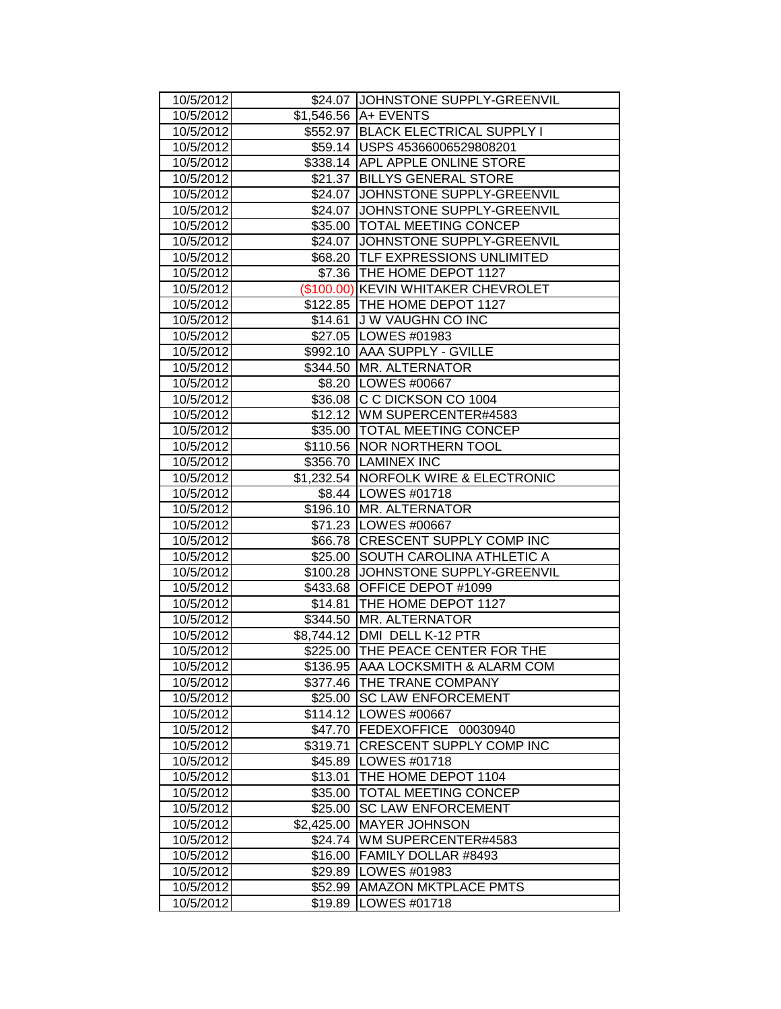| 10/5/2012              |            | \$24.07 JJOHNSTONE SUPPLY-GREENVIL               |
|------------------------|------------|--------------------------------------------------|
| 10/5/2012              |            | $$1,546.56$ $AA$ EVENTS                          |
| 10/5/2012              |            | \$552.97 BLACK ELECTRICAL SUPPLY I               |
| 10/5/2012              |            | \$59.14   USPS 45366006529808201                 |
| 10/5/2012              |            | \$338.14 APL APPLE ONLINE STORE                  |
| 10/5/2012              |            | \$21.37 BILLYS GENERAL STORE                     |
| 10/5/2012              |            | \$24.07 JOHNSTONE SUPPLY-GREENVIL                |
| 10/5/2012              |            | \$24.07 JOHNSTONE SUPPLY-GREENVIL                |
| 10/5/2012              |            | \$35.00   TOTAL MEETING CONCEP                   |
| 10/5/2012              |            | \$24.07 JJOHNSTONE SUPPLY-GREENVIL               |
| 10/5/2012              |            | \$68.20   TLF EXPRESSIONS UNLIMITED              |
| 10/5/2012              |            | \$7.36 THE HOME DEPOT 1127                       |
| 10/5/2012              |            | (\$100.00) KEVIN WHITAKER CHEVROLET              |
| 10/5/2012              |            | \$122.85 THE HOME DEPOT 1127                     |
| 10/5/2012              |            | \$14.61 J W VAUGHN CO INC                        |
| 10/5/2012              |            | \$27.05   LOWES #01983                           |
| 10/5/2012              |            | \$992.10 AAA SUPPLY - GVILLE                     |
| 10/5/2012              |            | \$344.50 MR. ALTERNATOR                          |
| 10/5/2012              |            | \$8.20   LOWES #00667                            |
| 10/5/2012              |            | \$36.08 C C DICKSON CO 1004                      |
| 10/5/2012              |            | \$12.12 WM SUPERCENTER#4583                      |
| 10/5/2012              |            | \$35.00   TOTAL MEETING CONCEP                   |
| 10/5/2012              |            | \$110.56 NOR NORTHERN TOOL                       |
| 10/5/2012              |            | \$356.70 LAMINEX INC                             |
| 10/5/2012              |            | \$1,232.54 NORFOLK WIRE & ELECTRONIC             |
| 10/5/2012<br>10/5/2012 |            | \$8.44   LOWES #01718<br>\$196.10 MR. ALTERNATOR |
| 10/5/2012              |            | \$71.23   LOWES #00667                           |
| 10/5/2012              |            | \$66.78 CRESCENT SUPPLY COMP INC                 |
| 10/5/2012              |            | \$25.00 SOUTH CAROLINA ATHLETIC A                |
| 10/5/2012              |            | \$100.28 JJOHNSTONE SUPPLY-GREENVIL              |
| 10/5/2012              |            | \$433.68 OFFICE DEPOT #1099                      |
| 10/5/2012              |            | \$14.81   THE HOME DEPOT 1127                    |
| 10/5/2012              |            | \$344.50 MR. ALTERNATOR                          |
| 10/5/2012              |            | \$8,744.12 DMI DELL K-12 PTR                     |
| 10/5/2012              |            | \$225.00 THE PEACE CENTER FOR THE                |
| 10/5/2012              |            | \$136.95 AAA LOCKSMITH & ALARM COM               |
| 10/5/2012              | \$377.46   | THE TRANE COMPANY                                |
| 10/5/2012              | \$25.00    | <b>SC LAW ENFORCEMENT</b>                        |
| 10/5/2012              | \$114.12   | LOWES #00667                                     |
| 10/5/2012              | \$47.70    | <b>FEDEXOFFICE</b><br>00030940                   |
| 10/5/2012              | \$319.71   | CRESCENT SUPPLY COMP INC                         |
| 10/5/2012              | \$45.89    | LOWES #01718                                     |
| 10/5/2012              | \$13.01    | THE HOME DEPOT 1104                              |
| 10/5/2012              | \$35.00    | TOTAL MEETING CONCEP                             |
| 10/5/2012              | \$25.00    | <b>SC LAW ENFORCEMENT</b>                        |
| 10/5/2012              | \$2,425.00 | <b>MAYER JOHNSON</b>                             |
| 10/5/2012              | \$24.74    | WM SUPERCENTER#4583                              |
| 10/5/2012              | \$16.00    | FAMILY DOLLAR #8493                              |
| 10/5/2012              | \$29.89    | LOWES #01983                                     |
| 10/5/2012              |            | <b>AMAZON MKTPLACE PMTS</b>                      |
|                        | \$52.99    |                                                  |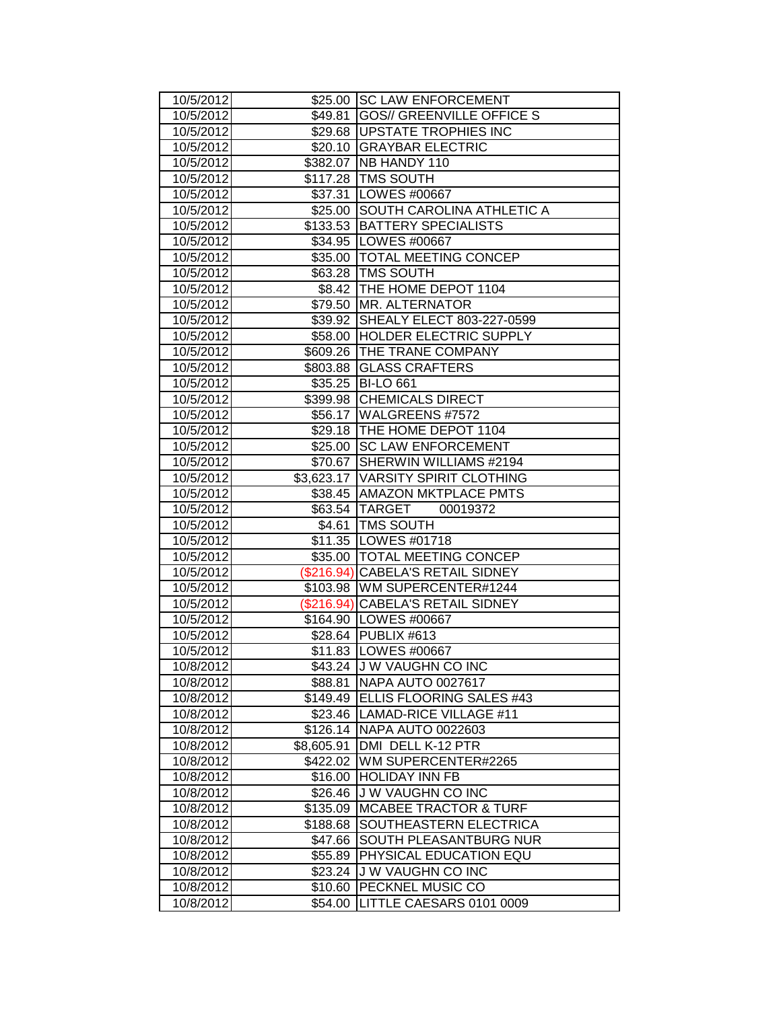| 10/5/2012              |            | \$25.00 SC LAW ENFORCEMENT                   |
|------------------------|------------|----------------------------------------------|
| 10/5/2012              | \$49.81    | <b>GOS// GREENVILLE OFFICE S</b>             |
| 10/5/2012              |            | \$29.68 UPSTATE TROPHIES INC                 |
| 10/5/2012              |            | \$20.10 GRAYBAR ELECTRIC                     |
| 10/5/2012              |            | \$382.07 NB HANDY 110                        |
| 10/5/2012              |            | \$117.28 TMS SOUTH                           |
| 10/5/2012              |            | \$37.31 LOWES #00667                         |
| 10/5/2012              |            | \$25.00 SOUTH CAROLINA ATHLETIC A            |
| 10/5/2012              |            | \$133.53 BATTERY SPECIALISTS                 |
| 10/5/2012              |            | \$34.95   LOWES #00667                       |
| 10/5/2012              |            | \$35.00   TOTAL MEETING CONCEP               |
| 10/5/2012              |            | \$63.28 TMS SOUTH                            |
| 10/5/2012              |            | \$8.42  THE HOME DEPOT 1104                  |
| 10/5/2012              | \$79.50    | MR. ALTERNATOR                               |
| 10/5/2012              | \$39.92    | SHEALY ELECT 803-227-0599                    |
| 10/5/2012              | \$58.00    | HOLDER ELECTRIC SUPPLY                       |
| 10/5/2012              |            | \$609.26 THE TRANE COMPANY                   |
| 10/5/2012              | \$803.88   | <b>GLASS CRAFTERS</b>                        |
| 10/5/2012              | \$35.25    | <b>BI-LO 661</b>                             |
| 10/5/2012              | \$399.98   | <b>CHEMICALS DIRECT</b>                      |
| 10/5/2012              |            | \$56.17   WALGREENS #7572                    |
| 10/5/2012              |            | \$29.18 THE HOME DEPOT 1104                  |
| 10/5/2012              | \$25.00    | <b>SC LAW ENFORCEMENT</b>                    |
| 10/5/2012              | \$70.67    | SHERWIN WILLIAMS #2194                       |
| 10/5/2012              |            | \$3,623.17 VARSITY SPIRIT CLOTHING           |
| 10/5/2012              |            | \$38.45 AMAZON MKTPLACE PMTS                 |
| 10/5/2012              |            | \$63.54 TARGET 00019372                      |
| 10/5/2012              |            | \$4.61   TMS SOUTH                           |
| 10/5/2012              |            | \$11.35   LOWES #01718                       |
| 10/5/2012              |            | \$35.00 TOTAL MEETING CONCEP                 |
| 10/5/2012              |            | (\$216.94) CABELA'S RETAIL SIDNEY            |
| 10/5/2012              |            | \$103.98   WM SUPERCENTER#1244               |
| 10/5/2012              |            | (\$216.94) CABELA'S RETAIL SIDNEY            |
| 10/5/2012              |            | \$164.90 LOWES #00667                        |
| 10/5/2012              |            | \$28.64 PUBLIX #613                          |
| 10/5/2012              |            | \$11.83   LOWES #00667                       |
| 10/8/2012              |            | \$43.24 JJ W VAUGHN CO INC                   |
| 10/8/2012              | \$88.81    | NAPA AUTO 0027617                            |
| 10/8/2012              | \$149.49   | ELLIS FLOORING SALES #43                     |
| 10/8/2012              | \$23.46    | LAMAD-RICE VILLAGE #11                       |
| 10/8/2012              | \$126.14   | NAPA AUTO 0022603                            |
| 10/8/2012              | \$8,605.91 | DMI DELL K-12 PTR                            |
| 10/8/2012              | \$422.02   | WM SUPERCENTER#2265                          |
| 10/8/2012              | \$16.00    | <b>HOLIDAY INN FB</b>                        |
| 10/8/2012              | \$26.46    | <b>JW VAUGHN CO INC</b>                      |
| 10/8/2012              | \$135.09   | <b>MCABEE TRACTOR &amp; TURF</b>             |
| 10/8/2012              | \$188.68   | SOUTHEASTERN ELECTRICA                       |
| 10/8/2012              | \$47.66    | SOUTH PLEASANTBURG NUR                       |
| 10/8/2012              | \$55.89    | PHYSICAL EDUCATION EQU                       |
| 10/8/2012              | \$23.24    | <b>JW VAUGHN CO INC</b>                      |
|                        |            |                                              |
| 10/8/2012<br>10/8/2012 | \$10.60    | PECKNEL MUSIC CO<br>LITTLE CAESARS 0101 0009 |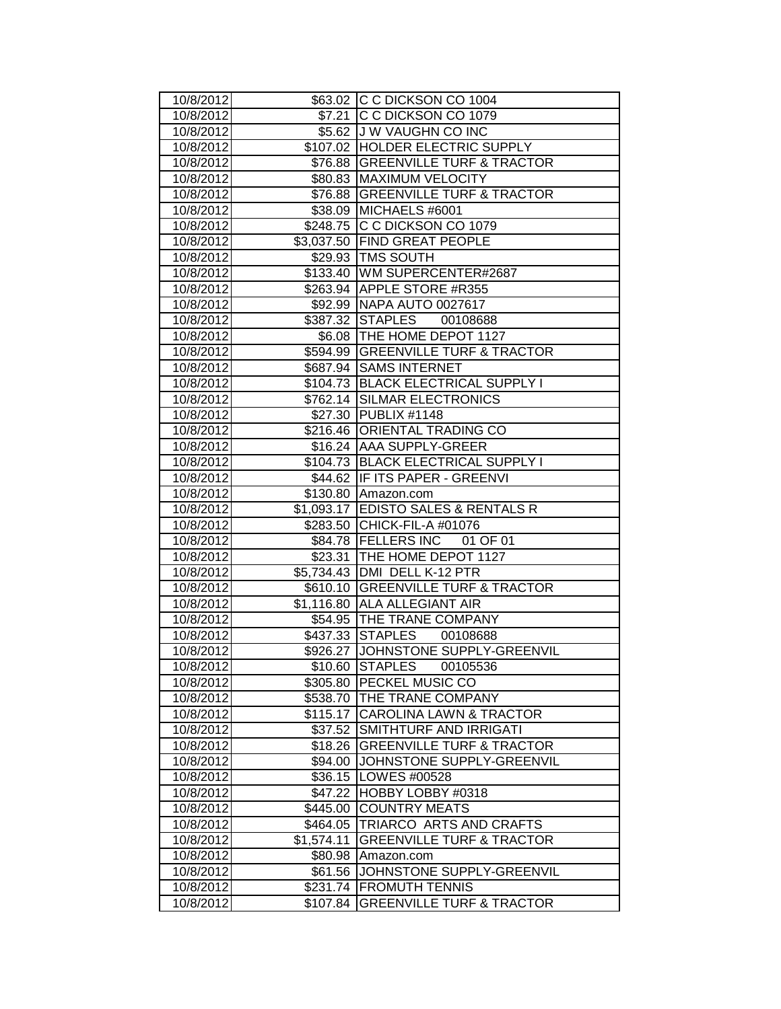| 10/8/2012              |                      | \$63.02 C C DICKSON CO 1004                                     |
|------------------------|----------------------|-----------------------------------------------------------------|
| 10/8/2012              |                      | \$7.21 C C DICKSON CO 1079                                      |
| 10/8/2012              |                      | \$5.62 J W VAUGHN CO INC                                        |
| 10/8/2012              |                      | \$107.02 HOLDER ELECTRIC SUPPLY                                 |
| 10/8/2012              |                      | \$76.88 GREENVILLE TURF & TRACTOR                               |
| 10/8/2012              |                      | \$80.83 MAXIMUM VELOCITY                                        |
| 10/8/2012              |                      | \$76.88 GREENVILLE TURF & TRACTOR                               |
| 10/8/2012              |                      | \$38.09 MICHAELS #6001                                          |
| 10/8/2012              |                      | \$248.75 C C DICKSON CO 1079                                    |
| 10/8/2012              |                      | \$3,037.50 FIND GREAT PEOPLE                                    |
| 10/8/2012              |                      | \$29.93   TMS SOUTH                                             |
| 10/8/2012              |                      | \$133.40 WM SUPERCENTER#2687                                    |
| 10/8/2012              |                      | \$263.94 APPLE STORE #R355                                      |
| 10/8/2012              |                      | \$92.99   NAPA AUTO 0027617                                     |
| 10/8/2012              |                      | \$387.32 STAPLES 00108688                                       |
| 10/8/2012              |                      | \$6.08   THE HOME DEPOT 1127                                    |
| 10/8/2012              |                      | \$594.99 GREENVILLE TURF & TRACTOR                              |
| 10/8/2012              |                      | \$687.94 SAMS INTERNET                                          |
| 10/8/2012              |                      | \$104.73 BLACK ELECTRICAL SUPPLY I                              |
| 10/8/2012              |                      | \$762.14 SILMAR ELECTRONICS                                     |
| 10/8/2012              |                      | \$27.30 PUBLIX #1148                                            |
| 10/8/2012              |                      | \$216.46 ORIENTAL TRADING CO                                    |
| 10/8/2012              |                      | \$16.24 AAA SUPPLY-GREER                                        |
| 10/8/2012              |                      | \$104.73 BLACK ELECTRICAL SUPPLY I                              |
| 10/8/2012              |                      | \$44.62 IF ITS PAPER - GREENVI                                  |
| 10/8/2012<br>10/8/2012 |                      | \$130.80 Amazon.com<br>\$1,093.17 EDISTO SALES & RENTALS R      |
| 10/8/2012              |                      | \$283.50 CHICK-FIL-A #01076                                     |
| 10/8/2012              |                      | \$84.78 FELLERS INC 01 OF 01                                    |
| 10/8/2012              |                      | \$23.31   THE HOME DEPOT 1127                                   |
| 10/8/2012              |                      | \$5,734.43 DMI DELL K-12 PTR                                    |
|                        |                      | \$610.10 GREENVILLE TURF & TRACTOR                              |
|                        |                      |                                                                 |
| 10/8/2012              |                      |                                                                 |
| 10/8/2012              |                      | \$1,116.80 ALLA ALLEGIANT AIR                                   |
| 10/8/2012              |                      | \$54.95   THE TRANE COMPANY                                     |
| 10/8/2012              |                      | \$437.33 STAPLES 00108688<br>\$926.27 JOHNSTONE SUPPLY-GREENVIL |
| 10/8/2012<br>10/8/2012 |                      | \$10.60 STAPLES<br>00105536                                     |
| 10/8/2012              |                      | \$305.80 PECKEL MUSIC CO                                        |
| 10/8/2012              |                      | \$538.70 THE TRANE COMPANY                                      |
| 10/8/2012              | \$115.17             | <b>CAROLINA LAWN &amp; TRACTOR</b>                              |
| 10/8/2012              | \$37.52              | SMITHTURF AND IRRIGATI                                          |
| 10/8/2012              | \$18.26              | <b>GREENVILLE TURF &amp; TRACTOR</b>                            |
| 10/8/2012              | \$94.00              | JOHNSTONE SUPPLY-GREENVIL                                       |
| 10/8/2012              | \$36.15              | LOWES #00528                                                    |
| 10/8/2012              | \$47.22              | HOBBY LOBBY #0318                                               |
| 10/8/2012              | \$445.00             | <b>COUNTRY MEATS</b>                                            |
| 10/8/2012              | \$464.05             | TRIARCO ARTS AND CRAFTS                                         |
| 10/8/2012              | \$1,574.11           | <b>GREENVILLE TURF &amp; TRACTOR</b>                            |
| 10/8/2012              | \$80.98              | Amazon.com                                                      |
| 10/8/2012              | \$61.56              | JOHNSTONE SUPPLY-GREENVIL                                       |
| 10/8/2012<br>10/8/2012 | \$231.74<br>\$107.84 | <b>FROMUTH TENNIS</b><br><b>GREENVILLE TURF &amp; TRACTOR</b>   |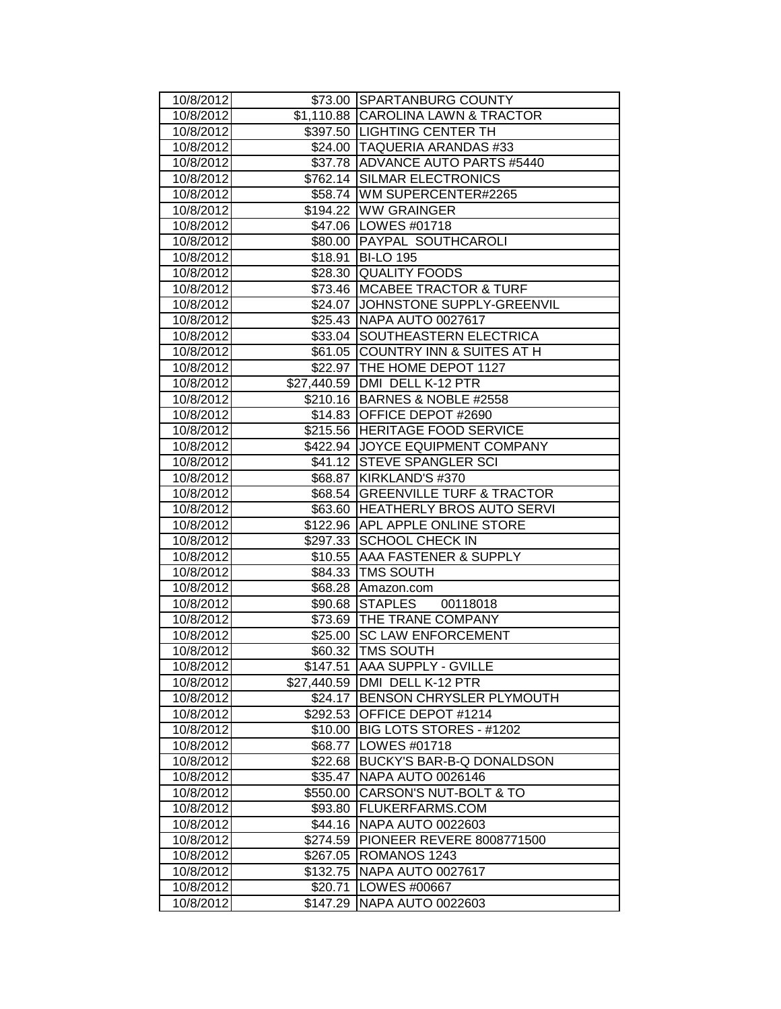| 10/8/2012              |             | \$73.00 SPARTANBURG COUNTY                                   |
|------------------------|-------------|--------------------------------------------------------------|
| 10/8/2012              |             | \$1,110.88 CAROLINA LAWN & TRACTOR                           |
| 10/8/2012              |             | \$397.50 LIGHTING CENTER TH                                  |
| 10/8/2012              |             | \$24.00 TAQUERIA ARANDAS #33                                 |
| 10/8/2012              |             | \$37.78 ADVANCE AUTO PARTS #5440                             |
| 10/8/2012              |             | \$762.14 SILMAR ELECTRONICS                                  |
| 10/8/2012              |             | \$58.74 WM SUPERCENTER#2265                                  |
| 10/8/2012              |             | \$194.22 WW GRAINGER                                         |
| 10/8/2012              |             | \$47.06   LOWES #01718                                       |
| 10/8/2012              |             | \$80.00 PAYPAL SOUTHCAROLI                                   |
| 10/8/2012              |             | \$18.91 BI-LO 195                                            |
| 10/8/2012              |             | \$28.30 QUALITY FOODS                                        |
| 10/8/2012              |             | \$73.46 MCABEE TRACTOR & TURF                                |
| 10/8/2012              |             | \$24.07 JOHNSTONE SUPPLY-GREENVIL                            |
| 10/8/2012<br>10/8/2012 |             | \$25.43 NAPA AUTO 0027617<br>SOUTHEASTERN ELECTRICA          |
|                        | \$33.04     | <b>COUNTRY INN &amp; SUITES AT H</b>                         |
| 10/8/2012              | \$61.05     |                                                              |
| 10/8/2012<br>10/8/2012 |             | \$22.97 THE HOME DEPOT 1127<br>\$27,440.59 DMI DELL K-12 PTR |
| 10/8/2012              |             | \$210.16 BARNES & NOBLE #2558                                |
| 10/8/2012              |             | \$14.83 OFFICE DEPOT #2690                                   |
| 10/8/2012              |             | \$215.56 HERITAGE FOOD SERVICE                               |
| 10/8/2012              |             | \$422.94 JOYCE EQUIPMENT COMPANY                             |
| 10/8/2012              |             | \$41.12 STEVE SPANGLER SCI                                   |
| 10/8/2012              |             | \$68.87 KIRKLAND'S #370                                      |
| 10/8/2012              | \$68.54     | <b>GREENVILLE TURF &amp; TRACTOR</b>                         |
| 10/8/2012              |             | \$63.60 HEATHERLY BROS AUTO SERVI                            |
| 10/8/2012              |             | \$122.96 APL APPLE ONLINE STORE                              |
| 10/8/2012              |             | \$297.33 SCHOOL CHECK IN                                     |
| 10/8/2012              |             | \$10.55 AAA FASTENER & SUPPLY                                |
| 10/8/2012              |             | \$84.33   TMS SOUTH                                          |
| 10/8/2012              |             | \$68.28 Amazon.com                                           |
| 10/8/2012              | \$90.68     | STAPLES 00118018                                             |
| 10/8/2012              |             | \$73.69   THE TRANE COMPANY                                  |
| 10/8/2012              | \$25.00     | <b>SC LAW ENFORCEMENT</b>                                    |
| 10/8/2012              |             | \$60.32   TMS SOUTH                                          |
| 10/8/2012              |             | \$147.51 AAA SUPPLY - GVILLE                                 |
| 10/8/2012              | \$27,440.59 | DMI DELL K-12 PTR                                            |
| 10/8/2012              | \$24.17     | BENSON CHRYSLER PLYMOUTH                                     |
| 10/8/2012              | \$292.53    | OFFICE DEPOT #1214                                           |
| 10/8/2012              | \$10.00     | BIG LOTS STORES - #1202                                      |
| 10/8/2012              | \$68.77     | LOWES #01718                                                 |
| 10/8/2012              | \$22.68     | BUCKY'S BAR-B-Q DONALDSON                                    |
| 10/8/2012              | \$35.47     | <b>NAPA AUTO 0026146</b>                                     |
| 10/8/2012              | \$550.00    | CARSON'S NUT-BOLT & TO                                       |
| 10/8/2012              |             | \$93.80 FLUKERFARMS.COM                                      |
| 10/8/2012              |             | \$44.16 NAPA AUTO 0022603                                    |
| 10/8/2012              |             | \$274.59 PIONEER REVERE 8008771500                           |
| 10/8/2012              | \$267.05    | ROMANOS 1243                                                 |
| 10/8/2012              | \$132.75    | NAPA AUTO 0027617                                            |
| 10/8/2012              | \$20.71     | LOWES #00667                                                 |
| 10/8/2012              | \$147.29    | NAPA AUTO 0022603                                            |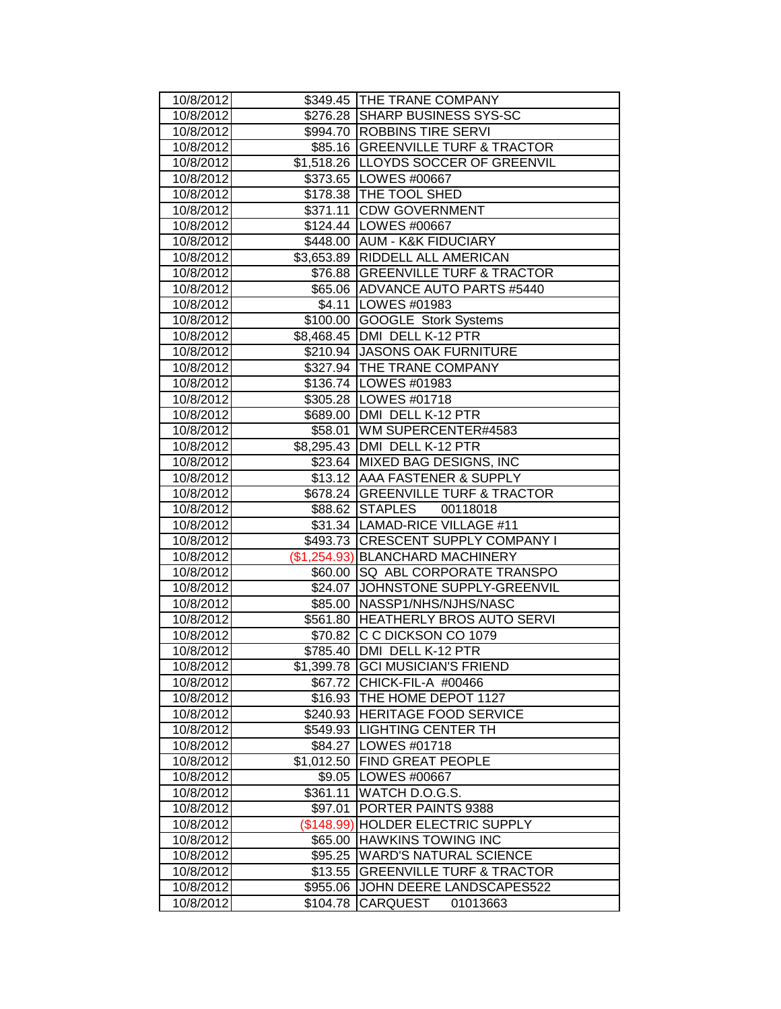| 10/8/2012              |                      | \$349.45 THE TRANE COMPANY                       |
|------------------------|----------------------|--------------------------------------------------|
| 10/8/2012              |                      | \$276.28 SHARP BUSINESS SYS-SC                   |
| 10/8/2012              |                      | \$994.70 ROBBINS TIRE SERVI                      |
| 10/8/2012              |                      | \$85.16 GREENVILLE TURF & TRACTOR                |
| 10/8/2012              |                      | \$1,518.26 LLOYDS SOCCER OF GREENVIL             |
| 10/8/2012              |                      | \$373.65 LOWES #00667                            |
| 10/8/2012              |                      | \$178.38 THE TOOL SHED                           |
| 10/8/2012              |                      | \$371.11 CDW GOVERNMENT                          |
| 10/8/2012              |                      | \$124.44   LOWES #00667                          |
| 10/8/2012              |                      | \$448.00 AUM - K&K FIDUCIARY                     |
| 10/8/2012              |                      | \$3,653.89 RIDDELL ALL AMERICAN                  |
| 10/8/2012              |                      | \$76.88   GREENVILLE TURF & TRACTOR              |
| 10/8/2012              |                      | \$65.06 ADVANCE AUTO PARTS #5440                 |
| 10/8/2012              |                      | \$4.11   LOWES #01983                            |
| 10/8/2012              |                      | \$100.00 GOOGLE Stork Systems                    |
| 10/8/2012              |                      | \$8,468.45   DMI DELL K-12 PTR                   |
| 10/8/2012              |                      | \$210.94 JASONS OAK FURNITURE                    |
| 10/8/2012              |                      | \$327.94   THE TRANE COMPANY                     |
| 10/8/2012              |                      | \$136.74 LOWES #01983                            |
| 10/8/2012              |                      | \$305.28 LOWES #01718                            |
| 10/8/2012              |                      | \$689.00   DMI DELL K-12 PTR                     |
| 10/8/2012              |                      | \$58.01   WM SUPERCENTER#4583                    |
| 10/8/2012              |                      | \$8,295.43 DMI DELL K-12 PTR                     |
| 10/8/2012              |                      | \$23.64 MIXED BAG DESIGNS, INC                   |
| 10/8/2012              |                      | \$13.12 AAA FASTENER & SUPPLY                    |
| 10/8/2012              |                      | \$678.24 GREENVILLE TURF & TRACTOR               |
| 10/8/2012              |                      | \$88.62 STAPLES<br>00118018                      |
| 10/8/2012              |                      | \$31.34 LAMAD-RICE VILLAGE #11                   |
| 10/8/2012              |                      | \$493.73 CRESCENT SUPPLY COMPANY I               |
| 10/8/2012              |                      | (\$1,254.93) BLANCHARD MACHINERY                 |
| 10/8/2012              |                      | \$60.00 SQ ABL CORPORATE TRANSPO                 |
| 10/8/2012              |                      | \$24.07 JOHNSTONE SUPPLY-GREENVIL                |
| 10/8/2012              |                      | \$85.00   NASSP1/NHS/NJHS/NASC                   |
| 10/8/2012              |                      | \$561.80 HEATHERLY BROS AUTO SERVI               |
| 10/8/2012              | \$70.82              | C C DICKSON CO 1079                              |
| 10/8/2012              |                      | \$785.40 DMI DELL K-12 PTR                       |
| 10/8/2012              |                      | \$1,399.78 GCI MUSICIAN'S FRIEND                 |
| 10/8/2012              | \$67.72              | CHICK-FIL-A #00466                               |
| 10/8/2012              |                      | \$16.93   THE HOME DEPOT 1127                    |
| 10/8/2012              | \$240.93             | HERITAGE FOOD SERVICE                            |
| 10/8/2012              | \$549.93             | <b>LIGHTING CENTER TH</b>                        |
| 10/8/2012              | \$84.27              | LOWES #01718                                     |
| 10/8/2012              | \$1,012.50           | FIND GREAT PEOPLE                                |
| 10/8/2012              | \$9.05               | LOWES #00667                                     |
| 10/8/2012              | \$361.11             | WATCH D.O.G.S.                                   |
| 10/8/2012              | \$97.01              | PORTER PAINTS 9388                               |
| 10/8/2012              |                      | (\$148.99) HOLDER ELECTRIC SUPPLY                |
| 10/8/2012              | \$65.00              | <b>HAWKINS TOWING INC</b>                        |
| 10/8/2012              | \$95.25              | <b>WARD'S NATURAL SCIENCE</b>                    |
| 10/8/2012              | \$13.55              | <b>GREENVILLE TURF &amp; TRACTOR</b>             |
|                        |                      |                                                  |
| 10/8/2012<br>10/8/2012 | \$955.06<br>\$104.78 | JOHN DEERE LANDSCAPES522<br>CARQUEST<br>01013663 |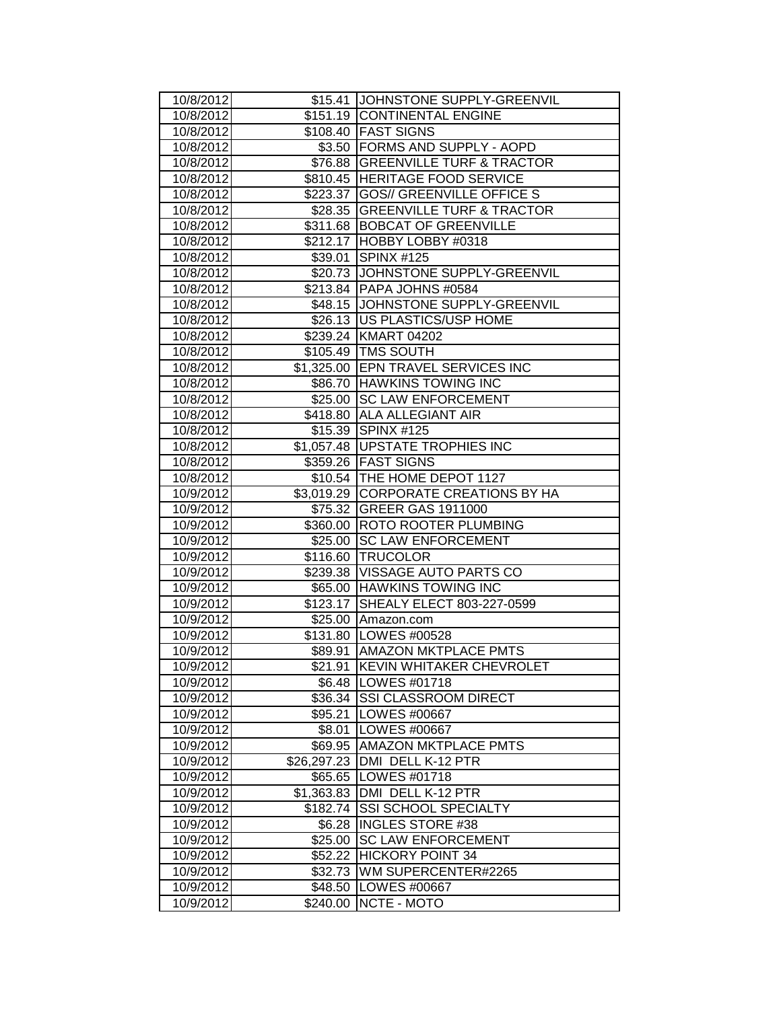| 10/8/2012 |             | \$15.41 JOHNSTONE SUPPLY-GREENVIL    |
|-----------|-------------|--------------------------------------|
| 10/8/2012 |             | \$151.19 CONTINENTAL ENGINE          |
| 10/8/2012 |             | \$108.40 FAST SIGNS                  |
| 10/8/2012 |             | \$3.50 FORMS AND SUPPLY - AOPD       |
| 10/8/2012 |             | \$76.88 GREENVILLE TURF & TRACTOR    |
| 10/8/2012 |             | \$810.45 HERITAGE FOOD SERVICE       |
| 10/8/2012 | \$223.37    | <b>GOS// GREENVILLE OFFICE S</b>     |
| 10/8/2012 |             | \$28.35 GREENVILLE TURF & TRACTOR    |
| 10/8/2012 |             | \$311.68 BOBCAT OF GREENVILLE        |
| 10/8/2012 |             | \$212.17 HOBBY LOBBY #0318           |
| 10/8/2012 | \$39.01     | <b>SPINX #125</b>                    |
| 10/8/2012 |             | \$20.73 JJOHNSTONE SUPPLY-GREENVIL   |
| 10/8/2012 |             | \$213.84   PAPA JOHNS #0584          |
| 10/8/2012 |             | \$48.15 JJOHNSTONE SUPPLY-GREENVIL   |
| 10/8/2012 |             | \$26.13   US PLASTICS/USP HOME       |
| 10/8/2012 |             | \$239.24 KMART 04202                 |
| 10/8/2012 |             | \$105.49   TMS SOUTH                 |
| 10/8/2012 |             | \$1,325.00 EPN TRAVEL SERVICES INC   |
| 10/8/2012 |             | \$86.70 HAWKINS TOWING INC           |
| 10/8/2012 |             | \$25.00 SC LAW ENFORCEMENT           |
| 10/8/2012 |             | \$418.80 ALA ALLEGIANT AIR           |
| 10/8/2012 |             | \$15.39 SPINX #125                   |
| 10/8/2012 |             | \$1,057.48   UPSTATE TROPHIES INC    |
| 10/8/2012 |             | \$359.26 FAST SIGNS                  |
| 10/8/2012 |             | \$10.54   THE HOME DEPOT 1127        |
| 10/9/2012 |             | \$3,019.29 CORPORATE CREATIONS BY HA |
| 10/9/2012 |             | \$75.32 GREER GAS 1911000            |
| 10/9/2012 |             | \$360.00 ROTO ROOTER PLUMBING        |
| 10/9/2012 |             | \$25.00 SC LAW ENFORCEMENT           |
| 10/9/2012 |             | \$116.60   TRUCOLOR                  |
| 10/9/2012 |             | \$239.38 VISSAGE AUTO PARTS CO       |
| 10/9/2012 |             | \$65.00 HAWKINS TOWING INC           |
| 10/9/2012 | \$123.17    | SHEALY ELECT 803-227-0599            |
| 10/9/2012 |             | \$25.00 Amazon.com                   |
| 10/9/2012 |             | \$131.80   LOWES #00528              |
| 10/9/2012 |             | \$89.91   AMAZON MKTPLACE PMTS       |
| 10/9/2012 | \$21.91     | <b>KEVIN WHITAKER CHEVROLET</b>      |
| 10/9/2012 | \$6.48      | LOWES #01718                         |
| 10/9/2012 | \$36.34     | SSI CLASSROOM DIRECT                 |
| 10/9/2012 | \$95.21     | LOWES #00667                         |
| 10/9/2012 | \$8.01      | LOWES #00667                         |
| 10/9/2012 | \$69.95     | AMAZON MKTPLACE PMTS                 |
| 10/9/2012 | \$26,297.23 | DMI DELL K-12 PTR                    |
| 10/9/2012 | \$65.65     |                                      |
|           |             | LOWES #01718                         |
| 10/9/2012 |             | \$1,363.83   DMI DELL K-12 PTR       |
| 10/9/2012 | \$182.74    | SSI SCHOOL SPECIALTY                 |
| 10/9/2012 |             | \$6.28  INGLES STORE #38             |
| 10/9/2012 | \$25.00     | <b>SC LAW ENFORCEMENT</b>            |
| 10/9/2012 | \$52.22     | <b>HICKORY POINT 34</b>              |
| 10/9/2012 | \$32.73     | WM SUPERCENTER#2265                  |
| 10/9/2012 | \$48.50     | LOWES #00667<br>NCTE - MOTO          |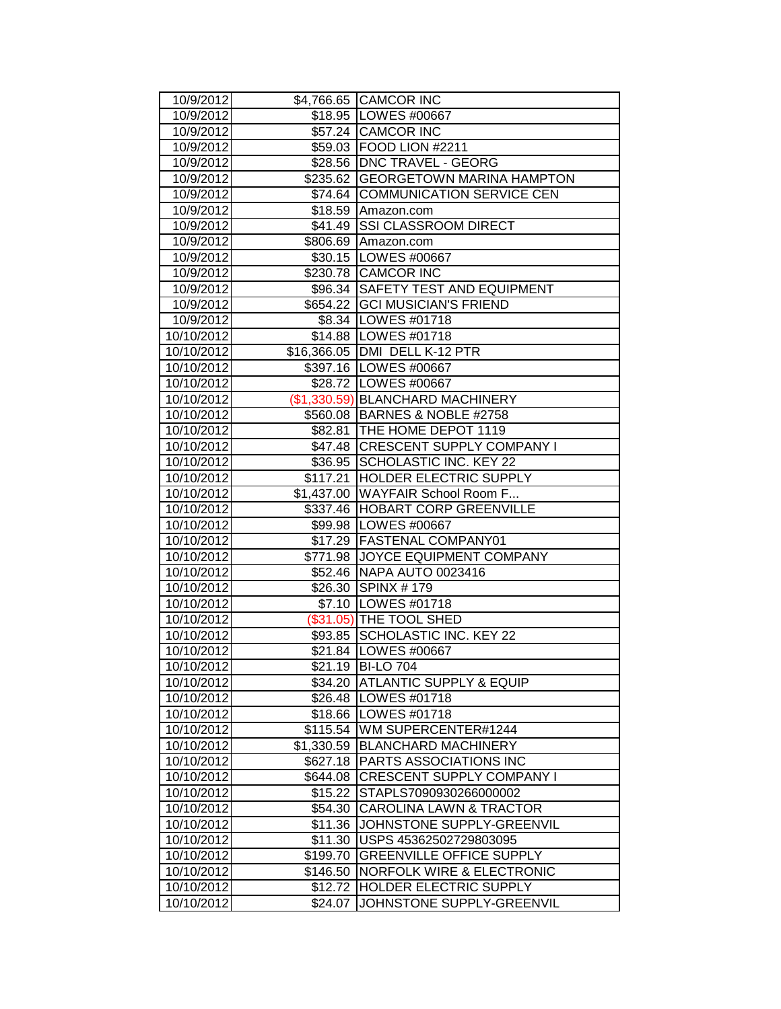| 10/9/2012                |            | \$4,766.65 CAMCOR INC                                             |
|--------------------------|------------|-------------------------------------------------------------------|
| 10/9/2012                |            | \$18.95 LOWES #00667                                              |
| 10/9/2012                |            | \$57.24 CAMCOR INC                                                |
| 10/9/2012                |            | \$59.03 FOOD LION #2211                                           |
| 10/9/2012                |            | \$28.56   DNC TRAVEL - GEORG                                      |
| 10/9/2012                |            | \$235.62 GEORGETOWN MARINA HAMPTON                                |
| 10/9/2012                | \$74.64    | <b>COMMUNICATION SERVICE CEN</b>                                  |
| 10/9/2012                | \$18.59    | Amazon.com<br><b>SSI CLASSROOM DIRECT</b>                         |
| 10/9/2012                | \$41.49    |                                                                   |
| 10/9/2012                |            | \$806.69 Amazon.com<br>\$30.15   LOWES #00667                     |
| 10/9/2012                |            | \$230.78 CAMCOR INC                                               |
| 10/9/2012                |            | \$96.34   SAFETY TEST AND EQUIPMENT                               |
| 10/9/2012                |            | \$654.22 GCI MUSICIAN'S FRIEND                                    |
| 10/9/2012<br>10/9/2012   |            | \$8.34 LOWES #01718                                               |
| 10/10/2012               |            | \$14.88   LOWES #01718                                            |
| 10/10/2012               |            |                                                                   |
| 10/10/2012               |            | \$16,366.05   DMI DELL K-12 PTR                                   |
| 10/10/2012               |            | \$397.16   LOWES #00667<br>\$28.72 LOWES #00667                   |
|                          |            |                                                                   |
| 10/10/2012<br>10/10/2012 |            | (\$1,330.59) BLANCHARD MACHINERY<br>\$560.08 BARNES & NOBLE #2758 |
|                          |            | \$82.81 THE HOME DEPOT 1119                                       |
| 10/10/2012<br>10/10/2012 |            | \$47.48 CRESCENT SUPPLY COMPANY I                                 |
| 10/10/2012               | \$36.95    | <b>SCHOLASTIC INC. KEY 22</b>                                     |
| 10/10/2012               | \$117.21   | <b>HOLDER ELECTRIC SUPPLY</b>                                     |
| 10/10/2012               |            | \$1,437.00 WAYFAIR School Room F                                  |
| 10/10/2012               |            | \$337.46 HOBART CORP GREENVILLE                                   |
| 10/10/2012               |            | \$99.98   LOWES #00667                                            |
| 10/10/2012               |            | \$17.29 FASTENAL COMPANY01                                        |
| 10/10/2012               |            | \$771.98 JOYCE EQUIPMENT COMPANY                                  |
| 10/10/2012               |            | \$52.46 NAPA AUTO 0023416                                         |
| 10/10/2012               |            | \$26.30 SPINX #179                                                |
| 10/10/2012               |            | \$7.10   LOWES #01718                                             |
| 10/10/2012               |            | (\$31.05) THE TOOL SHED                                           |
| 10/10/2012               | \$93.85    | <b>SCHOLASTIC INC. KEY 22</b>                                     |
| 10/10/2012               |            | \$21.84 LOWES #00667                                              |
| 10/10/2012               | \$21.19    | <b>BI-LO 704</b>                                                  |
| 10/10/2012               | \$34.20    | <b>ATLANTIC SUPPLY &amp; EQUIP</b>                                |
| 10/10/2012               | \$26.48    | LOWES #01718                                                      |
| 10/10/2012               | \$18.66    | LOWES #01718                                                      |
| 10/10/2012               | \$115.54   | WM SUPERCENTER#1244                                               |
| 10/10/2012               | \$1,330.59 | <b>BLANCHARD MACHINERY</b>                                        |
| 10/10/2012               | \$627.18   | PARTS ASSOCIATIONS INC                                            |
| 10/10/2012               | \$644.08   | CRESCENT SUPPLY COMPANY I                                         |
| 10/10/2012               | \$15.22    | STAPLS7090930266000002                                            |
| 10/10/2012               | \$54.30    | <b>CAROLINA LAWN &amp; TRACTOR</b>                                |
| 10/10/2012               | \$11.36    | JOHNSTONE SUPPLY-GREENVIL                                         |
| 10/10/2012               | \$11.30    | USPS 45362502729803095                                            |
| 10/10/2012               | \$199.70   | <b>GREENVILLE OFFICE SUPPLY</b>                                   |
| 10/10/2012               | \$146.50   | <b>NORFOLK WIRE &amp; ELECTRONIC</b>                              |
| 10/10/2012               | \$12.72    | HOLDER ELECTRIC SUPPLY                                            |
| 10/10/2012               | \$24.07    | JOHNSTONE SUPPLY-GREENVIL                                         |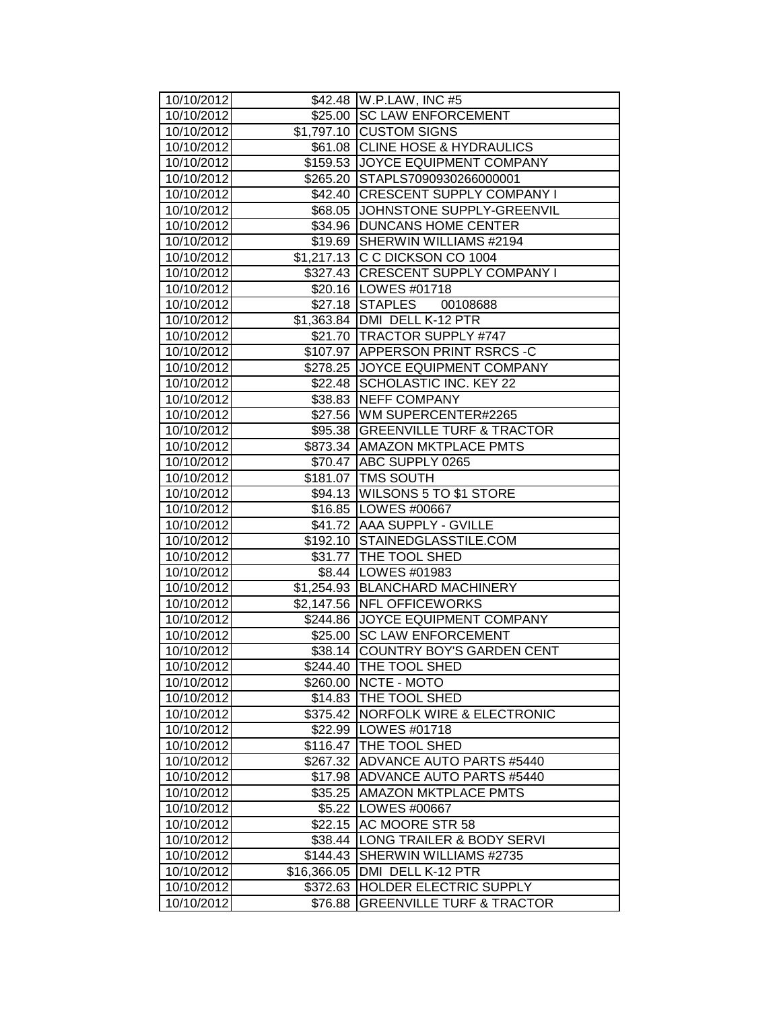| 10/10/2012               |          | \$42.48 W.P.LAW, INC #5                                      |
|--------------------------|----------|--------------------------------------------------------------|
| 10/10/2012               |          | \$25.00 SC LAW ENFORCEMENT                                   |
| 10/10/2012               |          | \$1,797.10 CUSTOM SIGNS                                      |
| 10/10/2012               |          | \$61.08 CLINE HOSE & HYDRAULICS                              |
| 10/10/2012               |          | \$159.53 JJOYCE EQUIPMENT COMPANY                            |
| 10/10/2012               |          | \$265.20 STAPLS7090930266000001                              |
| 10/10/2012               |          | \$42.40 CRESCENT SUPPLY COMPANY I                            |
| 10/10/2012               |          | \$68.05 JOHNSTONE SUPPLY-GREENVIL                            |
| 10/10/2012               |          | \$34.96 DUNCANS HOME CENTER                                  |
| 10/10/2012               |          | \$19.69 SHERWIN WILLIAMS #2194                               |
| 10/10/2012               |          | \$1,217.13 C C DICKSON CO 1004                               |
| 10/10/2012               |          | \$327.43 CRESCENT SUPPLY COMPANY I                           |
| 10/10/2012               |          | \$20.16   LOWES #01718                                       |
| 10/10/2012               |          | \$27.18 STAPLES 00108688                                     |
| 10/10/2012               |          | \$1,363.84   DMI DELL K-12 PTR                               |
| 10/10/2012               |          | \$21.70   TRACTOR SUPPLY #747                                |
| 10/10/2012               |          | \$107.97 APPERSON PRINT RSRCS-C                              |
| 10/10/2012               |          | \$278.25 JJOYCE EQUIPMENT COMPANY                            |
| 10/10/2012               |          | \$22.48 SCHOLASTIC INC. KEY 22                               |
| 10/10/2012               |          | \$38.83 NEFF COMPANY                                         |
| 10/10/2012               |          | \$27.56 WM SUPERCENTER#2265                                  |
| 10/10/2012               |          | \$95.38   GREENVILLE TURF & TRACTOR                          |
| 10/10/2012               |          | \$873.34 AMAZON MKTPLACE PMTS                                |
| 10/10/2012               |          | \$70.47 ABC SUPPLY 0265                                      |
| 10/10/2012               |          | \$181.07 TMS SOUTH                                           |
| 10/10/2012               |          | \$94.13 WILSONS 5 TO \$1 STORE                               |
| 10/10/2012               |          | \$16.85 LOWES #00667                                         |
| 10/10/2012               |          | \$41.72 AAA SUPPLY - GVILLE<br>\$192.10 STAINEDGLASSTILE.COM |
| 10/10/2012<br>10/10/2012 |          | \$31.77 THE TOOL SHED                                        |
| 10/10/2012               |          | \$8.44 LOWES #01983                                          |
| 10/10/2012               |          | \$1,254.93 BLANCHARD MACHINERY                               |
| 10/10/2012               |          | \$2,147.56 NFL OFFICEWORKS                                   |
| 10/10/2012               |          | \$244.86 JJOYCE EQUIPMENT COMPANY                            |
| 10/10/2012               |          | \$25.00 SC LAW ENFORCEMENT                                   |
| 10/10/2012               |          | \$38.14 COUNTRY BOY'S GARDEN CENT                            |
| 10/10/2012               |          | \$244.40 THE TOOL SHED                                       |
| 10/10/2012               |          | \$260.00 NCTE - MOTO                                         |
| 10/10/2012               |          | \$14.83 THE TOOL SHED                                        |
| 10/10/2012               | \$375.42 | <b>NORFOLK WIRE &amp; ELECTRONIC</b>                         |
| 10/10/2012               | \$22.99  | LOWES #01718                                                 |
| 10/10/2012               | \$116.47 | THE TOOL SHED                                                |
| 10/10/2012               | \$267.32 | <b>ADVANCE AUTO PARTS #5440</b>                              |
| 10/10/2012               |          | \$17.98 ADVANCE AUTO PARTS #5440                             |
| 10/10/2012               | \$35.25  | <b>AMAZON MKTPLACE PMTS</b>                                  |
| 10/10/2012               |          | \$5.22 LOWES #00667                                          |
| 10/10/2012               | \$22.15  | <b>AC MOORE STR 58</b>                                       |
| 10/10/2012               |          | \$38.44 LONG TRAILER & BODY SERVI                            |
| 10/10/2012               | \$144.43 | SHERWIN WILLIAMS #2735                                       |
| 10/10/2012               |          | \$16,366.05   DMI DELL K-12 PTR                              |
| 10/10/2012               |          | \$372.63 HOLDER ELECTRIC SUPPLY                              |
| 10/10/2012               | \$76.88  | <b>GREENVILLE TURF &amp; TRACTOR</b>                         |
|                          |          |                                                              |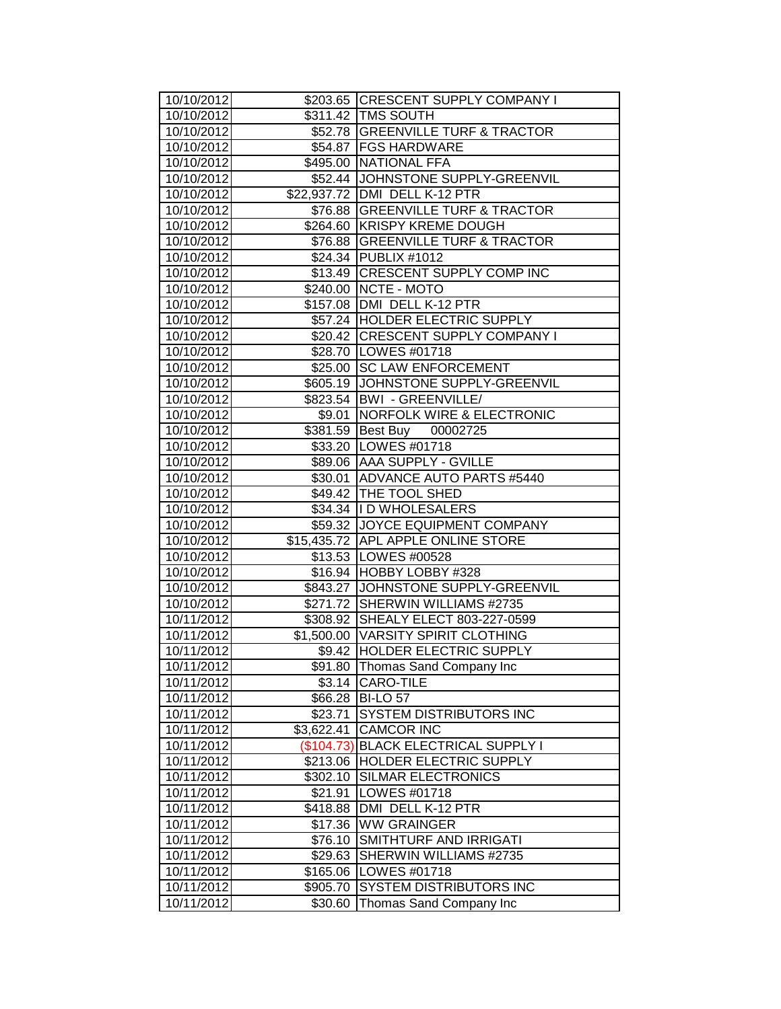| 10/10/2012 |            | \$203.65 CRESCENT SUPPLY COMPANY I   |
|------------|------------|--------------------------------------|
| 10/10/2012 |            | \$311.42 TMS SOUTH                   |
| 10/10/2012 |            | \$52.78 GREENVILLE TURF & TRACTOR    |
| 10/10/2012 |            | \$54.87   FGS HARDWARE               |
| 10/10/2012 |            | \$495.00 NATIONAL FFA                |
| 10/10/2012 |            | \$52.44 JOHNSTONE SUPPLY-GREENVIL    |
| 10/10/2012 |            | \$22,937.72 DMI DELL K-12 PTR        |
| 10/10/2012 |            | \$76.88 GREENVILLE TURF & TRACTOR    |
| 10/10/2012 |            | \$264.60 KRISPY KREME DOUGH          |
| 10/10/2012 |            | \$76.88 GREENVILLE TURF & TRACTOR    |
| 10/10/2012 |            | \$24.34   PUBLIX #1012               |
| 10/10/2012 |            | \$13.49 CRESCENT SUPPLY COMP INC     |
| 10/10/2012 |            | \$240.00 NCTE - MOTO                 |
| 10/10/2012 |            | \$157.08   DMI DELL K-12 PTR         |
| 10/10/2012 |            | \$57.24 HOLDER ELECTRIC SUPPLY       |
| 10/10/2012 |            | \$20.42 CRESCENT SUPPLY COMPANY I    |
| 10/10/2012 |            | \$28.70   LOWES #01718               |
| 10/10/2012 |            | \$25.00 SC LAW ENFORCEMENT           |
| 10/10/2012 |            | \$605.19 JOHNSTONE SUPPLY-GREENVIL   |
| 10/10/2012 |            | \$823.54   BWI - GREENVILLE/         |
| 10/10/2012 | \$9.01     | <b>NORFOLK WIRE &amp; ELECTRONIC</b> |
| 10/10/2012 |            | \$381.59 Best Buy 00002725           |
| 10/10/2012 |            | \$33.20 LOWES #01718                 |
| 10/10/2012 |            | \$89.06 AAA SUPPLY - GVILLE          |
| 10/10/2012 |            | \$30.01 ADVANCE AUTO PARTS #5440     |
| 10/10/2012 |            | \$49.42 THE TOOL SHED                |
| 10/10/2012 |            | \$34.34  I D WHOLESALERS             |
| 10/10/2012 |            | \$59.32 JOYCE EQUIPMENT COMPANY      |
| 10/10/2012 |            | \$15,435.72 APL APPLE ONLINE STORE   |
| 10/10/2012 |            | \$13.53   LOWES #00528               |
| 10/10/2012 |            | \$16.94 HOBBY LOBBY #328             |
| 10/10/2012 |            | \$843.27 JJOHNSTONE SUPPLY-GREENVIL  |
| 10/10/2012 |            | \$271.72 SHERWIN WILLIAMS #2735      |
| 10/11/2012 |            | \$308.92 SHEALY ELECT 803-227-0599   |
| 10/11/2012 |            | \$1,500.00   VARSITY SPIRIT CLOTHING |
| 10/11/2012 |            | \$9.42 HOLDER ELECTRIC SUPPLY        |
| 10/11/2012 | \$91.80    | Thomas Sand Company Inc              |
| 10/11/2012 | \$3.14     | CARO-TILE                            |
| 10/11/2012 | \$66.28    | <b>BI-LO 57</b>                      |
| 10/11/2012 | \$23.71    | <b>SYSTEM DISTRIBUTORS INC</b>       |
| 10/11/2012 | \$3,622.41 | <b>CAMCOR INC</b>                    |
| 10/11/2012 | (\$104.73) | <b>BLACK ELECTRICAL SUPPLY I</b>     |
| 10/11/2012 | \$213.06   | HOLDER ELECTRIC SUPPLY               |
| 10/11/2012 | \$302.10   | <b>SILMAR ELECTRONICS</b>            |
| 10/11/2012 | \$21.91    | LOWES #01718                         |
| 10/11/2012 | \$418.88   | DMI DELL K-12 PTR                    |
| 10/11/2012 | \$17.36    | <b>WW GRAINGER</b>                   |
| 10/11/2012 | \$76.10    | SMITHTURF AND IRRIGATI               |
| 10/11/2012 | \$29.63    | SHERWIN WILLIAMS #2735               |
| 10/11/2012 | \$165.06   | LOWES #01718                         |
| 10/11/2012 | \$905.70   | <b>SYSTEM DISTRIBUTORS INC</b>       |
| 10/11/2012 | \$30.60    | Thomas Sand Company Inc              |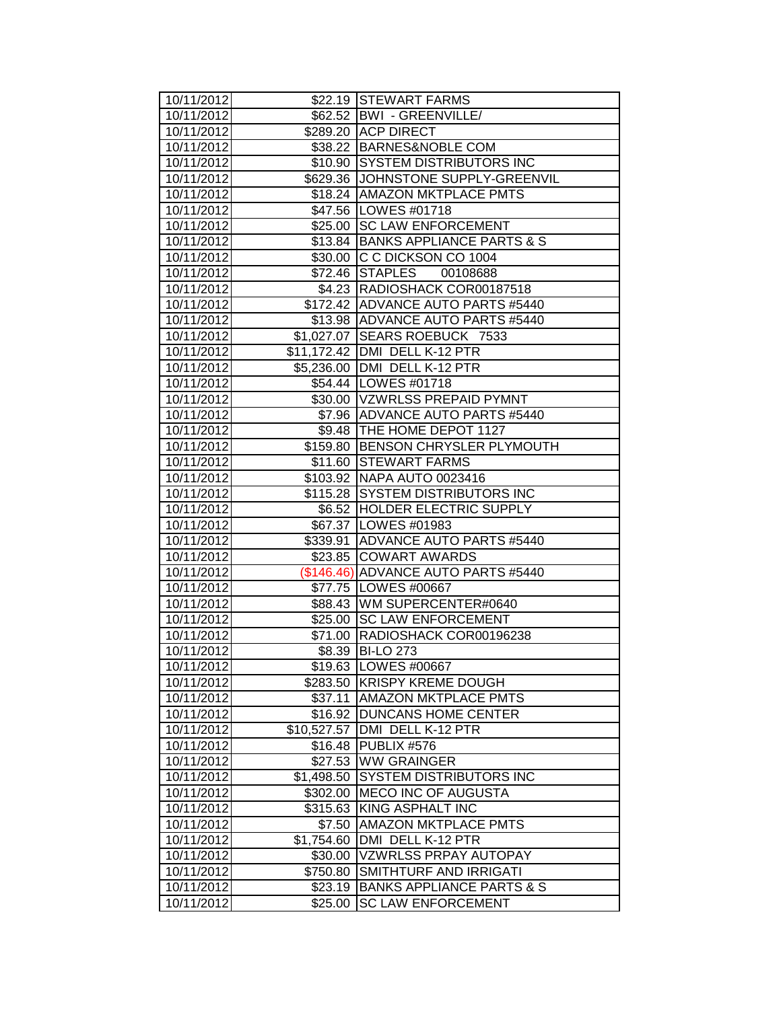| 10/11/2012               |                        | \$22.19 STEWART FARMS                                     |
|--------------------------|------------------------|-----------------------------------------------------------|
| 10/11/2012               |                        | \$62.52   BWI - GREENVILLE/                               |
| 10/11/2012               |                        | \$289.20 ACP DIRECT                                       |
| 10/11/2012               |                        | \$38.22 BARNES&NOBLE COM                                  |
| 10/11/2012               |                        | \$10.90 SYSTEM DISTRIBUTORS INC                           |
| 10/11/2012               |                        | \$629.36 JJOHNSTONE SUPPLY-GREENVIL                       |
| 10/11/2012               |                        | \$18.24   AMAZON MKTPLACE PMTS                            |
| 10/11/2012               |                        | \$47.56   LOWES #01718                                    |
| 10/11/2012               |                        | \$25.00 SC LAW ENFORCEMENT                                |
| 10/11/2012               |                        | \$13.84 BANKS APPLIANCE PARTS & S                         |
| 10/11/2012               |                        | \$30.00 C C DICKSON CO 1004                               |
| 10/11/2012               |                        | \$72.46 STAPLES 00108688                                  |
| 10/11/2012               |                        | \$4.23 RADIOSHACK COR00187518                             |
| 10/11/2012               |                        | \$172.42 ADVANCE AUTO PARTS #5440                         |
| 10/11/2012               |                        | \$13.98 ADVANCE AUTO PARTS #5440                          |
| 10/11/2012               |                        | \$1,027.07 SEARS ROEBUCK 7533                             |
| 10/11/2012               |                        | \$11,172.42 DMI DELL K-12 PTR                             |
| 10/11/2012               |                        | \$5,236.00 DMI DELL K-12 PTR                              |
| 10/11/2012               |                        | \$54.44   LOWES #01718                                    |
| 10/11/2012               |                        | \$30.00 VZWRLSS PREPAID PYMNT                             |
| 10/11/2012               |                        | \$7.96 ADVANCE AUTO PARTS #5440                           |
| 10/11/2012               |                        | \$9.48 THE HOME DEPOT 1127                                |
| 10/11/2012               |                        | \$159.80 BENSON CHRYSLER PLYMOUTH                         |
| 10/11/2012               |                        | \$11.60 STEWART FARMS                                     |
| 10/11/2012               |                        | \$103.92 NAPA AUTO 0023416                                |
| 10/11/2012               |                        | \$115.28 SYSTEM DISTRIBUTORS INC                          |
| 10/11/2012               |                        | \$6.52 HOLDER ELECTRIC SUPPLY                             |
| 10/11/2012               |                        | \$67.37 LOWES #01983                                      |
| 10/11/2012               |                        | \$339.91 ADVANCE AUTO PARTS #5440                         |
| 10/11/2012               |                        | \$23.85 COWART AWARDS                                     |
| 10/11/2012               |                        | (\$146.46) ADVANCE AUTO PARTS #5440                       |
| 10/11/2012               |                        | \$77.75   LOWES #00667                                    |
| 10/11/2012               |                        | \$88.43 WM SUPERCENTER#0640                               |
| 10/11/2012               |                        | \$25.00 SC LAW ENFORCEMENT                                |
| 10/11/2012               |                        | \$71.00 RADIOSHACK COR00196238                            |
| 10/11/2012               | \$8.39                 | <b>BI-LO 273</b>                                          |
| 10/11/2012               |                        | \$19.63   LOWES #00667                                    |
| 10/11/2012               | \$283.50               | <b>KRISPY KREME DOUGH</b>                                 |
| 10/11/2012               | \$37.11                | <b>AMAZON MKTPLACE PMTS</b><br><b>DUNCANS HOME CENTER</b> |
| 10/11/2012<br>10/11/2012 | \$16.92<br>\$10,527.57 | DMI DELL K-12 PTR                                         |
| 10/11/2012               | \$16.48                | PUBLIX #576                                               |
| 10/11/2012               | \$27.53                | <b>WW GRAINGER</b>                                        |
| 10/11/2012               | \$1,498.50             | <b>SYSTEM DISTRIBUTORS INC</b>                            |
| 10/11/2012               | \$302.00               | <b>MECO INC OF AUGUSTA</b>                                |
| 10/11/2012               | \$315.63               | KING ASPHALT INC                                          |
| 10/11/2012               | \$7.50                 | <b>AMAZON MKTPLACE PMTS</b>                               |
| 10/11/2012               | \$1,754.60             | DMI DELL K-12 PTR                                         |
| 10/11/2012               | \$30.00                | <b>VZWRLSS PRPAY AUTOPAY</b>                              |
| 10/11/2012               | \$750.80               | SMITHTURF AND IRRIGATI                                    |
| 10/11/2012               | \$23.19                | <b>BANKS APPLIANCE PARTS &amp; S</b>                      |
| 10/11/2012               | \$25.00                | <b>SC LAW ENFORCEMENT</b>                                 |
|                          |                        |                                                           |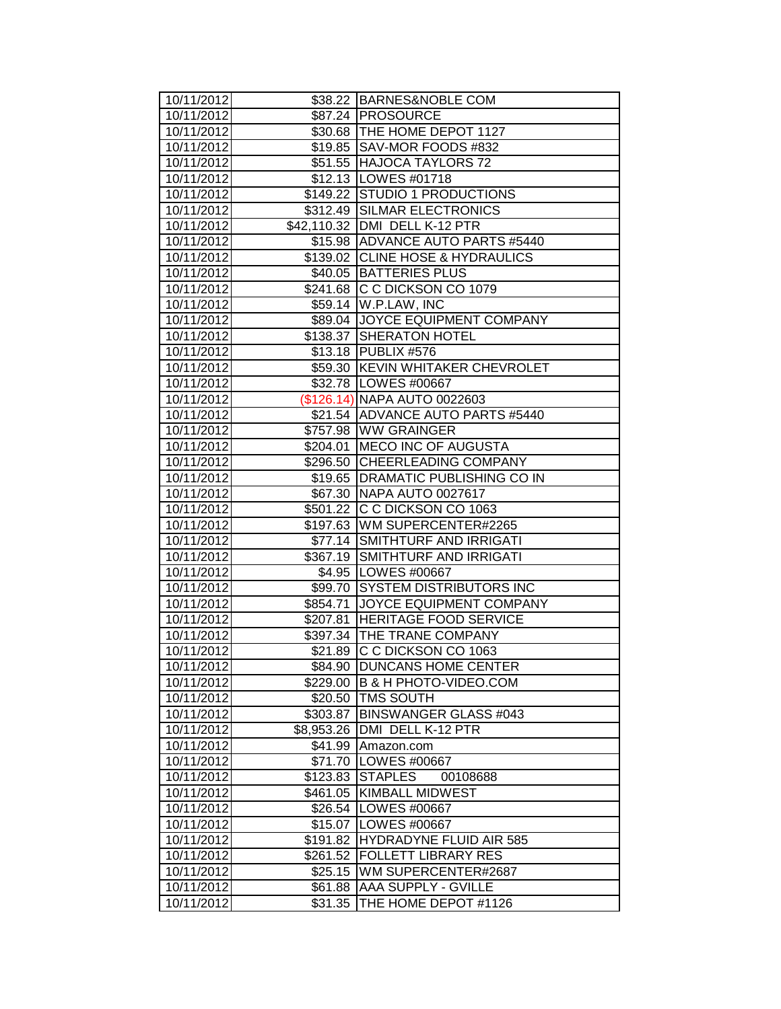| 10/11/2012               |            | \$38.22 BARNES&NOBLE COM                                            |
|--------------------------|------------|---------------------------------------------------------------------|
| 10/11/2012               |            | \$87.24 PROSOURCE                                                   |
| 10/11/2012               |            | \$30.68   THE HOME DEPOT 1127                                       |
| 10/11/2012               |            | \$19.85 SAV-MOR FOODS #832                                          |
| 10/11/2012               |            | \$51.55 HAJOCA TAYLORS 72                                           |
| 10/11/2012               |            | \$12.13   LOWES #01718                                              |
| 10/11/2012               |            | \$149.22 STUDIO 1 PRODUCTIONS                                       |
| 10/11/2012               |            | \$312.49 SILMAR ELECTRONICS                                         |
| 10/11/2012               |            | \$42,110.32 DMI DELL K-12 PTR                                       |
| 10/11/2012               |            | \$15.98 ADVANCE AUTO PARTS #5440                                    |
| 10/11/2012               |            | \$139.02 CLINE HOSE & HYDRAULICS                                    |
| 10/11/2012               |            | \$40.05 BATTERIES PLUS                                              |
| 10/11/2012               |            | \$241.68 C C DICKSON CO 1079                                        |
| 10/11/2012               |            | \$59.14 W.P.LAW, INC                                                |
| 10/11/2012               |            | \$89.04 JOYCE EQUIPMENT COMPANY                                     |
| 10/11/2012               |            | \$138.37 SHERATON HOTEL                                             |
| 10/11/2012               |            | \$13.18 PUBLIX #576                                                 |
| 10/11/2012               |            | \$59.30 KEVIN WHITAKER CHEVROLET                                    |
| 10/11/2012               |            | \$32.78   LOWES #00667                                              |
| 10/11/2012               |            | (\$126.14) NAPA AUTO 0022603                                        |
| 10/11/2012               |            | \$21.54 ADVANCE AUTO PARTS #5440                                    |
| 10/11/2012               |            | \$757.98 WW GRAINGER                                                |
| 10/11/2012               |            | \$204.01 MECO INC OF AUGUSTA                                        |
| 10/11/2012               |            | \$296.50 CHEERLEADING COMPANY                                       |
| 10/11/2012               |            | \$19.65   DRAMATIC PUBLISHING CO IN                                 |
| 10/11/2012               |            | \$67.30 NAPA AUTO 0027617                                           |
| 10/11/2012               |            | \$501.22 C C DICKSON CO 1063                                        |
| 10/11/2012               |            | \$197.63 WM SUPERCENTER#2265                                        |
| 10/11/2012               |            | \$77.14 SMITHTURF AND IRRIGATI                                      |
| 10/11/2012               |            | \$367.19 SMITHTURF AND IRRIGATI                                     |
| 10/11/2012               |            | \$4.95 LOWES #00667                                                 |
| 10/11/2012<br>10/11/2012 |            | \$99.70 SYSTEM DISTRIBUTORS INC<br>\$854.71 JOYCE EQUIPMENT COMPANY |
| 10/11/2012               |            | \$207.81 HERITAGE FOOD SERVICE                                      |
| 10/11/2012               |            | \$397.34 THE TRANE COMPANY                                          |
| 10/11/2012               |            | \$21.89 C C DICKSON CO 1063                                         |
| 10/11/2012               |            | \$84.90 DUNCANS HOME CENTER                                         |
| 10/11/2012               | \$229.00   | B & H PHOTO-VIDEO.COM                                               |
| 10/11/2012               |            | \$20.50   TMS SOUTH                                                 |
| 10/11/2012               | \$303.87   | <b>BINSWANGER GLASS #043</b>                                        |
| 10/11/2012               | \$8,953.26 | DMI DELL K-12 PTR                                                   |
| 10/11/2012               | \$41.99    | Amazon.com                                                          |
| 10/11/2012               | \$71.70    | LOWES #00667                                                        |
| 10/11/2012               | \$123.83   | <b>STAPLES</b><br>00108688                                          |
| 10/11/2012               | \$461.05   | <b>KIMBALL MIDWEST</b>                                              |
| 10/11/2012               |            | \$26.54   LOWES #00667                                              |
| 10/11/2012               |            | \$15.07 LOWES #00667                                                |
| 10/11/2012               |            | \$191.82 HYDRADYNE FLUID AIR 585                                    |
| 10/11/2012               | \$261.52   | <b>FOLLETT LIBRARY RES</b>                                          |
| 10/11/2012               | \$25.15    | WM SUPERCENTER#2687                                                 |
| 10/11/2012               | \$61.88    | <b>AAA SUPPLY - GVILLE</b>                                          |
| 10/11/2012               | \$31.35    | THE HOME DEPOT #1126                                                |
|                          |            |                                                                     |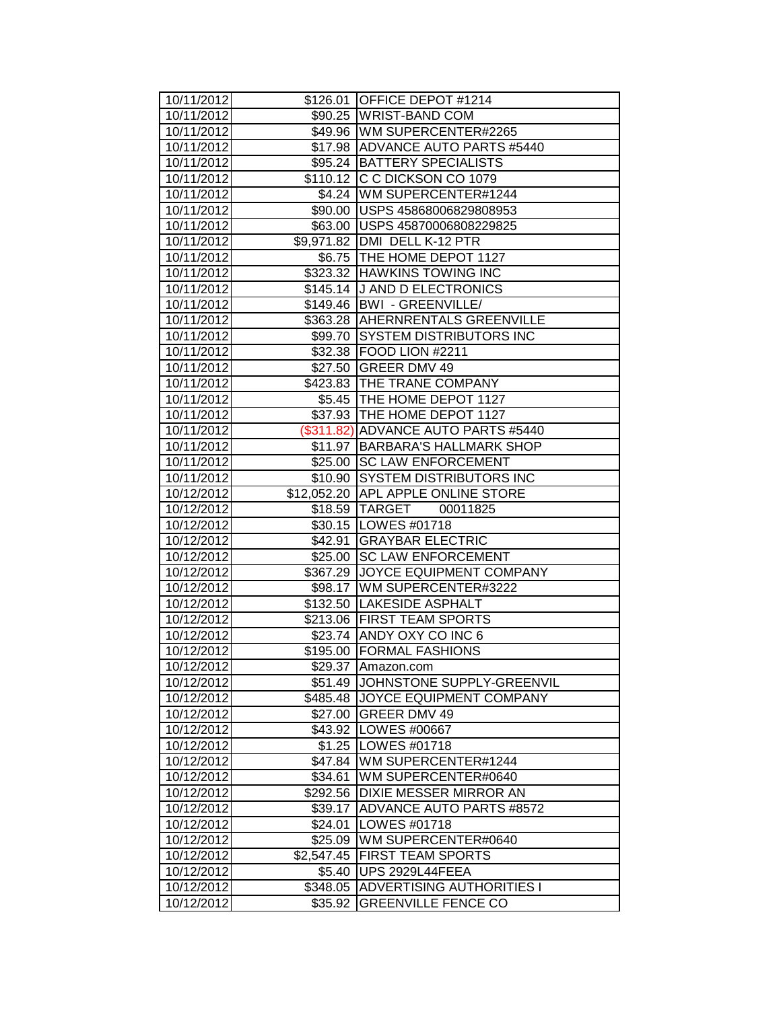| 10/11/2012               |                     | \$126.01 OFFICE DEPOT #1214                                 |
|--------------------------|---------------------|-------------------------------------------------------------|
| 10/11/2012               |                     | \$90.25 WRIST-BAND COM                                      |
| 10/11/2012               |                     | \$49.96 WM SUPERCENTER#2265                                 |
| 10/11/2012               |                     | \$17.98 ADVANCE AUTO PARTS #5440                            |
| 10/11/2012               |                     | \$95.24 BATTERY SPECIALISTS                                 |
| 10/11/2012               |                     | \$110.12 C C DICKSON CO 1079                                |
| 10/11/2012               |                     | \$4.24 WM SUPERCENTER#1244                                  |
| 10/11/2012               |                     | \$90.00 USPS 45868006829808953                              |
| 10/11/2012               |                     | \$63.00   USPS 45870006808229825                            |
| 10/11/2012               |                     | \$9,971.82 DMI DELL K-12 PTR                                |
| 10/11/2012               |                     | \$6.75 THE HOME DEPOT 1127                                  |
| 10/11/2012               |                     | \$323.32 HAWKINS TOWING INC                                 |
| 10/11/2012               |                     | \$145.14 J AND D ELECTRONICS                                |
| 10/11/2012               |                     | \$149.46   BWI - GREENVILLE/                                |
| 10/11/2012               |                     | \$363.28 AHERNRENTALS GREENVILLE                            |
| 10/11/2012               |                     | \$99.70 SYSTEM DISTRIBUTORS INC                             |
| 10/11/2012               |                     | \$32.38   FOOD LION #2211                                   |
| 10/11/2012               |                     | \$27.50 GREER DMV 49                                        |
| 10/11/2012               |                     | \$423.83 THE TRANE COMPANY                                  |
| 10/11/2012               |                     | \$5.45   THE HOME DEPOT 1127                                |
| 10/11/2012               |                     | \$37.93 THE HOME DEPOT 1127                                 |
| 10/11/2012               |                     | (\$311.82) ADVANCE AUTO PARTS #5440                         |
| 10/11/2012               |                     | \$11.97   BARBARA'S HALLMARK SHOP                           |
| 10/11/2012               |                     | \$25.00 SC LAW ENFORCEMENT                                  |
| 10/11/2012               |                     | \$10.90 SYSTEM DISTRIBUTORS INC                             |
| 10/12/2012               |                     | \$12,052.20 APL APPLE ONLINE STORE                          |
| 10/12/2012               |                     | \$18.59 TARGET 00011825                                     |
| 10/12/2012               |                     | \$30.15   LOWES #01718                                      |
| 10/12/2012               |                     | \$42.91 GRAYBAR ELECTRIC                                    |
| 10/12/2012               |                     | \$25.00 SC LAW ENFORCEMENT                                  |
| 10/12/2012               |                     | \$367.29 JOYCE EQUIPMENT COMPANY                            |
| 10/12/2012               |                     | \$98.17   WM SUPERCENTER#3222                               |
| 10/12/2012               |                     | \$132.50 LAKESIDE ASPHALT                                   |
| 10/12/2012               |                     | \$213.06 FIRST TEAM SPORTS                                  |
| 10/12/2012               |                     | \$23.74 ANDY OXY CO INC 6                                   |
| 10/12/2012               |                     | \$195.00 FORMAL FASHIONS                                    |
| 10/12/2012<br>10/12/2012 | \$29.37             | Amazon.com                                                  |
| 10/12/2012               | \$51.49<br>\$485.48 | JOHNSTONE SUPPLY-GREENVIL<br><b>JOYCE EQUIPMENT COMPANY</b> |
| 10/12/2012               | \$27.00             | <b>GREER DMV 49</b>                                         |
| 10/12/2012               | \$43.92             | LOWES #00667                                                |
| 10/12/2012               | \$1.25              | LOWES #01718                                                |
| 10/12/2012               | \$47.84             | WM SUPERCENTER#1244                                         |
| 10/12/2012               | \$34.61             | WM SUPERCENTER#0640                                         |
| 10/12/2012               | \$292.56            | <b>IDIXIE MESSER MIRROR AN</b>                              |
| 10/12/2012               | \$39.17             | <b>ADVANCE AUTO PARTS #8572</b>                             |
| 10/12/2012               | \$24.01             | LOWES #01718                                                |
| 10/12/2012               | \$25.09             | WM SUPERCENTER#0640                                         |
| 10/12/2012               | \$2,547.45          | <b>FIRST TEAM SPORTS</b>                                    |
| 10/12/2012               | \$5.40              | UPS 2929L44FEEA                                             |
| 10/12/2012               | \$348.05            | <b>ADVERTISING AUTHORITIES I</b>                            |
|                          | \$35.92             | <b>GREENVILLE FENCE CO</b>                                  |
| 10/12/2012               |                     |                                                             |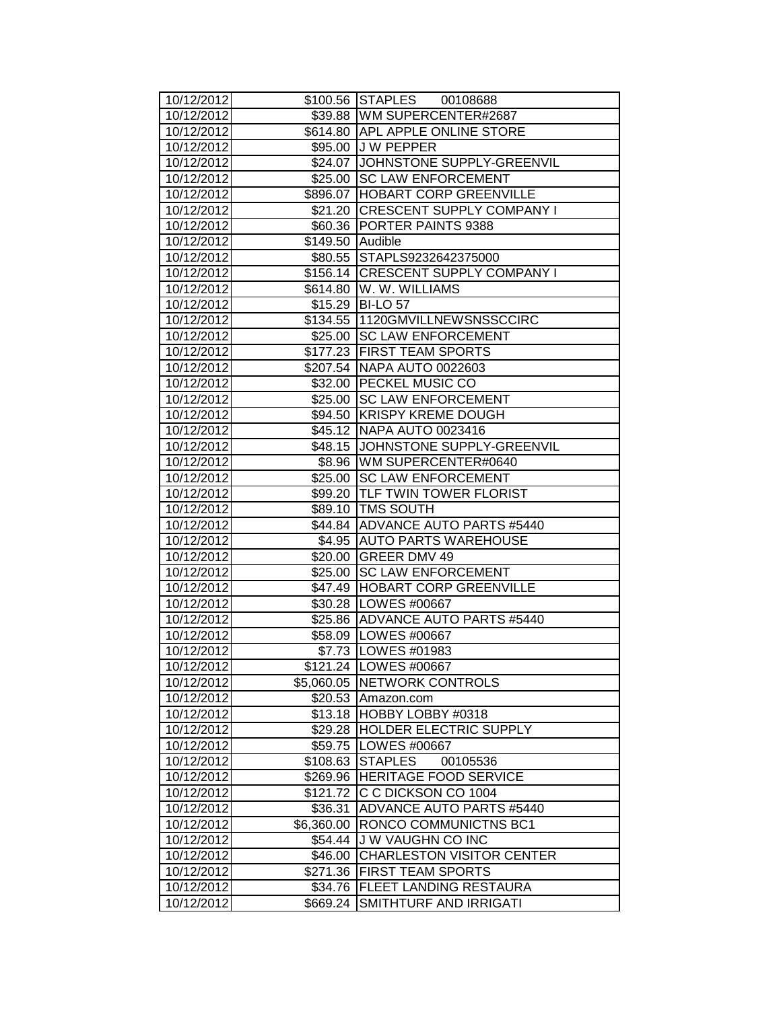| 10/12/2012               |                  | \$100.56 STAPLES 00108688                          |
|--------------------------|------------------|----------------------------------------------------|
| 10/12/2012               |                  | \$39.88 WM SUPERCENTER#2687                        |
| 10/12/2012               |                  | \$614.80 APL APPLE ONLINE STORE                    |
| 10/12/2012               |                  | \$95.00 J W PEPPER                                 |
| 10/12/2012               |                  | \$24.07 JOHNSTONE SUPPLY-GREENVIL                  |
| 10/12/2012               |                  | \$25.00 SC LAW ENFORCEMENT                         |
| 10/12/2012               |                  | \$896.07  HOBART CORP GREENVILLE                   |
| 10/12/2012               |                  | \$21.20 CRESCENT SUPPLY COMPANY I                  |
| 10/12/2012               |                  | \$60.36 PORTER PAINTS 9388                         |
| 10/12/2012               | \$149.50 Audible |                                                    |
| 10/12/2012               |                  | \$80.55 STAPLS9232642375000                        |
| 10/12/2012               |                  | \$156.14 CRESCENT SUPPLY COMPANY I                 |
| 10/12/2012               |                  | \$614.80 W. W. WILLIAMS                            |
| 10/12/2012               |                  | \$15.29 BI-LO 57                                   |
| 10/12/2012               |                  | \$134.55 1120GMVILLNEWSNSSCCIRC                    |
| 10/12/2012               |                  | \$25.00 SC LAW ENFORCEMENT                         |
| 10/12/2012               |                  | \$177.23 FIRST TEAM SPORTS                         |
| 10/12/2012               |                  | \$207.54   NAPA AUTO 0022603                       |
| 10/12/2012               |                  | \$32.00 PECKEL MUSIC CO                            |
| 10/12/2012               |                  | \$25.00 SC LAW ENFORCEMENT                         |
| 10/12/2012               |                  | \$94.50 KRISPY KREME DOUGH                         |
| 10/12/2012               |                  | \$45.12 NAPA AUTO 0023416                          |
| 10/12/2012               |                  | \$48.15 JOHNSTONE SUPPLY-GREENVIL                  |
| 10/12/2012               |                  | \$8.96 WM SUPERCENTER#0640                         |
| 10/12/2012               |                  | \$25.00 SC LAW ENFORCEMENT                         |
| 10/12/2012               |                  | \$99.20 TLF TWIN TOWER FLORIST                     |
| 10/12/2012               |                  | \$89.10 TMS SOUTH                                  |
| 10/12/2012               |                  | \$44.84 ADVANCE AUTO PARTS #5440                   |
| 10/12/2012               |                  | \$4.95 AUTO PARTS WAREHOUSE                        |
| 10/12/2012<br>10/12/2012 |                  | \$20.00 GREER DMV 49<br>\$25.00 SC LAW ENFORCEMENT |
| 10/12/2012               |                  | \$47.49   HOBART CORP GREENVILLE                   |
| 10/12/2012               |                  | \$30.28   LOWES #00667                             |
| 10/12/2012               |                  | \$25.86 ADVANCE AUTO PARTS #5440                   |
| 10/12/2012               |                  | \$58.09   LOWES #00667                             |
| 10/12/2012               |                  | \$7.73   LOWES #01983                              |
| 10/12/2012               |                  | \$121.24   LOWES #00667                            |
| 10/12/2012               |                  | \$5,060.05 NETWORK CONTROLS                        |
| 10/12/2012               |                  | \$20.53 Amazon.com                                 |
| 10/12/2012               | \$13.18          | HOBBY LOBBY #0318                                  |
| 10/12/2012               | \$29.28          | <b>HOLDER ELECTRIC SUPPLY</b>                      |
| 10/12/2012               | \$59.75          | LOWES #00667                                       |
| 10/12/2012               | \$108.63         | <b>STAPLES</b><br>00105536                         |
| 10/12/2012               | \$269.96         | <b>HERITAGE FOOD SERVICE</b>                       |
| 10/12/2012               | \$121.72         | C C DICKSON CO 1004                                |
| 10/12/2012               | \$36.31          | <b>ADVANCE AUTO PARTS #5440</b>                    |
| 10/12/2012               | \$6,360.00       | RONCO COMMUNICTNS BC1                              |
| 10/12/2012               | \$54.44          | <b>JW VAUGHN CO INC</b>                            |
| 10/12/2012               | \$46.00          | <b>CHARLESTON VISITOR CENTER</b>                   |
| 10/12/2012               | \$271.36         | <b>FIRST TEAM SPORTS</b>                           |
| 10/12/2012               | \$34.76          | <b>FLEET LANDING RESTAURA</b>                      |
| 10/12/2012               | \$669.24         | SMITHTURF AND IRRIGATI                             |
|                          |                  |                                                    |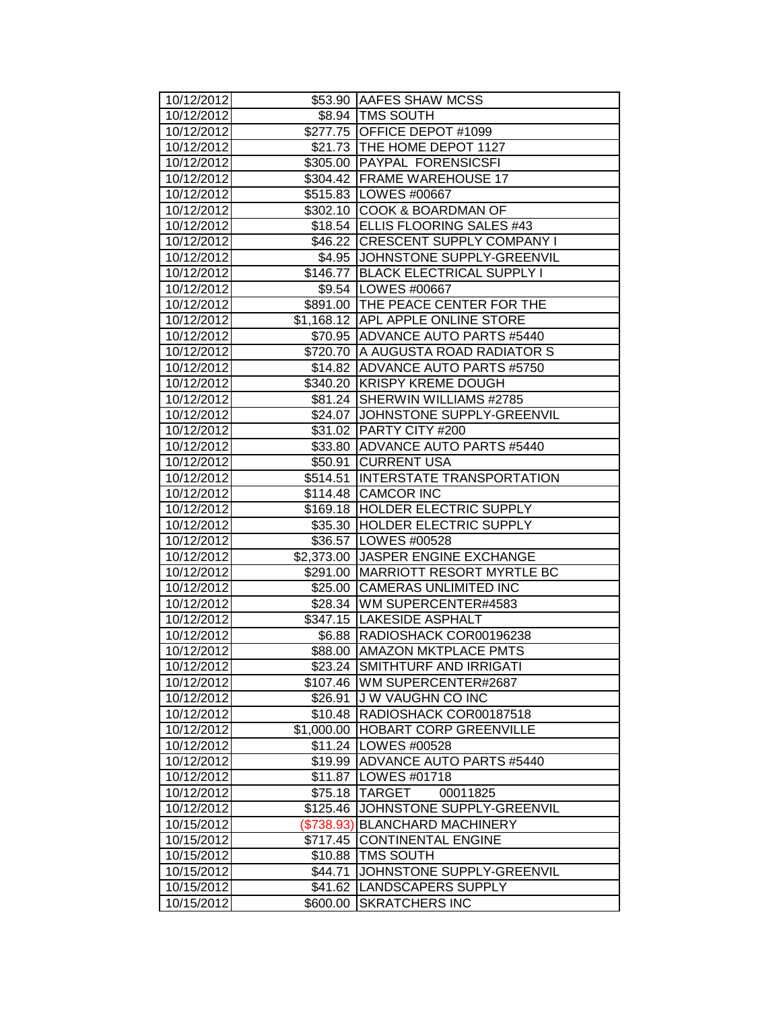| 10/12/2012               |            | \$53.90 AAFES SHAW MCSS                                   |
|--------------------------|------------|-----------------------------------------------------------|
| 10/12/2012               |            | \$8.94   TMS SOUTH                                        |
| 10/12/2012               |            | \$277.75 OFFICE DEPOT #1099                               |
| 10/12/2012               |            | \$21.73 THE HOME DEPOT 1127                               |
| 10/12/2012               |            | \$305.00 PAYPAL FORENSICSFI                               |
| 10/12/2012               |            | \$304.42 FRAME WAREHOUSE 17                               |
| 10/12/2012               |            | \$515.83 LOWES #00667                                     |
| 10/12/2012               |            | \$302.10 COOK & BOARDMAN OF                               |
| 10/12/2012               |            | \$18.54 ELLIS FLOORING SALES #43                          |
| 10/12/2012               |            | \$46.22 CRESCENT SUPPLY COMPANY I                         |
| 10/12/2012               |            | \$4.95 JJOHNSTONE SUPPLY-GREENVIL                         |
| 10/12/2012               |            | \$146.77 BLACK ELECTRICAL SUPPLY I                        |
| 10/12/2012               |            | \$9.54   LOWES #00667                                     |
| 10/12/2012               |            | \$891.00 THE PEACE CENTER FOR THE                         |
| 10/12/2012               |            | \$1,168.12 APL APPLE ONLINE STORE                         |
| 10/12/2012               |            | \$70.95 ADVANCE AUTO PARTS #5440                          |
| 10/12/2012               |            | \$720.70 A AUGUSTA ROAD RADIATOR S                        |
| 10/12/2012               |            | \$14.82 ADVANCE AUTO PARTS #5750                          |
| 10/12/2012               |            | \$340.20 KRISPY KREME DOUGH                               |
| 10/12/2012               |            | \$81.24 SHERWIN WILLIAMS #2785                            |
| 10/12/2012               |            | \$24.07 JJOHNSTONE SUPPLY-GREENVIL                        |
| 10/12/2012               |            | \$31.02 PARTY CITY #200                                   |
| 10/12/2012               |            | \$33.80 ADVANCE AUTO PARTS #5440                          |
| 10/12/2012               |            | \$50.91 CURRENT USA                                       |
| 10/12/2012               |            | \$514.51  INTERSTATE TRANSPORTATION                       |
| 10/12/2012               |            | \$114.48 CAMCOR INC                                       |
| 10/12/2012               |            | \$169.18 HOLDER ELECTRIC SUPPLY                           |
| 10/12/2012               |            | \$35.30 HOLDER ELECTRIC SUPPLY                            |
| 10/12/2012               |            | \$36.57   LOWES #00528                                    |
| 10/12/2012               |            | \$2,373.00 JJASPER ENGINE EXCHANGE                        |
| 10/12/2012               |            | \$291.00 MARRIOTT RESORT MYRTLE BC                        |
| 10/12/2012               |            | \$25.00 CAMERAS UNLIMITED INC                             |
| 10/12/2012               |            | \$28.34 WM SUPERCENTER#4583                               |
| 10/12/2012               |            | \$347.15  LAKESIDE ASPHALT                                |
| 10/12/2012               |            | \$6.88 RADIOSHACK COR00196238                             |
| 10/12/2012               |            | \$88.00   AMAZON MKTPLACE PMTS                            |
| 10/12/2012               |            | \$23.24 SMITHTURF AND IRRIGATI                            |
| 10/12/2012<br>10/12/2012 |            | \$107.46   WM SUPERCENTER#2687<br><b>JW VAUGHN CO INC</b> |
| 10/12/2012               | \$26.91    | \$10.48 RADIOSHACK COR00187518                            |
| 10/12/2012               | \$1,000.00 | <b>HOBART CORP GREENVILLE</b>                             |
| 10/12/2012               |            | \$11.24   LOWES #00528                                    |
| 10/12/2012               | \$19.99    | <b>ADVANCE AUTO PARTS #5440</b>                           |
| 10/12/2012               |            | \$11.87   LOWES #01718                                    |
| 10/12/2012               | \$75.18    | <b>TARGET</b><br>00011825                                 |
| 10/12/2012               | \$125.46   | JOHNSTONE SUPPLY-GREENVIL                                 |
| 10/15/2012               | (\$738.93) | <b>BLANCHARD MACHINERY</b>                                |
| 10/15/2012               |            | \$717.45 CONTINENTAL ENGINE                               |
| 10/15/2012               | \$10.88    | <b>TMS SOUTH</b>                                          |
| 10/15/2012               | \$44.71    | JOHNSTONE SUPPLY-GREENVIL                                 |
| 10/15/2012               | \$41.62    | LANDSCAPERS SUPPLY                                        |
| 10/15/2012               | \$600.00   | <b>SKRATCHERS INC</b>                                     |
|                          |            |                                                           |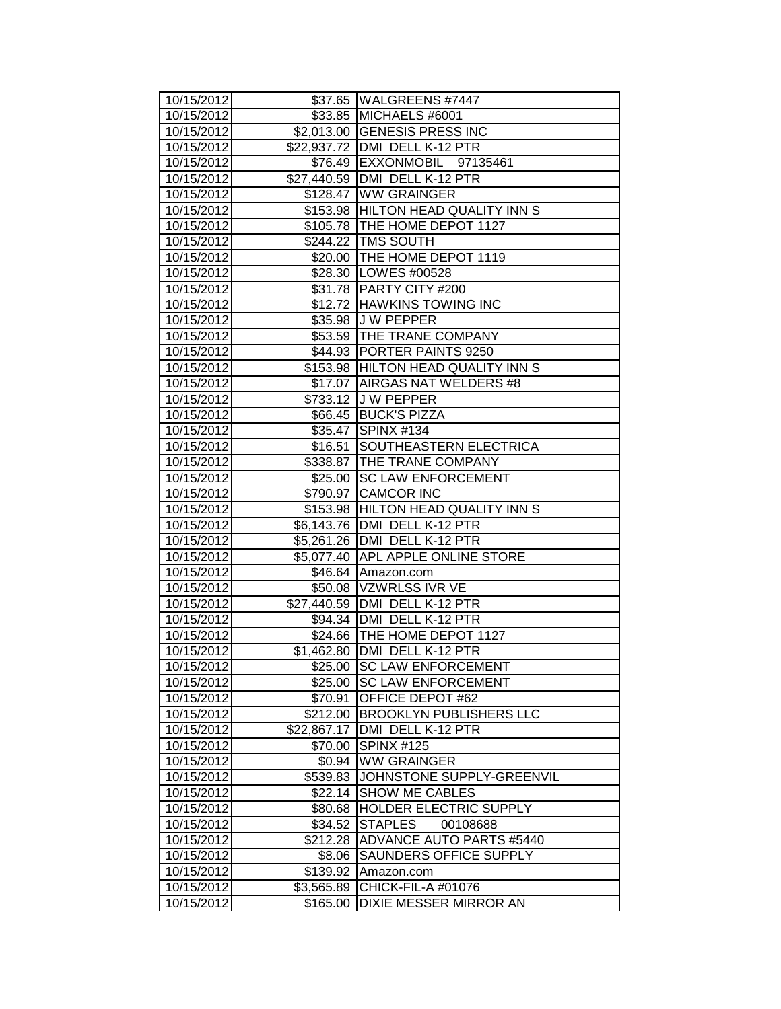| 10/15/2012               |                         | \$37.65   WALGREENS #7447                      |
|--------------------------|-------------------------|------------------------------------------------|
| 10/15/2012               |                         | \$33.85 MICHAELS #6001                         |
| 10/15/2012               |                         | \$2,013.00 GENESIS PRESS INC                   |
| 10/15/2012               |                         | \$22,937.72 DMI DELL K-12 PTR                  |
| 10/15/2012               |                         | \$76.49 EXXONMOBIL 97135461                    |
| 10/15/2012               |                         | \$27,440.59 DMI DELL K-12 PTR                  |
| 10/15/2012               |                         | \$128.47 WW GRAINGER                           |
| 10/15/2012               |                         | \$153.98 HILTON HEAD QUALITY INN S             |
| 10/15/2012               |                         | \$105.78 THE HOME DEPOT 1127                   |
| 10/15/2012               |                         | \$244.22 TMS SOUTH                             |
| 10/15/2012               |                         | \$20.00 THE HOME DEPOT 1119                    |
| 10/15/2012               |                         | \$28.30   LOWES #00528                         |
| 10/15/2012               |                         | \$31.78 PARTY CITY #200                        |
| 10/15/2012               |                         | \$12.72 HAWKINS TOWING INC                     |
| 10/15/2012               |                         | \$35.98 J W PEPPER                             |
| 10/15/2012               |                         | \$53.59 THE TRANE COMPANY                      |
| 10/15/2012               |                         | \$44.93 PORTER PAINTS 9250                     |
| 10/15/2012               |                         | \$153.98 HILTON HEAD QUALITY INN S             |
| 10/15/2012               |                         | \$17.07 AIRGAS NAT WELDERS #8                  |
| 10/15/2012               |                         | \$733.12 J W PEPPER                            |
| 10/15/2012               |                         | \$66.45 BUCK'S PIZZA                           |
| 10/15/2012               |                         | \$35.47 SPINX #134                             |
| 10/15/2012               |                         | \$16.51 SOUTHEASTERN ELECTRICA                 |
| 10/15/2012               |                         | \$338.87 THE TRANE COMPANY                     |
| 10/15/2012               |                         | \$25.00 SC LAW ENFORCEMENT                     |
| 10/15/2012               |                         | \$790.97 CAMCOR INC                            |
| 10/15/2012               |                         | \$153.98 HILTON HEAD QUALITY INN S             |
| 10/15/2012               |                         | \$6,143.76 DMI DELL K-12 PTR                   |
| 10/15/2012               |                         | \$5,261.26 DMI DELL K-12 PTR                   |
| 10/15/2012               |                         | \$5,077.40 APL APPLE ONLINE STORE              |
| 10/15/2012               |                         | \$46.64 Amazon.com                             |
| 10/15/2012               |                         | \$50.08 VZWRLSS IVR VE                         |
| 10/15/2012               |                         | \$27,440.59 DMI DELL K-12 PTR                  |
| 10/15/2012               |                         | \$94.34   DMI DELL K-12 PTR                    |
| 10/15/2012               |                         | \$24.66   THE HOME DEPOT 1127                  |
| 10/15/2012               |                         | \$1,462.80   DMI DELL K-12 PTR                 |
| 10/15/2012               |                         | \$25.00 SC LAW ENFORCEMENT                     |
| 10/15/2012               |                         | \$25.00 SC LAW ENFORCEMENT<br>OFFICE DEPOT #62 |
| 10/15/2012<br>10/15/2012 | \$70.91                 | <b>BROOKLYN PUBLISHERS LLC</b>                 |
| 10/15/2012               | \$212.00<br>\$22,867.17 | DMI DELL K-12 PTR                              |
| 10/15/2012               | \$70.00                 | <b>SPINX #125</b>                              |
| 10/15/2012               | \$0.94                  | <b>WW GRAINGER</b>                             |
| 10/15/2012               | \$539.83                | JOHNSTONE SUPPLY-GREENVIL                      |
| 10/15/2012               | \$22.14                 | <b>SHOW ME CABLES</b>                          |
| 10/15/2012               |                         | \$80.68 HOLDER ELECTRIC SUPPLY                 |
| 10/15/2012               | \$34.52                 | <b>STAPLES</b><br>00108688                     |
| 10/15/2012               |                         | \$212.28 ADVANCE AUTO PARTS #5440              |
| 10/15/2012               | \$8.06                  | <b>SAUNDERS OFFICE SUPPLY</b>                  |
| 10/15/2012               |                         | \$139.92 Amazon.com                            |
| 10/15/2012               | \$3,565.89              | CHICK-FIL-A #01076                             |
| 10/15/2012               | \$165.00                | DIXIE MESSER MIRROR AN                         |
|                          |                         |                                                |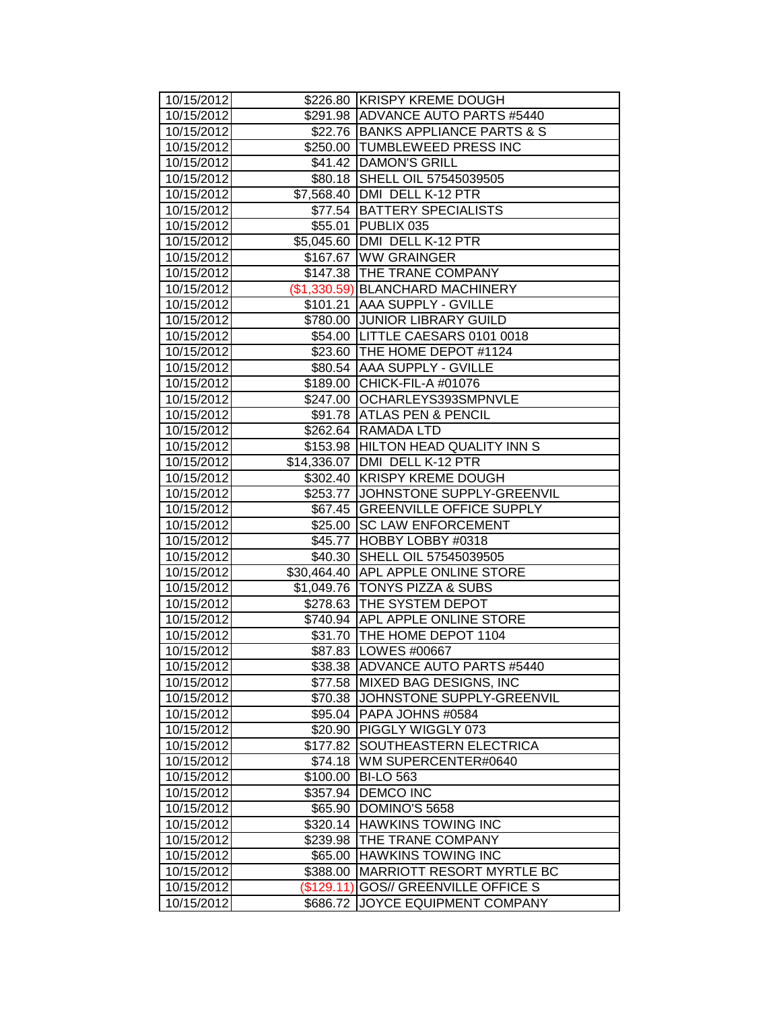| 10/15/2012               |                        | \$226.80 KRISPY KREME DOUGH                                 |
|--------------------------|------------------------|-------------------------------------------------------------|
| 10/15/2012               |                        | \$291.98 ADVANCE AUTO PARTS #5440                           |
| 10/15/2012               |                        | \$22.76 BANKS APPLIANCE PARTS & S                           |
| 10/15/2012               |                        | \$250.00 TUMBLEWEED PRESS INC                               |
| 10/15/2012               |                        | \$41.42 DAMON'S GRILL                                       |
| 10/15/2012               |                        | \$80.18 SHELL OIL 57545039505                               |
| 10/15/2012               |                        | \$7,568.40   DMI DELL K-12 PTR                              |
| 10/15/2012               |                        | \$77.54 BATTERY SPECIALISTS                                 |
| 10/15/2012               |                        | \$55.01 PUBLIX 035                                          |
| 10/15/2012               |                        | \$5,045.60 DMI DELL K-12 PTR                                |
| 10/15/2012               |                        | \$167.67 WW GRAINGER                                        |
| 10/15/2012               |                        | \$147.38 THE TRANE COMPANY                                  |
| 10/15/2012               |                        | (\$1,330.59) BLANCHARD MACHINERY                            |
| 10/15/2012               |                        | \$101.21 AAA SUPPLY - GVILLE                                |
| 10/15/2012               |                        | \$780.00 JUNIOR LIBRARY GUILD                               |
| 10/15/2012               |                        | \$54.00 LITTLE CAESARS 0101 0018                            |
| 10/15/2012               |                        | \$23.60   THE HOME DEPOT #1124                              |
| 10/15/2012               |                        | \$80.54 AAA SUPPLY - GVILLE                                 |
| 10/15/2012               |                        | \$189.00 CHICK-FIL-A #01076                                 |
| 10/15/2012               |                        | \$247.00 OCHARLEYS393SMPNVLE                                |
| 10/15/2012               |                        | \$91.78 ATLAS PEN & PENCIL                                  |
| 10/15/2012               |                        | \$262.64 RAMADA LTD                                         |
| 10/15/2012               |                        | \$153.98 HILTON HEAD QUALITY INN S                          |
| 10/15/2012               |                        | \$14,336.07   DMI DELL K-12 PTR                             |
| 10/15/2012               |                        | \$302.40 KRISPY KREME DOUGH                                 |
| 10/15/2012               |                        | \$253.77 JJOHNSTONE SUPPLY-GREENVIL                         |
|                          |                        | \$67.45 GREENVILLE OFFICE SUPPLY                            |
| 10/15/2012               |                        |                                                             |
| 10/15/2012               |                        | \$25.00 SC LAW ENFORCEMENT                                  |
| 10/15/2012               |                        | \$45.77 HOBBY LOBBY #0318                                   |
| 10/15/2012               |                        | \$40.30 SHELL OIL 57545039505                               |
| 10/15/2012               |                        | \$30,464.40 APL APPLE ONLINE STORE                          |
| 10/15/2012               |                        | \$1,049.76   TONYS PIZZA & SUBS                             |
| 10/15/2012               |                        | \$278.63 THE SYSTEM DEPOT                                   |
| 10/15/2012               |                        | \$740.94 APL APPLE ONLINE STORE                             |
| 10/15/2012               |                        | \$31.70   THE HOME DEPOT 1104                               |
| 10/15/2012               |                        | \$87.83   LOWES #00667                                      |
| 10/15/2012               |                        | \$38.38 ADVANCE AUTO PARTS #5440                            |
| 10/15/2012               |                        | \$77.58 MIXED BAG DESIGNS, INC                              |
| 10/15/2012               | \$70.38                | JOHNSTONE SUPPLY-GREENVIL                                   |
| 10/15/2012               | \$95.04                | PAPA JOHNS #0584                                            |
| 10/15/2012               | \$20.90                | PIGGLY WIGGLY 073                                           |
| 10/15/2012               | \$177.82               | SOUTHEASTERN ELECTRICA                                      |
| 10/15/2012               | \$74.18                | WM SUPERCENTER#0640                                         |
| 10/15/2012               | \$100.00               | <b>BI-LO 563</b>                                            |
| 10/15/2012               | \$357.94               | <b>DEMCO INC</b>                                            |
| 10/15/2012               |                        | \$65.90   DOMINO'S 5658                                     |
| 10/15/2012               | \$320.14               | <b>HAWKINS TOWING INC</b>                                   |
| 10/15/2012               | \$239.98               | THE TRANE COMPANY                                           |
| 10/15/2012               | \$65.00                | <b>HAWKINS TOWING INC</b>                                   |
| 10/15/2012               | \$388.00               | <b>MARRIOTT RESORT MYRTLE BC</b>                            |
| 10/15/2012<br>10/15/2012 | (\$129.11)<br>\$686.72 | <b>GOS// GREENVILLE OFFICE S</b><br>JOYCE EQUIPMENT COMPANY |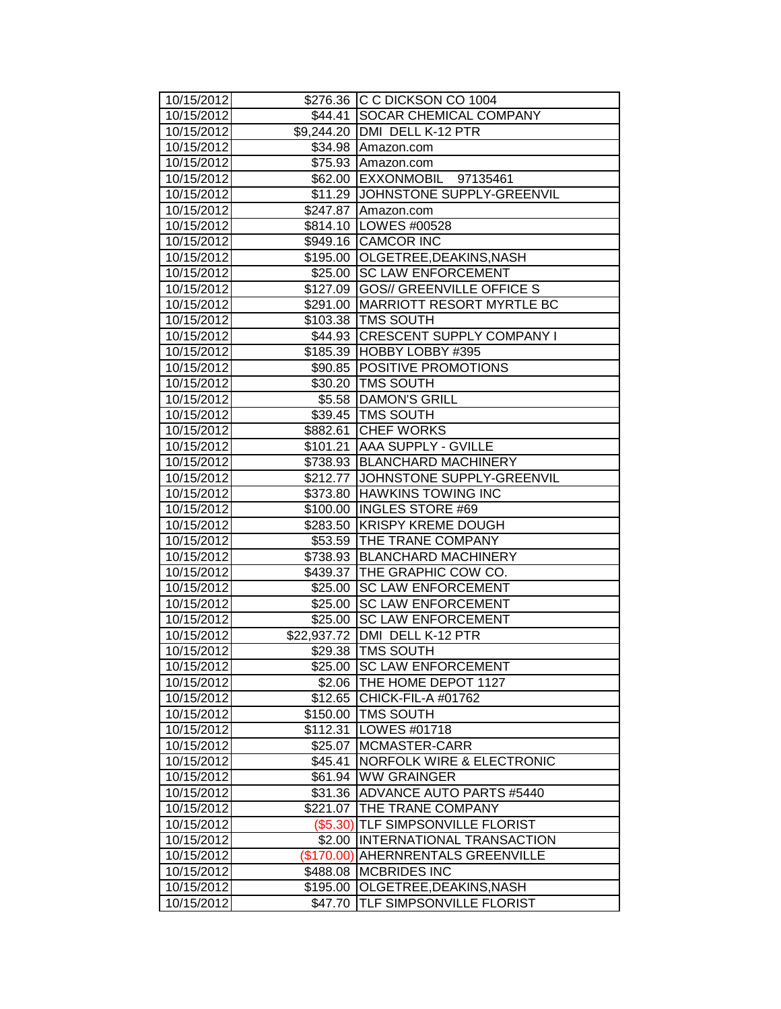| 10/15/2012               |                    | \$276.36 C C DICKSON CO 1004                                   |
|--------------------------|--------------------|----------------------------------------------------------------|
| 10/15/2012               |                    | \$44.41 SOCAR CHEMICAL COMPANY                                 |
| 10/15/2012               |                    | \$9,244.20 DMI DELL K-12 PTR                                   |
| 10/15/2012               |                    | \$34.98 Amazon.com                                             |
| 10/15/2012               |                    | \$75.93 Amazon.com                                             |
| 10/15/2012               |                    | \$62.00 EXXONMOBIL 97135461                                    |
| 10/15/2012               |                    | \$11.29 JOHNSTONE SUPPLY-GREENVIL                              |
| 10/15/2012               |                    | \$247.87 Amazon.com                                            |
| 10/15/2012               |                    | \$814.10 LOWES #00528                                          |
| 10/15/2012               |                    | \$949.16 CAMCOR INC                                            |
| 10/15/2012               |                    | \$195.00 OLGETREE, DEAKINS, NASH                               |
| 10/15/2012               | \$25.00            | <b>SC LAW ENFORCEMENT</b>                                      |
| 10/15/2012               |                    | \$127.09 GOS// GREENVILLE OFFICE S                             |
| 10/15/2012               |                    | \$291.00 MARRIOTT RESORT MYRTLE BC                             |
| 10/15/2012               |                    | \$103.38   TMS SOUTH                                           |
| 10/15/2012               |                    | \$44.93 CRESCENT SUPPLY COMPANY I                              |
| 10/15/2012               |                    | \$185.39 HOBBY LOBBY #395                                      |
| 10/15/2012               |                    | \$90.85 POSITIVE PROMOTIONS                                    |
| 10/15/2012               |                    | \$30.20 TMS SOUTH                                              |
| 10/15/2012               |                    | \$5.58  DAMON'S GRILL                                          |
| 10/15/2012               |                    | \$39.45 TMS SOUTH                                              |
| 10/15/2012               | \$882.61           | <b>CHEF WORKS</b>                                              |
| 10/15/2012               | \$101.21           | <b>AAA SUPPLY - GVILLE</b>                                     |
| 10/15/2012               |                    | \$738.93 BLANCHARD MACHINERY                                   |
| 10/15/2012               | \$212.77           | JOHNSTONE SUPPLY-GREENVIL                                      |
| 10/15/2012               |                    | \$373.80 HAWKINS TOWING INC                                    |
| 10/15/2012               | \$100.00           | <b>INGLES STORE #69</b>                                        |
| 10/15/2012               |                    | \$283.50 KRISPY KREME DOUGH                                    |
| 10/15/2012               |                    | \$53.59 THE TRANE COMPANY                                      |
| 10/15/2012               |                    | \$738.93 BLANCHARD MACHINERY                                   |
| 10/15/2012               |                    | \$439.37 THE GRAPHIC COW CO.                                   |
| 10/15/2012               | \$25.00            | <b>SC LAW ENFORCEMENT</b>                                      |
| 10/15/2012               | \$25.00            | <b>SC LAW ENFORCEMENT</b>                                      |
| 10/15/2012               | \$25.00            | <b>SC LAW ENFORCEMENT</b>                                      |
| 10/15/2012               |                    | \$22,937.72   DMI DELL K-12 PTR                                |
| 10/15/2012               |                    | \$29.38 TMS SOUTH                                              |
| 10/15/2012               |                    | \$25.00 SC LAW ENFORCEMENT                                     |
| 10/15/2012               |                    | \$2.06 THE HOME DEPOT 1127                                     |
| 10/15/2012               |                    | \$12.65 CHICK-FIL-A #01762                                     |
| 10/15/2012               |                    | \$150.00 TMS SOUTH                                             |
| 10/15/2012               | \$112.31           | LOWES #01718                                                   |
| 10/15/2012               | \$25.07            | MCMASTER-CARR                                                  |
| 10/15/2012               | \$45.41<br>\$61.94 | <b>NORFOLK WIRE &amp; ELECTRONIC</b><br><b>WW GRAINGER</b>     |
| 10/15/2012               |                    |                                                                |
| 10/15/2012<br>10/15/2012 |                    | \$31.36 ADVANCE AUTO PARTS #5440<br>\$221.07 THE TRANE COMPANY |
| 10/15/2012               |                    | (\$5.30) TLF SIMPSONVILLE FLORIST                              |
| 10/15/2012               | \$2.00             | <b>INTERNATIONAL TRANSACTION</b>                               |
| 10/15/2012               |                    | (\$170.00) AHERNRENTALS GREENVILLE                             |
| 10/15/2012               | \$488.08           | <b>MCBRIDES INC</b>                                            |
| 10/15/2012               | \$195.00           | OLGETREE, DEAKINS, NASH                                        |
| 10/15/2012               | \$47.70            | <b>TLF SIMPSONVILLE FLORIST</b>                                |
|                          |                    |                                                                |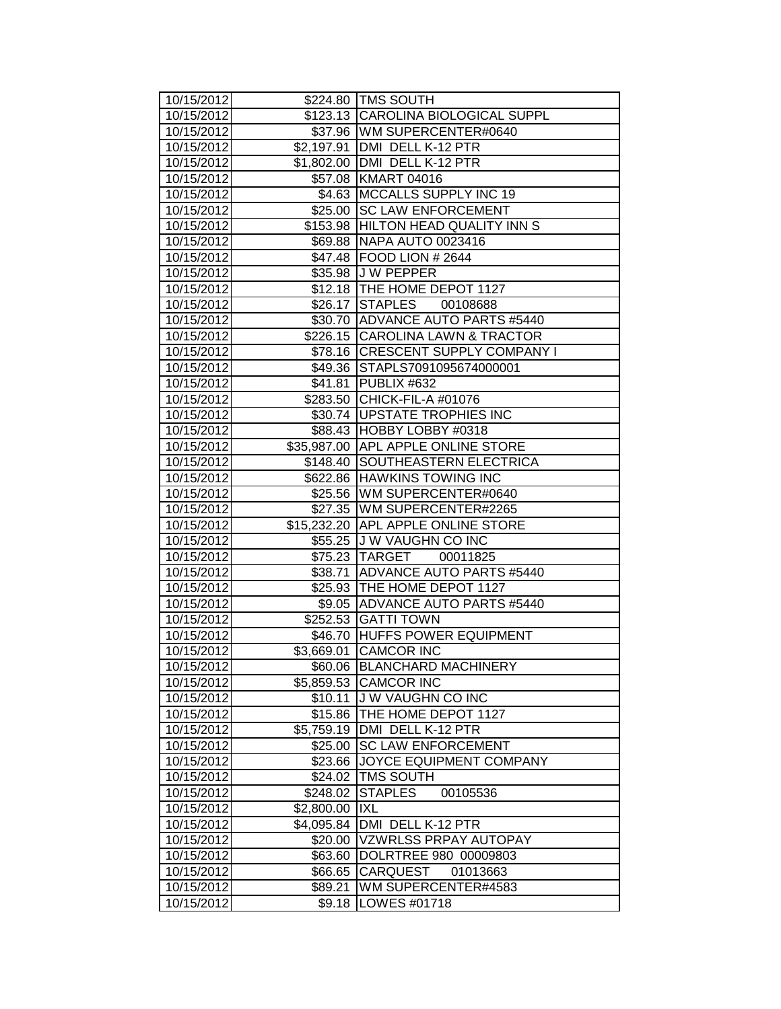| 10/15/2012               |                    | \$224.80 TMS SOUTH                               |
|--------------------------|--------------------|--------------------------------------------------|
| 10/15/2012               |                    | \$123.13 CAROLINA BIOLOGICAL SUPPL               |
| 10/15/2012               |                    | \$37.96   WM SUPERCENTER#0640                    |
| 10/15/2012               |                    | \$2,197.91 DMI DELL K-12 PTR                     |
| 10/15/2012               |                    | \$1,802.00   DMI DELL K-12 PTR                   |
| 10/15/2012               |                    | \$57.08 KMART 04016                              |
| 10/15/2012               |                    | \$4.63 MCCALLS SUPPLY INC 19                     |
| 10/15/2012               |                    | \$25.00 SC LAW ENFORCEMENT                       |
| 10/15/2012               |                    | \$153.98 HILTON HEAD QUALITY INN S               |
| 10/15/2012               |                    | \$69.88 NAPA AUTO 0023416                        |
| 10/15/2012               |                    | \$47.48   FOOD LION # 2644                       |
| 10/15/2012               |                    | \$35.98 J W PEPPER                               |
| 10/15/2012               |                    | \$12.18 THE HOME DEPOT 1127                      |
| 10/15/2012               |                    | \$26.17 STAPLES 00108688                         |
| 10/15/2012               |                    | \$30.70 ADVANCE AUTO PARTS #5440                 |
| 10/15/2012               |                    | \$226.15 CAROLINA LAWN & TRACTOR                 |
| 10/15/2012               |                    | \$78.16 CRESCENT SUPPLY COMPANY I                |
| 10/15/2012               |                    | \$49.36 STAPLS7091095674000001                   |
| 10/15/2012               |                    | \$41.81   PUBLIX #632                            |
| 10/15/2012               |                    | \$283.50 CHICK-FIL-A #01076                      |
| 10/15/2012               |                    | \$30.74   UPSTATE TROPHIES INC                   |
| 10/15/2012               |                    | \$88.43 HOBBY LOBBY #0318                        |
| 10/15/2012               |                    | \$35,987.00 APL APPLE ONLINE STORE               |
| 10/15/2012               |                    | \$148.40 SOUTHEASTERN ELECTRICA                  |
| 10/15/2012               |                    | \$622.86 HAWKINS TOWING INC                      |
| 10/15/2012               |                    | \$25.56   WM SUPERCENTER#0640                    |
| 10/15/2012               |                    | \$27.35   WM SUPERCENTER#2265                    |
| 10/15/2012               |                    | \$15,232.20 APL APPLE ONLINE STORE               |
| 10/15/2012               |                    | \$55.25 J W VAUGHN CO INC                        |
| 10/15/2012               |                    | \$75.23 TARGET 00011825                          |
| 10/15/2012               |                    | \$38.71 ADVANCE AUTO PARTS #5440                 |
| 10/15/2012               |                    | \$25.93 THE HOME DEPOT 1127                      |
| 10/15/2012               |                    | \$9.05 ADVANCE AUTO PARTS #5440                  |
| 10/15/2012               |                    | \$252.53 GATTI TOWN                              |
| 10/15/2012               |                    | \$46.70 HUFFS POWER EQUIPMENT                    |
| 10/15/2012               | \$3,669.01         | <b>CAMCOR INC</b>                                |
| 10/15/2012               |                    | \$60.06 BLANCHARD MACHINERY                      |
| 10/15/2012               |                    | \$5,859.53 CAMCOR INC<br><b>JW VAUGHN CO INC</b> |
| 10/15/2012<br>10/15/2012 | \$10.11<br>\$15.86 | THE HOME DEPOT 1127                              |
| 10/15/2012               | \$5,759.19         | DMI DELL K-12 PTR                                |
| 10/15/2012               | \$25.00            | <b>SC LAW ENFORCEMENT</b>                        |
| 10/15/2012               | \$23.66            | JOYCE EQUIPMENT COMPANY                          |
| 10/15/2012               | \$24.02            | <b>TMS SOUTH</b>                                 |
| 10/15/2012               | \$248.02           | <b>STAPLES</b><br>00105536                       |
| 10/15/2012               | \$2,800.00         | <b>IXL</b>                                       |
| 10/15/2012               | \$4,095.84         | DMI DELL K-12 PTR                                |
| 10/15/2012               | \$20.00            | <b>VZWRLSS PRPAY AUTOPAY</b>                     |
| 10/15/2012               | \$63.60            | DOLRTREE 980 00009803                            |
| 10/15/2012               | \$66.65            | <b>CARQUEST</b><br>01013663                      |
| 10/15/2012               | \$89.21            | WM SUPERCENTER#4583                              |
| 10/15/2012               | \$9.18             | LOWES #01718                                     |
|                          |                    |                                                  |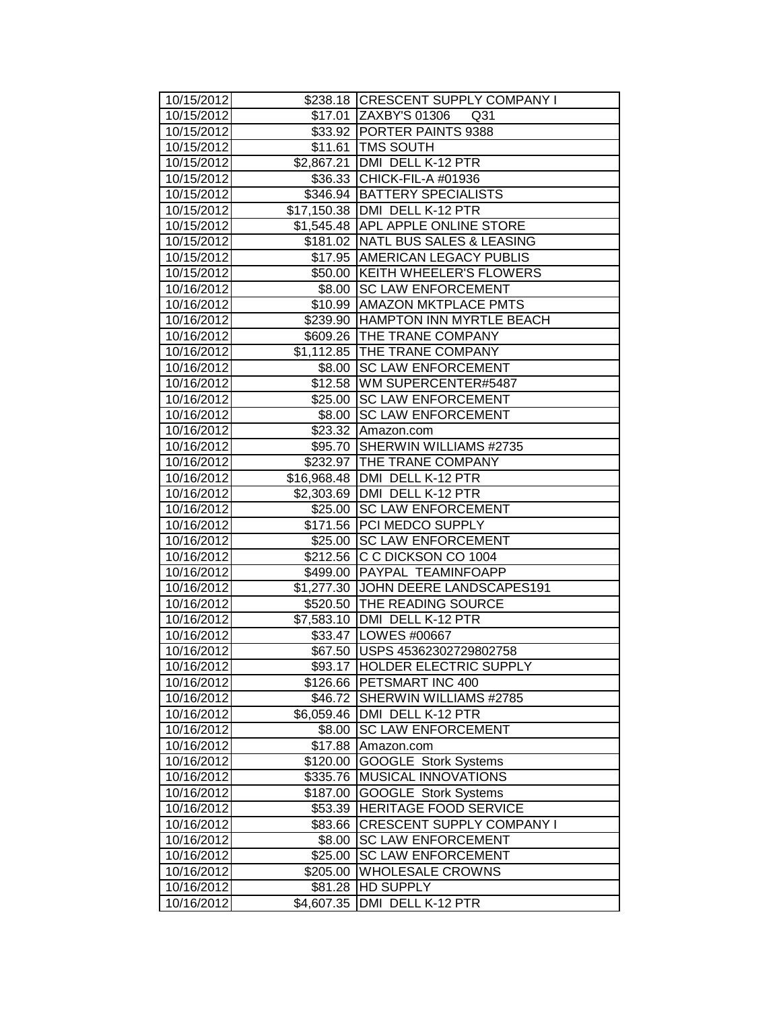| 10/15/2012               |                       | \$238.18 CRESCENT SUPPLY COMPANY I                                |
|--------------------------|-----------------------|-------------------------------------------------------------------|
| 10/15/2012               |                       | \$17.01 ZAXBY'S 01306<br>Q31                                      |
| 10/15/2012               |                       | \$33.92 PORTER PAINTS 9388                                        |
| 10/15/2012               |                       | \$11.61   TMS SOUTH                                               |
| 10/15/2012               |                       | \$2,867.21 DMI DELL K-12 PTR                                      |
| 10/15/2012               |                       | \$36.33 CHICK-FIL-A #01936                                        |
| 10/15/2012               |                       | \$346.94 BATTERY SPECIALISTS                                      |
| 10/15/2012               |                       | \$17,150.38   DMI DELL K-12 PTR                                   |
| 10/15/2012               |                       | \$1,545.48 APL APPLE ONLINE STORE                                 |
| 10/15/2012               |                       | \$181.02 NATL BUS SALES & LEASING                                 |
| 10/15/2012               |                       | \$17.95 AMERICAN LEGACY PUBLIS                                    |
| 10/15/2012               |                       | \$50.00 KEITH WHEELER'S FLOWERS                                   |
| 10/16/2012               |                       | \$8.00 SC LAW ENFORCEMENT                                         |
| 10/16/2012               |                       | \$10.99 AMAZON MKTPLACE PMTS                                      |
| 10/16/2012               |                       | \$239.90   HAMPTON INN MYRTLE BEACH<br>\$609.26 THE TRANE COMPANY |
| 10/16/2012               |                       |                                                                   |
| 10/16/2012<br>10/16/2012 |                       | \$1,112.85 THE TRANE COMPANY<br>\$8.00 SC LAW ENFORCEMENT         |
| 10/16/2012               |                       | \$12.58   WM SUPERCENTER#5487                                     |
| 10/16/2012               |                       | \$25.00 SC LAW ENFORCEMENT                                        |
| 10/16/2012               |                       | \$8.00 SC LAW ENFORCEMENT                                         |
| 10/16/2012               |                       | \$23.32 Amazon.com                                                |
| 10/16/2012               |                       | \$95.70 SHERWIN WILLIAMS #2735                                    |
| 10/16/2012               |                       | \$232.97 THE TRANE COMPANY                                        |
| 10/16/2012               |                       | \$16,968.48   DMI DELL K-12 PTR                                   |
| 10/16/2012               |                       | \$2,303.69 DMI DELL K-12 PTR                                      |
| 10/16/2012               | \$25.00               | <b>SC LAW ENFORCEMENT</b>                                         |
| 10/16/2012               |                       | \$171.56 PCI MEDCO SUPPLY                                         |
| 10/16/2012               |                       | \$25.00   SC LAW ENFORCEMENT                                      |
| 10/16/2012               |                       | \$212.56 C C DICKSON CO 1004                                      |
| 10/16/2012               |                       | \$499.00 PAYPAL TEAMINFOAPP                                       |
| 10/16/2012               |                       | \$1,277.30 JJOHN DEERE LANDSCAPES191                              |
| 10/16/2012               |                       | \$520.50 THE READING SOURCE                                       |
| 10/16/2012               |                       | \$7,583.10   DMI DELL K-12 PTR                                    |
| 10/16/2012               |                       | \$33.47   LOWES #00667                                            |
| 10/16/2012               |                       | \$67.50 USPS 45362302729802758                                    |
| 10/16/2012               | \$93.17               | <b>HOLDER ELECTRIC SUPPLY</b>                                     |
| 10/16/2012               | \$126.66              | <b>PETSMART INC 400</b>                                           |
| 10/16/2012               | \$46.72               | SHERWIN WILLIAMS #2785                                            |
| 10/16/2012               | \$6,059.46            | DMI DELL K-12 PTR                                                 |
| 10/16/2012               | \$8.00                | <b>SC LAW ENFORCEMENT</b>                                         |
| 10/16/2012               | \$17.88               | Amazon.com                                                        |
| 10/16/2012               | \$120.00              | GOOGLE Stork Systems                                              |
| 10/16/2012               | \$335.76              | MUSICAL INNOVATIONS                                               |
| 10/16/2012               | \$187.00              | <b>GOOGLE Stork Systems</b>                                       |
| 10/16/2012               | \$53.39               | <b>HERITAGE FOOD SERVICE</b>                                      |
| 10/16/2012               | \$83.66               | <b>CRESCENT SUPPLY COMPANY I</b>                                  |
| 10/16/2012               | \$8.00                | <b>SC LAW ENFORCEMENT</b>                                         |
| 10/16/2012               | \$25.00               | <b>SC LAW ENFORCEMENT</b>                                         |
| 10/16/2012<br>10/16/2012 | \$205.00              | <b>WHOLESALE CROWNS</b><br>HD SUPPLY                              |
| 10/16/2012               | \$81.28<br>\$4,607.35 | DMI DELL K-12 PTR                                                 |
|                          |                       |                                                                   |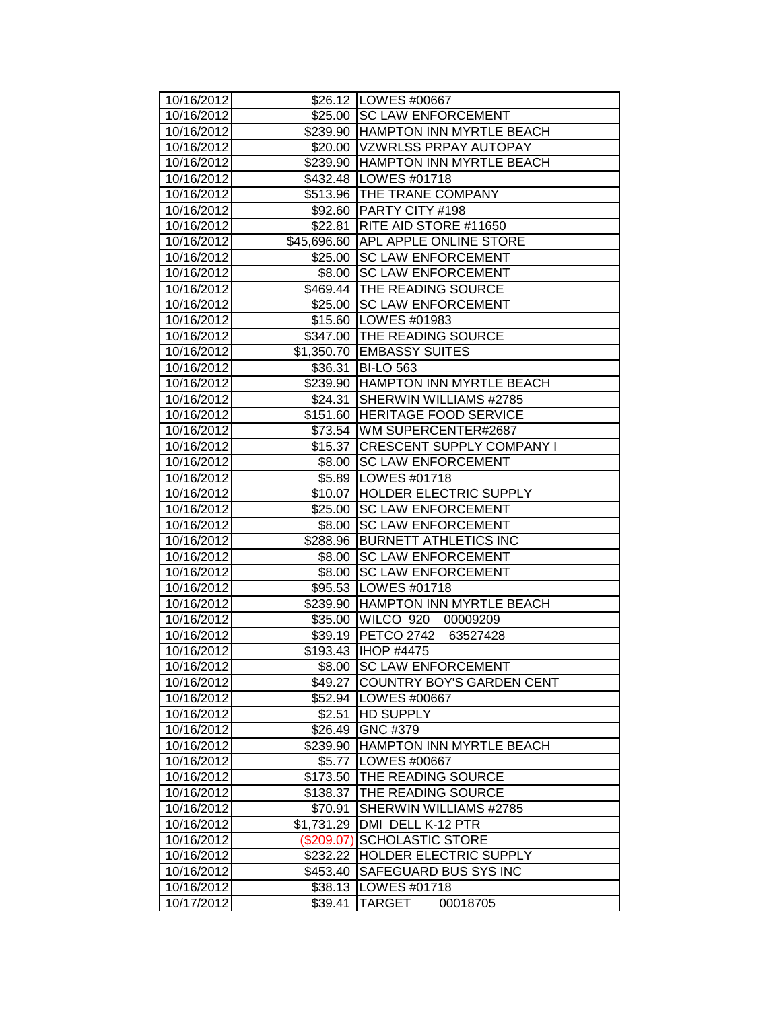| \$26.12   LOWES #00667<br>\$25.00 SC LAW ENFORCEMENT<br>10/16/2012<br>\$239.90 HAMPTON INN MYRTLE BEACH<br>10/16/2012<br>\$20.00 VZWRLSS PRPAY AUTOPAY<br>10/16/2012<br>10/16/2012<br>\$239.90 HAMPTON INN MYRTLE BEACH<br>10/16/2012<br>\$432.48   LOWES #01718<br>\$513.96 THE TRANE COMPANY<br>10/16/2012<br>10/16/2012<br>\$92.60 PARTY CITY #198<br>\$22.81   RITE AID STORE #11650<br>10/16/2012<br>\$45,696.60 APL APPLE ONLINE STORE<br>10/16/2012<br>\$25.00 SC LAW ENFORCEMENT<br>10/16/2012<br>\$8.00 SC LAW ENFORCEMENT<br>10/16/2012<br>\$469.44 THE READING SOURCE<br>10/16/2012<br>10/16/2012<br>\$25.00 SC LAW ENFORCEMENT<br>\$15.60 LOWES #01983<br>10/16/2012<br>10/16/2012<br>\$347.00 THE READING SOURCE<br>\$1,350.70 EMBASSY SUITES<br>10/16/2012<br>10/16/2012<br>\$36.31 BI-LO 563<br>10/16/2012<br>\$239.90 HAMPTON INN MYRTLE BEACH<br>\$24.31 SHERWIN WILLIAMS #2785<br>10/16/2012<br>\$151.60 HERITAGE FOOD SERVICE<br>10/16/2012<br>10/16/2012<br>\$73.54 WM SUPERCENTER#2687<br>\$15.37 CRESCENT SUPPLY COMPANY I<br>10/16/2012<br>\$8.00 SC LAW ENFORCEMENT<br>10/16/2012<br>\$5.89   LOWES #01718<br>10/16/2012<br>\$10.07 HOLDER ELECTRIC SUPPLY<br>10/16/2012<br><b>SC LAW ENFORCEMENT</b><br>10/16/2012<br>\$25.00<br>\$8.00 SC LAW ENFORCEMENT<br>10/16/2012<br>\$288.96 BURNETT ATHLETICS INC<br>10/16/2012<br>\$8.00 SC LAW ENFORCEMENT<br>10/16/2012<br>\$8.00 SC LAW ENFORCEMENT<br>10/16/2012<br>10/16/2012<br>\$95.53   LOWES #01718<br>10/16/2012<br>\$239.90 HAMPTON INN MYRTLE BEACH<br>\$35.00 WILCO 920<br>10/16/2012<br>00009209<br>\$39.19 PETCO 2742<br>10/16/2012<br>63527428<br>10/16/2012<br>\$193.43   IHOP #4475<br>10/16/2012<br>\$8.00 SC LAW ENFORCEMENT<br>10/16/2012<br>COUNTRY BOY'S GARDEN CENT<br>\$49.27<br>\$52.94 LOWES #00667<br>10/16/2012<br>\$2.51 HD SUPPLY<br>10/16/2012<br>GNC #379<br>10/16/2012<br>\$26.49<br>HAMPTON INN MYRTLE BEACH<br>10/16/2012<br>\$239.90<br>\$5.77 LOWES #00667<br>10/16/2012<br>\$173.50<br>10/16/2012<br>THE READING SOURCE<br>THE READING SOURCE<br>10/16/2012<br>\$138.37<br>10/16/2012<br>SHERWIN WILLIAMS #2785<br>\$70.91<br>DMI DELL K-12 PTR<br>10/16/2012<br>\$1,731.29<br>10/16/2012<br><b>SCHOLASTIC STORE</b><br>(\$209.07)<br>HOLDER ELECTRIC SUPPLY<br>10/16/2012<br>\$232.22<br>10/16/2012<br>SAFEGUARD BUS SYS INC<br>\$453.40<br>10/16/2012<br>LOWES #01718<br>\$38.13 |            |         |                    |
|----------------------------------------------------------------------------------------------------------------------------------------------------------------------------------------------------------------------------------------------------------------------------------------------------------------------------------------------------------------------------------------------------------------------------------------------------------------------------------------------------------------------------------------------------------------------------------------------------------------------------------------------------------------------------------------------------------------------------------------------------------------------------------------------------------------------------------------------------------------------------------------------------------------------------------------------------------------------------------------------------------------------------------------------------------------------------------------------------------------------------------------------------------------------------------------------------------------------------------------------------------------------------------------------------------------------------------------------------------------------------------------------------------------------------------------------------------------------------------------------------------------------------------------------------------------------------------------------------------------------------------------------------------------------------------------------------------------------------------------------------------------------------------------------------------------------------------------------------------------------------------------------------------------------------------------------------------------------------------------------------------------------------------------------------------------------------------------------------------------------------------------------------------------------------------------------------------------------------------------------------------------------------------------------------------------------------------------------------------------------------------------------|------------|---------|--------------------|
|                                                                                                                                                                                                                                                                                                                                                                                                                                                                                                                                                                                                                                                                                                                                                                                                                                                                                                                                                                                                                                                                                                                                                                                                                                                                                                                                                                                                                                                                                                                                                                                                                                                                                                                                                                                                                                                                                                                                                                                                                                                                                                                                                                                                                                                                                                                                                                                              | 10/16/2012 |         |                    |
|                                                                                                                                                                                                                                                                                                                                                                                                                                                                                                                                                                                                                                                                                                                                                                                                                                                                                                                                                                                                                                                                                                                                                                                                                                                                                                                                                                                                                                                                                                                                                                                                                                                                                                                                                                                                                                                                                                                                                                                                                                                                                                                                                                                                                                                                                                                                                                                              |            |         |                    |
|                                                                                                                                                                                                                                                                                                                                                                                                                                                                                                                                                                                                                                                                                                                                                                                                                                                                                                                                                                                                                                                                                                                                                                                                                                                                                                                                                                                                                                                                                                                                                                                                                                                                                                                                                                                                                                                                                                                                                                                                                                                                                                                                                                                                                                                                                                                                                                                              |            |         |                    |
|                                                                                                                                                                                                                                                                                                                                                                                                                                                                                                                                                                                                                                                                                                                                                                                                                                                                                                                                                                                                                                                                                                                                                                                                                                                                                                                                                                                                                                                                                                                                                                                                                                                                                                                                                                                                                                                                                                                                                                                                                                                                                                                                                                                                                                                                                                                                                                                              |            |         |                    |
|                                                                                                                                                                                                                                                                                                                                                                                                                                                                                                                                                                                                                                                                                                                                                                                                                                                                                                                                                                                                                                                                                                                                                                                                                                                                                                                                                                                                                                                                                                                                                                                                                                                                                                                                                                                                                                                                                                                                                                                                                                                                                                                                                                                                                                                                                                                                                                                              |            |         |                    |
|                                                                                                                                                                                                                                                                                                                                                                                                                                                                                                                                                                                                                                                                                                                                                                                                                                                                                                                                                                                                                                                                                                                                                                                                                                                                                                                                                                                                                                                                                                                                                                                                                                                                                                                                                                                                                                                                                                                                                                                                                                                                                                                                                                                                                                                                                                                                                                                              |            |         |                    |
|                                                                                                                                                                                                                                                                                                                                                                                                                                                                                                                                                                                                                                                                                                                                                                                                                                                                                                                                                                                                                                                                                                                                                                                                                                                                                                                                                                                                                                                                                                                                                                                                                                                                                                                                                                                                                                                                                                                                                                                                                                                                                                                                                                                                                                                                                                                                                                                              |            |         |                    |
|                                                                                                                                                                                                                                                                                                                                                                                                                                                                                                                                                                                                                                                                                                                                                                                                                                                                                                                                                                                                                                                                                                                                                                                                                                                                                                                                                                                                                                                                                                                                                                                                                                                                                                                                                                                                                                                                                                                                                                                                                                                                                                                                                                                                                                                                                                                                                                                              |            |         |                    |
|                                                                                                                                                                                                                                                                                                                                                                                                                                                                                                                                                                                                                                                                                                                                                                                                                                                                                                                                                                                                                                                                                                                                                                                                                                                                                                                                                                                                                                                                                                                                                                                                                                                                                                                                                                                                                                                                                                                                                                                                                                                                                                                                                                                                                                                                                                                                                                                              |            |         |                    |
|                                                                                                                                                                                                                                                                                                                                                                                                                                                                                                                                                                                                                                                                                                                                                                                                                                                                                                                                                                                                                                                                                                                                                                                                                                                                                                                                                                                                                                                                                                                                                                                                                                                                                                                                                                                                                                                                                                                                                                                                                                                                                                                                                                                                                                                                                                                                                                                              |            |         |                    |
|                                                                                                                                                                                                                                                                                                                                                                                                                                                                                                                                                                                                                                                                                                                                                                                                                                                                                                                                                                                                                                                                                                                                                                                                                                                                                                                                                                                                                                                                                                                                                                                                                                                                                                                                                                                                                                                                                                                                                                                                                                                                                                                                                                                                                                                                                                                                                                                              |            |         |                    |
|                                                                                                                                                                                                                                                                                                                                                                                                                                                                                                                                                                                                                                                                                                                                                                                                                                                                                                                                                                                                                                                                                                                                                                                                                                                                                                                                                                                                                                                                                                                                                                                                                                                                                                                                                                                                                                                                                                                                                                                                                                                                                                                                                                                                                                                                                                                                                                                              |            |         |                    |
|                                                                                                                                                                                                                                                                                                                                                                                                                                                                                                                                                                                                                                                                                                                                                                                                                                                                                                                                                                                                                                                                                                                                                                                                                                                                                                                                                                                                                                                                                                                                                                                                                                                                                                                                                                                                                                                                                                                                                                                                                                                                                                                                                                                                                                                                                                                                                                                              |            |         |                    |
|                                                                                                                                                                                                                                                                                                                                                                                                                                                                                                                                                                                                                                                                                                                                                                                                                                                                                                                                                                                                                                                                                                                                                                                                                                                                                                                                                                                                                                                                                                                                                                                                                                                                                                                                                                                                                                                                                                                                                                                                                                                                                                                                                                                                                                                                                                                                                                                              |            |         |                    |
|                                                                                                                                                                                                                                                                                                                                                                                                                                                                                                                                                                                                                                                                                                                                                                                                                                                                                                                                                                                                                                                                                                                                                                                                                                                                                                                                                                                                                                                                                                                                                                                                                                                                                                                                                                                                                                                                                                                                                                                                                                                                                                                                                                                                                                                                                                                                                                                              |            |         |                    |
|                                                                                                                                                                                                                                                                                                                                                                                                                                                                                                                                                                                                                                                                                                                                                                                                                                                                                                                                                                                                                                                                                                                                                                                                                                                                                                                                                                                                                                                                                                                                                                                                                                                                                                                                                                                                                                                                                                                                                                                                                                                                                                                                                                                                                                                                                                                                                                                              |            |         |                    |
|                                                                                                                                                                                                                                                                                                                                                                                                                                                                                                                                                                                                                                                                                                                                                                                                                                                                                                                                                                                                                                                                                                                                                                                                                                                                                                                                                                                                                                                                                                                                                                                                                                                                                                                                                                                                                                                                                                                                                                                                                                                                                                                                                                                                                                                                                                                                                                                              |            |         |                    |
|                                                                                                                                                                                                                                                                                                                                                                                                                                                                                                                                                                                                                                                                                                                                                                                                                                                                                                                                                                                                                                                                                                                                                                                                                                                                                                                                                                                                                                                                                                                                                                                                                                                                                                                                                                                                                                                                                                                                                                                                                                                                                                                                                                                                                                                                                                                                                                                              |            |         |                    |
|                                                                                                                                                                                                                                                                                                                                                                                                                                                                                                                                                                                                                                                                                                                                                                                                                                                                                                                                                                                                                                                                                                                                                                                                                                                                                                                                                                                                                                                                                                                                                                                                                                                                                                                                                                                                                                                                                                                                                                                                                                                                                                                                                                                                                                                                                                                                                                                              |            |         |                    |
|                                                                                                                                                                                                                                                                                                                                                                                                                                                                                                                                                                                                                                                                                                                                                                                                                                                                                                                                                                                                                                                                                                                                                                                                                                                                                                                                                                                                                                                                                                                                                                                                                                                                                                                                                                                                                                                                                                                                                                                                                                                                                                                                                                                                                                                                                                                                                                                              |            |         |                    |
|                                                                                                                                                                                                                                                                                                                                                                                                                                                                                                                                                                                                                                                                                                                                                                                                                                                                                                                                                                                                                                                                                                                                                                                                                                                                                                                                                                                                                                                                                                                                                                                                                                                                                                                                                                                                                                                                                                                                                                                                                                                                                                                                                                                                                                                                                                                                                                                              |            |         |                    |
|                                                                                                                                                                                                                                                                                                                                                                                                                                                                                                                                                                                                                                                                                                                                                                                                                                                                                                                                                                                                                                                                                                                                                                                                                                                                                                                                                                                                                                                                                                                                                                                                                                                                                                                                                                                                                                                                                                                                                                                                                                                                                                                                                                                                                                                                                                                                                                                              |            |         |                    |
|                                                                                                                                                                                                                                                                                                                                                                                                                                                                                                                                                                                                                                                                                                                                                                                                                                                                                                                                                                                                                                                                                                                                                                                                                                                                                                                                                                                                                                                                                                                                                                                                                                                                                                                                                                                                                                                                                                                                                                                                                                                                                                                                                                                                                                                                                                                                                                                              |            |         |                    |
|                                                                                                                                                                                                                                                                                                                                                                                                                                                                                                                                                                                                                                                                                                                                                                                                                                                                                                                                                                                                                                                                                                                                                                                                                                                                                                                                                                                                                                                                                                                                                                                                                                                                                                                                                                                                                                                                                                                                                                                                                                                                                                                                                                                                                                                                                                                                                                                              |            |         |                    |
|                                                                                                                                                                                                                                                                                                                                                                                                                                                                                                                                                                                                                                                                                                                                                                                                                                                                                                                                                                                                                                                                                                                                                                                                                                                                                                                                                                                                                                                                                                                                                                                                                                                                                                                                                                                                                                                                                                                                                                                                                                                                                                                                                                                                                                                                                                                                                                                              |            |         |                    |
|                                                                                                                                                                                                                                                                                                                                                                                                                                                                                                                                                                                                                                                                                                                                                                                                                                                                                                                                                                                                                                                                                                                                                                                                                                                                                                                                                                                                                                                                                                                                                                                                                                                                                                                                                                                                                                                                                                                                                                                                                                                                                                                                                                                                                                                                                                                                                                                              |            |         |                    |
|                                                                                                                                                                                                                                                                                                                                                                                                                                                                                                                                                                                                                                                                                                                                                                                                                                                                                                                                                                                                                                                                                                                                                                                                                                                                                                                                                                                                                                                                                                                                                                                                                                                                                                                                                                                                                                                                                                                                                                                                                                                                                                                                                                                                                                                                                                                                                                                              |            |         |                    |
|                                                                                                                                                                                                                                                                                                                                                                                                                                                                                                                                                                                                                                                                                                                                                                                                                                                                                                                                                                                                                                                                                                                                                                                                                                                                                                                                                                                                                                                                                                                                                                                                                                                                                                                                                                                                                                                                                                                                                                                                                                                                                                                                                                                                                                                                                                                                                                                              |            |         |                    |
|                                                                                                                                                                                                                                                                                                                                                                                                                                                                                                                                                                                                                                                                                                                                                                                                                                                                                                                                                                                                                                                                                                                                                                                                                                                                                                                                                                                                                                                                                                                                                                                                                                                                                                                                                                                                                                                                                                                                                                                                                                                                                                                                                                                                                                                                                                                                                                                              |            |         |                    |
|                                                                                                                                                                                                                                                                                                                                                                                                                                                                                                                                                                                                                                                                                                                                                                                                                                                                                                                                                                                                                                                                                                                                                                                                                                                                                                                                                                                                                                                                                                                                                                                                                                                                                                                                                                                                                                                                                                                                                                                                                                                                                                                                                                                                                                                                                                                                                                                              |            |         |                    |
|                                                                                                                                                                                                                                                                                                                                                                                                                                                                                                                                                                                                                                                                                                                                                                                                                                                                                                                                                                                                                                                                                                                                                                                                                                                                                                                                                                                                                                                                                                                                                                                                                                                                                                                                                                                                                                                                                                                                                                                                                                                                                                                                                                                                                                                                                                                                                                                              |            |         |                    |
|                                                                                                                                                                                                                                                                                                                                                                                                                                                                                                                                                                                                                                                                                                                                                                                                                                                                                                                                                                                                                                                                                                                                                                                                                                                                                                                                                                                                                                                                                                                                                                                                                                                                                                                                                                                                                                                                                                                                                                                                                                                                                                                                                                                                                                                                                                                                                                                              |            |         |                    |
|                                                                                                                                                                                                                                                                                                                                                                                                                                                                                                                                                                                                                                                                                                                                                                                                                                                                                                                                                                                                                                                                                                                                                                                                                                                                                                                                                                                                                                                                                                                                                                                                                                                                                                                                                                                                                                                                                                                                                                                                                                                                                                                                                                                                                                                                                                                                                                                              |            |         |                    |
|                                                                                                                                                                                                                                                                                                                                                                                                                                                                                                                                                                                                                                                                                                                                                                                                                                                                                                                                                                                                                                                                                                                                                                                                                                                                                                                                                                                                                                                                                                                                                                                                                                                                                                                                                                                                                                                                                                                                                                                                                                                                                                                                                                                                                                                                                                                                                                                              |            |         |                    |
|                                                                                                                                                                                                                                                                                                                                                                                                                                                                                                                                                                                                                                                                                                                                                                                                                                                                                                                                                                                                                                                                                                                                                                                                                                                                                                                                                                                                                                                                                                                                                                                                                                                                                                                                                                                                                                                                                                                                                                                                                                                                                                                                                                                                                                                                                                                                                                                              |            |         |                    |
|                                                                                                                                                                                                                                                                                                                                                                                                                                                                                                                                                                                                                                                                                                                                                                                                                                                                                                                                                                                                                                                                                                                                                                                                                                                                                                                                                                                                                                                                                                                                                                                                                                                                                                                                                                                                                                                                                                                                                                                                                                                                                                                                                                                                                                                                                                                                                                                              |            |         |                    |
|                                                                                                                                                                                                                                                                                                                                                                                                                                                                                                                                                                                                                                                                                                                                                                                                                                                                                                                                                                                                                                                                                                                                                                                                                                                                                                                                                                                                                                                                                                                                                                                                                                                                                                                                                                                                                                                                                                                                                                                                                                                                                                                                                                                                                                                                                                                                                                                              |            |         |                    |
|                                                                                                                                                                                                                                                                                                                                                                                                                                                                                                                                                                                                                                                                                                                                                                                                                                                                                                                                                                                                                                                                                                                                                                                                                                                                                                                                                                                                                                                                                                                                                                                                                                                                                                                                                                                                                                                                                                                                                                                                                                                                                                                                                                                                                                                                                                                                                                                              |            |         |                    |
|                                                                                                                                                                                                                                                                                                                                                                                                                                                                                                                                                                                                                                                                                                                                                                                                                                                                                                                                                                                                                                                                                                                                                                                                                                                                                                                                                                                                                                                                                                                                                                                                                                                                                                                                                                                                                                                                                                                                                                                                                                                                                                                                                                                                                                                                                                                                                                                              |            |         |                    |
|                                                                                                                                                                                                                                                                                                                                                                                                                                                                                                                                                                                                                                                                                                                                                                                                                                                                                                                                                                                                                                                                                                                                                                                                                                                                                                                                                                                                                                                                                                                                                                                                                                                                                                                                                                                                                                                                                                                                                                                                                                                                                                                                                                                                                                                                                                                                                                                              |            |         |                    |
|                                                                                                                                                                                                                                                                                                                                                                                                                                                                                                                                                                                                                                                                                                                                                                                                                                                                                                                                                                                                                                                                                                                                                                                                                                                                                                                                                                                                                                                                                                                                                                                                                                                                                                                                                                                                                                                                                                                                                                                                                                                                                                                                                                                                                                                                                                                                                                                              |            |         |                    |
|                                                                                                                                                                                                                                                                                                                                                                                                                                                                                                                                                                                                                                                                                                                                                                                                                                                                                                                                                                                                                                                                                                                                                                                                                                                                                                                                                                                                                                                                                                                                                                                                                                                                                                                                                                                                                                                                                                                                                                                                                                                                                                                                                                                                                                                                                                                                                                                              |            |         |                    |
|                                                                                                                                                                                                                                                                                                                                                                                                                                                                                                                                                                                                                                                                                                                                                                                                                                                                                                                                                                                                                                                                                                                                                                                                                                                                                                                                                                                                                                                                                                                                                                                                                                                                                                                                                                                                                                                                                                                                                                                                                                                                                                                                                                                                                                                                                                                                                                                              |            |         |                    |
|                                                                                                                                                                                                                                                                                                                                                                                                                                                                                                                                                                                                                                                                                                                                                                                                                                                                                                                                                                                                                                                                                                                                                                                                                                                                                                                                                                                                                                                                                                                                                                                                                                                                                                                                                                                                                                                                                                                                                                                                                                                                                                                                                                                                                                                                                                                                                                                              |            |         |                    |
|                                                                                                                                                                                                                                                                                                                                                                                                                                                                                                                                                                                                                                                                                                                                                                                                                                                                                                                                                                                                                                                                                                                                                                                                                                                                                                                                                                                                                                                                                                                                                                                                                                                                                                                                                                                                                                                                                                                                                                                                                                                                                                                                                                                                                                                                                                                                                                                              |            |         |                    |
|                                                                                                                                                                                                                                                                                                                                                                                                                                                                                                                                                                                                                                                                                                                                                                                                                                                                                                                                                                                                                                                                                                                                                                                                                                                                                                                                                                                                                                                                                                                                                                                                                                                                                                                                                                                                                                                                                                                                                                                                                                                                                                                                                                                                                                                                                                                                                                                              |            |         |                    |
|                                                                                                                                                                                                                                                                                                                                                                                                                                                                                                                                                                                                                                                                                                                                                                                                                                                                                                                                                                                                                                                                                                                                                                                                                                                                                                                                                                                                                                                                                                                                                                                                                                                                                                                                                                                                                                                                                                                                                                                                                                                                                                                                                                                                                                                                                                                                                                                              |            |         |                    |
|                                                                                                                                                                                                                                                                                                                                                                                                                                                                                                                                                                                                                                                                                                                                                                                                                                                                                                                                                                                                                                                                                                                                                                                                                                                                                                                                                                                                                                                                                                                                                                                                                                                                                                                                                                                                                                                                                                                                                                                                                                                                                                                                                                                                                                                                                                                                                                                              |            |         |                    |
|                                                                                                                                                                                                                                                                                                                                                                                                                                                                                                                                                                                                                                                                                                                                                                                                                                                                                                                                                                                                                                                                                                                                                                                                                                                                                                                                                                                                                                                                                                                                                                                                                                                                                                                                                                                                                                                                                                                                                                                                                                                                                                                                                                                                                                                                                                                                                                                              |            |         |                    |
|                                                                                                                                                                                                                                                                                                                                                                                                                                                                                                                                                                                                                                                                                                                                                                                                                                                                                                                                                                                                                                                                                                                                                                                                                                                                                                                                                                                                                                                                                                                                                                                                                                                                                                                                                                                                                                                                                                                                                                                                                                                                                                                                                                                                                                                                                                                                                                                              |            |         |                    |
|                                                                                                                                                                                                                                                                                                                                                                                                                                                                                                                                                                                                                                                                                                                                                                                                                                                                                                                                                                                                                                                                                                                                                                                                                                                                                                                                                                                                                                                                                                                                                                                                                                                                                                                                                                                                                                                                                                                                                                                                                                                                                                                                                                                                                                                                                                                                                                                              |            |         |                    |
|                                                                                                                                                                                                                                                                                                                                                                                                                                                                                                                                                                                                                                                                                                                                                                                                                                                                                                                                                                                                                                                                                                                                                                                                                                                                                                                                                                                                                                                                                                                                                                                                                                                                                                                                                                                                                                                                                                                                                                                                                                                                                                                                                                                                                                                                                                                                                                                              | 10/17/2012 | \$39.41 | TARGET<br>00018705 |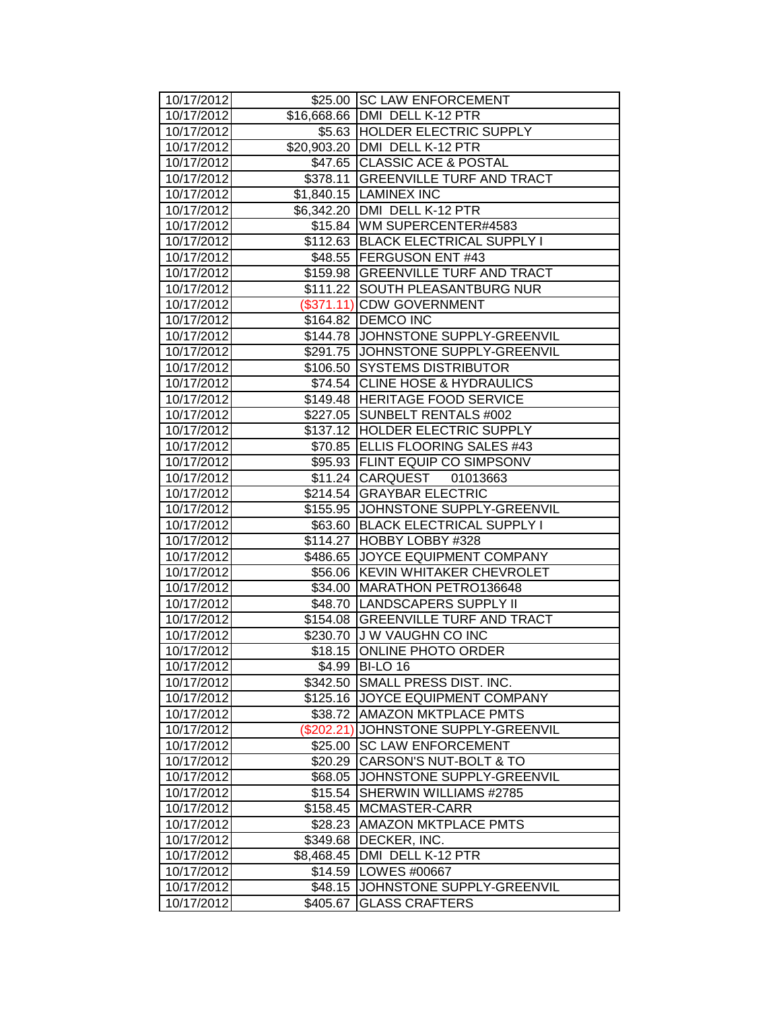| 10/17/2012               |            | \$25.00 SC LAW ENFORCEMENT                                      |
|--------------------------|------------|-----------------------------------------------------------------|
| 10/17/2012               |            | \$16,668.66   DMI DELL K-12 PTR                                 |
| 10/17/2012               |            | \$5.63 HOLDER ELECTRIC SUPPLY                                   |
| 10/17/2012               |            | \$20,903.20 DMI DELL K-12 PTR                                   |
| 10/17/2012               |            | \$47.65 CLASSIC ACE & POSTAL                                    |
| 10/17/2012               |            | \$378.11 GREENVILLE TURF AND TRACT                              |
| 10/17/2012               |            | \$1,840.15 LAMINEX INC                                          |
| 10/17/2012               |            | \$6,342.20 DMI DELL K-12 PTR                                    |
| 10/17/2012               |            | \$15.84 WM SUPERCENTER#4583                                     |
| 10/17/2012               |            | \$112.63 BLACK ELECTRICAL SUPPLY I                              |
| 10/17/2012               |            | \$48.55 FERGUSON ENT #43                                        |
| 10/17/2012               |            | \$159.98 GREENVILLE TURF AND TRACT                              |
| 10/17/2012               |            | \$111.22 SOUTH PLEASANTBURG NUR                                 |
| 10/17/2012               |            | (\$371.11) CDW GOVERNMENT                                       |
| 10/17/2012               |            | \$164.82   DEMCO INC                                            |
| 10/17/2012               |            | \$144.78 JOHNSTONE SUPPLY-GREENVIL                              |
| 10/17/2012               |            | \$291.75 JOHNSTONE SUPPLY-GREENVIL                              |
| 10/17/2012               |            | \$106.50 SYSTEMS DISTRIBUTOR                                    |
| 10/17/2012               |            | \$74.54 CLINE HOSE & HYDRAULICS                                 |
| 10/17/2012               |            | \$149.48 HERITAGE FOOD SERVICE                                  |
| 10/17/2012               |            | \$227.05 SUNBELT RENTALS #002                                   |
| 10/17/2012               |            | \$137.12 HOLDER ELECTRIC SUPPLY                                 |
| 10/17/2012               |            | \$70.85 ELLIS FLOORING SALES #43                                |
| 10/17/2012               |            | \$95.93 FLINT EQUIP CO SIMPSONV                                 |
| 10/17/2012               |            | \$11.24 CARQUEST 01013663                                       |
| 10/17/2012               | \$214.54   | <b>GRAYBAR ELECTRIC</b>                                         |
| 10/17/2012               |            | \$155.95 JJOHNSTONE SUPPLY-GREENVIL                             |
| 10/17/2012               |            | \$63.60 BLACK ELECTRICAL SUPPLY I                               |
| 10/17/2012               |            | \$114.27 HOBBY LOBBY #328                                       |
| 10/17/2012               |            | \$486.65 JJOYCE EQUIPMENT COMPANY                               |
| 10/17/2012               |            | \$56.06 KEVIN WHITAKER CHEVROLET                                |
| 10/17/2012<br>10/17/2012 |            | \$34.00 MARATHON PETRO136648<br>\$48.70   LANDSCAPERS SUPPLY II |
| 10/17/2012               |            | \$154.08 GREENVILLE TURF AND TRACT                              |
| 10/17/2012               |            | \$230.70 J W VAUGHN CO INC                                      |
| 10/17/2012               |            | \$18.15 ONLINE PHOTO ORDER                                      |
| 10/17/2012               |            | \$4.99 BI-LO 16                                                 |
| 10/17/2012               | \$342.50   | SMALL PRESS DIST. INC.                                          |
| 10/17/2012               |            | \$125.16 JOYCE EQUIPMENT COMPANY                                |
| 10/17/2012               | \$38.72    | <b>AMAZON MKTPLACE PMTS</b>                                     |
| 10/17/2012               | (\$202.21) | JOHNSTONE SUPPLY-GREENVIL                                       |
| 10/17/2012               | \$25.00    | <b>SC LAW ENFORCEMENT</b>                                       |
| 10/17/2012               | \$20.29    | CARSON'S NUT-BOLT & TO                                          |
| 10/17/2012               | \$68.05    | JOHNSTONE SUPPLY-GREENVIL                                       |
| 10/17/2012               | \$15.54    | SHERWIN WILLIAMS #2785                                          |
| 10/17/2012               | \$158.45   | MCMASTER-CARR                                                   |
| 10/17/2012               | \$28.23    | <b>AMAZON MKTPLACE PMTS</b>                                     |
| 10/17/2012               | \$349.68   | DECKER, INC.                                                    |
| 10/17/2012               | \$8,468.45 | DMI DELL K-12 PTR                                               |
| 10/17/2012               | \$14.59    | LOWES #00667                                                    |
| 10/17/2012               | \$48.15    | JOHNSTONE SUPPLY-GREENVIL                                       |
| 10/17/2012               | \$405.67   | <b>GLASS CRAFTERS</b>                                           |
|                          |            |                                                                 |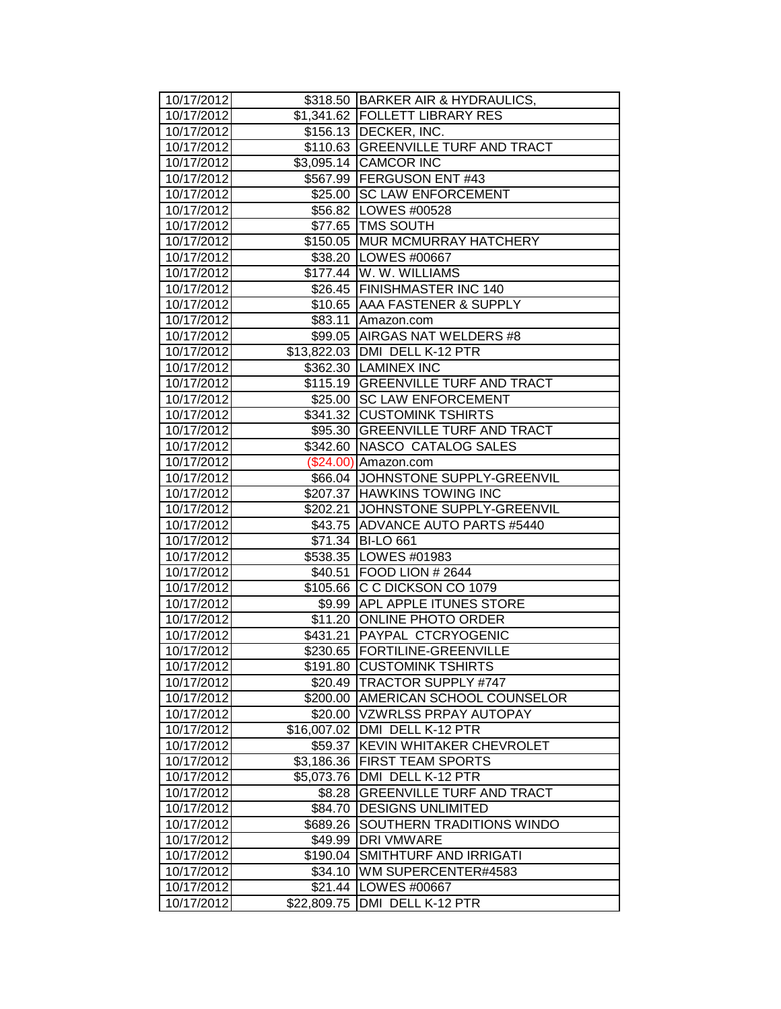| 10/17/2012               |             | \$318.50 BARKER AIR & HYDRAULICS,                |
|--------------------------|-------------|--------------------------------------------------|
| 10/17/2012               |             | \$1,341.62 FOLLETT LIBRARY RES                   |
| 10/17/2012               |             | \$156.13 DECKER, INC.                            |
| 10/17/2012               |             | \$110.63 GREENVILLE TURF AND TRACT               |
| 10/17/2012               |             | \$3,095.14 CAMCOR INC                            |
| 10/17/2012               |             | \$567.99 FERGUSON ENT #43                        |
| 10/17/2012               |             | \$25.00 SC LAW ENFORCEMENT                       |
| 10/17/2012               |             | \$56.82 LOWES #00528                             |
| 10/17/2012               |             | \$77.65   TMS SOUTH                              |
| 10/17/2012               |             | \$150.05 MUR MCMURRAY HATCHERY                   |
| 10/17/2012               |             | \$38.20   LOWES #00667                           |
| 10/17/2012               |             | \$177.44 W. W. WILLIAMS                          |
| 10/17/2012               |             | \$26.45 FINISHMASTER INC 140                     |
| 10/17/2012               |             | \$10.65   AAA FASTENER & SUPPLY                  |
| 10/17/2012               |             | \$83.11 Amazon.com                               |
| 10/17/2012               |             | \$99.05 AIRGAS NAT WELDERS #8                    |
| 10/17/2012               |             | \$13,822.03 DMI DELL K-12 PTR                    |
| 10/17/2012               |             | \$362.30 LAMINEX INC                             |
| 10/17/2012               |             | \$115.19 GREENVILLE TURF AND TRACT               |
| 10/17/2012               |             | \$25.00 SC LAW ENFORCEMENT                       |
| 10/17/2012               |             | \$341.32 CUSTOMINK TSHIRTS                       |
| 10/17/2012               |             | \$95.30 GREENVILLE TURF AND TRACT                |
| 10/17/2012               |             | \$342.60 NASCO CATALOG SALES                     |
| 10/17/2012               |             | (\$24.00) Amazon.com                             |
| 10/17/2012               |             | \$66.04 JOHNSTONE SUPPLY-GREENVIL                |
| 10/17/2012               |             | \$207.37 HAWKINS TOWING INC                      |
| 10/17/2012               |             | \$202.21 JOHNSTONE SUPPLY-GREENVIL               |
| 10/17/2012               |             | \$43.75 ADVANCE AUTO PARTS #5440                 |
| 10/17/2012               |             | \$71.34 BI-LO 661                                |
| 10/17/2012<br>10/17/2012 |             | \$538.35 LOWES #01983<br>\$40.51 FOOD LION #2644 |
| 10/17/2012               |             | \$105.66 C C DICKSON CO 1079                     |
| 10/17/2012               |             | \$9.99 APL APPLE ITUNES STORE                    |
| 10/17/2012               |             | \$11.20 ONLINE PHOTO ORDER                       |
| 10/17/2012               |             | \$431.21 PAYPAL CTCRYOGENIC                      |
| 10/17/2012               |             | \$230.65   FORTILINE-GREENVILLE                  |
| 10/17/2012               |             | \$191.80 CUSTOMINK TSHIRTS                       |
| 10/17/2012               | \$20.49     | <b>TRACTOR SUPPLY #747</b>                       |
| 10/17/2012               | \$200.00    | AMERICAN SCHOOL COUNSELOR                        |
| 10/17/2012               | \$20.00     | <b>VZWRLSS PRPAY AUTOPAY</b>                     |
| 10/17/2012               | \$16,007.02 | DMI DELL K-12 PTR                                |
| 10/17/2012               | \$59.37     | KEVIN WHITAKER CHEVROLET                         |
| 10/17/2012               | \$3,186.36  | <b>FIRST TEAM SPORTS</b>                         |
| 10/17/2012               | \$5,073.76  | DMI DELL K-12 PTR                                |
| 10/17/2012               | \$8.28      | <b>GREENVILLE TURF AND TRACT</b>                 |
| 10/17/2012               |             | \$84.70   DESIGNS UNLIMITED                      |
| 10/17/2012               | \$689.26    | SOUTHERN TRADITIONS WINDO                        |
| 10/17/2012               | \$49.99     | <b>DRI VMWARE</b>                                |
| 10/17/2012               | \$190.04    | SMITHTURF AND IRRIGATI                           |
| 10/17/2012               | \$34.10     | WM SUPERCENTER#4583                              |
| 10/17/2012               | \$21.44     | LOWES #00667                                     |
| 10/17/2012               | \$22,809.75 | DMI DELL K-12 PTR                                |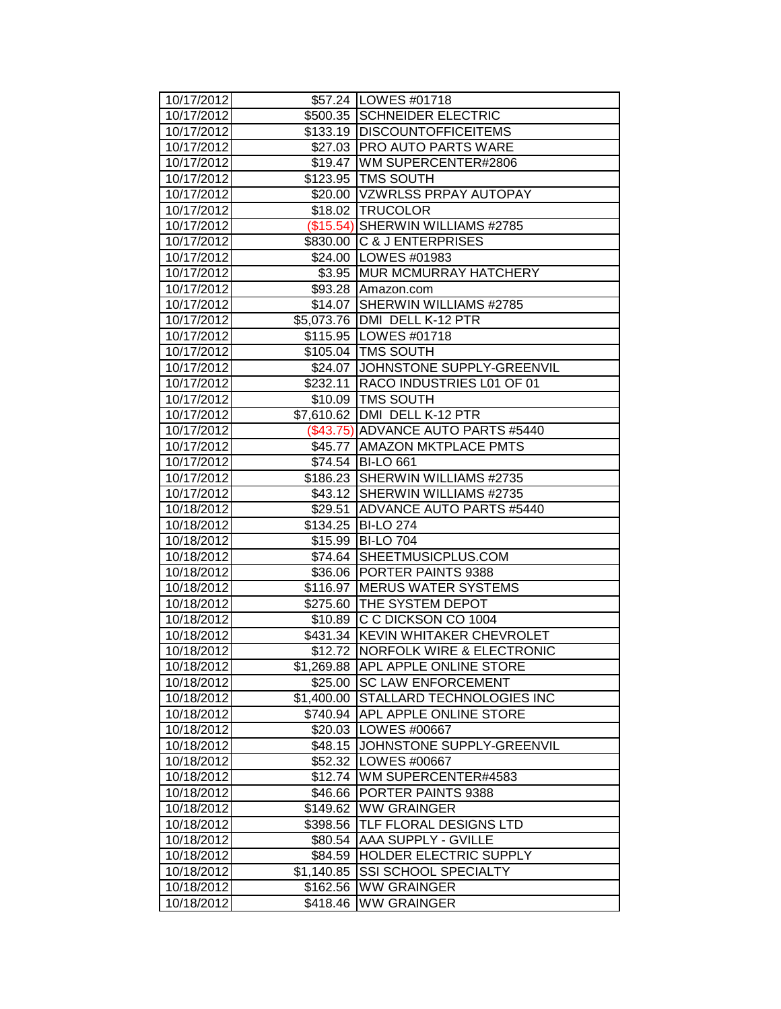| 10/17/2012               |            | \$57.24   LOWES #01718                  |
|--------------------------|------------|-----------------------------------------|
| 10/17/2012               |            | \$500.35 SCHNEIDER ELECTRIC             |
| 10/17/2012               |            | \$133.19 DISCOUNTOFFICEITEMS            |
| 10/17/2012               |            | \$27.03   PRO AUTO PARTS WARE           |
| 10/17/2012               |            | \$19.47 WM SUPERCENTER#2806             |
| 10/17/2012               |            | \$123.95 TMS SOUTH                      |
| 10/17/2012               |            | \$20.00 VZWRLSS PRPAY AUTOPAY           |
| 10/17/2012               |            | \$18.02 TRUCOLOR                        |
| 10/17/2012               |            | (\$15.54) SHERWIN WILLIAMS #2785        |
| 10/17/2012               |            | \$830.00 C & J ENTERPRISES              |
| 10/17/2012               |            | \$24.00   LOWES #01983                  |
| 10/17/2012               |            | \$3.95 MUR MCMURRAY HATCHERY            |
| 10/17/2012               |            | \$93.28 Amazon.com                      |
| 10/17/2012               |            | \$14.07 SHERWIN WILLIAMS #2785          |
| 10/17/2012               |            | \$5,073.76 DMI DELL K-12 PTR            |
| 10/17/2012               |            | \$115.95 LOWES #01718                   |
| 10/17/2012               |            | \$105.04   TMS SOUTH                    |
| 10/17/2012               |            | \$24.07 JJOHNSTONE SUPPLY-GREENVIL      |
| 10/17/2012               |            | \$232.11 RACO INDUSTRIES L01 OF 01      |
| 10/17/2012               |            | \$10.09 TMS SOUTH                       |
| 10/17/2012               |            | \$7,610.62 DMI DELL K-12 PTR            |
| 10/17/2012               |            | (\$43.75) ADVANCE AUTO PARTS #5440      |
| 10/17/2012               |            | \$45.77 AMAZON MKTPLACE PMTS            |
| 10/17/2012               |            | \$74.54 BI-LO 661                       |
| 10/17/2012               |            | \$186.23 SHERWIN WILLIAMS #2735         |
| 10/17/2012               |            | \$43.12 SHERWIN WILLIAMS #2735          |
| 10/18/2012               |            | \$29.51 ADVANCE AUTO PARTS #5440        |
| 10/18/2012<br>10/18/2012 |            | \$134.25 BI-LO 274<br>\$15.99 BI-LO 704 |
| 10/18/2012               |            | \$74.64 SHEETMUSICPLUS.COM              |
| 10/18/2012               |            | \$36.06 PORTER PAINTS 9388              |
| 10/18/2012               |            | \$116.97 MERUS WATER SYSTEMS            |
| 10/18/2012               |            | \$275.60 THE SYSTEM DEPOT               |
| 10/18/2012               |            | \$10.89 C C DICKSON CO 1004             |
| 10/18/2012               |            | \$431.34 KEVIN WHITAKER CHEVROLET       |
| 10/18/2012               |            | \$12.72 INORFOLK WIRE & ELECTRONIC      |
| 10/18/2012               |            | \$1,269.88 APL APPLE ONLINE STORE       |
| 10/18/2012               |            | \$25.00 SC LAW ENFORCEMENT              |
| 10/18/2012               |            | \$1,400.00 STALLARD TECHNOLOGIES INC    |
| 10/18/2012               |            | \$740.94 APL APPLE ONLINE STORE         |
| 10/18/2012               |            | \$20.03   LOWES #00667                  |
| 10/18/2012               |            | \$48.15 JJOHNSTONE SUPPLY-GREENVIL      |
| 10/18/2012               |            | \$52.32   LOWES #00667                  |
| 10/18/2012               |            | \$12.74   WM SUPERCENTER#4583           |
| 10/18/2012               |            | \$46.66 PORTER PAINTS 9388              |
| 10/18/2012               |            | \$149.62 WW GRAINGER                    |
| 10/18/2012               |            | \$398.56 TLF FLORAL DESIGNS LTD         |
| 10/18/2012               | \$80.54    | <b>AAA SUPPLY - GVILLE</b>              |
| 10/18/2012               |            | \$84.59 HOLDER ELECTRIC SUPPLY          |
| 10/18/2012               | \$1,140.85 | <b>SSI SCHOOL SPECIALTY</b>             |
| 10/18/2012               | \$162.56   | <b>WW GRAINGER</b>                      |
| 10/18/2012               | \$418.46   | <b>WW GRAINGER</b>                      |
|                          |            |                                         |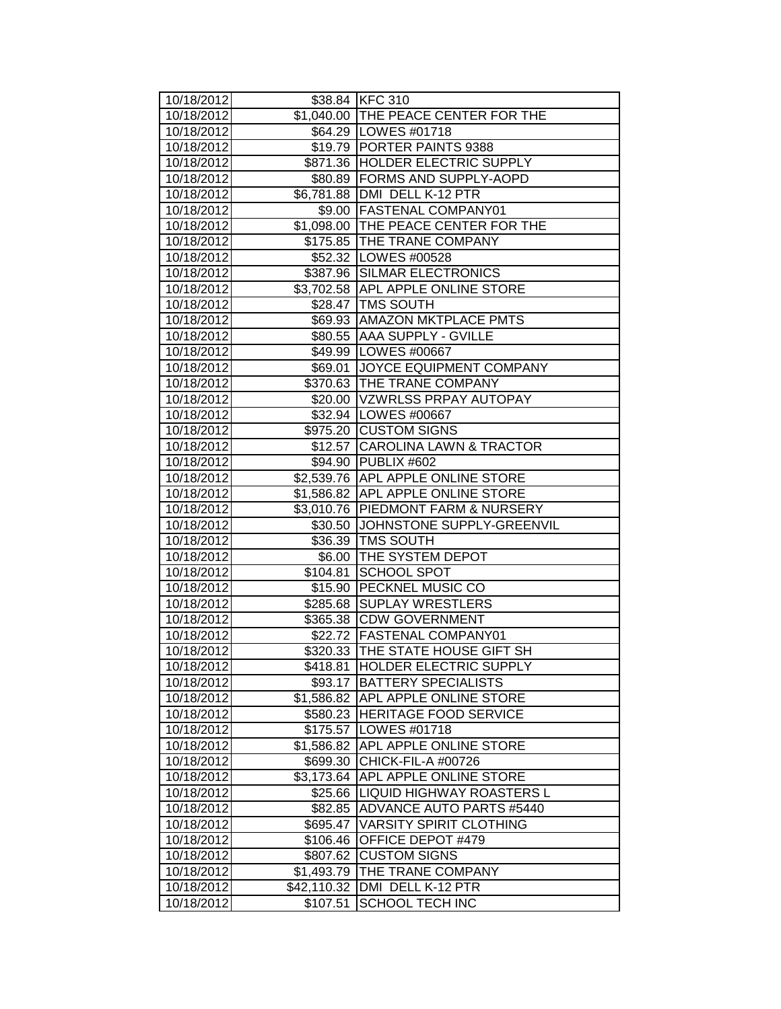| 10/18/2012               |                        | \$38.84 KFC 310                                               |
|--------------------------|------------------------|---------------------------------------------------------------|
| 10/18/2012               |                        | \$1,040.00 THE PEACE CENTER FOR THE<br>\$64.29   LOWES #01718 |
| 10/18/2012<br>10/18/2012 |                        | \$19.79 PORTER PAINTS 9388                                    |
| 10/18/2012               |                        | \$871.36 HOLDER ELECTRIC SUPPLY                               |
| 10/18/2012               |                        | \$80.89 FORMS AND SUPPLY-AOPD                                 |
| 10/18/2012               |                        | \$6,781.88 DMI DELL K-12 PTR                                  |
| 10/18/2012               |                        | \$9.00   FASTENAL COMPANY01                                   |
| 10/18/2012               |                        | \$1,098.00 THE PEACE CENTER FOR THE                           |
| 10/18/2012               |                        | \$175.85 THE TRANE COMPANY                                    |
| 10/18/2012               |                        | \$52.32 LOWES #00528                                          |
| 10/18/2012               |                        | \$387.96 SILMAR ELECTRONICS                                   |
| 10/18/2012               |                        | \$3,702.58 APL APPLE ONLINE STORE                             |
| 10/18/2012               |                        | \$28.47 TMS SOUTH                                             |
| 10/18/2012               |                        | \$69.93   AMAZON MKTPLACE PMTS                                |
| 10/18/2012               |                        | \$80.55 AAA SUPPLY - GVILLE                                   |
| 10/18/2012               |                        | \$49.99   LOWES #00667                                        |
| 10/18/2012               |                        | \$69.01 JOYCE EQUIPMENT COMPANY                               |
| 10/18/2012               |                        | \$370.63   THE TRANE COMPANY                                  |
| 10/18/2012               |                        | \$20.00 VZWRLSS PRPAY AUTOPAY                                 |
| 10/18/2012               |                        | \$32.94   LOWES #00667                                        |
| 10/18/2012               |                        | \$975.20 CUSTOM SIGNS                                         |
| 10/18/2012               |                        | \$12.57 CAROLINA LAWN & TRACTOR                               |
| 10/18/2012               |                        | \$94.90 PUBLIX #602                                           |
| 10/18/2012               |                        | \$2,539.76 APL APPLE ONLINE STORE                             |
| 10/18/2012               |                        | \$1,586.82 APL APPLE ONLINE STORE                             |
| 10/18/2012               |                        | \$3,010.76 PIEDMONT FARM & NURSERY                            |
|                          |                        |                                                               |
|                          |                        |                                                               |
| 10/18/2012               |                        | \$30.50 JOHNSTONE SUPPLY-GREENVIL                             |
| 10/18/2012               |                        | \$36.39 TMS SOUTH                                             |
| 10/18/2012               |                        | \$6.00 THE SYSTEM DEPOT                                       |
| 10/18/2012               |                        | \$104.81 SCHOOL SPOT                                          |
| 10/18/2012               |                        | \$15.90 PECKNEL MUSIC CO                                      |
| 10/18/2012               |                        | \$285.68 SUPLAY WRESTLERS                                     |
| 10/18/2012               |                        | \$365.38 CDW GOVERNMENT                                       |
| 10/18/2012               |                        | \$22.72 FASTENAL COMPANY01                                    |
| 10/18/2012               |                        | \$320.33 THE STATE HOUSE GIFT SH                              |
| 10/18/2012               | \$418.81               | <b>HOLDER ELECTRIC SUPPLY</b>                                 |
| 10/18/2012               | \$93.17                | <b>BATTERY SPECIALISTS</b>                                    |
| 10/18/2012               | \$1,586.82             | APL APPLE ONLINE STORE                                        |
| 10/18/2012               | \$580.23               | HERITAGE FOOD SERVICE                                         |
| 10/18/2012               | \$175.57               | LOWES #01718                                                  |
| 10/18/2012               | \$1,586.82             | APL APPLE ONLINE STORE                                        |
| 10/18/2012               | \$699.30               | CHICK-FIL-A #00726                                            |
| 10/18/2012               | \$3,173.64             | APL APPLE ONLINE STORE                                        |
| 10/18/2012               | \$25.66                | <b>LIQUID HIGHWAY ROASTERS L</b>                              |
| 10/18/2012               | \$82.85                | ADVANCE AUTO PARTS #5440                                      |
| 10/18/2012               | \$695.47               | <b>VARSITY SPIRIT CLOTHING</b>                                |
| 10/18/2012               | \$106.46               | OFFICE DEPOT #479                                             |
| 10/18/2012<br>10/18/2012 | \$807.62<br>\$1,493.79 | <b>CUSTOM SIGNS</b><br>THE TRANE COMPANY                      |
| 10/18/2012               | \$42,110.32            | DMI DELL K-12 PTR                                             |
| 10/18/2012               | \$107.51               | <b>SCHOOL TECH INC</b>                                        |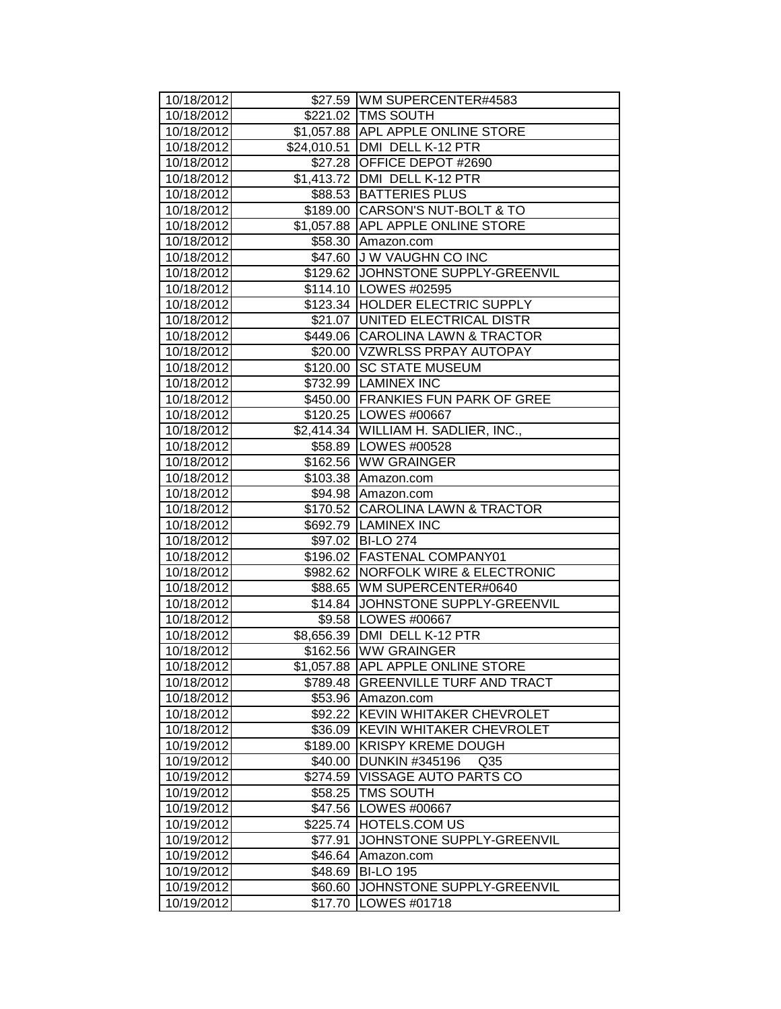| 10/18/2012<br>10/18/2012 |            | \$27.59 WM SUPERCENTER#4583<br>\$221.02 TMS SOUTH |
|--------------------------|------------|---------------------------------------------------|
| 10/18/2012               |            | \$1,057.88 APL APPLE ONLINE STORE                 |
| 10/18/2012               |            | \$24,010.51 DMI DELL K-12 PTR                     |
| 10/18/2012               |            | \$27.28 OFFICE DEPOT #2690                        |
| 10/18/2012               |            | \$1,413.72 DMI DELL K-12 PTR                      |
| 10/18/2012               |            | \$88.53 BATTERIES PLUS                            |
| 10/18/2012               |            | \$189.00 CARSON'S NUT-BOLT & TO                   |
| 10/18/2012               |            | \$1,057.88 APL APPLE ONLINE STORE                 |
| 10/18/2012               |            | \$58.30 Amazon.com                                |
| 10/18/2012               |            | \$47.60 J W VAUGHN CO INC                         |
| 10/18/2012               |            | \$129.62 JOHNSTONE SUPPLY-GREENVIL                |
| 10/18/2012               |            | \$114.10   LOWES #02595                           |
| 10/18/2012               |            | \$123.34 HOLDER ELECTRIC SUPPLY                   |
| 10/18/2012               |            | \$21.07 UNITED ELECTRICAL DISTR                   |
| 10/18/2012               |            | \$449.06 CAROLINA LAWN & TRACTOR                  |
| 10/18/2012               |            | \$20.00   VZWRLSS PRPAY AUTOPAY                   |
| 10/18/2012               |            | \$120.00 SC STATE MUSEUM                          |
| 10/18/2012               |            | \$732.99  LAMINEX INC                             |
| 10/18/2012               |            | \$450.00 FRANKIES FUN PARK OF GREE                |
| 10/18/2012               |            | \$120.25 LOWES #00667                             |
| 10/18/2012               |            | \$2,414.34 WILLIAM H. SADLIER, INC.,              |
| 10/18/2012               |            | \$58.89 LOWES #00528                              |
| 10/18/2012               |            | \$162.56 WW GRAINGER                              |
| 10/18/2012               |            | \$103.38 Amazon.com                               |
| 10/18/2012               |            | \$94.98 Amazon.com                                |
| 10/18/2012               |            | \$170.52 CAROLINA LAWN & TRACTOR                  |
| 10/18/2012               |            | \$692.79 LAMINEX INC                              |
| 10/18/2012               |            | \$97.02 BI-LO 274                                 |
| 10/18/2012               |            | \$196.02 FASTENAL COMPANY01                       |
| 10/18/2012               |            | \$982.62 NORFOLK WIRE & ELECTRONIC                |
| 10/18/2012               |            | \$88.65 WM SUPERCENTER#0640                       |
| 10/18/2012               |            | \$14.84 JJOHNSTONE SUPPLY-GREENVIL                |
| 10/18/2012               |            | \$9.58   LOWES #00667                             |
| 10/18/2012               |            | \$8,656.39 DMI DELL K-12 PTR                      |
| 10/18/2012               |            | \$162.56 WW GRAINGER                              |
| 10/18/2012               | \$1,057.88 | <b>APL APPLE ONLINE STORE</b>                     |
| 10/18/2012               | \$789.48   | <b>GREENVILLE TURF AND TRACT</b>                  |
| 10/18/2012               | \$53.96    | Amazon.com                                        |
| 10/18/2012               | \$92.22    | KEVIN WHITAKER CHEVROLET                          |
| 10/18/2012               | \$36.09    | KEVIN WHITAKER CHEVROLET                          |
| 10/19/2012               | \$189.00   | <b>KRISPY KREME DOUGH</b>                         |
| 10/19/2012               | \$40.00    | <b>DUNKIN #345196</b><br>Q <sub>35</sub>          |
| 10/19/2012               | \$274.59   | <b>VISSAGE AUTO PARTS CO</b>                      |
| 10/19/2012               | \$58.25    | <b>TMS SOUTH</b>                                  |
| 10/19/2012               |            | \$47.56 LOWES #00667                              |
| 10/19/2012               | \$225.74   | <b>HOTELS.COM US</b>                              |
| 10/19/2012               | \$77.91    | JOHNSTONE SUPPLY-GREENVIL                         |
| 10/19/2012               | \$46.64    | Amazon.com                                        |
| 10/19/2012               | \$48.69    | <b>BI-LO 195</b>                                  |
| 10/19/2012               | \$60.60    | JOHNSTONE SUPPLY-GREENVIL                         |
| 10/19/2012               | \$17.70    | LOWES #01718                                      |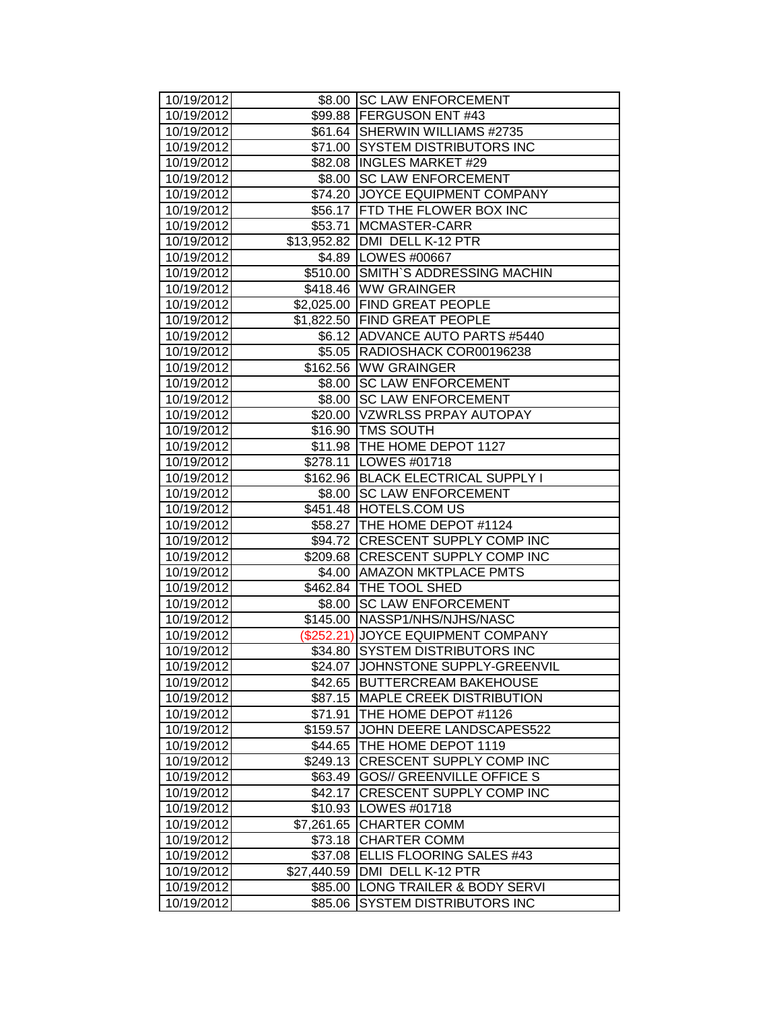|                          |             | \$8.00 ISC LAW ENFORCEMENT                                   |
|--------------------------|-------------|--------------------------------------------------------------|
| 10/19/2012               |             |                                                              |
| 10/19/2012<br>10/19/2012 |             | \$99.88   FERGUSON ENT #43<br>\$61.64 SHERWIN WILLIAMS #2735 |
| 10/19/2012               |             | \$71.00 SYSTEM DISTRIBUTORS INC                              |
| 10/19/2012               |             | \$82.08  INGLES MARKET #29                                   |
| 10/19/2012               |             | \$8.00 SC LAW ENFORCEMENT                                    |
| 10/19/2012               |             | \$74.20 JOYCE EQUIPMENT COMPANY                              |
| 10/19/2012               |             | \$56.17 FTD THE FLOWER BOX INC                               |
| 10/19/2012               |             | \$53.71 MCMASTER-CARR                                        |
| 10/19/2012               |             | \$13,952.82 DMI DELL K-12 PTR                                |
| 10/19/2012               |             | \$4.89   LOWES #00667                                        |
| 10/19/2012               |             | \$510.00 SMITH'S ADDRESSING MACHIN                           |
| 10/19/2012               |             | \$418.46 WW GRAINGER                                         |
| 10/19/2012               |             | \$2,025.00 FIND GREAT PEOPLE                                 |
| 10/19/2012               |             | \$1,822.50 FIND GREAT PEOPLE                                 |
| 10/19/2012               |             | \$6.12 ADVANCE AUTO PARTS #5440                              |
| 10/19/2012               |             | \$5.05 RADIOSHACK COR00196238                                |
| 10/19/2012               |             | \$162.56   WW GRAINGER                                       |
| 10/19/2012               |             | \$8.00 SC LAW ENFORCEMENT                                    |
| 10/19/2012               |             | \$8.00 ISC LAW ENFORCEMENT                                   |
| 10/19/2012               |             | \$20.00 VZWRLSS PRPAY AUTOPAY                                |
| 10/19/2012               |             | \$16.90   TMS SOUTH                                          |
| 10/19/2012               |             | \$11.98   THE HOME DEPOT 1127                                |
| 10/19/2012               |             | \$278.11   LOWES #01718                                      |
| 10/19/2012               |             | \$162.96 BLACK ELECTRICAL SUPPLY I                           |
| 10/19/2012               |             | \$8.00 SC LAW ENFORCEMENT                                    |
| 10/19/2012               |             | \$451.48 HOTELS.COM US                                       |
| 10/19/2012               |             | \$58.27 THE HOME DEPOT #1124                                 |
| 10/19/2012               |             | \$94.72 CRESCENT SUPPLY COMP INC                             |
| 10/19/2012               |             | \$209.68 CRESCENT SUPPLY COMP INC                            |
| 10/19/2012               |             | \$4.00 AMAZON MKTPLACE PMTS                                  |
| 10/19/2012               |             | \$462.84 THE TOOL SHED                                       |
| 10/19/2012               |             | \$8.00 SC LAW ENFORCEMENT                                    |
| 10/19/2012               |             | \$145.00 NASSP1/NHS/NJHS/NASC                                |
| 10/19/2012               |             | (\$252.21) JOYCE EQUIPMENT COMPANY                           |
| 10/19/2012               |             | \$34.80 SYSTEM DISTRIBUTORS INC                              |
| 10/19/2012               |             | \$24.07 JOHNSTONE SUPPLY-GREENVIL                            |
| 10/19/2012               | \$42.65     | <b>BUTTERCREAM BAKEHOUSE</b>                                 |
| 10/19/2012               | \$87.15     | <b>MAPLE CREEK DISTRIBUTION</b>                              |
| 10/19/2012               | \$71.91     | THE HOME DEPOT #1126                                         |
| 10/19/2012               | \$159.57    | JOHN DEERE LANDSCAPES522                                     |
| 10/19/2012               | \$44.65     | THE HOME DEPOT 1119                                          |
| 10/19/2012               | \$249.13    | CRESCENT SUPPLY COMP INC                                     |
| 10/19/2012               | \$63.49     | <b>GOS// GREENVILLE OFFICE S</b>                             |
| 10/19/2012               | \$42.17     | CRESCENT SUPPLY COMP INC                                     |
| 10/19/2012               |             | \$10.93   LOWES #01718                                       |
| 10/19/2012               | \$7,261.65  | <b>CHARTER COMM</b>                                          |
| 10/19/2012               | \$73.18     | <b>CHARTER COMM</b>                                          |
| 10/19/2012               | \$37.08     | ELLIS FLOORING SALES #43                                     |
| 10/19/2012               | \$27,440.59 | DMI DELL K-12 PTR                                            |
| 10/19/2012               | \$85.00     | LONG TRAILER & BODY SERVI                                    |
| 10/19/2012               | \$85.06     | <b>SYSTEM DISTRIBUTORS INC</b>                               |
|                          |             |                                                              |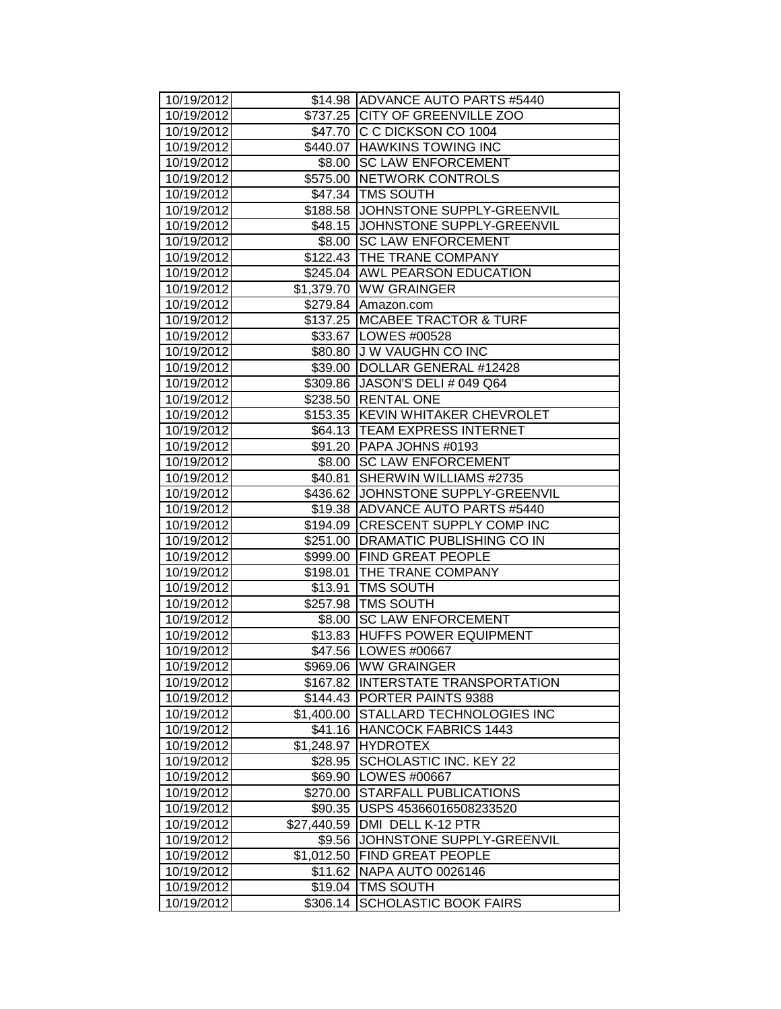| 10/19/2012               |             | \$14.98 ADVANCE AUTO PARTS #5440            |
|--------------------------|-------------|---------------------------------------------|
| 10/19/2012               |             | \$737.25 CITY OF GREENVILLE ZOO             |
| 10/19/2012               |             | \$47.70 C C DICKSON CO 1004                 |
| 10/19/2012               |             | \$440.07 HAWKINS TOWING INC                 |
| 10/19/2012               |             | \$8.00 SC LAW ENFORCEMENT                   |
| 10/19/2012               |             | \$575.00 NETWORK CONTROLS                   |
| 10/19/2012               |             | \$47.34 TMS SOUTH                           |
| 10/19/2012               |             | \$188.58 JOHNSTONE SUPPLY-GREENVIL          |
| 10/19/2012               |             | \$48.15 JOHNSTONE SUPPLY-GREENVIL           |
| 10/19/2012               |             | \$8.00 SC LAW ENFORCEMENT                   |
| 10/19/2012               |             | \$122.43 THE TRANE COMPANY                  |
| 10/19/2012               |             | \$245.04 AWL PEARSON EDUCATION              |
| 10/19/2012               |             | \$1,379.70 WW GRAINGER                      |
| 10/19/2012               |             | \$279.84 Amazon.com                         |
| 10/19/2012               |             | \$137.25 MCABEE TRACTOR & TURF              |
| 10/19/2012               |             | \$33.67   LOWES #00528                      |
| 10/19/2012               |             | \$80.80 J W VAUGHN CO INC                   |
| 10/19/2012               |             | \$39.00 DOLLAR GENERAL #12428               |
| 10/19/2012               |             | \$309.86 JASON'S DELI # 049 Q64             |
| 10/19/2012               |             | \$238.50   RENTAL ONE                       |
| 10/19/2012               |             | \$153.35 KEVIN WHITAKER CHEVROLET           |
| 10/19/2012               |             | \$64.13   TEAM EXPRESS INTERNET             |
| 10/19/2012               |             | \$91.20 PAPA JOHNS #0193                    |
| 10/19/2012               |             | \$8.00 SC LAW ENFORCEMENT                   |
| 10/19/2012               | \$40.81     | SHERWIN WILLIAMS #2735                      |
| 10/19/2012               |             | \$436.62 JJOHNSTONE SUPPLY-GREENVIL         |
| 10/19/2012               |             | \$19.38 ADVANCE AUTO PARTS #5440            |
| 10/19/2012               |             | \$194.09 CRESCENT SUPPLY COMP INC           |
| 10/19/2012               |             | \$251.00 DRAMATIC PUBLISHING CO IN          |
| 10/19/2012               |             | \$999.00 FIND GREAT PEOPLE                  |
| 10/19/2012               |             | \$198.01   THE TRANE COMPANY                |
| 10/19/2012               |             | \$13.91   TMS SOUTH<br>\$257.98   TMS SOUTH |
| 10/19/2012<br>10/19/2012 |             | \$8.00 SC LAW ENFORCEMENT                   |
| 10/19/2012               |             | \$13.83 HUFFS POWER EQUIPMENT               |
| 10/19/2012               |             | \$47.56   LOWES #00667                      |
| 10/19/2012               |             | \$969.06 WW GRAINGER                        |
| 10/19/2012               |             | \$167.82 INTERSTATE TRANSPORTATION          |
| 10/19/2012               |             | \$144.43 PORTER PAINTS 9388                 |
| 10/19/2012               | \$1,400.00  | STALLARD TECHNOLOGIES INC                   |
| 10/19/2012               | \$41.16     | HANCOCK FABRICS 1443                        |
| 10/19/2012               | \$1,248.97  | <b>HYDROTEX</b>                             |
| 10/19/2012               | \$28.95     | SCHOLASTIC INC. KEY 22                      |
| 10/19/2012               | \$69.90     | LOWES #00667                                |
| 10/19/2012               | \$270.00    | <b>STARFALL PUBLICATIONS</b>                |
| 10/19/2012               |             | \$90.35   USPS 45366016508233520            |
| 10/19/2012               | \$27,440.59 | DMI DELL K-12 PTR                           |
| 10/19/2012               | \$9.56      | JOHNSTONE SUPPLY-GREENVIL                   |
| 10/19/2012               | \$1,012.50  | <b>FIND GREAT PEOPLE</b>                    |
| 10/19/2012               | \$11.62     | <b>NAPA AUTO 0026146</b>                    |
| 10/19/2012               | \$19.04     | <b>TMS SOUTH</b>                            |
| 10/19/2012               | \$306.14    | <b>SCHOLASTIC BOOK FAIRS</b>                |
|                          |             |                                             |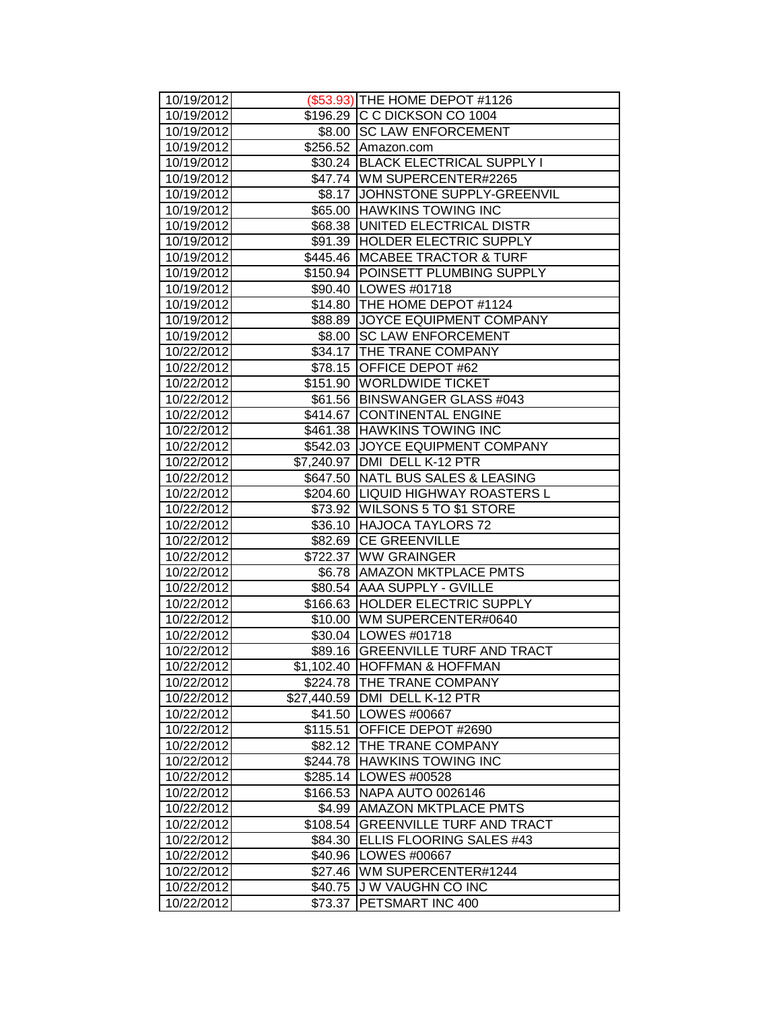| 10/19/2012               |          | (\$53.93) THE HOME DEPOT #1126                              |
|--------------------------|----------|-------------------------------------------------------------|
| 10/19/2012               |          | \$196.29 C C DICKSON CO 1004                                |
| 10/19/2012               |          | \$8.00 SC LAW ENFORCEMENT                                   |
| 10/19/2012               |          | \$256.52 Amazon.com                                         |
| 10/19/2012               |          | \$30.24 BLACK ELECTRICAL SUPPLY I                           |
| 10/19/2012               |          | \$47.74 WM SUPERCENTER#2265                                 |
| 10/19/2012               |          | \$8.17 JJOHNSTONE SUPPLY-GREENVIL                           |
| 10/19/2012               |          | \$65.00 HAWKINS TOWING INC                                  |
| 10/19/2012               |          | \$68.38 UNITED ELECTRICAL DISTR                             |
| 10/19/2012               |          | \$91.39 HOLDER ELECTRIC SUPPLY                              |
| 10/19/2012               |          | \$445.46 MCABEE TRACTOR & TURF                              |
| 10/19/2012               |          | \$150.94 POINSETT PLUMBING SUPPLY                           |
| 10/19/2012               |          | \$90.40   LOWES #01718                                      |
| 10/19/2012               |          | \$14.80 THE HOME DEPOT #1124                                |
| 10/19/2012               |          | \$88.89 JOYCE EQUIPMENT COMPANY                             |
| 10/19/2012               |          | \$8.00 SC LAW ENFORCEMENT                                   |
| 10/22/2012               |          | \$34.17   THE TRANE COMPANY                                 |
| 10/22/2012               |          | \$78.15 OFFICE DEPOT #62                                    |
| 10/22/2012               |          | \$151.90 WORLDWIDE TICKET                                   |
| 10/22/2012               |          | \$61.56 BINSWANGER GLASS #043                               |
| 10/22/2012               |          | \$414.67 CONTINENTAL ENGINE                                 |
| 10/22/2012               |          | \$461.38 HAWKINS TOWING INC                                 |
| 10/22/2012               |          | \$542.03 JOYCE EQUIPMENT COMPANY                            |
| 10/22/2012               |          | \$7,240.97 DMI DELL K-12 PTR                                |
| 10/22/2012               |          | \$647.50 NATL BUS SALES & LEASING                           |
| 10/22/2012               |          | \$204.60 LIQUID HIGHWAY ROASTERS L                          |
| 10/22/2012               |          | \$73.92 WILSONS 5 TO \$1 STORE                              |
| 10/22/2012               |          | \$36.10 HAJOCA TAYLORS 72                                   |
| 10/22/2012               |          | \$82.69 CE GREENVILLE                                       |
| 10/22/2012               |          | \$722.37 WW GRAINGER                                        |
| 10/22/2012               |          | \$6.78   AMAZON MKTPLACE PMTS                               |
| 10/22/2012               |          | \$80.54 AAA SUPPLY - GVILLE                                 |
| 10/22/2012               |          | \$166.63 HOLDER ELECTRIC SUPPLY                             |
| 10/22/2012               |          | \$10.00   WM SUPERCENTER#0640                               |
| 10/22/2012<br>10/22/2012 |          | \$30.04   LOWES #01718<br>\$89.16 GREENVILLE TURF AND TRACT |
| 10/22/2012               |          | \$1,102.40  HOFFMAN & HOFFMAN                               |
| 10/22/2012               |          | \$224.78 THE TRANE COMPANY                                  |
| 10/22/2012               |          | \$27,440.59 DMI DELL K-12 PTR                               |
| 10/22/2012               |          | \$41.50   LOWES #00667                                      |
| 10/22/2012               | \$115.51 | OFFICE DEPOT #2690                                          |
| 10/22/2012               | \$82.12  | <b>THE TRANE COMPANY</b>                                    |
| 10/22/2012               |          | \$244.78 HAWKINS TOWING INC                                 |
| 10/22/2012               |          | \$285.14   LOWES #00528                                     |
| 10/22/2012               |          | \$166.53 NAPA AUTO 0026146                                  |
| 10/22/2012               |          | \$4.99   AMAZON MKTPLACE PMTS                               |
| 10/22/2012               | \$108.54 | <b>GREENVILLE TURF AND TRACT</b>                            |
| 10/22/2012               | \$84.30  | <b>ELLIS FLOORING SALES #43</b>                             |
| 10/22/2012               |          | \$40.96   LOWES #00667                                      |
| 10/22/2012               | \$27.46  | WM SUPERCENTER#1244                                         |
| 10/22/2012               | \$40.75  | J W VAUGHN CO INC                                           |
| 10/22/2012               | \$73.37  | PETSMART INC 400                                            |
|                          |          |                                                             |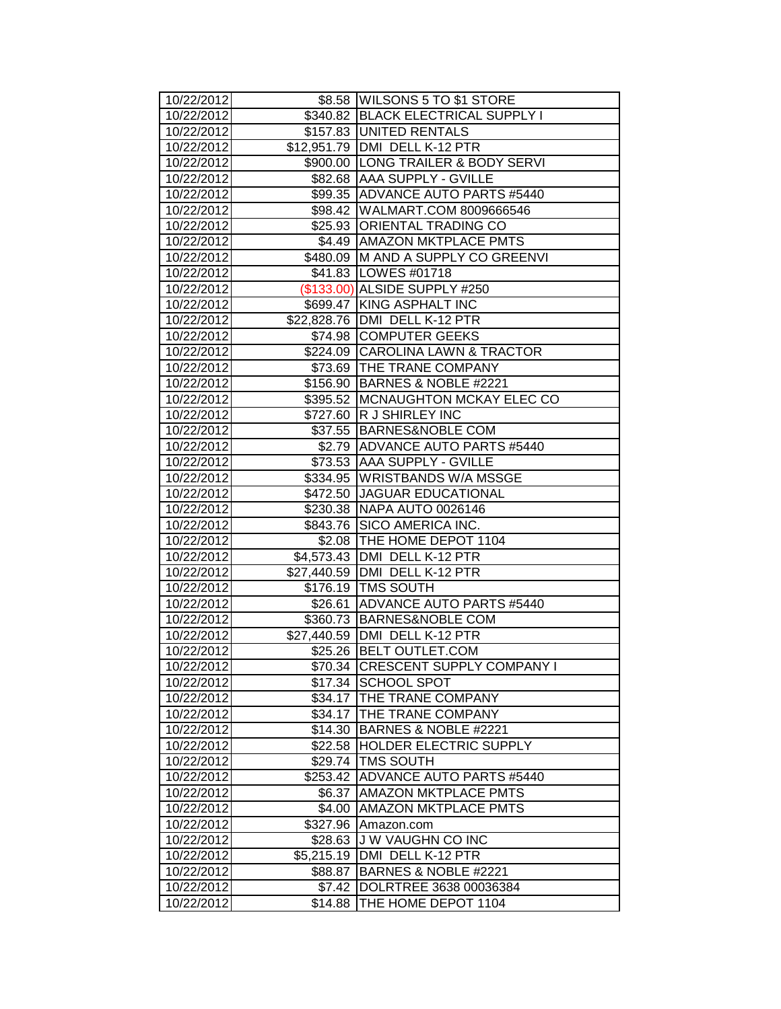| 10/22/2012 |            | \$8.58 WILSONS 5 TO \$1 STORE       |
|------------|------------|-------------------------------------|
| 10/22/2012 |            | \$340.82 BLACK ELECTRICAL SUPPLY I  |
| 10/22/2012 |            | \$157.83 JUNITED RENTALS            |
| 10/22/2012 |            | \$12,951.79   DMI DELL K-12 PTR     |
| 10/22/2012 |            | \$900.00 LONG TRAILER & BODY SERVI  |
| 10/22/2012 |            | \$82.68 AAA SUPPLY - GVILLE         |
| 10/22/2012 |            | \$99.35 ADVANCE AUTO PARTS #5440    |
| 10/22/2012 |            | \$98.42 WALMART.COM 8009666546      |
| 10/22/2012 |            | \$25.93 ORIENTAL TRADING CO         |
| 10/22/2012 |            | \$4.49 AMAZON MKTPLACE PMTS         |
| 10/22/2012 |            | \$480.09 M AND A SUPPLY CO GREENVI  |
| 10/22/2012 |            | \$41.83 LOWES #01718                |
| 10/22/2012 |            | (\$133.00) ALSIDE SUPPLY #250       |
| 10/22/2012 |            | \$699.47 KING ASPHALT INC           |
| 10/22/2012 |            | \$22,828.76   DMI DELL K-12 PTR     |
| 10/22/2012 |            | \$74.98 COMPUTER GEEKS              |
| 10/22/2012 |            | \$224.09 CAROLINA LAWN & TRACTOR    |
| 10/22/2012 |            | \$73.69   THE TRANE COMPANY         |
| 10/22/2012 |            | \$156.90 BARNES & NOBLE #2221       |
| 10/22/2012 |            | \$395.52   MCNAUGHTON MCKAY ELEC CO |
| 10/22/2012 |            | \$727.60 R J SHIRLEY INC            |
| 10/22/2012 |            | \$37.55 BARNES&NOBLE COM            |
| 10/22/2012 |            | \$2.79   ADVANCE AUTO PARTS #5440   |
| 10/22/2012 |            | \$73.53 AAA SUPPLY - GVILLE         |
| 10/22/2012 |            | \$334.95 WRISTBANDS W/A MSSGE       |
| 10/22/2012 |            | \$472.50 JAGUAR EDUCATIONAL         |
| 10/22/2012 |            | \$230.38 NAPA AUTO 0026146          |
| 10/22/2012 |            | \$843.76 SICO AMERICA INC.          |
| 10/22/2012 |            | \$2.08 THE HOME DEPOT 1104          |
| 10/22/2012 |            | \$4,573.43   DMI DELL K-12 PTR      |
| 10/22/2012 |            | \$27,440.59   DMI DELL K-12 PTR     |
| 10/22/2012 |            | \$176.19   TMS SOUTH                |
| 10/22/2012 |            | \$26.61 ADVANCE AUTO PARTS #5440    |
| 10/22/2012 |            | \$360.73 BARNES&NOBLE COM           |
| 10/22/2012 |            | \$27,440.59 DMI DELL K-12 PTR       |
| 10/22/2012 |            | \$25.26 BELT OUTLET.COM             |
| 10/22/2012 |            | \$70.34 CRESCENT SUPPLY COMPANY I   |
| 10/22/2012 |            | \$17.34 SCHOOL SPOT                 |
| 10/22/2012 | \$34.17    | <b>THE TRANE COMPANY</b>            |
| 10/22/2012 | \$34.17    | <b>THE TRANE COMPANY</b>            |
| 10/22/2012 | \$14.30    | BARNES & NOBLE #2221                |
| 10/22/2012 | \$22.58    | <b>HOLDER ELECTRIC SUPPLY</b>       |
| 10/22/2012 | \$29.74    | <b>TMS SOUTH</b>                    |
| 10/22/2012 | \$253.42   | <b>ADVANCE AUTO PARTS #5440</b>     |
| 10/22/2012 | \$6.37     | <b>AMAZON MKTPLACE PMTS</b>         |
| 10/22/2012 | \$4.00     | <b>AMAZON MKTPLACE PMTS</b>         |
| 10/22/2012 | \$327.96   | Amazon.com                          |
| 10/22/2012 | \$28.63    | <b>JW VAUGHN CO INC</b>             |
| 10/22/2012 | \$5,215.19 | DMI DELL K-12 PTR                   |
| 10/22/2012 | \$88.87    | BARNES & NOBLE #2221                |
| 10/22/2012 | \$7.42     | DOLRTREE 3638 00036384              |
| 10/22/2012 | \$14.88    | THE HOME DEPOT 1104                 |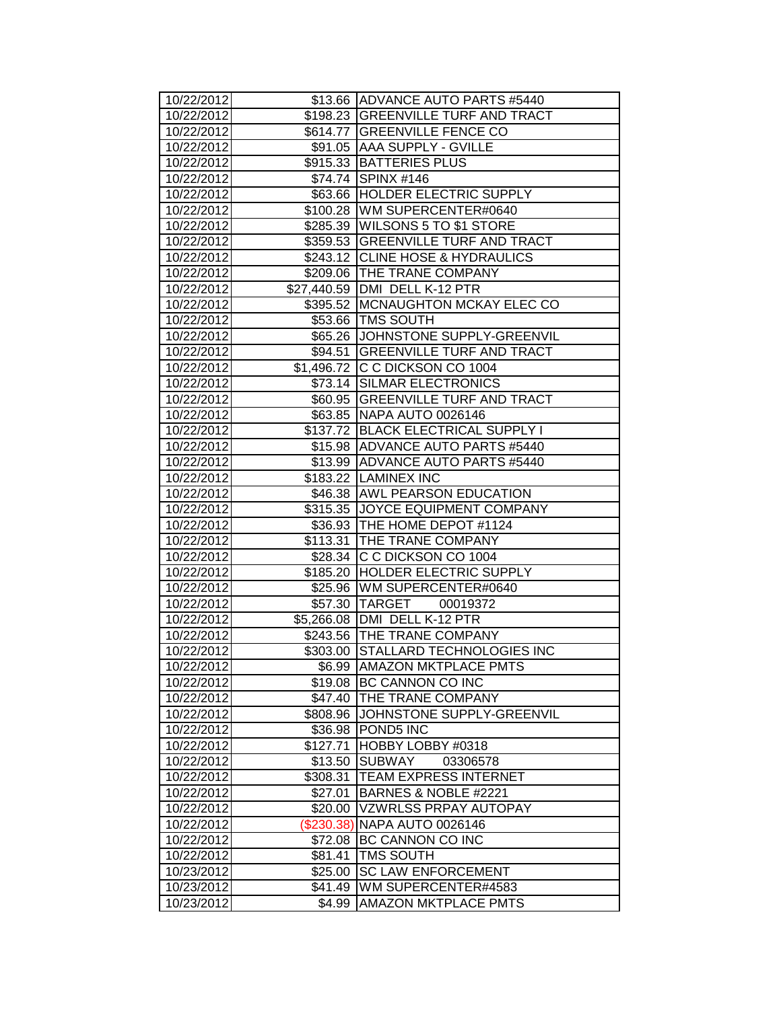| 10/22/2012               |            | \$13.66 ADVANCE AUTO PARTS #5440     |
|--------------------------|------------|--------------------------------------|
| 10/22/2012               |            | \$198.23   GREENVILLE TURF AND TRACT |
| 10/22/2012               |            | \$614.77 GREENVILLE FENCE CO         |
| 10/22/2012               |            | \$91.05 AAA SUPPLY - GVILLE          |
| 10/22/2012               |            | \$915.33 BATTERIES PLUS              |
| 10/22/2012               |            | \$74.74 SPINX #146                   |
| 10/22/2012               |            | \$63.66 HOLDER ELECTRIC SUPPLY       |
| 10/22/2012               |            | \$100.28 WM SUPERCENTER#0640         |
| 10/22/2012               |            | \$285.39 WILSONS 5 TO \$1 STORE      |
| 10/22/2012               |            | \$359.53 GREENVILLE TURF AND TRACT   |
| 10/22/2012               |            | \$243.12 CLINE HOSE & HYDRAULICS     |
| 10/22/2012               |            | \$209.06 THE TRANE COMPANY           |
| 10/22/2012               |            | \$27,440.59   DMI DELL K-12 PTR      |
| 10/22/2012               |            | \$395.52 MCNAUGHTON MCKAY ELEC CO    |
| 10/22/2012               |            | \$53.66   TMS SOUTH                  |
| 10/22/2012               |            | \$65.26 JJOHNSTONE SUPPLY-GREENVIL   |
| 10/22/2012               |            | \$94.51 GREENVILLE TURF AND TRACT    |
| 10/22/2012               |            | \$1,496.72 C C DICKSON CO 1004       |
| 10/22/2012               |            | \$73.14 SILMAR ELECTRONICS           |
| 10/22/2012               |            | \$60.95 GREENVILLE TURF AND TRACT    |
| 10/22/2012               |            | \$63.85 NAPA AUTO 0026146            |
| 10/22/2012               |            | \$137.72 BLACK ELECTRICAL SUPPLY I   |
| 10/22/2012               |            | \$15.98 ADVANCE AUTO PARTS #5440     |
| 10/22/2012               |            | \$13.99 ADVANCE AUTO PARTS #5440     |
| 10/22/2012               |            | \$183.22 LAMINEX INC                 |
| 10/22/2012               |            | \$46.38 AWL PEARSON EDUCATION        |
| 10/22/2012               |            | \$315.35 JOYCE EQUIPMENT COMPANY     |
| 10/22/2012               |            | \$36.93   THE HOME DEPOT #1124       |
| 10/22/2012               |            | \$113.31 THE TRANE COMPANY           |
| 10/22/2012               |            | \$28.34 C C DICKSON CO 1004          |
| 10/22/2012               |            | \$185.20 HOLDER ELECTRIC SUPPLY      |
| 10/22/2012               |            | \$25.96 WM SUPERCENTER#0640          |
| 10/22/2012               |            | \$57.30 TARGET 00019372              |
| 10/22/2012               |            | \$5,266.08   DMI DELL K-12 PTR       |
| 10/22/2012               |            | \$243.56 THE TRANE COMPANY           |
| 10/22/2012               |            | \$303.00 STALLARD TECHNOLOGIES INC   |
| 10/22/2012               | \$6.99     | <b>AMAZON MKTPLACE PMTS</b>          |
| 10/22/2012               | \$19.08    | <b>BC CANNON CO INC</b>              |
| 10/22/2012               |            | \$47.40 THE TRANE COMPANY            |
| 10/22/2012               |            | \$808.96 JOHNSTONE SUPPLY-GREENVIL   |
| 10/22/2012               | \$36.98    | POND5 INC                            |
| 10/22/2012               | \$127.71   | HOBBY LOBBY #0318                    |
| 10/22/2012               | \$13.50    | <b>SUBWAY</b><br>03306578            |
| 10/22/2012               | \$308.31   | <b>TEAM EXPRESS INTERNET</b>         |
| 10/22/2012               | \$27.01    | BARNES & NOBLE #2221                 |
| 10/22/2012               | \$20.00    | <b>VZWRLSS PRPAY AUTOPAY</b>         |
| 10/22/2012               | (\$230.38) | <b>NAPA AUTO 0026146</b>             |
| 10/22/2012               |            | \$72.08 BC CANNON CO INC             |
| 10/22/2012               | \$81.41    | <b>TMS SOUTH</b>                     |
| 10/23/2012               | \$25.00    | <b>SC LAW ENFORCEMENT</b>            |
|                          |            |                                      |
| 10/23/2012<br>10/23/2012 | \$41.49    | WM SUPERCENTER#4583                  |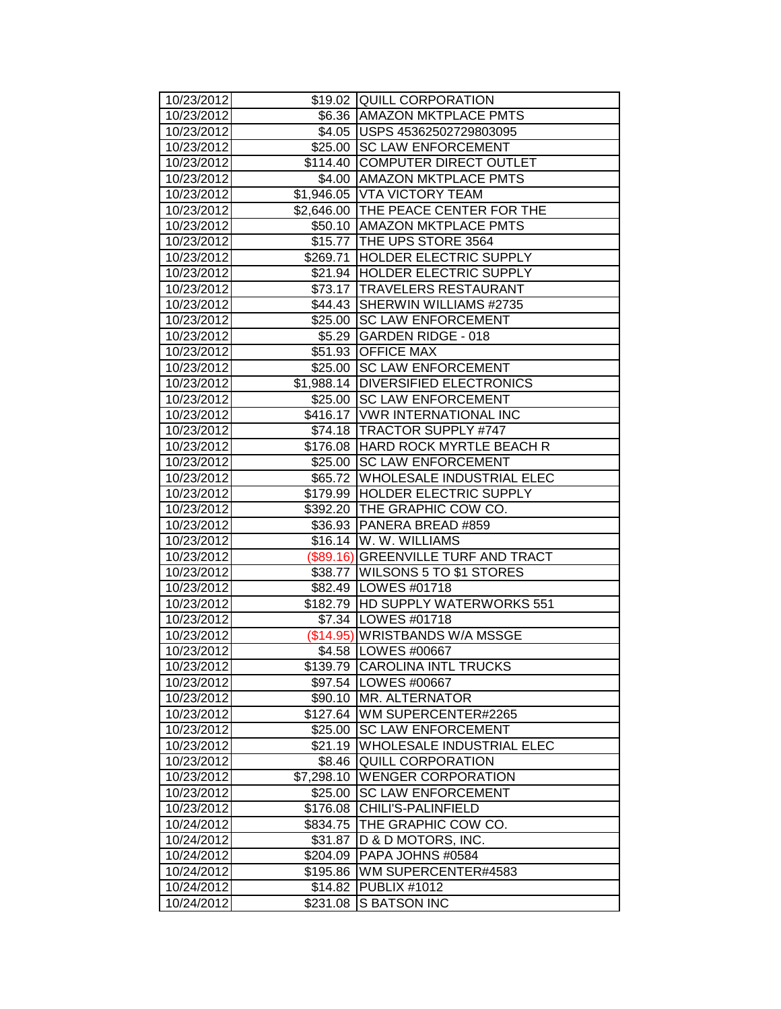| 10/23/2012               |            | \$19.02 QUILL CORPORATION                                       |
|--------------------------|------------|-----------------------------------------------------------------|
| 10/23/2012               |            | \$6.36   AMAZON MKTPLACE PMTS                                   |
| 10/23/2012               |            | \$4.05   USPS 45362502729803095                                 |
| 10/23/2012               |            | \$25.00 SC LAW ENFORCEMENT                                      |
| 10/23/2012               |            | \$114.40 COMPUTER DIRECT OUTLET                                 |
| 10/23/2012               |            | \$4.00 AMAZON MKTPLACE PMTS                                     |
| 10/23/2012               |            | \$1,946.05 VTA VICTORY TEAM                                     |
| 10/23/2012               |            | \$2,646.00 THE PEACE CENTER FOR THE                             |
| 10/23/2012               |            | \$50.10 AMAZON MKTPLACE PMTS                                    |
| 10/23/2012               |            | \$15.77 THE UPS STORE 3564                                      |
| 10/23/2012               |            | \$269.71 HOLDER ELECTRIC SUPPLY                                 |
| 10/23/2012               |            | \$21.94   HOLDER ELECTRIC SUPPLY                                |
| 10/23/2012               |            | \$73.17 TRAVELERS RESTAURANT                                    |
| 10/23/2012               |            | \$44.43 SHERWIN WILLIAMS #2735                                  |
| 10/23/2012               |            | \$25.00 SC LAW ENFORCEMENT                                      |
| 10/23/2012               |            | \$5.29 GARDEN RIDGE - 018                                       |
| 10/23/2012               |            | \$51.93 OFFICE MAX                                              |
| 10/23/2012               |            | \$25.00 SC LAW ENFORCEMENT                                      |
| 10/23/2012               |            | \$1,988.14 DIVERSIFIED ELECTRONICS                              |
| 10/23/2012               |            | \$25.00 SC LAW ENFORCEMENT                                      |
| 10/23/2012               |            | \$416.17   VWR INTERNATIONAL INC                                |
| 10/23/2012               |            | \$74.18   TRACTOR SUPPLY #747                                   |
|                          |            | \$176.08 HARD ROCK MYRTLE BEACH R                               |
| 10/23/2012               |            | \$25.00 SC LAW ENFORCEMENT                                      |
| 10/23/2012               |            | \$65.72 WHOLESALE INDUSTRIAL ELEC                               |
| 10/23/2012               |            |                                                                 |
| 10/23/2012               |            | \$179.99 HOLDER ELECTRIC SUPPLY<br>\$392.20 THE GRAPHIC COW CO. |
| 10/23/2012               |            | \$36.93 PANERA BREAD #859                                       |
| 10/23/2012<br>10/23/2012 |            | \$16.14 W. W. WILLIAMS                                          |
| 10/23/2012               |            | (\$89.16) GREENVILLE TURF AND TRACT                             |
| 10/23/2012               |            | \$38.77   WILSONS 5 TO \$1 STORES                               |
| 10/23/2012               |            | \$82.49   LOWES #01718                                          |
| 10/23/2012               |            | \$182.79 HD SUPPLY WATERWORKS 551                               |
| 10/23/2012               |            | \$7.34   LOWES #01718                                           |
| 10/23/2012               |            | (\$14.95) WRISTBANDS W/A MSSGE                                  |
| 10/23/2012               |            | \$4.58   LOWES #00667                                           |
| 10/23/2012               | \$139.79   | <b>CAROLINA INTL TRUCKS</b>                                     |
| 10/23/2012               |            | \$97.54   LOWES #00667                                          |
| 10/23/2012               | \$90.10    | <b>MR. ALTERNATOR</b>                                           |
| 10/23/2012               | \$127.64   | WM SUPERCENTER#2265                                             |
| 10/23/2012               | \$25.00    | <b>SC LAW ENFORCEMENT</b>                                       |
| 10/23/2012               | \$21.19    | WHOLESALE INDUSTRIAL ELEC                                       |
| 10/23/2012               | \$8.46     | <b>QUILL CORPORATION</b>                                        |
| 10/23/2012               | \$7,298.10 | <b>WENGER CORPORATION</b>                                       |
| 10/23/2012               | \$25.00    | <b>SC LAW ENFORCEMENT</b>                                       |
| 10/23/2012               | \$176.08   | CHILI'S-PALINFIELD                                              |
| 10/24/2012               | \$834.75   | THE GRAPHIC COW CO.                                             |
| 10/24/2012               | \$31.87    | D & D MOTORS, INC.                                              |
| 10/24/2012               | \$204.09   | PAPA JOHNS #0584                                                |
| 10/24/2012               | \$195.86   | WM SUPERCENTER#4583                                             |
| 10/24/2012               | \$14.82    | <b>PUBLIX #1012</b>                                             |
| 10/24/2012               | \$231.08   | S BATSON INC                                                    |
|                          |            |                                                                 |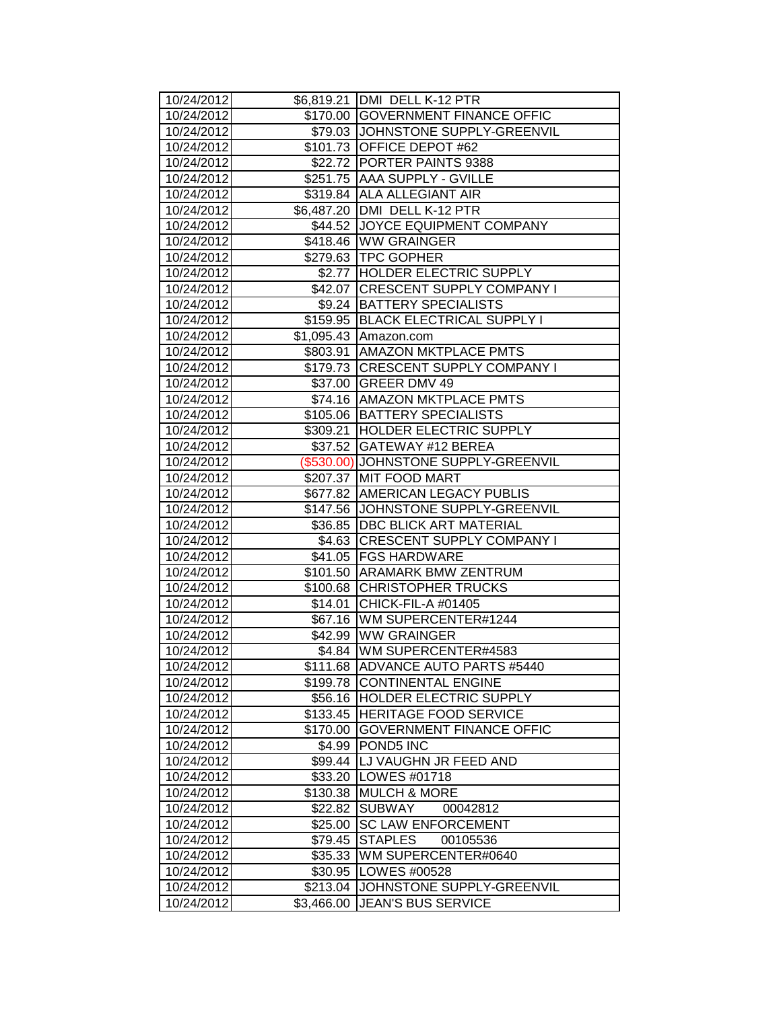| 10/24/2012 |            | \$6,819.21 DMI DELL K-12 PTR         |
|------------|------------|--------------------------------------|
| 10/24/2012 |            | \$170.00 GOVERNMENT FINANCE OFFIC    |
| 10/24/2012 |            | \$79.03 JJOHNSTONE SUPPLY-GREENVIL   |
| 10/24/2012 |            | \$101.73 OFFICE DEPOT #62            |
| 10/24/2012 |            | \$22.72 PORTER PAINTS 9388           |
| 10/24/2012 |            | \$251.75 AAA SUPPLY - GVILLE         |
| 10/24/2012 |            | \$319.84 ALA ALLEGIANT AIR           |
| 10/24/2012 |            | \$6,487.20 DMI DELL K-12 PTR         |
| 10/24/2012 |            | \$44.52 JOYCE EQUIPMENT COMPANY      |
| 10/24/2012 |            | \$418.46 WW GRAINGER                 |
| 10/24/2012 |            | \$279.63 TPC GOPHER                  |
| 10/24/2012 |            | \$2.77 HOLDER ELECTRIC SUPPLY        |
| 10/24/2012 |            | \$42.07 CRESCENT SUPPLY COMPANY I    |
| 10/24/2012 |            | \$9.24 BATTERY SPECIALISTS           |
| 10/24/2012 |            | \$159.95 BLACK ELECTRICAL SUPPLY I   |
| 10/24/2012 |            | \$1,095.43 Amazon.com                |
| 10/24/2012 |            | \$803.91 AMAZON MKTPLACE PMTS        |
| 10/24/2012 |            | \$179.73 CRESCENT SUPPLY COMPANY I   |
| 10/24/2012 |            | \$37.00 GREER DMV 49                 |
| 10/24/2012 |            | \$74.16 AMAZON MKTPLACE PMTS         |
| 10/24/2012 |            | \$105.06 BATTERY SPECIALISTS         |
| 10/24/2012 |            | \$309.21 HOLDER ELECTRIC SUPPLY      |
| 10/24/2012 |            | \$37.52 GATEWAY #12 BEREA            |
| 10/24/2012 |            | (\$530.00) JOHNSTONE SUPPLY-GREENVIL |
| 10/24/2012 |            | \$207.37 MIT FOOD MART               |
| 10/24/2012 |            | \$677.82 AMERICAN LEGACY PUBLIS      |
| 10/24/2012 |            | \$147.56 JJOHNSTONE SUPPLY-GREENVIL  |
| 10/24/2012 |            | \$36.85   DBC BLICK ART MATERIAL     |
| 10/24/2012 |            | \$4.63 CRESCENT SUPPLY COMPANY I     |
| 10/24/2012 |            | \$41.05 FGS HARDWARE                 |
| 10/24/2012 |            | \$101.50 ARAMARK BMW ZENTRUM         |
| 10/24/2012 |            | \$100.68 CHRISTOPHER TRUCKS          |
| 10/24/2012 |            | \$14.01 CHICK-FIL-A #01405           |
| 10/24/2012 |            | \$67.16   WM SUPERCENTER#1244        |
| 10/24/2012 |            | \$42.99 WW GRAINGER                  |
| 10/24/2012 |            | \$4.84 WM SUPERCENTER#4583           |
| 10/24/2012 |            | \$111.68 ADVANCE AUTO PARTS #5440    |
| 10/24/2012 |            | \$199.78 CONTINENTAL ENGINE          |
| 10/24/2012 |            | \$56.16 HOLDER ELECTRIC SUPPLY       |
| 10/24/2012 |            | \$133.45 HERITAGE FOOD SERVICE       |
| 10/24/2012 | \$170.00   | <b>GOVERNMENT FINANCE OFFIC</b>      |
| 10/24/2012 | \$4.99     | <b>POND5 INC</b>                     |
| 10/24/2012 |            | \$99.44   LJ VAUGHN JR FEED AND      |
| 10/24/2012 |            | \$33.20   LOWES #01718               |
| 10/24/2012 |            | \$130.38 MULCH & MORE                |
| 10/24/2012 | \$22.82    | <b>SUBWAY</b><br>00042812            |
| 10/24/2012 | \$25.00    | <b>SC LAW ENFORCEMENT</b>            |
| 10/24/2012 | \$79.45    | <b>STAPLES</b><br>00105536           |
| 10/24/2012 | \$35.33    | WM SUPERCENTER#0640                  |
| 10/24/2012 | \$30.95    | LOWES #00528                         |
| 10/24/2012 | \$213.04   | JOHNSTONE SUPPLY-GREENVIL            |
| 10/24/2012 | \$3,466.00 | <b>JEAN'S BUS SERVICE</b>            |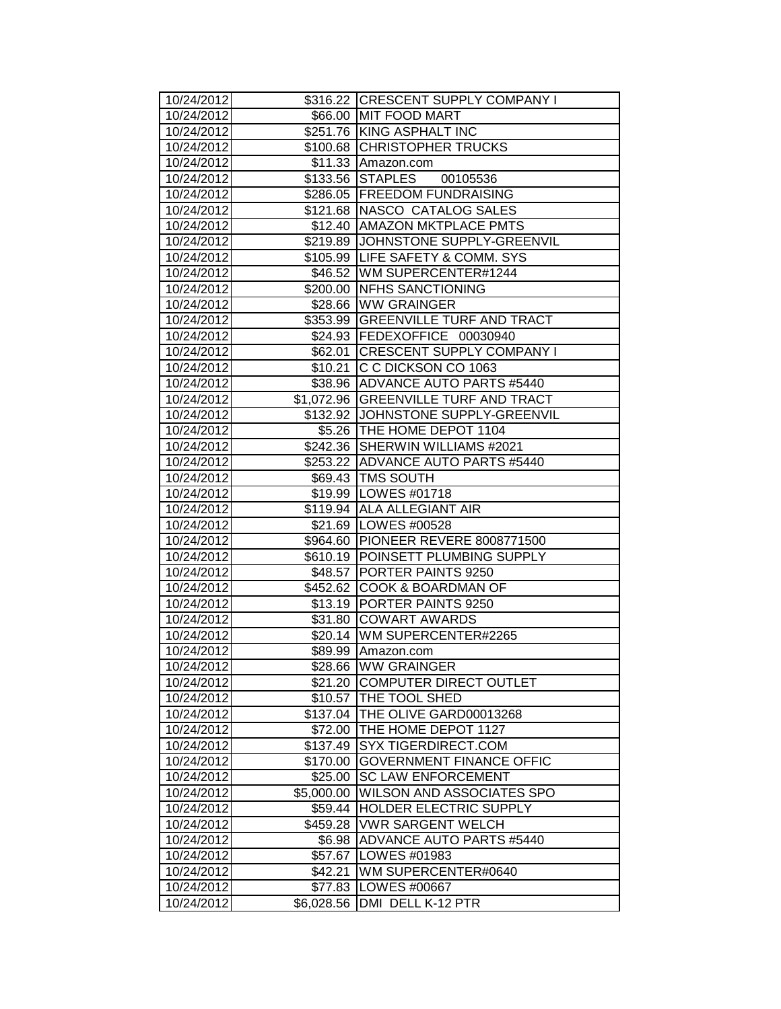|                          |            | \$316.22 CRESCENT SUPPLY COMPANY I                           |
|--------------------------|------------|--------------------------------------------------------------|
| 10/24/2012               |            | \$66.00 MIT FOOD MART                                        |
| 10/24/2012<br>10/24/2012 |            | \$251.76 KING ASPHALT INC                                    |
| 10/24/2012               |            | \$100.68 CHRISTOPHER TRUCKS                                  |
| 10/24/2012               |            | \$11.33 Amazon.com                                           |
| 10/24/2012               |            | \$133.56 STAPLES 00105536                                    |
| 10/24/2012               |            | \$286.05 FREEDOM FUNDRAISING                                 |
| 10/24/2012               |            |                                                              |
| 10/24/2012               |            | \$121.68 NASCO CATALOG SALES<br>\$12.40 AMAZON MKTPLACE PMTS |
| 10/24/2012               |            | \$219.89 JJOHNSTONE SUPPLY-GREENVIL                          |
| 10/24/2012               |            | \$105.99 LIFE SAFETY & COMM. SYS                             |
| 10/24/2012               |            | \$46.52 WM SUPERCENTER#1244                                  |
| 10/24/2012               |            | \$200.00 NFHS SANCTIONING                                    |
| 10/24/2012               |            | \$28.66 WW GRAINGER                                          |
| 10/24/2012               |            | \$353.99 GREENVILLE TURF AND TRACT                           |
| 10/24/2012               |            | \$24.93 FEDEXOFFICE 00030940                                 |
| 10/24/2012               |            | \$62.01 CRESCENT SUPPLY COMPANY I                            |
| 10/24/2012               |            | \$10.21 C C DICKSON CO 1063                                  |
| 10/24/2012               |            | \$38.96 ADVANCE AUTO PARTS #5440                             |
| 10/24/2012               |            | \$1,072.96 GREENVILLE TURF AND TRACT                         |
| 10/24/2012               |            | \$132.92 JJOHNSTONE SUPPLY-GREENVIL                          |
| 10/24/2012               |            | \$5.26 THE HOME DEPOT 1104                                   |
| 10/24/2012               |            | \$242.36 SHERWIN WILLIAMS #2021                              |
| 10/24/2012               |            | \$253.22 ADVANCE AUTO PARTS #5440                            |
| 10/24/2012               |            | \$69.43 TMS SOUTH                                            |
| 10/24/2012               |            | \$19.99 LOWES #01718                                         |
| 10/24/2012               |            | \$119.94 ALL ALLEGIANT AIR                                   |
| 10/24/2012               |            | \$21.69   LOWES #00528                                       |
| 10/24/2012               |            | \$964.60 PIONEER REVERE 8008771500                           |
| 10/24/2012               |            | \$610.19 POINSETT PLUMBING SUPPLY                            |
| 10/24/2012               |            | \$48.57 PORTER PAINTS 9250                                   |
| 10/24/2012               |            | \$452.62 COOK & BOARDMAN OF                                  |
| 10/24/2012               |            | \$13.19 PORTER PAINTS 9250                                   |
| 10/24/2012               |            | \$31.80 COWART AWARDS                                        |
| 10/24/2012               |            | \$20.14 WM SUPERCENTER#2265                                  |
| 10/24/2012               |            | \$89.99 Amazon.com                                           |
| 10/24/2012               |            | \$28.66 WW GRAINGER                                          |
| 10/24/2012               | \$21.20    | <b>COMPUTER DIRECT OUTLET</b>                                |
| 10/24/2012               | \$10.57    | <b>THE TOOL SHED</b>                                         |
| 10/24/2012               | \$137.04   | THE OLIVE GARD00013268                                       |
| 10/24/2012               | \$72.00    | THE HOME DEPOT 1127                                          |
| 10/24/2012               | \$137.49   | SYX TIGERDIRECT.COM                                          |
| 10/24/2012               | \$170.00   | <b>GOVERNMENT FINANCE OFFIC</b>                              |
| 10/24/2012               | \$25.00    | <b>SC LAW ENFORCEMENT</b>                                    |
| 10/24/2012               | \$5,000.00 | WILSON AND ASSOCIATES SPO                                    |
| 10/24/2012               | \$59.44    | <b>HOLDER ELECTRIC SUPPLY</b>                                |
| 10/24/2012               | \$459.28   | <b>VWR SARGENT WELCH</b>                                     |
| 10/24/2012               | \$6.98     | ADVANCE AUTO PARTS #5440                                     |
| 10/24/2012               | \$57.67    | LOWES #01983                                                 |
| 10/24/2012               | \$42.21    | WM SUPERCENTER#0640                                          |
| 10/24/2012               | \$77.83    | LOWES #00667                                                 |
| 10/24/2012               | \$6,028.56 | DMI DELL K-12 PTR                                            |
|                          |            |                                                              |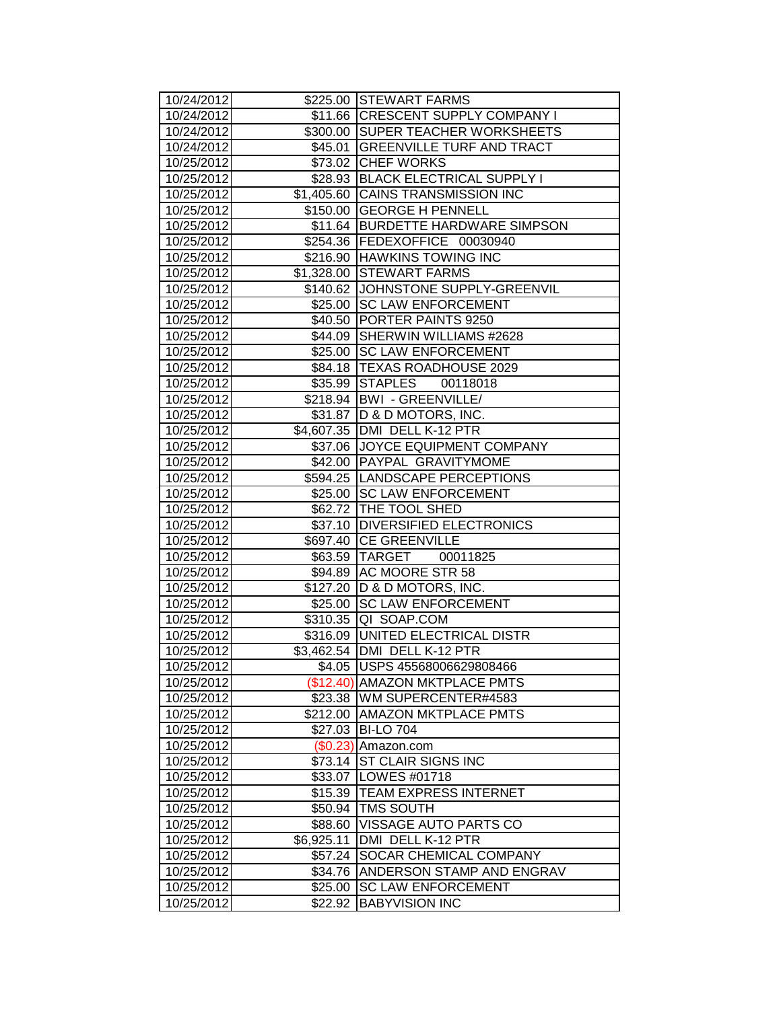| 10/24/2012               |                     | \$225.00 STEWART FARMS                                     |
|--------------------------|---------------------|------------------------------------------------------------|
| 10/24/2012               |                     | \$11.66 CRESCENT SUPPLY COMPANY I                          |
| 10/24/2012               |                     | \$300.00 SUPER TEACHER WORKSHEETS                          |
| 10/24/2012               |                     | \$45.01 GREENVILLE TURF AND TRACT                          |
| 10/25/2012               |                     | \$73.02 CHEF WORKS                                         |
| 10/25/2012               |                     | \$28.93 BLACK ELECTRICAL SUPPLY I                          |
| 10/25/2012               |                     | \$1,405.60 CAINS TRANSMISSION INC                          |
| 10/25/2012               |                     | \$150.00 GEORGE H PENNELL                                  |
| 10/25/2012               |                     | \$11.64 BURDETTE HARDWARE SIMPSON                          |
| 10/25/2012               |                     | \$254.36 FEDEXOFFICE 00030940                              |
| 10/25/2012               |                     | \$216.90 HAWKINS TOWING INC                                |
| 10/25/2012               |                     | \$1,328.00 STEWART FARMS                                   |
| 10/25/2012               |                     | \$140.62 JJOHNSTONE SUPPLY-GREENVIL                        |
| 10/25/2012               |                     | \$25.00 SC LAW ENFORCEMENT                                 |
| 10/25/2012               |                     | \$40.50 PORTER PAINTS 9250                                 |
| 10/25/2012               |                     | \$44.09 SHERWIN WILLIAMS #2628                             |
| 10/25/2012               |                     | \$25.00 SC LAW ENFORCEMENT                                 |
| 10/25/2012               |                     | \$84.18   TEXAS ROADHOUSE 2029                             |
| 10/25/2012               |                     | \$35.99 STAPLES<br>00118018                                |
| 10/25/2012               |                     | \$218.94   BWI - GREENVILLE/                               |
| 10/25/2012               |                     | \$31.87   D & D MOTORS, INC.                               |
| 10/25/2012               |                     | \$4,607.35   DMI DELL K-12 PTR                             |
| 10/25/2012               |                     | \$37.06 JOYCE EQUIPMENT COMPANY                            |
| 10/25/2012               |                     | \$42.00 PAYPAL GRAVITYMOME                                 |
| 10/25/2012               |                     | \$594.25 LANDSCAPE PERCEPTIONS                             |
| 10/25/2012               |                     | \$25.00 SC LAW ENFORCEMENT                                 |
| 10/25/2012               |                     | \$62.72 THE TOOL SHED                                      |
| 10/25/2012               |                     | \$37.10 DIVERSIFIED ELECTRONICS                            |
| 10/25/2012               |                     | \$697.40 CE GREENVILLE                                     |
| 10/25/2012               |                     | \$63.59 TARGET 00011825                                    |
| 10/25/2012               |                     | \$94.89 AC MOORE STR 58                                    |
| 10/25/2012               |                     | \$127.20 D & D MOTORS, INC.                                |
| 10/25/2012               |                     | \$25.00 SC LAW ENFORCEMENT                                 |
| 10/25/2012               |                     | \$310.35 QI SOAP.COM                                       |
| 10/25/2012               |                     | \$316.09   UNITED ELECTRICAL DISTR                         |
| 10/25/2012               |                     | \$3,462.54 DMI DELL K-12 PTR                               |
| 10/25/2012               |                     | \$4.05   USPS 45568006629808466                            |
| 10/25/2012               |                     | (\$12.40) AMAZON MKTPLACE PMTS                             |
| 10/25/2012               |                     | \$23.38 WM SUPERCENTER#4583<br><b>AMAZON MKTPLACE PMTS</b> |
| 10/25/2012               | \$212.00            |                                                            |
| 10/25/2012               | \$27.03             | <b>BI-LO 704</b>                                           |
| 10/25/2012<br>10/25/2012 | (\$0.23)<br>\$73.14 | Amazon.com<br><b>ST CLAIR SIGNS INC</b>                    |
| 10/25/2012               | \$33.07             | LOWES #01718                                               |
| 10/25/2012               | \$15.39             | <b>TEAM EXPRESS INTERNET</b>                               |
| 10/25/2012               | \$50.94             | <b>TMS SOUTH</b>                                           |
| 10/25/2012               | \$88.60             | VISSAGE AUTO PARTS CO                                      |
| 10/25/2012               | \$6,925.11          | DMI DELL K-12 PTR                                          |
| 10/25/2012               | \$57.24             | <b>SOCAR CHEMICAL COMPANY</b>                              |
| 10/25/2012               | \$34.76             | ANDERSON STAMP AND ENGRAV                                  |
| 10/25/2012               | \$25.00             | <b>SC LAW ENFORCEMENT</b>                                  |
| 10/25/2012               | \$22.92             | <b>BABYVISION INC</b>                                      |
|                          |                     |                                                            |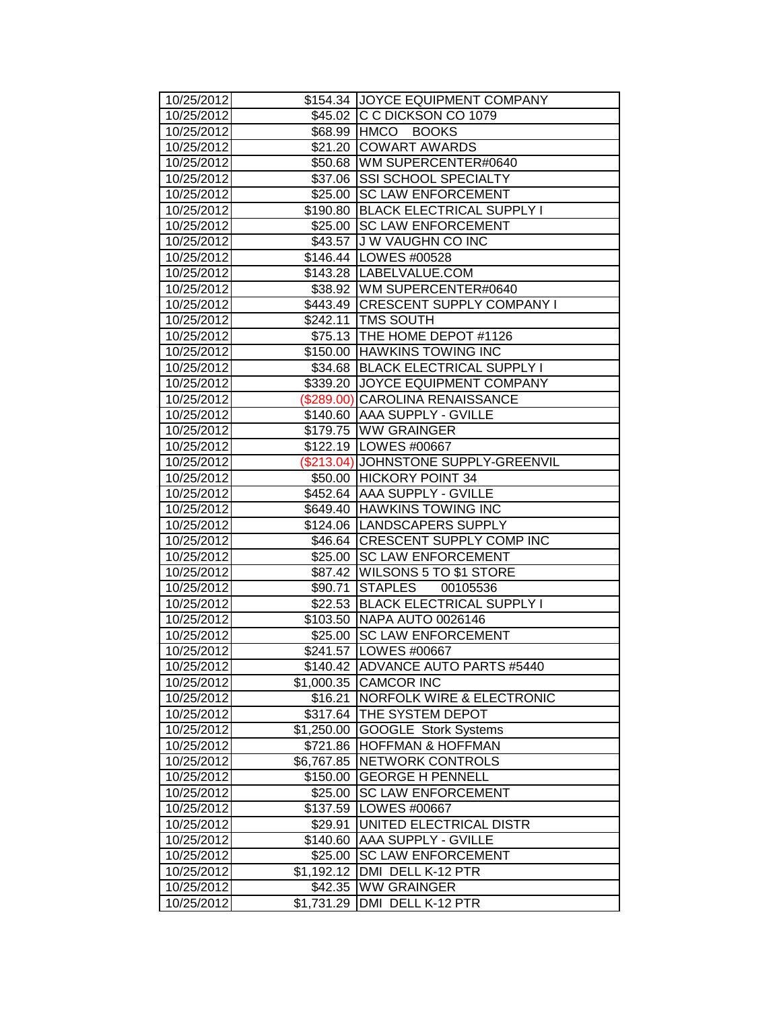| 10/25/2012               |            | \$154.34 JJOYCE EQUIPMENT COMPANY                                 |
|--------------------------|------------|-------------------------------------------------------------------|
| 10/25/2012               |            | \$45.02 C C DICKSON CO 1079                                       |
| 10/25/2012               |            | \$68.99 HMCO BOOKS                                                |
| 10/25/2012               |            | \$21.20 COWART AWARDS                                             |
| 10/25/2012               |            | \$50.68 WM SUPERCENTER#0640                                       |
| 10/25/2012               |            | \$37.06 SSI SCHOOL SPECIALTY                                      |
| 10/25/2012               |            | \$25.00 SC LAW ENFORCEMENT                                        |
| 10/25/2012               |            | \$190.80 BLACK ELECTRICAL SUPPLY I                                |
| 10/25/2012               |            | \$25.00 SC LAW ENFORCEMENT                                        |
| 10/25/2012               |            | \$43.57 J W VAUGHN CO INC                                         |
| 10/25/2012               |            | \$146.44   LOWES #00528                                           |
| 10/25/2012               |            | \$143.28   LABELVALUE.COM                                         |
| 10/25/2012               |            | \$38.92 WM SUPERCENTER#0640<br>\$443.49 CRESCENT SUPPLY COMPANY I |
| 10/25/2012               |            |                                                                   |
| 10/25/2012               |            | \$242.11   TMS SOUTH                                              |
| 10/25/2012               |            | \$75.13 THE HOME DEPOT #1126                                      |
| 10/25/2012               |            | \$150.00 HAWKINS TOWING INC                                       |
| 10/25/2012               |            | \$34.68 BLACK ELECTRICAL SUPPLY I                                 |
| 10/25/2012               |            | \$339.20 JJOYCE EQUIPMENT COMPANY                                 |
| 10/25/2012               |            | (\$289.00) CAROLINA RENAISSANCE<br>\$140.60 AAA SUPPLY - GVILLE   |
| 10/25/2012               |            |                                                                   |
| 10/25/2012               |            | \$179.75 WW GRAINGER                                              |
| 10/25/2012               |            | \$122.19 LOWES #00667                                             |
| 10/25/2012               |            | (\$213.04) JOHNSTONE SUPPLY-GREENVIL                              |
| 10/25/2012               |            | \$50.00 HICKORY POINT 34                                          |
| 10/25/2012               |            | \$452.64 AAA SUPPLY - GVILLE                                      |
| 10/25/2012               |            | \$649.40 HAWKINS TOWING INC<br>\$124.06 LANDSCAPERS SUPPLY        |
| 10/25/2012<br>10/25/2012 |            | \$46.64 CRESCENT SUPPLY COMP INC                                  |
| 10/25/2012               |            | \$25.00 SC LAW ENFORCEMENT                                        |
| 10/25/2012               |            | \$87.42   WILSONS 5 TO \$1 STORE                                  |
| 10/25/2012               |            | \$90.71 STAPLES 00105536                                          |
| 10/25/2012               |            | \$22.53 BLACK ELECTRICAL SUPPLY I                                 |
| 10/25/2012               |            | \$103.50 NAPA AUTO 0026146                                        |
| 10/25/2012               |            | \$25.00 ISC LAW ENFORCEMENT                                       |
| 10/25/2012               |            | \$241.57   LOWES #00667                                           |
| 10/25/2012               | \$140.42   | ADVANCE AUTO PARTS #5440                                          |
| 10/25/2012               | \$1,000.35 | <b>CAMCOR INC</b>                                                 |
| 10/25/2012               | \$16.21    | <b>NORFOLK WIRE &amp; ELECTRONIC</b>                              |
| 10/25/2012               | \$317.64   | <b>THE SYSTEM DEPOT</b>                                           |
| 10/25/2012               | \$1,250.00 | <b>GOOGLE Stork Systems</b>                                       |
| 10/25/2012               | \$721.86   | <b>HOFFMAN &amp; HOFFMAN</b>                                      |
| 10/25/2012               | \$6,767.85 | NETWORK CONTROLS                                                  |
| 10/25/2012               | \$150.00   | <b>GEORGE H PENNELL</b>                                           |
| 10/25/2012               | \$25.00    | <b>SC LAW ENFORCEMENT</b>                                         |
| 10/25/2012               |            | \$137.59   LOWES #00667                                           |
| 10/25/2012               | \$29.91    | UNITED ELECTRICAL DISTR                                           |
| 10/25/2012               |            | \$140.60 AAA SUPPLY - GVILLE                                      |
| 10/25/2012               | \$25.00    | <b>SC LAW ENFORCEMENT</b>                                         |
| 10/25/2012               | \$1,192.12 | DMI DELL K-12 PTR                                                 |
| 10/25/2012               | \$42.35    | <b>WW GRAINGER</b>                                                |
| 10/25/2012               | \$1,731.29 | DMI DELL K-12 PTR                                                 |
|                          |            |                                                                   |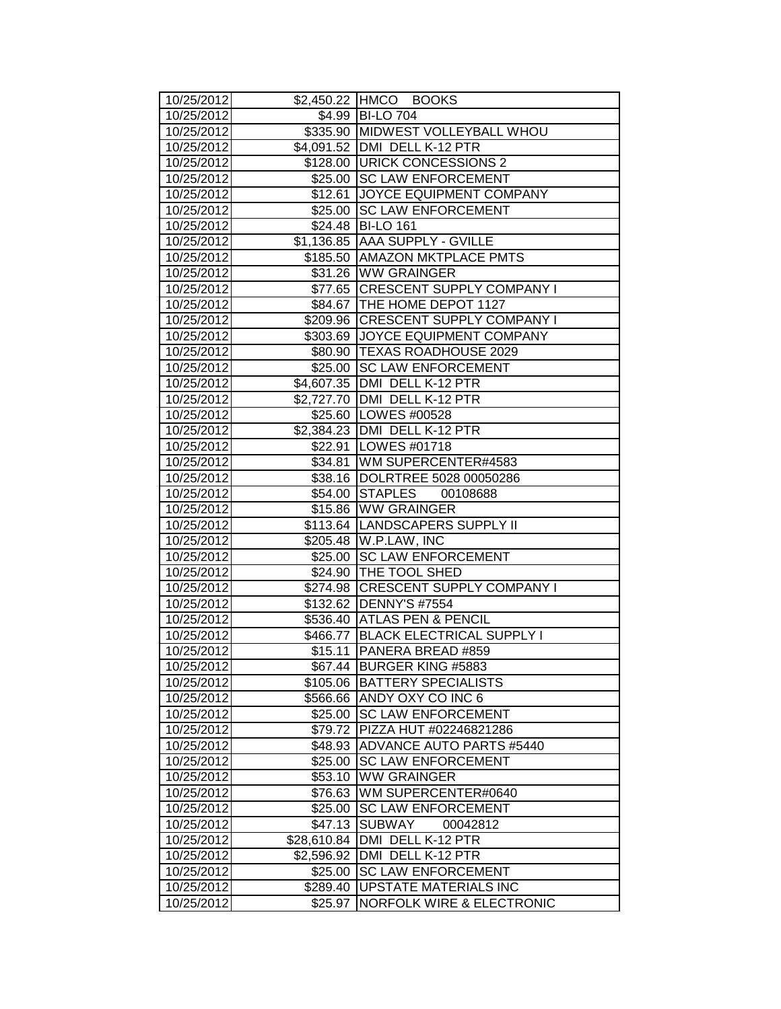| 10/25/2012               |                    | \$2,450.22 HMCO BOOKS                                     |
|--------------------------|--------------------|-----------------------------------------------------------|
| 10/25/2012               |                    | \$4.99 BI-LO 704                                          |
| 10/25/2012               |                    | \$335.90 MIDWEST VOLLEYBALL WHOU                          |
| 10/25/2012               |                    | \$4,091.52   DMI DELL K-12 PTR                            |
| 10/25/2012               |                    | \$128.00 URICK CONCESSIONS 2                              |
| 10/25/2012               |                    | \$25.00 SC LAW ENFORCEMENT                                |
| 10/25/2012               |                    | \$12.61 JOYCE EQUIPMENT COMPANY                           |
| 10/25/2012               | \$25.00            | <b>SC LAW ENFORCEMENT</b>                                 |
| 10/25/2012               |                    | \$24.48 BI-LO 161                                         |
| 10/25/2012               |                    | \$1,136.85 AAA SUPPLY - GVILLE                            |
| 10/25/2012               |                    | \$185.50 AMAZON MKTPLACE PMTS                             |
| 10/25/2012               |                    | \$31.26 WW GRAINGER                                       |
| 10/25/2012               |                    | \$77.65 CRESCENT SUPPLY COMPANY I                         |
| 10/25/2012               |                    | \$84.67   THE HOME DEPOT 1127                             |
| 10/25/2012               |                    | \$209.96 CRESCENT SUPPLY COMPANY I                        |
| 10/25/2012               |                    | \$303.69 JOYCE EQUIPMENT COMPANY                          |
| 10/25/2012               |                    | \$80.90   TEXAS ROADHOUSE 2029                            |
| 10/25/2012               | \$25.00            | <b>SC LAW ENFORCEMENT</b>                                 |
| 10/25/2012               |                    | \$4,607.35   DMI DELL K-12 PTR                            |
| 10/25/2012               |                    | \$2,727.70 DMI DELL K-12 PTR                              |
| 10/25/2012               |                    | \$25.60 LOWES #00528                                      |
| 10/25/2012               |                    | \$2,384.23 DMI DELL K-12 PTR                              |
| 10/25/2012               |                    | \$22.91   LOWES #01718                                    |
| 10/25/2012               |                    | \$34.81   WM SUPERCENTER#4583                             |
| 10/25/2012               |                    | \$38.16  DOLRTREE 5028 00050286                           |
| 10/25/2012               |                    | \$54.00 STAPLES 00108688                                  |
| 10/25/2012               |                    | \$15.86 WW GRAINGER                                       |
| 10/25/2012               |                    | \$113.64 LANDSCAPERS SUPPLY II                            |
| 10/25/2012               |                    | \$205.48 W.P.LAW, INC                                     |
| 10/25/2012               |                    | \$25.00 SC LAW ENFORCEMENT                                |
| 10/25/2012               |                    | \$24.90 THE TOOL SHED                                     |
| 10/25/2012               |                    | \$274.98 CRESCENT SUPPLY COMPANY I                        |
| 10/25/2012               |                    | \$132.62   DENNY'S #7554                                  |
| 10/25/2012               |                    | \$536.40 ATLAS PEN & PENCIL                               |
| 10/25/2012               |                    | \$466.77 BLACK ELECTRICAL SUPPLY I                        |
| 10/25/2012               | $$15.11$           | PANERA BREAD #859                                         |
| 10/25/2012               |                    | \$67.44 BURGER KING #5883                                 |
| 10/25/2012               | \$105.06           | <b>BATTERY SPECIALISTS</b>                                |
| 10/25/2012               | \$566.66           | ANDY OXY CO INC 6<br><b>SC LAW ENFORCEMENT</b>            |
| 10/25/2012               | \$25.00            |                                                           |
| 10/25/2012               | \$79.72<br>\$48.93 | PIZZA HUT #02246821286<br><b>ADVANCE AUTO PARTS #5440</b> |
| 10/25/2012<br>10/25/2012 | \$25.00            | <b>SC LAW ENFORCEMENT</b>                                 |
| 10/25/2012               | \$53.10            | <b>WW GRAINGER</b>                                        |
| 10/25/2012               | \$76.63            | WM SUPERCENTER#0640                                       |
| 10/25/2012               |                    | <b>SC LAW ENFORCEMENT</b>                                 |
| 10/25/2012               | \$25.00<br>\$47.13 | SUBWAY<br>00042812                                        |
| 10/25/2012               | \$28,610.84        | DMI DELL K-12 PTR                                         |
| 10/25/2012               | \$2,596.92         | DMI DELL K-12 PTR                                         |
| 10/25/2012               | \$25.00            | <b>SC LAW ENFORCEMENT</b>                                 |
| 10/25/2012               | \$289.40           | <b>UPSTATE MATERIALS INC</b>                              |
| 10/25/2012               | \$25.97            | <b>NORFOLK WIRE &amp; ELECTRONIC</b>                      |
|                          |                    |                                                           |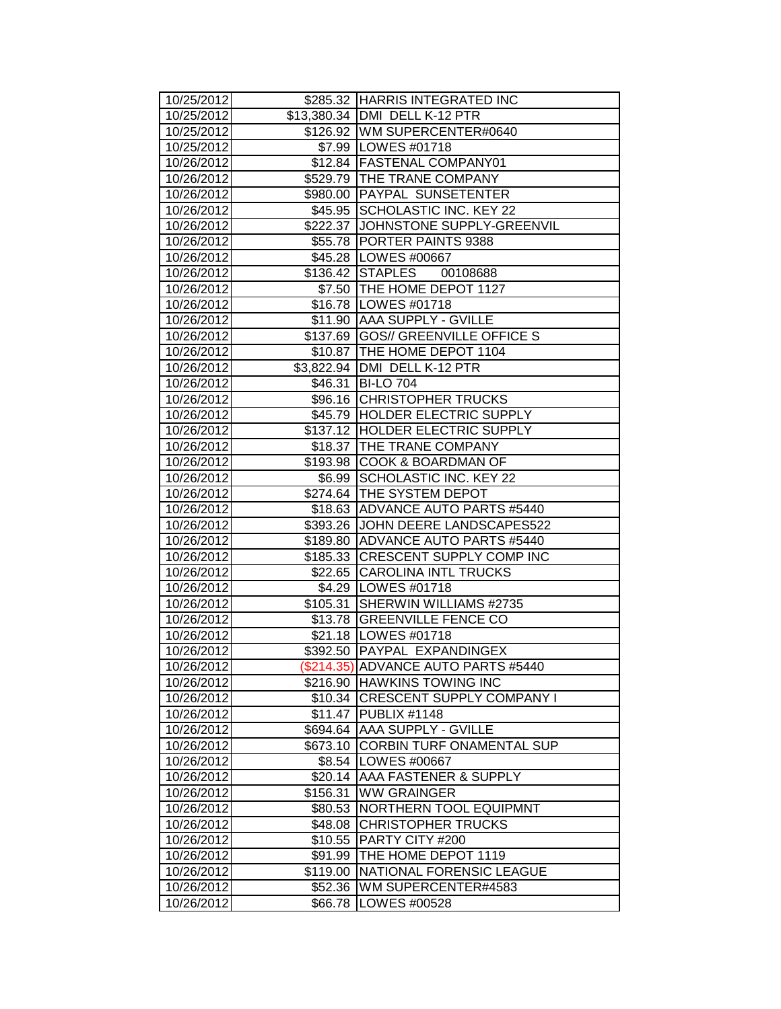| 10/25/2012               |          | \$285.32 HARRIS INTEGRATED INC                        |
|--------------------------|----------|-------------------------------------------------------|
| 10/25/2012               |          | \$13,380.34 DMI DELL K-12 PTR                         |
| 10/25/2012               |          | \$126.92   WM SUPERCENTER#0640                        |
| 10/25/2012               |          | \$7.99   LOWES #01718                                 |
| 10/26/2012               |          | \$12.84 FASTENAL COMPANY01                            |
| 10/26/2012               |          | \$529.79 THE TRANE COMPANY                            |
| 10/26/2012               |          | \$980.00 PAYPAL SUNSETENTER                           |
| 10/26/2012               |          | \$45.95 SCHOLASTIC INC. KEY 22                        |
| 10/26/2012               |          | \$222.37 JJOHNSTONE SUPPLY-GREENVIL                   |
| 10/26/2012               |          | \$55.78 PORTER PAINTS 9388                            |
| 10/26/2012               |          | \$45.28 LOWES #00667                                  |
| 10/26/2012               |          | \$136.42 STAPLES 00108688                             |
| 10/26/2012               |          | \$7.50 THE HOME DEPOT 1127                            |
| 10/26/2012               |          | \$16.78   LOWES #01718                                |
| 10/26/2012               |          | \$11.90 AAA SUPPLY - GVILLE                           |
| 10/26/2012               |          | \$137.69 GOS// GREENVILLE OFFICE S                    |
| 10/26/2012               |          | \$10.87 THE HOME DEPOT 1104                           |
| 10/26/2012               |          | \$3,822.94   DMI DELL K-12 PTR                        |
| 10/26/2012               |          | \$46.31   BI-LO 704                                   |
| 10/26/2012               |          | \$96.16 CHRISTOPHER TRUCKS                            |
| 10/26/2012               |          | \$45.79 HOLDER ELECTRIC SUPPLY                        |
| 10/26/2012               |          | \$137.12 HOLDER ELECTRIC SUPPLY                       |
| 10/26/2012               |          | \$18.37 THE TRANE COMPANY                             |
| 10/26/2012               |          | \$193.98 COOK & BOARDMAN OF                           |
| 10/26/2012               |          | \$6.99 SCHOLASTIC INC. KEY 22                         |
| 10/26/2012               |          | \$274.64 THE SYSTEM DEPOT                             |
| 10/26/2012               |          | \$18.63 ADVANCE AUTO PARTS #5440                      |
| 10/26/2012               |          | \$393.26 JOHN DEERE LANDSCAPES522                     |
| 10/26/2012               |          | \$189.80 ADVANCE AUTO PARTS #5440                     |
| 10/26/2012               |          | \$185.33 CRESCENT SUPPLY COMP INC                     |
| 10/26/2012<br>10/26/2012 |          | \$22.65 CAROLINA INTL TRUCKS<br>\$4.29   LOWES #01718 |
| 10/26/2012               |          | \$105.31 SHERWIN WILLIAMS #2735                       |
| 10/26/2012               |          | \$13.78 GREENVILLE FENCE CO                           |
| 10/26/2012               |          | \$21.18   LOWES #01718                                |
| 10/26/2012               |          | \$392.50 PAYPAL EXPANDINGEX                           |
| 10/26/2012               |          | (\$214.35) ADVANCE AUTO PARTS #5440                   |
| 10/26/2012               |          | \$216.90 HAWKINS TOWING INC                           |
| 10/26/2012               |          | \$10.34 CRESCENT SUPPLY COMPANY I                     |
| 10/26/2012               | \$11.47  | PUBLIX #1148                                          |
| 10/26/2012               | \$694.64 | <b>AAA SUPPLY - GVILLE</b>                            |
| 10/26/2012               | \$673.10 | <b>CORBIN TURF ONAMENTAL SUP</b>                      |
| 10/26/2012               | \$8.54   | <b>LOWES #00667</b>                                   |
| 10/26/2012               | \$20.14  | <b>AAA FASTENER &amp; SUPPLY</b>                      |
| 10/26/2012               | \$156.31 | <b>WW GRAINGER</b>                                    |
| 10/26/2012               | \$80.53  | <b>NORTHERN TOOL EQUIPMNT</b>                         |
| 10/26/2012               | \$48.08  | <b>CHRISTOPHER TRUCKS</b>                             |
| 10/26/2012               | \$10.55  | PARTY CITY #200                                       |
| 10/26/2012               | \$91.99  | THE HOME DEPOT 1119                                   |
| 10/26/2012               | \$119.00 | NATIONAL FORENSIC LEAGUE                              |
| 10/26/2012               | \$52.36  | WM SUPERCENTER#4583                                   |
| 10/26/2012               | \$66.78  | LOWES #00528                                          |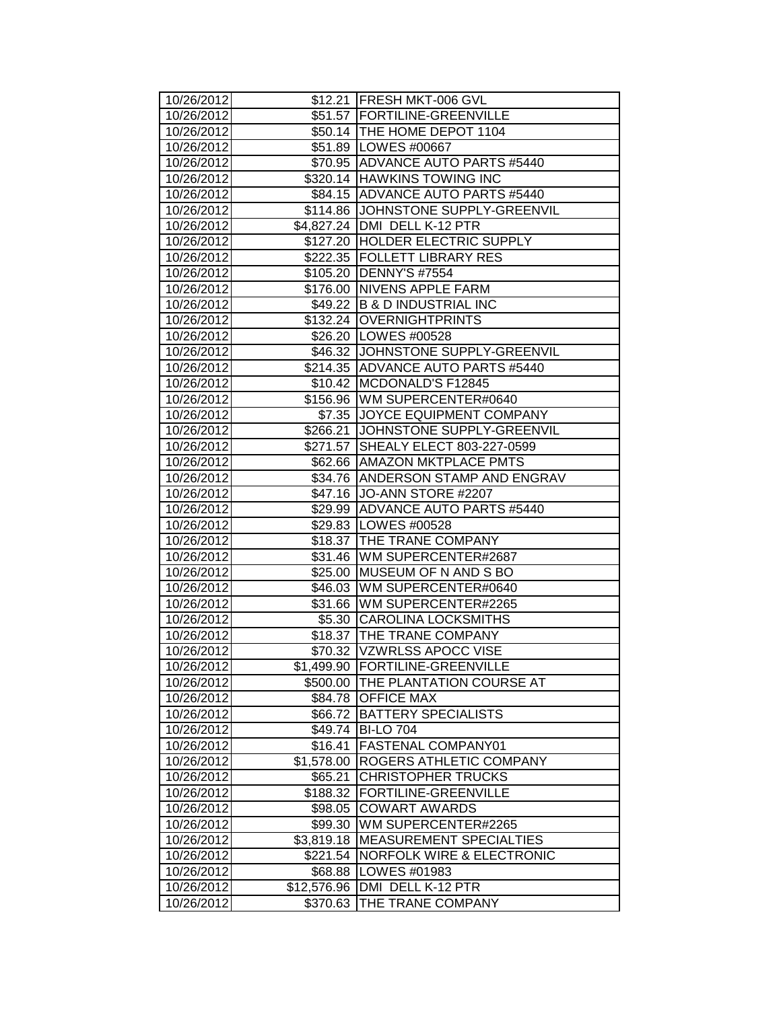| 10/26/2012               |                         | \$12.21   FRESH MKT-006 GVL            |
|--------------------------|-------------------------|----------------------------------------|
| 10/26/2012               |                         | \$51.57 FORTILINE-GREENVILLE           |
| 10/26/2012               |                         | \$50.14   THE HOME DEPOT 1104          |
| 10/26/2012               |                         | \$51.89   LOWES #00667                 |
| 10/26/2012               |                         | \$70.95 ADVANCE AUTO PARTS #5440       |
| 10/26/2012               |                         | \$320.14 HAWKINS TOWING INC            |
| 10/26/2012               |                         | \$84.15 ADVANCE AUTO PARTS #5440       |
| 10/26/2012               |                         | \$114.86 JJOHNSTONE SUPPLY-GREENVIL    |
| 10/26/2012               |                         | \$4,827.24 DMI DELL K-12 PTR           |
| 10/26/2012               |                         | \$127.20 HOLDER ELECTRIC SUPPLY        |
| 10/26/2012               |                         | \$222.35 FOLLETT LIBRARY RES           |
| 10/26/2012               |                         | \$105.20 DENNY'S #7554                 |
| 10/26/2012               |                         | \$176.00 NIVENS APPLE FARM             |
| 10/26/2012               |                         | \$49.22 B & D INDUSTRIAL INC           |
| 10/26/2012               |                         | \$132.24 OVERNIGHTPRINTS               |
| 10/26/2012               |                         | \$26.20   LOWES #00528                 |
| 10/26/2012               |                         | \$46.32 JJOHNSTONE SUPPLY-GREENVIL     |
| 10/26/2012               |                         | \$214.35 ADVANCE AUTO PARTS #5440      |
| 10/26/2012               |                         | \$10.42 MCDONALD'S F12845              |
| 10/26/2012               |                         | \$156.96 WM SUPERCENTER#0640           |
| 10/26/2012               |                         | \$7.35 JJOYCE EQUIPMENT COMPANY        |
| 10/26/2012               |                         | \$266.21 JOHNSTONE SUPPLY-GREENVIL     |
| 10/26/2012               |                         | \$271.57 SHEALY ELECT 803-227-0599     |
| 10/26/2012               |                         | \$62.66 AMAZON MKTPLACE PMTS           |
| 10/26/2012               |                         | \$34.76 ANDERSON STAMP AND ENGRAV      |
| 10/26/2012               |                         | \$47.16 JO-ANN STORE #2207             |
| 10/26/2012               |                         | \$29.99 ADVANCE AUTO PARTS #5440       |
| 10/26/2012               |                         | \$29.83 LOWES #00528                   |
| 10/26/2012               |                         | \$18.37 THE TRANE COMPANY              |
| 10/26/2012               |                         | \$31.46   WM SUPERCENTER#2687          |
| 10/26/2012               |                         | \$25.00 MUSEUM OF N AND S BO           |
| 10/26/2012               |                         | \$46.03 WM SUPERCENTER#0640            |
| 10/26/2012               |                         | \$31.66   WM SUPERCENTER#2265          |
| 10/26/2012               |                         | \$5.30 CAROLINA LOCKSMITHS             |
| 10/26/2012               |                         | \$18.37 THE TRANE COMPANY              |
| 10/26/2012               |                         | \$70.32 VZWRLSS APOCC VISE             |
| 10/26/2012               | \$1,499.90              | <b>FORTILINE-GREENVILLE</b>            |
| 10/26/2012               |                         | \$500.00   THE PLANTATION COURSE AT    |
| 10/26/2012               |                         | \$84.78 OFFICE MAX                     |
| 10/26/2012               | \$66.72                 | <b>BATTERY SPECIALISTS</b>             |
| 10/26/2012               | \$49.74                 | <b>BI-LO 704</b>                       |
| 10/26/2012               | \$16.41                 | FASTENAL COMPANY01                     |
| 10/26/2012               | \$1,578.00              | ROGERS ATHLETIC COMPANY                |
| 10/26/2012               | \$65.21                 | <b>CHRISTOPHER TRUCKS</b>              |
| 10/26/2012               | \$188.32                | FORTILINE-GREENVILLE                   |
|                          |                         |                                        |
| 10/26/2012               | \$98.05                 | <b>COWART AWARDS</b>                   |
| 10/26/2012               | \$99.30                 | WM SUPERCENTER#2265                    |
| 10/26/2012               | \$3,819.18              | <b>MEASUREMENT SPECIALTIES</b>         |
| 10/26/2012               | \$221.54                | <b>NORFOLK WIRE &amp; ELECTRONIC</b>   |
| 10/26/2012               | \$68.88                 | LOWES #01983                           |
| 10/26/2012<br>10/26/2012 | \$12,576.96<br>\$370.63 | DMI DELL K-12 PTR<br>THE TRANE COMPANY |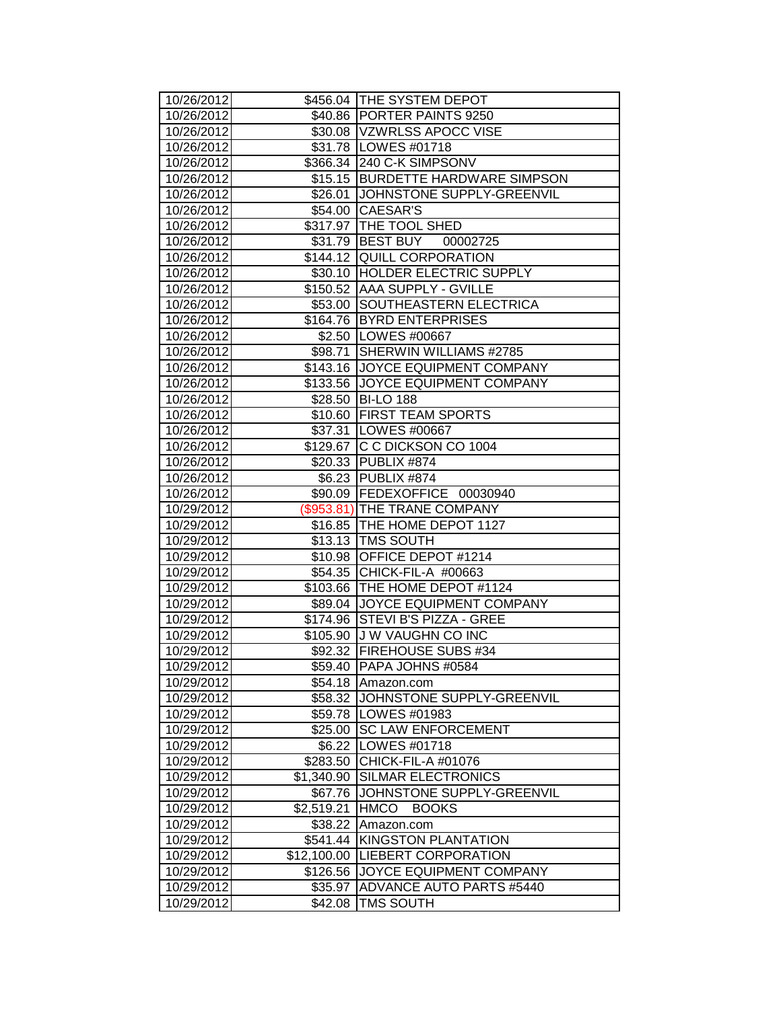| 10/26/2012               |             | \$456.04 THE SYSTEM DEPOT                        |
|--------------------------|-------------|--------------------------------------------------|
| 10/26/2012               |             | \$40.86 PORTER PAINTS 9250                       |
| 10/26/2012               |             | \$30.08  VZWRLSS APOCC VISE                      |
| 10/26/2012               |             | \$31.78   LOWES #01718                           |
| 10/26/2012               |             | \$366.34 240 C-K SIMPSONV                        |
| 10/26/2012               |             | \$15.15 BURDETTE HARDWARE SIMPSON                |
| 10/26/2012               |             | \$26.01 JOHNSTONE SUPPLY-GREENVIL                |
| 10/26/2012               |             | \$54.00 CAESAR'S                                 |
| 10/26/2012               |             | \$317.97 THE TOOL SHED                           |
| 10/26/2012               |             | \$31.79 BEST BUY 00002725                        |
| 10/26/2012               |             | \$144.12 QUILL CORPORATION                       |
| 10/26/2012               |             | \$30.10 HOLDER ELECTRIC SUPPLY                   |
| 10/26/2012               |             | \$150.52 AAA SUPPLY - GVILLE                     |
| 10/26/2012               | \$53.00     | SOUTHEASTERN ELECTRICA                           |
| 10/26/2012               |             | \$164.76 BYRD ENTERPRISES                        |
| 10/26/2012               |             | \$2.50   LOWES #00667                            |
| 10/26/2012               | \$98.71     | SHERWIN WILLIAMS #2785                           |
| 10/26/2012               |             | \$143.16 JOYCE EQUIPMENT COMPANY                 |
| 10/26/2012               |             | \$133.56 JOYCE EQUIPMENT COMPANY                 |
| 10/26/2012               |             | \$28.50 BI-LO 188                                |
| 10/26/2012               |             | \$10.60 FIRST TEAM SPORTS                        |
| 10/26/2012               |             | \$37.31 LOWES #00667                             |
| 10/26/2012               |             | \$129.67 C C DICKSON CO 1004                     |
| 10/26/2012               |             | \$20.33 PUBLIX #874                              |
| 10/26/2012               |             | \$6.23 PUBLIX #874                               |
| 10/26/2012               |             | \$90.09 FEDEXOFFICE 00030940                     |
| 10/29/2012               |             | (\$953.81) THE TRANE COMPANY                     |
| 10/29/2012               |             | \$16.85   THE HOME DEPOT 1127                    |
| 10/29/2012               |             | \$13.13   TMS SOUTH                              |
| 10/29/2012               | \$10.98     | OFFICE DEPOT #1214                               |
| 10/29/2012               | \$54.35     | CHICK-FIL-A #00663                               |
| 10/29/2012               |             | \$103.66 THE HOME DEPOT #1124                    |
| 10/29/2012               |             | \$89.04 JOYCE EQUIPMENT COMPANY                  |
| 10/29/2012               | \$174.96    | STEVI B'S PIZZA - GREE                           |
| 10/29/2012               |             | \$105.90 J W VAUGHN CO INC                       |
| 10/29/2012<br>10/29/2012 | \$59.40     | \$92.32   FIREHOUSE SUBS #34<br>PAPA JOHNS #0584 |
| 10/29/2012               | \$54.18     |                                                  |
| 10/29/2012               | \$58.32     | Amazon.com<br>JOHNSTONE SUPPLY-GREENVIL          |
| 10/29/2012               | \$59.78     | LOWES #01983                                     |
| 10/29/2012               | \$25.00     | <b>SC LAW ENFORCEMENT</b>                        |
| 10/29/2012               | \$6.22      | LOWES #01718                                     |
| 10/29/2012               | \$283.50    | CHICK-FIL-A #01076                               |
| 10/29/2012               | \$1,340.90  | SILMAR ELECTRONICS                               |
| 10/29/2012               | \$67.76     | JOHNSTONE SUPPLY-GREENVIL                        |
| 10/29/2012               | \$2,519.21  | <b>HMCO</b><br><b>BOOKS</b>                      |
| 10/29/2012               | \$38.22     | Amazon.com                                       |
| 10/29/2012               | \$541.44    | KINGSTON PLANTATION                              |
| 10/29/2012               | \$12,100.00 | LIEBERT CORPORATION                              |
| 10/29/2012               | \$126.56    | JOYCE EQUIPMENT COMPANY                          |
| 10/29/2012               | \$35.97     | ADVANCE AUTO PARTS #5440                         |
| 10/29/2012               | \$42.08     | TMS SOUTH                                        |
|                          |             |                                                  |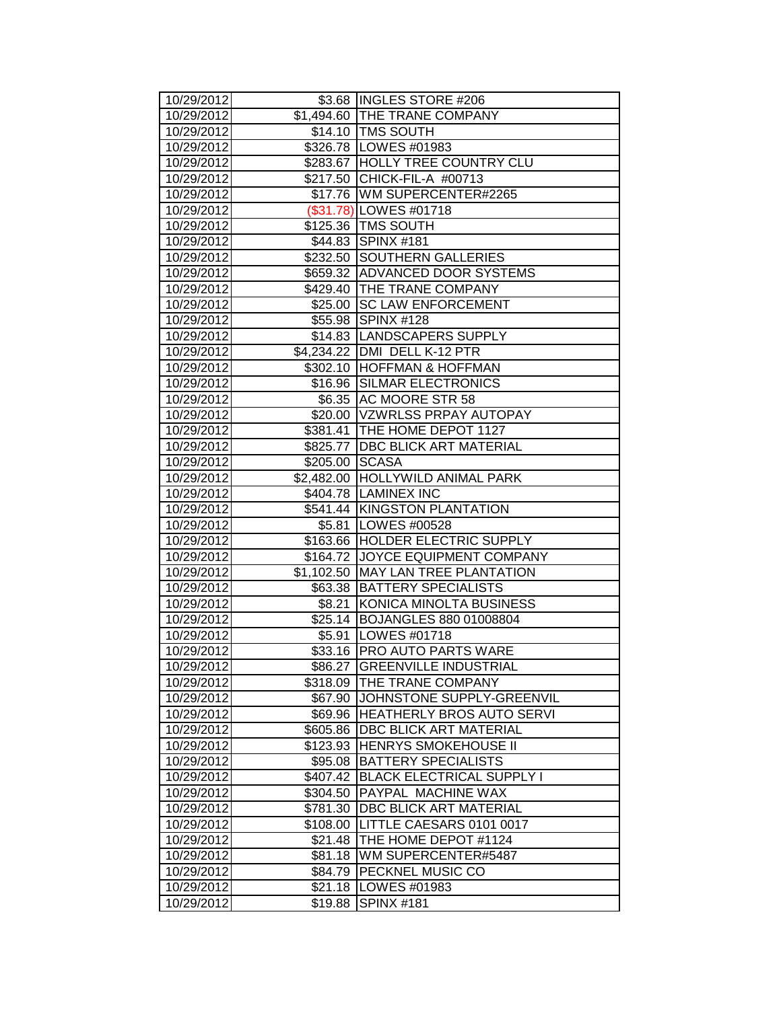| 10/29/2012 |                | \$3.68 INGLES STORE #206           |
|------------|----------------|------------------------------------|
| 10/29/2012 |                | \$1,494.60 THE TRANE COMPANY       |
| 10/29/2012 |                | \$14.10 TMS SOUTH                  |
| 10/29/2012 |                | \$326.78 LOWES #01983              |
| 10/29/2012 |                | \$283.67 HOLLY TREE COUNTRY CLU    |
| 10/29/2012 |                | \$217.50 CHICK-FIL-A #00713        |
| 10/29/2012 |                | \$17.76   WM SUPERCENTER#2265      |
| 10/29/2012 |                | (\$31.78) LOWES #01718             |
| 10/29/2012 |                | \$125.36 TMS SOUTH                 |
| 10/29/2012 |                | \$44.83 SPINX #181                 |
| 10/29/2012 |                | \$232.50 SOUTHERN GALLERIES        |
| 10/29/2012 |                | \$659.32 ADVANCED DOOR SYSTEMS     |
| 10/29/2012 |                | \$429.40 THE TRANE COMPANY         |
| 10/29/2012 |                | \$25.00 SC LAW ENFORCEMENT         |
| 10/29/2012 |                | \$55.98 SPINX #128                 |
| 10/29/2012 |                | \$14.83  LANDSCAPERS SUPPLY        |
| 10/29/2012 |                | \$4,234.22 DMI DELL K-12 PTR       |
| 10/29/2012 |                | \$302.10 HOFFMAN & HOFFMAN         |
| 10/29/2012 |                | \$16.96 SILMAR ELECTRONICS         |
| 10/29/2012 |                | \$6.35 AC MOORE STR 58             |
| 10/29/2012 |                | \$20.00 VZWRLSS PRPAY AUTOPAY      |
| 10/29/2012 |                | \$381.41 THE HOME DEPOT 1127       |
| 10/29/2012 |                | \$825.77   DBC BLICK ART MATERIAL  |
| 10/29/2012 | \$205.00 SCASA |                                    |
| 10/29/2012 |                | \$2,482.00 HOLLYWILD ANIMAL PARK   |
| 10/29/2012 |                | \$404.78 LAMINEX INC               |
| 10/29/2012 |                | \$541.44 KINGSTON PLANTATION       |
| 10/29/2012 |                | \$5.81   LOWES #00528              |
| 10/29/2012 |                | \$163.66 HOLDER ELECTRIC SUPPLY    |
| 10/29/2012 |                | \$164.72 JOYCE EQUIPMENT COMPANY   |
| 10/29/2012 |                | \$1,102.50 MAY LAN TREE PLANTATION |
| 10/29/2012 |                | \$63.38 BATTERY SPECIALISTS        |
| 10/29/2012 |                | \$8.21 KONICA MINOLTA BUSINESS     |
| 10/29/2012 |                | \$25.14 BOJANGLES 880 01008804     |
| 10/29/2012 |                | \$5.91   LOWES #01718              |
| 10/29/2012 |                | \$33.16 PRO AUTO PARTS WARE        |
| 10/29/2012 |                | \$86.27 GREENVILLE INDUSTRIAL      |
| 10/29/2012 | \$318.09       | THE TRANE COMPANY                  |
| 10/29/2012 |                | \$67.90 JJOHNSTONE SUPPLY-GREENVIL |
| 10/29/2012 |                | \$69.96 HEATHERLY BROS AUTO SERVI  |
| 10/29/2012 | \$605.86       | DBC BLICK ART MATERIAL             |
| 10/29/2012 | \$123.93       | HENRYS SMOKEHOUSE II               |
| 10/29/2012 | \$95.08        | <b>BATTERY SPECIALISTS</b>         |
| 10/29/2012 | \$407.42       | <b>BLACK ELECTRICAL SUPPLY I</b>   |
| 10/29/2012 | \$304.50       | PAYPAL MACHINE WAX                 |
| 10/29/2012 | \$781.30       | DBC BLICK ART MATERIAL             |
| 10/29/2012 | \$108.00       | LITTLE CAESARS 0101 0017           |
| 10/29/2012 | \$21.48        | THE HOME DEPOT #1124               |
| 10/29/2012 | \$81.18        | WM SUPERCENTER#5487                |
| 10/29/2012 | \$84.79        | PECKNEL MUSIC CO                   |
| 10/29/2012 | \$21.18        | LOWES #01983                       |
| 10/29/2012 | \$19.88        | <b>SPINX #181</b>                  |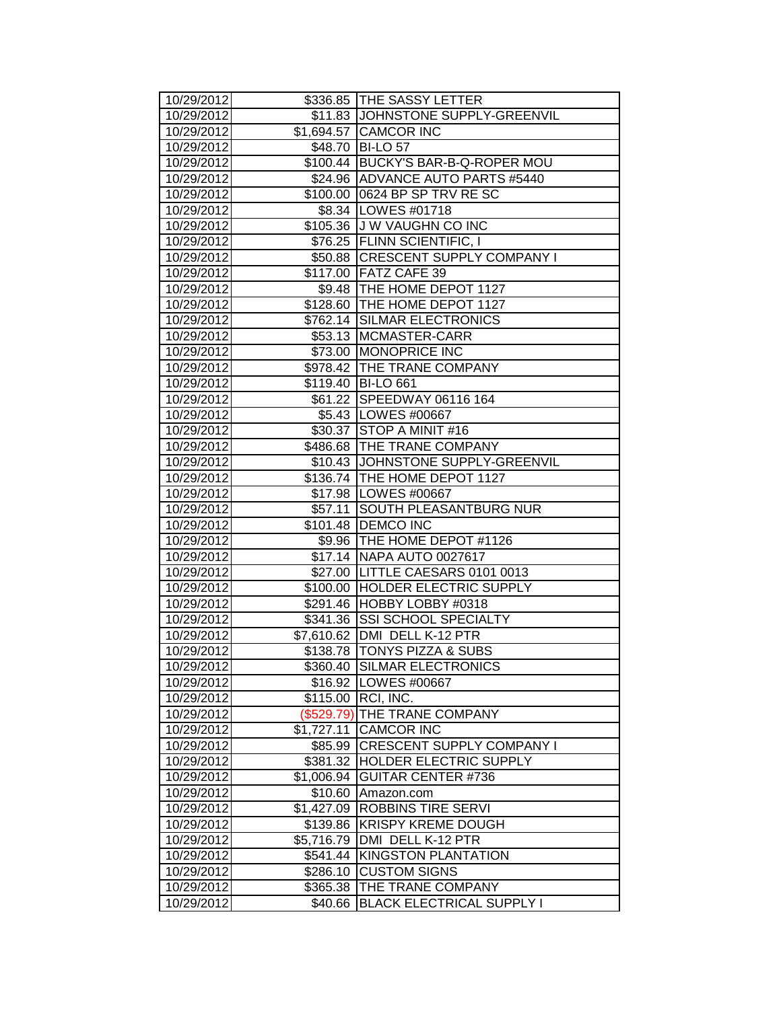| 10/29/2012               |                        | \$336.85 THE SASSY LETTER                      |
|--------------------------|------------------------|------------------------------------------------|
| 10/29/2012               |                        | \$11.83 JJOHNSTONE SUPPLY-GREENVIL             |
| 10/29/2012               |                        | \$1,694.57 CAMCOR INC                          |
| 10/29/2012               |                        | \$48.70 BI-LO 57                               |
| 10/29/2012               |                        | \$100.44 BUCKY'S BAR-B-Q-ROPER MOU             |
| 10/29/2012               |                        | \$24.96 ADVANCE AUTO PARTS #5440               |
| 10/29/2012               |                        | \$100.00 0624 BP SP TRV RESC                   |
| 10/29/2012               |                        | \$8.34   LOWES #01718                          |
| 10/29/2012               |                        | \$105.36 J W VAUGHN CO INC                     |
| 10/29/2012               |                        | \$76.25 FLINN SCIENTIFIC, I                    |
| 10/29/2012               |                        | \$50.88 CRESCENT SUPPLY COMPANY I              |
| 10/29/2012               |                        | \$117.00 FATZ CAFE 39                          |
| 10/29/2012               |                        | \$9.48   THE HOME DEPOT 1127                   |
| 10/29/2012               |                        | \$128.60 THE HOME DEPOT 1127                   |
| 10/29/2012               |                        | \$762.14 SILMAR ELECTRONICS                    |
| 10/29/2012               |                        | \$53.13 MCMASTER-CARR                          |
| 10/29/2012               |                        | \$73.00 MONOPRICE INC                          |
| 10/29/2012               |                        | \$978.42 THE TRANE COMPANY                     |
| 10/29/2012               |                        | \$119.40 BI-LO 661                             |
| 10/29/2012               |                        | \$61.22 SPEEDWAY 06116 164                     |
| 10/29/2012               |                        | \$5.43   LOWES #00667                          |
| 10/29/2012               |                        | \$30.37 STOP A MINIT #16                       |
| 10/29/2012               |                        | \$486.68 THE TRANE COMPANY                     |
| 10/29/2012               |                        | \$10.43 JOHNSTONE SUPPLY-GREENVIL              |
| 10/29/2012               |                        | \$136.74 THE HOME DEPOT 1127                   |
| 10/29/2012               |                        | \$17.98   LOWES #00667                         |
| 10/29/2012               | \$57.11                | <b>SOUTH PLEASANTBURG NUR</b>                  |
| 10/29/2012               |                        | \$101.48   DEMCO INC                           |
| 10/29/2012               |                        | \$9.96 THE HOME DEPOT #1126                    |
| 10/29/2012               |                        | \$17.14 NAPA AUTO 0027617                      |
| 10/29/2012               |                        | \$27.00 LITTLE CAESARS 0101 0013               |
| 10/29/2012               |                        | \$100.00 HOLDER ELECTRIC SUPPLY                |
| 10/29/2012               |                        | \$291.46 HOBBY LOBBY #0318                     |
| 10/29/2012               |                        | \$341.36 SSI SCHOOL SPECIALTY                  |
| 10/29/2012               |                        | \$7,610.62   DMI DELL K-12 PTR                 |
| 10/29/2012               |                        | \$138.78 TONYS PIZZA & SUBS                    |
| 10/29/2012               |                        | \$360.40 SILMAR ELECTRONICS                    |
| 10/29/2012               |                        | \$16.92   LOWES #00667                         |
| 10/29/2012               |                        | \$115.00 RCI, INC.                             |
| 10/29/2012               |                        | (\$529.79) THE TRANE COMPANY                   |
| 10/29/2012               | \$1,727.11             | <b>CAMCOR INC</b>                              |
| 10/29/2012               | \$85.99                | <b>CRESCENT SUPPLY COMPANY I</b>               |
| 10/29/2012               | \$381.32               | <b>HOLDER ELECTRIC SUPPLY</b>                  |
| 10/29/2012               | \$1,006.94             | <b>GUITAR CENTER #736</b>                      |
| 10/29/2012               | \$10.60                | Amazon.com                                     |
| 10/29/2012<br>10/29/2012 | \$1,427.09             | ROBBINS TIRE SERVI                             |
| 10/29/2012               | \$139.86<br>\$5,716.79 | <b>KRISPY KREME DOUGH</b><br>DMI DELL K-12 PTR |
| 10/29/2012               | \$541.44               | <b>KINGSTON PLANTATION</b>                     |
| 10/29/2012               | \$286.10               | <b>CUSTOM SIGNS</b>                            |
| 10/29/2012               | \$365.38               | THE TRANE COMPANY                              |
| 10/29/2012               | \$40.66                | <b>BLACK ELECTRICAL SUPPLY I</b>               |
|                          |                        |                                                |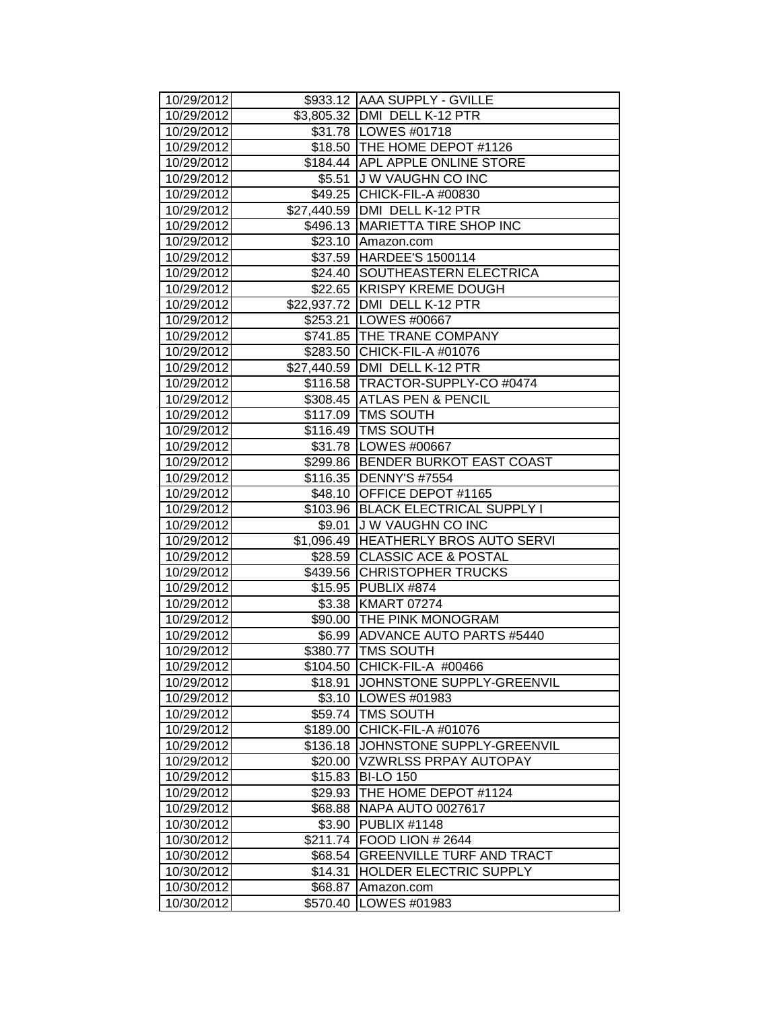| 10/29/2012               |                    | \$933.12 AAA SUPPLY - GVILLE                         |
|--------------------------|--------------------|------------------------------------------------------|
| 10/29/2012               |                    | \$3,805.32 DMI DELL K-12 PTR                         |
| 10/29/2012               |                    | \$31.78   LOWES #01718                               |
| 10/29/2012               |                    | \$18.50 THE HOME DEPOT #1126                         |
| 10/29/2012               |                    | \$184.44 APL APPLE ONLINE STORE                      |
| 10/29/2012               |                    | \$5.51 J W VAUGHN CO INC                             |
| 10/29/2012               |                    | \$49.25 CHICK-FIL-A #00830                           |
| 10/29/2012               |                    | \$27,440.59   DMI DELL K-12 PTR                      |
| 10/29/2012               |                    | \$496.13 MARIETTA TIRE SHOP INC                      |
| 10/29/2012               |                    | \$23.10 Amazon.com                                   |
| 10/29/2012               |                    | \$37.59 HARDEE'S 1500114                             |
| 10/29/2012               |                    | \$24.40 SOUTHEASTERN ELECTRICA                       |
| 10/29/2012               |                    | \$22.65 KRISPY KREME DOUGH                           |
| 10/29/2012               |                    | \$22,937.72   DMI DELL K-12 PTR                      |
| 10/29/2012               |                    | \$253.21   LOWES #00667                              |
| 10/29/2012               |                    | \$741.85   THE TRANE COMPANY                         |
| 10/29/2012               |                    | \$283.50 CHICK-FIL-A #01076                          |
| 10/29/2012               |                    | \$27,440.59   DMI DELL K-12 PTR                      |
| 10/29/2012               |                    | \$116.58   TRACTOR-SUPPLY-CO #0474                   |
| 10/29/2012               |                    | \$308.45 ATLAS PEN & PENCIL                          |
| 10/29/2012               |                    | \$117.09   TMS SOUTH                                 |
| 10/29/2012               |                    | \$116.49 TMS SOUTH                                   |
| 10/29/2012               |                    | \$31.78   LOWES #00667                               |
| 10/29/2012               |                    | \$299.86 BENDER BURKOT EAST COAST                    |
| 10/29/2012               |                    | \$116.35   DENNY'S #7554                             |
| 10/29/2012               |                    | \$48.10 OFFICE DEPOT #1165                           |
| 10/29/2012               |                    | \$103.96 BLACK ELECTRICAL SUPPLY I                   |
| 10/29/2012               |                    | \$9.01 J W VAUGHN CO INC                             |
| 10/29/2012               |                    | \$1,096.49 HEATHERLY BROS AUTO SERVI                 |
| 10/29/2012               |                    | \$28.59 CLASSIC ACE & POSTAL                         |
| 10/29/2012               |                    | \$439.56 CHRISTOPHER TRUCKS                          |
| 10/29/2012               |                    | \$15.95 PUBLIX #874                                  |
| 10/29/2012               |                    | \$3.38 KMART 07274                                   |
| 10/29/2012               |                    | \$90.00 THE PINK MONOGRAM                            |
| 10/29/2012               |                    | \$6.99 ADVANCE AUTO PARTS #5440                      |
| 10/29/2012               |                    | \$380.77   TMS SOUTH                                 |
| 10/29/2012               |                    | \$104.50 CHICK-FIL-A #00466                          |
| 10/29/2012               | \$18.91            | JOHNSTONE SUPPLY-GREENVIL                            |
| 10/29/2012               |                    | \$3.10   LOWES #01983                                |
| 10/29/2012               | \$59.74            | <b>TMS SOUTH</b>                                     |
| 10/29/2012               | \$189.00           | CHICK-FIL-A #01076                                   |
| 10/29/2012               | \$136.18           | JOHNSTONE SUPPLY-GREENVIL                            |
| 10/29/2012               | \$20.00            | <b>VZWRLSS PRPAY AUTOPAY</b>                         |
| 10/29/2012               | \$15.83            | <b>BI-LO 150</b>                                     |
| 10/29/2012               | \$29.93            | THE HOME DEPOT #1124                                 |
| 10/29/2012               | \$68.88            | NAPA AUTO 0027617                                    |
| 10/30/2012               | \$3.90             | <b>PUBLIX #1148</b>                                  |
| 10/30/2012<br>10/30/2012 | \$211.74           | FOOD LION # 2644<br><b>GREENVILLE TURF AND TRACT</b> |
| 10/30/2012               | \$68.54<br>\$14.31 | HOLDER ELECTRIC SUPPLY                               |
| 10/30/2012               |                    |                                                      |
| 10/30/2012               | \$68.87            | Amazon.com<br>LOWES #01983                           |
|                          | \$570.40           |                                                      |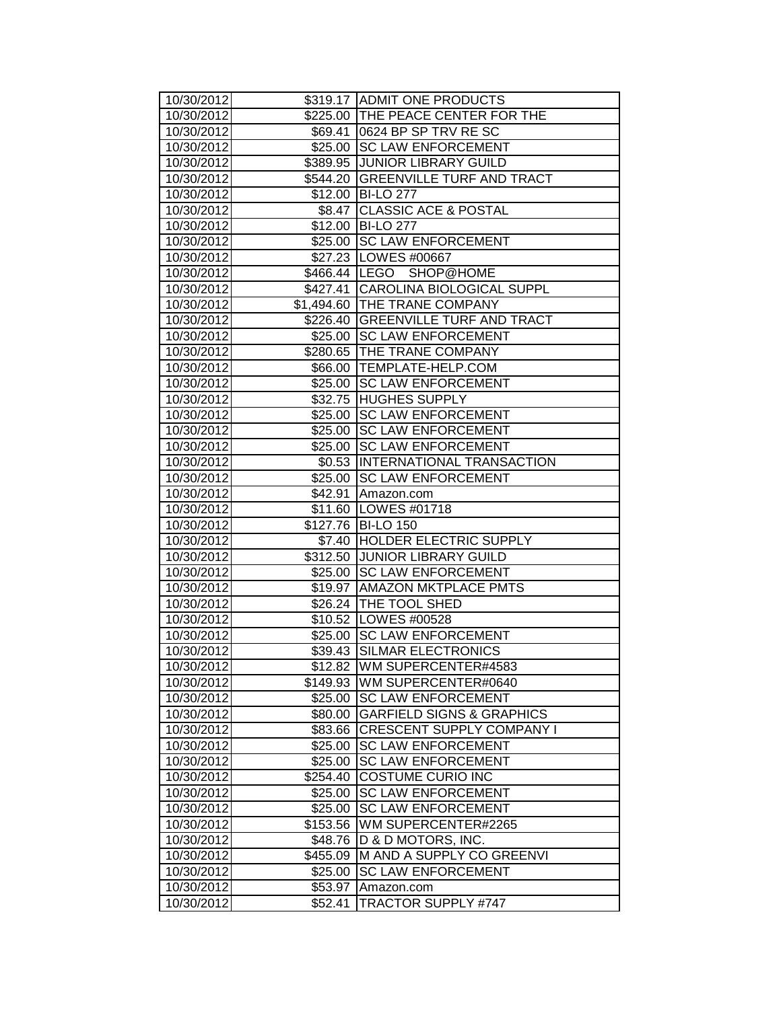| 10/30/2012               |                    | \$319.17 ADMIT ONE PRODUCTS              |
|--------------------------|--------------------|------------------------------------------|
| 10/30/2012               |                    | \$225.00 THE PEACE CENTER FOR THE        |
| 10/30/2012               |                    | \$69.41 0624 BP SP TRV RESC              |
| 10/30/2012               |                    | \$25.00 SC LAW ENFORCEMENT               |
| 10/30/2012               |                    | \$389.95 JUNIOR LIBRARY GUILD            |
| 10/30/2012               |                    | \$544.20 GREENVILLE TURF AND TRACT       |
| 10/30/2012               |                    | \$12.00 BI-LO 277                        |
| 10/30/2012               | \$8.47             | <b>CLASSIC ACE &amp; POSTAL</b>          |
| 10/30/2012               |                    | \$12.00 BI-LO 277                        |
| 10/30/2012               |                    | \$25.00 SC LAW ENFORCEMENT               |
| 10/30/2012               |                    | \$27.23   LOWES #00667                   |
| 10/30/2012               |                    | \$466.44 LEGO SHOP@HOME                  |
| 10/30/2012               |                    | \$427.41 CAROLINA BIOLOGICAL SUPPL       |
| 10/30/2012               |                    | \$1,494.60 THE TRANE COMPANY             |
| 10/30/2012               |                    | \$226.40 GREENVILLE TURF AND TRACT       |
| 10/30/2012               |                    | \$25.00 SC LAW ENFORCEMENT               |
| 10/30/2012               |                    | \$280.65 THE TRANE COMPANY               |
| 10/30/2012               |                    | \$66.00 TEMPLATE-HELP.COM                |
| 10/30/2012               |                    | \$25.00 SC LAW ENFORCEMENT               |
| 10/30/2012               |                    | \$32.75 HUGHES SUPPLY                    |
| 10/30/2012               |                    | \$25.00 SC LAW ENFORCEMENT               |
| 10/30/2012               | \$25.00            | <b>SC LAW ENFORCEMENT</b>                |
| 10/30/2012               |                    | \$25.00 SC LAW ENFORCEMENT               |
| 10/30/2012               |                    | \$0.53  INTERNATIONAL TRANSACTION        |
| 10/30/2012               |                    | \$25.00 SC LAW ENFORCEMENT               |
| 10/30/2012               | \$42.91            | Amazon.com                               |
| 10/30/2012               |                    | \$11.60   LOWES #01718                   |
| 10/30/2012               |                    | \$127.76 BI-LO 150                       |
| 10/30/2012               |                    | \$7.40 HOLDER ELECTRIC SUPPLY            |
| 10/30/2012               |                    | \$312.50 JUNIOR LIBRARY GUILD            |
| 10/30/2012               |                    | \$25.00 SC LAW ENFORCEMENT               |
| 10/30/2012               |                    | \$19.97   AMAZON MKTPLACE PMTS           |
| 10/30/2012               |                    | \$26.24   THE TOOL SHED                  |
| 10/30/2012               |                    | \$10.52   LOWES #00528                   |
| 10/30/2012               |                    | \$25.00 SC LAW ENFORCEMENT               |
| 10/30/2012               |                    | \$39.43 SILMAR ELECTRONICS               |
| 10/30/2012               |                    | \$12.82   WM SUPERCENTER#4583            |
| 10/30/2012               | \$149.93           | <b>WM SUPERCENTER#0640</b>               |
| 10/30/2012               | \$25.00            | <b>SC LAW ENFORCEMENT</b>                |
| 10/30/2012               | \$80.00            | <b>GARFIELD SIGNS &amp; GRAPHICS</b>     |
| 10/30/2012               | \$83.66            | <b>CRESCENT SUPPLY COMPANY I</b>         |
| 10/30/2012               | \$25.00            | <b>SC LAW ENFORCEMENT</b>                |
| 10/30/2012               | \$25.00            | <b>SC LAW ENFORCEMENT</b>                |
| 10/30/2012               | \$254.40           | <b>COSTUME CURIO INC</b>                 |
| 10/30/2012               | \$25.00            | <b>SC LAW ENFORCEMENT</b>                |
|                          |                    |                                          |
| 10/30/2012               | \$25.00            | <b>SC LAW ENFORCEMENT</b>                |
| 10/30/2012               | \$153.56           | WM SUPERCENTER#2265                      |
| 10/30/2012               | \$48.76            | D & D MOTORS, INC.                       |
| 10/30/2012               | \$455.09           | M AND A SUPPLY CO GREENVI                |
| 10/30/2012               | \$25.00            | <b>SC LAW ENFORCEMENT</b>                |
| 10/30/2012<br>10/30/2012 | \$53.97<br>\$52.41 | Amazon.com<br><b>TRACTOR SUPPLY #747</b> |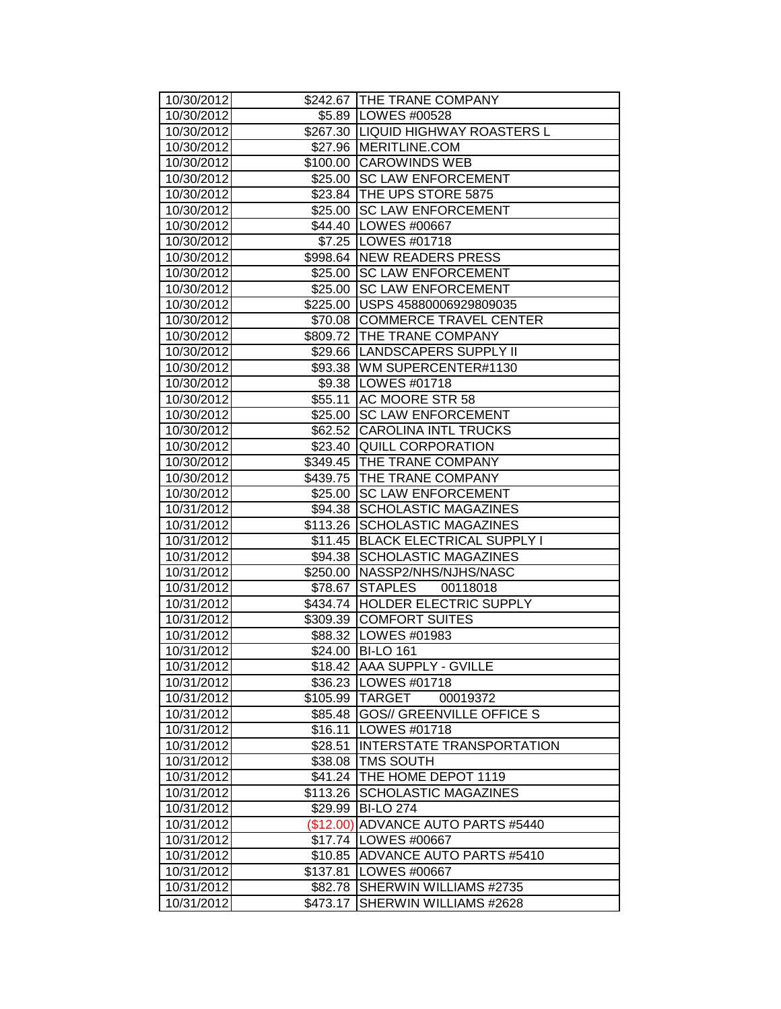| 10/30/2012               |                    | \$242.67   THE TRANE COMPANY                                    |
|--------------------------|--------------------|-----------------------------------------------------------------|
| 10/30/2012               |                    | \$5.89 LOWES #00528                                             |
| 10/30/2012               |                    | \$267.30 LIQUID HIGHWAY ROASTERS L                              |
| 10/30/2012               |                    | \$27.96   MERITLINE.COM                                         |
| 10/30/2012               |                    | \$100.00 CAROWINDS WEB                                          |
| 10/30/2012               |                    | \$25.00 SC LAW ENFORCEMENT                                      |
| 10/30/2012               |                    | \$23.84 THE UPS STORE 5875                                      |
| 10/30/2012               |                    | \$25.00 SC LAW ENFORCEMENT                                      |
| 10/30/2012               |                    | \$44.40   LOWES #00667                                          |
| 10/30/2012               |                    | \$7.25   LOWES #01718                                           |
| 10/30/2012               |                    | \$998.64 NEW READERS PRESS                                      |
| 10/30/2012               |                    | \$25.00 SC LAW ENFORCEMENT                                      |
| 10/30/2012               |                    | \$25.00 SC LAW ENFORCEMENT                                      |
| 10/30/2012               |                    | \$225.00 USPS 45880006929809035                                 |
| 10/30/2012               |                    | \$70.08 COMMERCE TRAVEL CENTER                                  |
| 10/30/2012               |                    | \$809.72 THE TRANE COMPANY                                      |
| 10/30/2012               |                    | \$29.66   LANDSCAPERS SUPPLY II                                 |
| 10/30/2012               |                    | \$93.38 WM SUPERCENTER#1130                                     |
| 10/30/2012               |                    | \$9.38   LOWES #01718                                           |
| 10/30/2012               | \$55.11            | AC MOORE STR 58                                                 |
| 10/30/2012               |                    | \$25.00 SC LAW ENFORCEMENT                                      |
| 10/30/2012               |                    | \$62.52 CAROLINA INTL TRUCKS                                    |
| 10/30/2012               |                    | \$23.40 QUILL CORPORATION                                       |
| 10/30/2012               |                    | \$349.45 THE TRANE COMPANY                                      |
| 10/30/2012               |                    | \$439.75 THE TRANE COMPANY                                      |
| 10/30/2012               | \$25.00            | <b>SC LAW ENFORCEMENT</b>                                       |
| 10/31/2012               |                    | \$94.38 SCHOLASTIC MAGAZINES                                    |
| 10/31/2012<br>10/31/2012 | \$113.26           | <b>SCHOLASTIC MAGAZINES</b><br><b>BLACK ELECTRICAL SUPPLY I</b> |
| 10/31/2012               | \$11.45<br>\$94.38 | <b>SCHOLASTIC MAGAZINES</b>                                     |
| 10/31/2012               |                    | \$250.00 NASSP2/NHS/NJHS/NASC                                   |
| 10/31/2012               |                    | \$78.67 STAPLES<br>00118018                                     |
| 10/31/2012               |                    | \$434.74 HOLDER ELECTRIC SUPPLY                                 |
| 10/31/2012               |                    | \$309.39 COMFORT SUITES                                         |
| 10/31/2012               |                    | \$88.32 LOWES #01983                                            |
| 10/31/2012               |                    | \$24.00 BI-LO 161                                               |
| 10/31/2012               |                    | \$18.42 JAAA SUPPLY - GVILLE                                    |
| 10/31/2012               |                    | \$36.23   LOWES #01718                                          |
| 10/31/2012               |                    | \$105.99 TARGET<br>00019372                                     |
| 10/31/2012               | \$85.48            | <b>GOS// GREENVILLE OFFICE S</b>                                |
| 10/31/2012               | \$16.11            | LOWES #01718                                                    |
| 10/31/2012               | \$28.51            | <b>INTERSTATE TRANSPORTATION</b>                                |
| 10/31/2012               | \$38.08            | <b>TMS SOUTH</b>                                                |
| 10/31/2012               | \$41.24            | THE HOME DEPOT 1119                                             |
| 10/31/2012               | \$113.26           | <b>SCHOLASTIC MAGAZINES</b>                                     |
| 10/31/2012               | \$29.99            | <b>BI-LO 274</b>                                                |
| 10/31/2012               | (\$12.00)          | ADVANCE AUTO PARTS #5440                                        |
| 10/31/2012               |                    | \$17.74   LOWES #00667                                          |
| 10/31/2012               | \$10.85            | <b>ADVANCE AUTO PARTS #5410</b>                                 |
| 10/31/2012               | \$137.81           | LOWES #00667                                                    |
| 10/31/2012               | \$82.78            | SHERWIN WILLIAMS #2735                                          |
| 10/31/2012               | \$473.17           | SHERWIN WILLIAMS #2628                                          |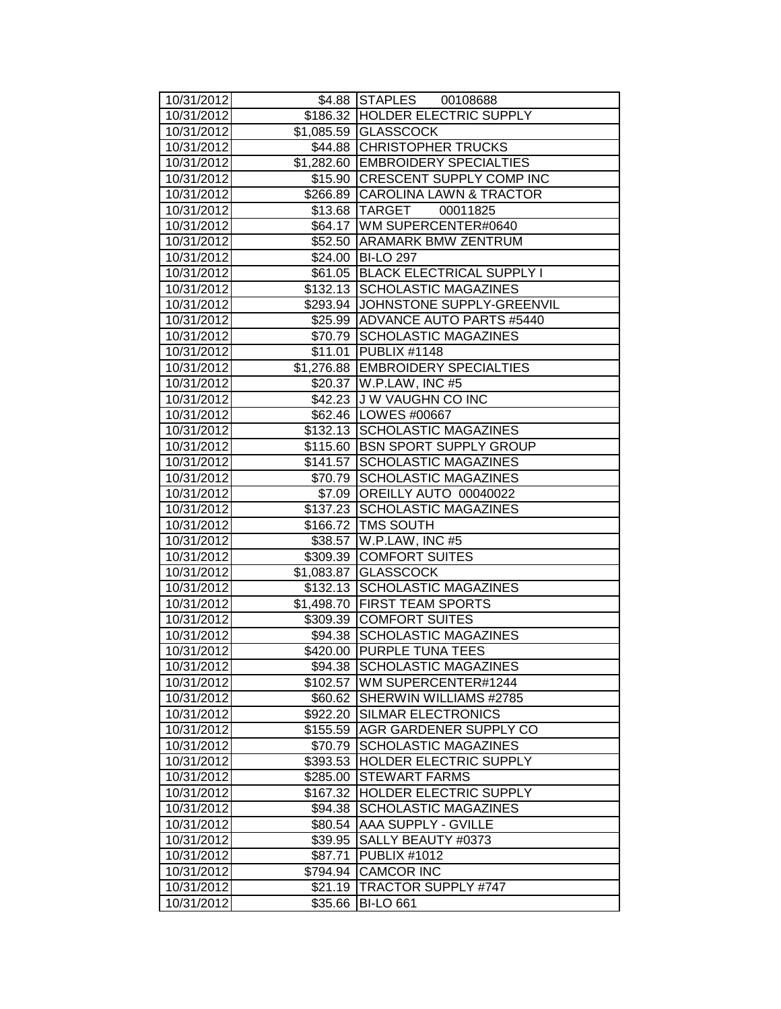| 10/31/2012               |          | \$4.88 STAPLES 00108688                               |  |
|--------------------------|----------|-------------------------------------------------------|--|
| 10/31/2012               |          | \$186.32 HOLDER ELECTRIC SUPPLY                       |  |
| 10/31/2012               |          | \$1,085.59 GLASSCOCK                                  |  |
| 10/31/2012               |          | \$44.88 CHRISTOPHER TRUCKS                            |  |
| 10/31/2012               |          | \$1,282.60 EMBROIDERY SPECIALTIES                     |  |
| 10/31/2012               |          | \$15.90 CRESCENT SUPPLY COMP INC                      |  |
| 10/31/2012               |          | \$266.89 CAROLINA LAWN & TRACTOR                      |  |
| 10/31/2012               |          | 00011825<br>\$13.68 TARGET                            |  |
| 10/31/2012               |          | \$64.17 WM SUPERCENTER#0640                           |  |
| 10/31/2012               |          | \$52.50 ARAMARK BMW ZENTRUM                           |  |
| 10/31/2012               |          | \$24.00 BI-LO 297                                     |  |
| 10/31/2012               |          | \$61.05 BLACK ELECTRICAL SUPPLY I                     |  |
| 10/31/2012               |          | \$132.13 SCHOLASTIC MAGAZINES                         |  |
| 10/31/2012               |          | \$293.94 JOHNSTONE SUPPLY-GREENVIL                    |  |
| 10/31/2012               |          | \$25.99 ADVANCE AUTO PARTS #5440                      |  |
| 10/31/2012               |          | \$70.79 SCHOLASTIC MAGAZINES                          |  |
| 10/31/2012               |          | \$11.01 PUBLIX #1148                                  |  |
| 10/31/2012               |          | \$1,276.88 EMBROIDERY SPECIALTIES                     |  |
| 10/31/2012               |          | \$20.37 W.P.LAW, INC #5                               |  |
| 10/31/2012               |          | \$42.23 J W VAUGHN CO INC                             |  |
| 10/31/2012               |          | \$62.46   LOWES #00667                                |  |
| 10/31/2012               |          | \$132.13 SCHOLASTIC MAGAZINES                         |  |
| 10/31/2012               |          | \$115.60 BSN SPORT SUPPLY GROUP                       |  |
| 10/31/2012               |          | \$141.57 SCHOLASTIC MAGAZINES                         |  |
| 10/31/2012               |          | \$70.79 SCHOLASTIC MAGAZINES                          |  |
| 10/31/2012               |          | \$7.09 OREILLY AUTO 00040022                          |  |
| 10/31/2012               |          | \$137.23 SCHOLASTIC MAGAZINES                         |  |
| 10/31/2012               |          | \$166.72 TMS SOUTH                                    |  |
| 10/31/2012<br>10/31/2012 |          | \$38.57 W.P.LAW, INC #5                               |  |
| 10/31/2012               |          | \$309.39 COMFORT SUITES                               |  |
| 10/31/2012               |          | \$1,083.87 GLASSCOCK<br>\$132.13 SCHOLASTIC MAGAZINES |  |
| 10/31/2012               |          | \$1,498.70 FIRST TEAM SPORTS                          |  |
| 10/31/2012               |          | \$309.39 COMFORT SUITES                               |  |
| 10/31/2012               |          | \$94.38 SCHOLASTIC MAGAZINES                          |  |
| 10/31/2012               |          | \$420.00 PURPLE TUNA TEES                             |  |
| 10/31/2012               |          | \$94.38 SCHOLASTIC MAGAZINES                          |  |
| 10/31/2012               | \$102.57 | <b>WM SUPERCENTER#1244</b>                            |  |
| 10/31/2012               | \$60.62  | SHERWIN WILLIAMS #2785                                |  |
| 10/31/2012               | \$922.20 | <b>SILMAR ELECTRONICS</b>                             |  |
| 10/31/2012               | \$155.59 | <b>AGR GARDENER SUPPLY CO</b>                         |  |
| 10/31/2012               | \$70.79  | <b>SCHOLASTIC MAGAZINES</b>                           |  |
| 10/31/2012               | \$393.53 | HOLDER ELECTRIC SUPPLY                                |  |
| 10/31/2012               | \$285.00 | <b>STEWART FARMS</b>                                  |  |
| 10/31/2012               | \$167.32 | HOLDER ELECTRIC SUPPLY                                |  |
| 10/31/2012               | \$94.38  | <b>SCHOLASTIC MAGAZINES</b>                           |  |
| 10/31/2012               | \$80.54  | <b>AAA SUPPLY - GVILLE</b>                            |  |
| 10/31/2012               | \$39.95  | SALLY BEAUTY #0373                                    |  |
| 10/31/2012               | \$87.71  | <b>PUBLIX #1012</b>                                   |  |
| 10/31/2012               | \$794.94 | <b>CAMCOR INC</b>                                     |  |
| 10/31/2012               | \$21.19  | <b>TRACTOR SUPPLY #747</b>                            |  |
| 10/31/2012               | \$35.66  | <b>BI-LO 661</b>                                      |  |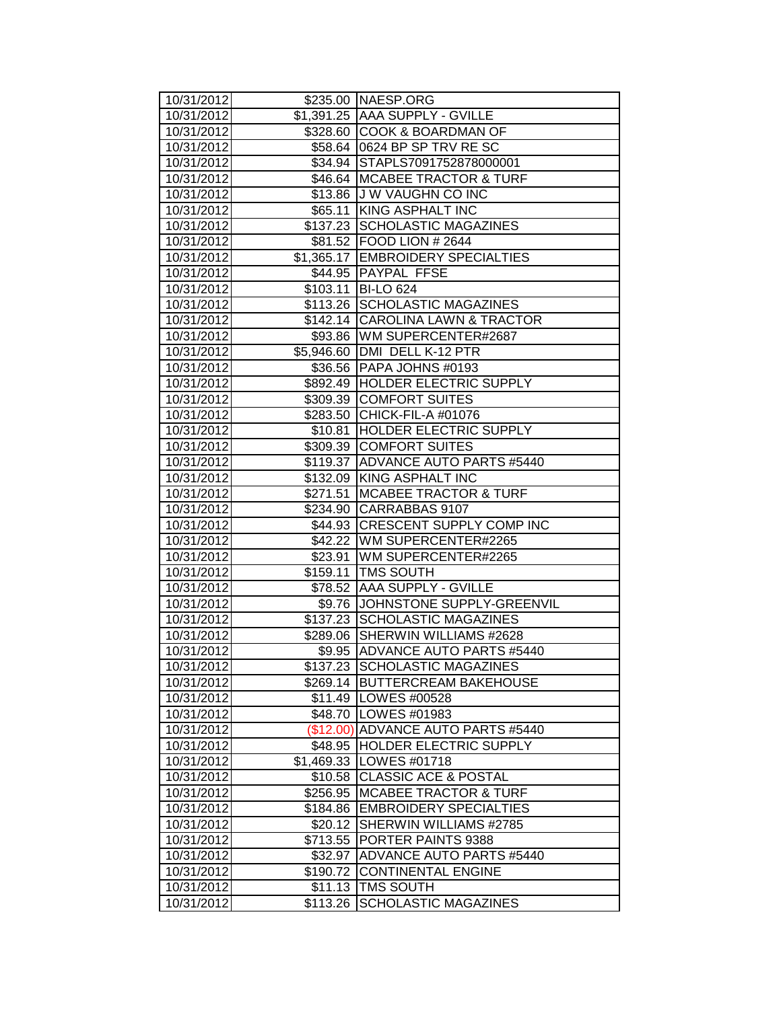| 10/31/2012 |           | \$235.00   NAESP.ORG              |  |
|------------|-----------|-----------------------------------|--|
| 10/31/2012 |           | \$1,391.25 AAA SUPPLY - GVILLE    |  |
| 10/31/2012 |           | \$328.60 COOK & BOARDMAN OF       |  |
| 10/31/2012 |           | \$58.64 0624 BP SP TRV RESC       |  |
| 10/31/2012 |           | \$34.94 STAPLS7091752878000001    |  |
| 10/31/2012 |           | \$46.64   MCABEE TRACTOR & TURF   |  |
| 10/31/2012 |           | \$13.86 J W VAUGHN CO INC         |  |
| 10/31/2012 | \$65.11   | KING ASPHALT INC                  |  |
| 10/31/2012 |           | \$137.23 SCHOLASTIC MAGAZINES     |  |
| 10/31/2012 |           | \$81.52   FOOD LION # 2644        |  |
| 10/31/2012 |           | \$1,365.17 EMBROIDERY SPECIALTIES |  |
| 10/31/2012 |           | \$44.95 PAYPAL FFSE               |  |
| 10/31/2012 |           | \$103.11   BI-LO 624              |  |
| 10/31/2012 |           | \$113.26 SCHOLASTIC MAGAZINES     |  |
| 10/31/2012 |           | \$142.14 CAROLINA LAWN & TRACTOR  |  |
| 10/31/2012 |           | \$93.86 WM SUPERCENTER#2687       |  |
| 10/31/2012 |           | \$5,946.60 DMI DELL K-12 PTR      |  |
| 10/31/2012 |           | \$36.56 PAPA JOHNS #0193          |  |
| 10/31/2012 |           | \$892.49  HOLDER ELECTRIC SUPPLY  |  |
| 10/31/2012 |           | \$309.39 COMFORT SUITES           |  |
| 10/31/2012 |           | \$283.50 CHICK-FIL-A #01076       |  |
| 10/31/2012 | \$10.81   | <b>HOLDER ELECTRIC SUPPLY</b>     |  |
| 10/31/2012 |           | \$309.39 COMFORT SUITES           |  |
| 10/31/2012 | \$119.37  | ADVANCE AUTO PARTS #5440          |  |
| 10/31/2012 |           | \$132.09 KING ASPHALT INC         |  |
| 10/31/2012 | \$271.51  | <b>MCABEE TRACTOR &amp; TURF</b>  |  |
| 10/31/2012 |           | \$234.90 CARRABBAS 9107           |  |
| 10/31/2012 |           | \$44.93 CRESCENT SUPPLY COMP INC  |  |
| 10/31/2012 |           | \$42.22 WM SUPERCENTER#2265       |  |
| 10/31/2012 |           | \$23.91   WM SUPERCENTER#2265     |  |
| 10/31/2012 |           | \$159.11   TMS SOUTH              |  |
| 10/31/2012 |           | \$78.52 AAA SUPPLY - GVILLE       |  |
| 10/31/2012 |           | \$9.76 JOHNSTONE SUPPLY-GREENVIL  |  |
| 10/31/2012 |           | \$137.23 SCHOLASTIC MAGAZINES     |  |
| 10/31/2012 |           | \$289.06 SHERWIN WILLIAMS #2628   |  |
| 10/31/2012 | \$9.95    | <b>ADVANCE AUTO PARTS #5440</b>   |  |
| 10/31/2012 |           | \$137.23 SCHOLASTIC MAGAZINES     |  |
| 10/31/2012 |           | \$269.14 BUTTERCREAM BAKEHOUSE    |  |
| 10/31/2012 |           | \$11.49   LOWES #00528            |  |
| 10/31/2012 |           | \$48.70   LOWES #01983            |  |
| 10/31/2012 | (\$12.00) | ADVANCE AUTO PARTS #5440          |  |
| 10/31/2012 | \$48.95   | <b>HOLDER ELECTRIC SUPPLY</b>     |  |
| 10/31/2012 |           | \$1,469.33 LOWES #01718           |  |
| 10/31/2012 | \$10.58   | <b>CLASSIC ACE &amp; POSTAL</b>   |  |
| 10/31/2012 | \$256.95  | <b>MCABEE TRACTOR &amp; TURF</b>  |  |
| 10/31/2012 | \$184.86  | <b>EMBROIDERY SPECIALTIES</b>     |  |
| 10/31/2012 | \$20.12   | <b>SHERWIN WILLIAMS #2785</b>     |  |
| 10/31/2012 | \$713.55  | <b>PORTER PAINTS 9388</b>         |  |
| 10/31/2012 | \$32.97   | ADVANCE AUTO PARTS #5440          |  |
| 10/31/2012 | \$190.72  | <b>CONTINENTAL ENGINE</b>         |  |
| 10/31/2012 |           | \$11.13 TMS SOUTH                 |  |
| 10/31/2012 | \$113.26  | <b>SCHOLASTIC MAGAZINES</b>       |  |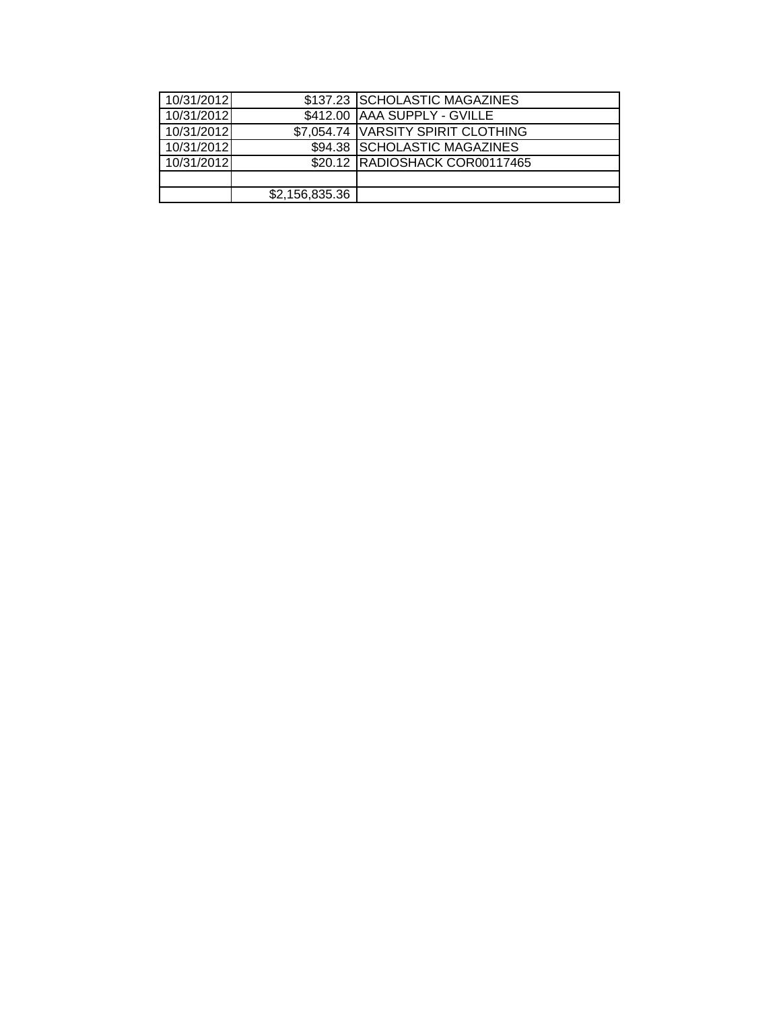| 10/31/2012 |                | \$137.23 SCHOLASTIC MAGAZINES      |  |
|------------|----------------|------------------------------------|--|
| 10/31/2012 |                | \$412.00 AAA SUPPLY - GVILLE       |  |
| 10/31/2012 |                | \$7,054.74 VARSITY SPIRIT CLOTHING |  |
| 10/31/2012 |                | \$94.38 SCHOLASTIC MAGAZINES       |  |
| 10/31/2012 |                | \$20.12 RADIOSHACK COR00117465     |  |
|            |                |                                    |  |
|            | \$2,156,835.36 |                                    |  |